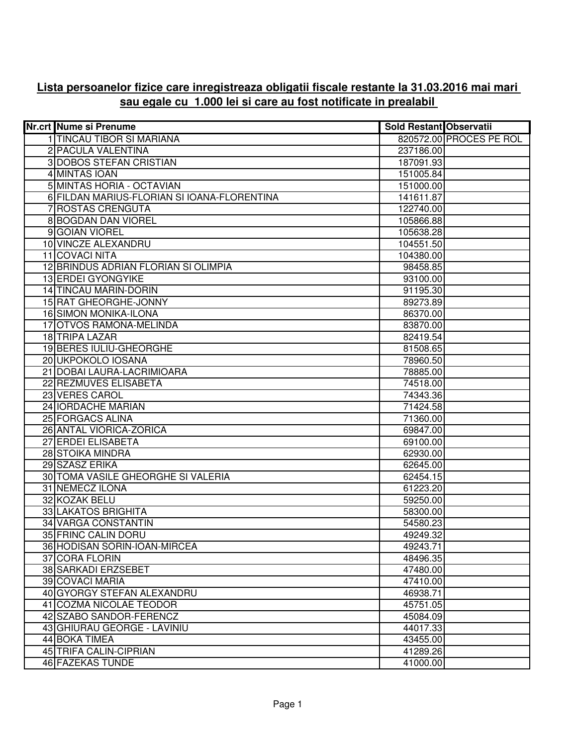## **Lista persoanelor fizice care inregistreaza obligatii fiscale restante la 31.03.2016 mai mari sau egale cu 1.000 lei si care au fost notificate in prealabil**

| <b>Nr.crt Nume si Prenume</b>               | <b>Sold Restant Observatii</b> |                         |
|---------------------------------------------|--------------------------------|-------------------------|
| 1 TINCAU TIBOR SI MARIANA                   |                                | 820572.00 PROCES PE ROL |
| 2 PACULA VALENTINA                          | 237186.00                      |                         |
| <b>3 DOBOS STEFAN CRISTIAN</b>              | 187091.93                      |                         |
| 4 MINTAS IOAN                               | 151005.84                      |                         |
| 5 MINTAS HORIA - OCTAVIAN                   | 151000.00                      |                         |
| 6 FILDAN MARIUS-FLORIAN SI IOANA-FLORENTINA | 141611.87                      |                         |
| 7 ROSTAS CRENGUTA                           | 122740.00                      |                         |
| 8 BOGDAN DAN VIOREL                         | 105866.88                      |                         |
| 9 GOIAN VIOREL                              | 105638.28                      |                         |
| 10 VINCZE ALEXANDRU                         | 104551.50                      |                         |
| 11 COVACI NITA                              | 104380.00                      |                         |
| 12 BRINDUS ADRIAN FLORIAN SI OLIMPIA        | 98458.85                       |                         |
| 13 ERDEI GYONGYIKE                          | 93100.00                       |                         |
| 14 TINCAU MARIN-DORIN                       | 91195.30                       |                         |
| 15 RAT GHEORGHE-JONNY                       | 89273.89                       |                         |
| 16 SIMON MONIKA-ILONA                       | 86370.00                       |                         |
| 17 OTVOS RAMONA-MELINDA                     | 83870.00                       |                         |
| 18 TRIPA LAZAR                              | 82419.54                       |                         |
| <b>19 BERES IULIU-GHEORGHE</b>              | 81508.65                       |                         |
| 20 UKPOKOLO IOSANA                          | 78960.50                       |                         |
| 21 DOBAI LAURA-LACRIMIOARA                  | 78885.00                       |                         |
| 22 REZMUVES ELISABETA                       | 74518.00                       |                         |
| 23 VERES CAROL                              | 74343.36                       |                         |
| 24 IORDACHE MARIAN                          | 71424.58                       |                         |
| 25 FORGACS ALINA                            | 71360.00                       |                         |
| 26 ANTAL VIORICA-ZORICA                     | 69847.00                       |                         |
| 27 ERDEI ELISABETA                          | 69100.00                       |                         |
| 28 STOIKA MINDRA                            | 62930.00                       |                         |
| 29 SZASZ ERIKA                              | 62645.00                       |                         |
| 30 TOMA VASILE GHEORGHE SI VALERIA          | 62454.15                       |                         |
| 31 NEMECZ ILONA                             | 61223.20                       |                         |
| 32 KOZAK BELU                               | 59250.00                       |                         |
| 33 LAKATOS BRIGHITA                         | 58300.00                       |                         |
| <b>34 VARGA CONSTANTIN</b>                  | 54580.23                       |                         |
| 35 FRINC CALIN DORU                         | 49249.32                       |                         |
| 36 HODISAN SORIN-IOAN-MIRCEA                | 49243.71                       |                         |
| 37 CORA FLORIN                              | 48496.35                       |                         |
| 38 SARKADI ERZSEBET                         | 47480.00                       |                         |
| 39 COVACI MARIA                             | 47410.00                       |                         |
| 40 GYORGY STEFAN ALEXANDRU                  | 46938.71                       |                         |
| 41 COZMA NICOLAE TEODOR                     | 45751.05                       |                         |
| 42 SZABO SANDOR-FERENCZ                     | 45084.09                       |                         |
| 43 GHIURAU GEORGE - LAVINIU                 | 44017.33                       |                         |
| 44 BOKA TIMEA                               | 43455.00                       |                         |
| <b>45 TRIFA CALIN-CIPRIAN</b>               | 41289.26                       |                         |
| 46 FAZEKAS TUNDE                            | 41000.00                       |                         |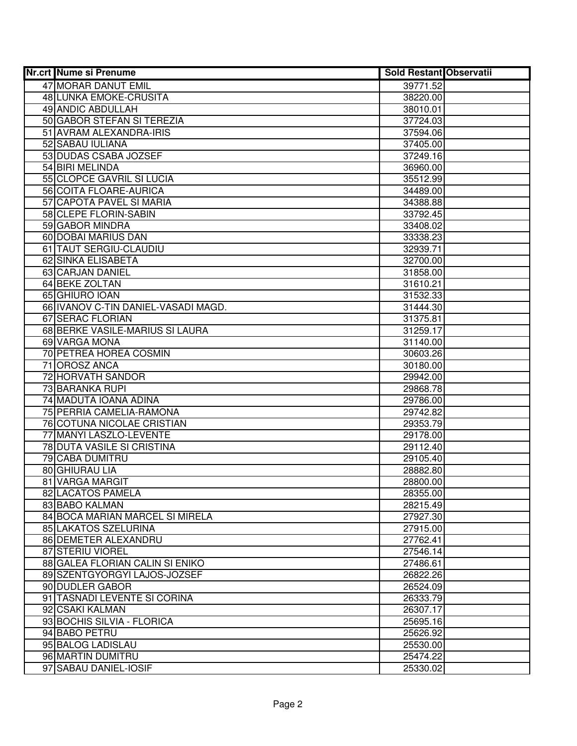| <b>Nr.crt Nume si Prenume</b>       | <b>Sold Restant Observatii</b> |  |
|-------------------------------------|--------------------------------|--|
| 47 MORAR DANUT EMIL                 | 39771.52                       |  |
| 48 LUNKA EMOKE-CRUSITA              | 38220.00                       |  |
| 49 ANDIC ABDULLAH                   | 38010.01                       |  |
| 50 GABOR STEFAN SI TEREZIA          | 37724.03                       |  |
| 51 AVRAM ALEXANDRA-IRIS             | 37594.06                       |  |
| 52 SABAU IULIANA                    | 37405.00                       |  |
| 53 DUDAS CSABA JOZSEF               | 37249.16                       |  |
| 54 BIRI MELINDA                     | 36960.00                       |  |
| 55 CLOPCE GAVRIL SI LUCIA           | 35512.99                       |  |
| 56 COITA FLOARE-AURICA              | 34489.00                       |  |
| 57 CAPOTA PAVEL SI MARIA            | 34388.88                       |  |
| 58 CLEPE FLORIN-SABIN               | 33792.45                       |  |
| 59 GABOR MINDRA                     | 33408.02                       |  |
| 60 DOBAI MARIUS DAN                 | 33338.23                       |  |
| 61 TAUT SERGIU-CLAUDIU              | 32939.71                       |  |
| 62 SINKA ELISABETA                  | 32700.00                       |  |
| 63 CARJAN DANIEL                    | 31858.00                       |  |
| 64 BEKE ZOLTAN                      | 31610.21                       |  |
| 65 GHIURO IOAN                      | 31532.33                       |  |
| 66 IVANOV C-TIN DANIEL-VASADI MAGD. | 31444.30                       |  |
| 67 SERAC FLORIAN                    | 31375.81                       |  |
| 68 BERKE VASILE-MARIUS SI LAURA     | 31259.17                       |  |
| 69 VARGA MONA                       | 31140.00                       |  |
| 70 PETREA HOREA COSMIN              | 30603.26                       |  |
| 71 OROSZ ANCA                       | 30180.00                       |  |
| 72 HORVATH SANDOR                   | 29942.00                       |  |
| 73 BARANKA RUPI                     | 29868.78                       |  |
| 74 MADUTA IOANA ADINA               | 29786.00                       |  |
| 75 PERRIA CAMELIA-RAMONA            | 29742.82                       |  |
| 76 COTUNA NICOLAE CRISTIAN          | 29353.79                       |  |
| 77 MANYI LASZLO-LEVENTE             | 29178.00                       |  |
| 78 DUTA VASILE SI CRISTINA          | 29112.40                       |  |
| 79 CABA DUMITRU                     | 29105.40                       |  |
| 80 GHIURAU LIA                      | 28882.80                       |  |
| 81 VARGA MARGIT                     | 28800.00                       |  |
| 82 LACATOS PAMELA                   | 28355.00                       |  |
| 83 BABO KALMAN                      | 28215.49                       |  |
| 84 BOCA MARIAN MARCEL SI MIRELA     | 27927.30                       |  |
| 85 LAKATOS SZELURINA                | 27915.00                       |  |
| 86 DEMETER ALEXANDRU                | 27762.41                       |  |
| 87 STERIU VIOREL                    | 27546.14                       |  |
| 88 GALEA FLORIAN CALIN SI ENIKO     | 27486.61                       |  |
| 89 SZENTGYORGYI LAJOS-JOZSEF        | 26822.26                       |  |
| 90 DUDLER GABOR                     | 26524.09                       |  |
| 91 TASNADI LEVENTE SI CORINA        | 26333.79                       |  |
| 92 CSAKI KALMAN                     | 26307.17                       |  |
| 93 BOCHIS SILVIA - FLORICA          | 25695.16                       |  |
| 94 BABO PETRU                       | 25626.92                       |  |
| 95 BALOG LADISLAU                   | 25530.00                       |  |
| 96 MARTIN DUMITRU                   | 25474.22                       |  |
| 97 SABAU DANIEL-IOSIF               | 25330.02                       |  |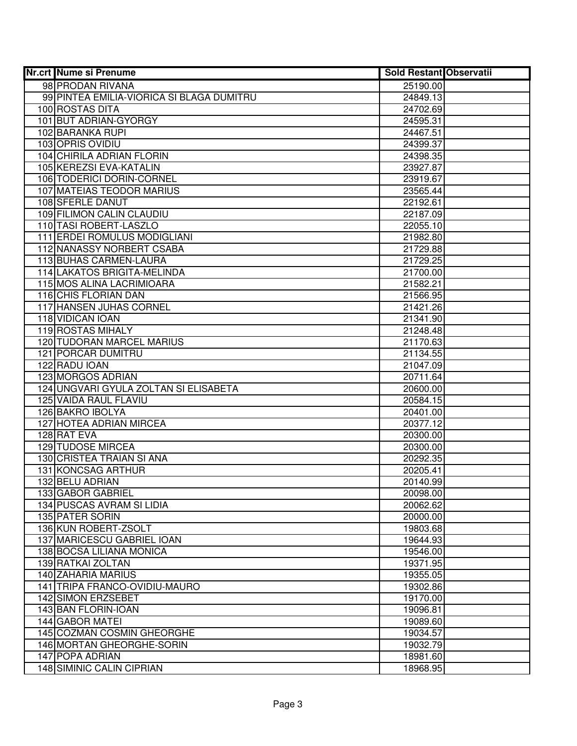| 98 PRODAN RIVANA<br>25190.00<br>99 PINTEA EMILIA-VIORICA SI BLAGA DUMITRU<br>24849.13<br>100 ROSTAS DITA<br>24702.69<br>101 BUT ADRIAN-GYORGY<br>24595.31<br>102 BARANKA RUPI<br>24467.51<br>103 OPRIS OVIDIU<br>24399.37<br>104 CHIRILA ADRIAN FLORIN<br>24398.35<br>105 KEREZSI EVA-KATALIN<br>23927.87<br>106 TODERICI DORIN-CORNEL<br>23919.67<br><b>107 MATEIAS TEODOR MARIUS</b><br>23565.44<br><b>108 SFERLE DANUT</b><br>22192.61<br>109 FILIMON CALIN CLAUDIU<br>22187.09<br>110 TASI ROBERT-LASZLO<br>22055.10<br>111 ERDEI ROMULUS MODIGLIANI<br>21982.80<br>112 NANASSY NORBERT CSABA<br>21729.88<br>113 BUHAS CARMEN-LAURA<br>21729.25<br>114 LAKATOS BRIGITA-MELINDA<br>21700.00<br>115 MOS ALINA LACRIMIOARA<br>21582.21<br>116 CHIS FLORIAN DAN<br>21566.95<br>117 HANSEN JUHAS CORNEL<br>21421.26<br>118 VIDICAN IOAN<br>21341.90<br>119 ROSTAS MIHALY<br>21248.48<br><b>120 TUDORAN MARCEL MARIUS</b><br>21170.63<br>121 PORCAR DUMITRU<br>21134.55<br>122 RADU IOAN<br>21047.09<br>123 MORGOS ADRIAN<br>20711.64<br>124 UNGVARI GYULA ZOLTAN SI ELISABETA<br>20600.00<br>125 VAIDA RAUL FLAVIU<br>20584.15<br>126 BAKRO IBOLYA<br>20401.00<br>127 HOTEA ADRIAN MIRCEA<br>20377.12<br>128 RAT EVA<br>20300.00<br><b>129 TUDOSE MIRCEA</b><br>20300.00<br>130 CRISTEA TRAIAN SI ANA<br>20292.35<br>131 KONCSAG ARTHUR<br>20205.41<br>132 BELU ADRIAN<br>20140.99<br>133 GABOR GABRIEL<br>20098.00<br>134 PUSCAS AVRAM SI LIDIA<br>20062.62<br><b>135 PATER SORIN</b><br>20000.00<br>136 KUN ROBERT-ZSOLT<br>19803.68<br>137 MARICESCU GABRIEL IOAN<br>19644.93<br>138 BOCSA LILIANA MONICA<br>19546.00<br>139 RATKAI ZOLTAN<br>19371.95<br>140 ZAHARIA MARIUS<br>19355.05<br>141 TRIPA FRANCO-OVIDIU-MAURO<br>19302.86<br>142 SIMON ERZSEBET<br>19170.00<br>143 BAN FLORIN-IOAN<br>19096.81<br>144 GABOR MATEI<br>19089.60<br>145 COZMAN COSMIN GHEORGHE<br>19034.57<br>146 MORTAN GHEORGHE-SORIN<br>19032.79<br>147 POPA ADRIAN<br>18981.60<br>148 SIMINIC CALIN CIPRIAN | <b>Nr.crt Nume si Prenume</b> | <b>Sold Restant Observatii</b> |  |
|--------------------------------------------------------------------------------------------------------------------------------------------------------------------------------------------------------------------------------------------------------------------------------------------------------------------------------------------------------------------------------------------------------------------------------------------------------------------------------------------------------------------------------------------------------------------------------------------------------------------------------------------------------------------------------------------------------------------------------------------------------------------------------------------------------------------------------------------------------------------------------------------------------------------------------------------------------------------------------------------------------------------------------------------------------------------------------------------------------------------------------------------------------------------------------------------------------------------------------------------------------------------------------------------------------------------------------------------------------------------------------------------------------------------------------------------------------------------------------------------------------------------------------------------------------------------------------------------------------------------------------------------------------------------------------------------------------------------------------------------------------------------------------------------------------------------------------------------------------------------------------------------------------------------------------------------------------------------------------------------|-------------------------------|--------------------------------|--|
|                                                                                                                                                                                                                                                                                                                                                                                                                                                                                                                                                                                                                                                                                                                                                                                                                                                                                                                                                                                                                                                                                                                                                                                                                                                                                                                                                                                                                                                                                                                                                                                                                                                                                                                                                                                                                                                                                                                                                                                            |                               |                                |  |
|                                                                                                                                                                                                                                                                                                                                                                                                                                                                                                                                                                                                                                                                                                                                                                                                                                                                                                                                                                                                                                                                                                                                                                                                                                                                                                                                                                                                                                                                                                                                                                                                                                                                                                                                                                                                                                                                                                                                                                                            |                               |                                |  |
|                                                                                                                                                                                                                                                                                                                                                                                                                                                                                                                                                                                                                                                                                                                                                                                                                                                                                                                                                                                                                                                                                                                                                                                                                                                                                                                                                                                                                                                                                                                                                                                                                                                                                                                                                                                                                                                                                                                                                                                            |                               |                                |  |
|                                                                                                                                                                                                                                                                                                                                                                                                                                                                                                                                                                                                                                                                                                                                                                                                                                                                                                                                                                                                                                                                                                                                                                                                                                                                                                                                                                                                                                                                                                                                                                                                                                                                                                                                                                                                                                                                                                                                                                                            |                               |                                |  |
|                                                                                                                                                                                                                                                                                                                                                                                                                                                                                                                                                                                                                                                                                                                                                                                                                                                                                                                                                                                                                                                                                                                                                                                                                                                                                                                                                                                                                                                                                                                                                                                                                                                                                                                                                                                                                                                                                                                                                                                            |                               |                                |  |
|                                                                                                                                                                                                                                                                                                                                                                                                                                                                                                                                                                                                                                                                                                                                                                                                                                                                                                                                                                                                                                                                                                                                                                                                                                                                                                                                                                                                                                                                                                                                                                                                                                                                                                                                                                                                                                                                                                                                                                                            |                               |                                |  |
|                                                                                                                                                                                                                                                                                                                                                                                                                                                                                                                                                                                                                                                                                                                                                                                                                                                                                                                                                                                                                                                                                                                                                                                                                                                                                                                                                                                                                                                                                                                                                                                                                                                                                                                                                                                                                                                                                                                                                                                            |                               |                                |  |
|                                                                                                                                                                                                                                                                                                                                                                                                                                                                                                                                                                                                                                                                                                                                                                                                                                                                                                                                                                                                                                                                                                                                                                                                                                                                                                                                                                                                                                                                                                                                                                                                                                                                                                                                                                                                                                                                                                                                                                                            |                               |                                |  |
|                                                                                                                                                                                                                                                                                                                                                                                                                                                                                                                                                                                                                                                                                                                                                                                                                                                                                                                                                                                                                                                                                                                                                                                                                                                                                                                                                                                                                                                                                                                                                                                                                                                                                                                                                                                                                                                                                                                                                                                            |                               |                                |  |
|                                                                                                                                                                                                                                                                                                                                                                                                                                                                                                                                                                                                                                                                                                                                                                                                                                                                                                                                                                                                                                                                                                                                                                                                                                                                                                                                                                                                                                                                                                                                                                                                                                                                                                                                                                                                                                                                                                                                                                                            |                               |                                |  |
|                                                                                                                                                                                                                                                                                                                                                                                                                                                                                                                                                                                                                                                                                                                                                                                                                                                                                                                                                                                                                                                                                                                                                                                                                                                                                                                                                                                                                                                                                                                                                                                                                                                                                                                                                                                                                                                                                                                                                                                            |                               |                                |  |
|                                                                                                                                                                                                                                                                                                                                                                                                                                                                                                                                                                                                                                                                                                                                                                                                                                                                                                                                                                                                                                                                                                                                                                                                                                                                                                                                                                                                                                                                                                                                                                                                                                                                                                                                                                                                                                                                                                                                                                                            |                               |                                |  |
|                                                                                                                                                                                                                                                                                                                                                                                                                                                                                                                                                                                                                                                                                                                                                                                                                                                                                                                                                                                                                                                                                                                                                                                                                                                                                                                                                                                                                                                                                                                                                                                                                                                                                                                                                                                                                                                                                                                                                                                            |                               |                                |  |
|                                                                                                                                                                                                                                                                                                                                                                                                                                                                                                                                                                                                                                                                                                                                                                                                                                                                                                                                                                                                                                                                                                                                                                                                                                                                                                                                                                                                                                                                                                                                                                                                                                                                                                                                                                                                                                                                                                                                                                                            |                               |                                |  |
|                                                                                                                                                                                                                                                                                                                                                                                                                                                                                                                                                                                                                                                                                                                                                                                                                                                                                                                                                                                                                                                                                                                                                                                                                                                                                                                                                                                                                                                                                                                                                                                                                                                                                                                                                                                                                                                                                                                                                                                            |                               |                                |  |
|                                                                                                                                                                                                                                                                                                                                                                                                                                                                                                                                                                                                                                                                                                                                                                                                                                                                                                                                                                                                                                                                                                                                                                                                                                                                                                                                                                                                                                                                                                                                                                                                                                                                                                                                                                                                                                                                                                                                                                                            |                               |                                |  |
|                                                                                                                                                                                                                                                                                                                                                                                                                                                                                                                                                                                                                                                                                                                                                                                                                                                                                                                                                                                                                                                                                                                                                                                                                                                                                                                                                                                                                                                                                                                                                                                                                                                                                                                                                                                                                                                                                                                                                                                            |                               |                                |  |
|                                                                                                                                                                                                                                                                                                                                                                                                                                                                                                                                                                                                                                                                                                                                                                                                                                                                                                                                                                                                                                                                                                                                                                                                                                                                                                                                                                                                                                                                                                                                                                                                                                                                                                                                                                                                                                                                                                                                                                                            |                               |                                |  |
|                                                                                                                                                                                                                                                                                                                                                                                                                                                                                                                                                                                                                                                                                                                                                                                                                                                                                                                                                                                                                                                                                                                                                                                                                                                                                                                                                                                                                                                                                                                                                                                                                                                                                                                                                                                                                                                                                                                                                                                            |                               |                                |  |
|                                                                                                                                                                                                                                                                                                                                                                                                                                                                                                                                                                                                                                                                                                                                                                                                                                                                                                                                                                                                                                                                                                                                                                                                                                                                                                                                                                                                                                                                                                                                                                                                                                                                                                                                                                                                                                                                                                                                                                                            |                               |                                |  |
|                                                                                                                                                                                                                                                                                                                                                                                                                                                                                                                                                                                                                                                                                                                                                                                                                                                                                                                                                                                                                                                                                                                                                                                                                                                                                                                                                                                                                                                                                                                                                                                                                                                                                                                                                                                                                                                                                                                                                                                            |                               |                                |  |
|                                                                                                                                                                                                                                                                                                                                                                                                                                                                                                                                                                                                                                                                                                                                                                                                                                                                                                                                                                                                                                                                                                                                                                                                                                                                                                                                                                                                                                                                                                                                                                                                                                                                                                                                                                                                                                                                                                                                                                                            |                               |                                |  |
|                                                                                                                                                                                                                                                                                                                                                                                                                                                                                                                                                                                                                                                                                                                                                                                                                                                                                                                                                                                                                                                                                                                                                                                                                                                                                                                                                                                                                                                                                                                                                                                                                                                                                                                                                                                                                                                                                                                                                                                            |                               |                                |  |
|                                                                                                                                                                                                                                                                                                                                                                                                                                                                                                                                                                                                                                                                                                                                                                                                                                                                                                                                                                                                                                                                                                                                                                                                                                                                                                                                                                                                                                                                                                                                                                                                                                                                                                                                                                                                                                                                                                                                                                                            |                               |                                |  |
|                                                                                                                                                                                                                                                                                                                                                                                                                                                                                                                                                                                                                                                                                                                                                                                                                                                                                                                                                                                                                                                                                                                                                                                                                                                                                                                                                                                                                                                                                                                                                                                                                                                                                                                                                                                                                                                                                                                                                                                            |                               |                                |  |
|                                                                                                                                                                                                                                                                                                                                                                                                                                                                                                                                                                                                                                                                                                                                                                                                                                                                                                                                                                                                                                                                                                                                                                                                                                                                                                                                                                                                                                                                                                                                                                                                                                                                                                                                                                                                                                                                                                                                                                                            |                               |                                |  |
|                                                                                                                                                                                                                                                                                                                                                                                                                                                                                                                                                                                                                                                                                                                                                                                                                                                                                                                                                                                                                                                                                                                                                                                                                                                                                                                                                                                                                                                                                                                                                                                                                                                                                                                                                                                                                                                                                                                                                                                            |                               |                                |  |
|                                                                                                                                                                                                                                                                                                                                                                                                                                                                                                                                                                                                                                                                                                                                                                                                                                                                                                                                                                                                                                                                                                                                                                                                                                                                                                                                                                                                                                                                                                                                                                                                                                                                                                                                                                                                                                                                                                                                                                                            |                               |                                |  |
|                                                                                                                                                                                                                                                                                                                                                                                                                                                                                                                                                                                                                                                                                                                                                                                                                                                                                                                                                                                                                                                                                                                                                                                                                                                                                                                                                                                                                                                                                                                                                                                                                                                                                                                                                                                                                                                                                                                                                                                            |                               |                                |  |
|                                                                                                                                                                                                                                                                                                                                                                                                                                                                                                                                                                                                                                                                                                                                                                                                                                                                                                                                                                                                                                                                                                                                                                                                                                                                                                                                                                                                                                                                                                                                                                                                                                                                                                                                                                                                                                                                                                                                                                                            |                               |                                |  |
|                                                                                                                                                                                                                                                                                                                                                                                                                                                                                                                                                                                                                                                                                                                                                                                                                                                                                                                                                                                                                                                                                                                                                                                                                                                                                                                                                                                                                                                                                                                                                                                                                                                                                                                                                                                                                                                                                                                                                                                            |                               |                                |  |
|                                                                                                                                                                                                                                                                                                                                                                                                                                                                                                                                                                                                                                                                                                                                                                                                                                                                                                                                                                                                                                                                                                                                                                                                                                                                                                                                                                                                                                                                                                                                                                                                                                                                                                                                                                                                                                                                                                                                                                                            |                               |                                |  |
|                                                                                                                                                                                                                                                                                                                                                                                                                                                                                                                                                                                                                                                                                                                                                                                                                                                                                                                                                                                                                                                                                                                                                                                                                                                                                                                                                                                                                                                                                                                                                                                                                                                                                                                                                                                                                                                                                                                                                                                            |                               |                                |  |
|                                                                                                                                                                                                                                                                                                                                                                                                                                                                                                                                                                                                                                                                                                                                                                                                                                                                                                                                                                                                                                                                                                                                                                                                                                                                                                                                                                                                                                                                                                                                                                                                                                                                                                                                                                                                                                                                                                                                                                                            |                               |                                |  |
|                                                                                                                                                                                                                                                                                                                                                                                                                                                                                                                                                                                                                                                                                                                                                                                                                                                                                                                                                                                                                                                                                                                                                                                                                                                                                                                                                                                                                                                                                                                                                                                                                                                                                                                                                                                                                                                                                                                                                                                            |                               |                                |  |
|                                                                                                                                                                                                                                                                                                                                                                                                                                                                                                                                                                                                                                                                                                                                                                                                                                                                                                                                                                                                                                                                                                                                                                                                                                                                                                                                                                                                                                                                                                                                                                                                                                                                                                                                                                                                                                                                                                                                                                                            |                               |                                |  |
|                                                                                                                                                                                                                                                                                                                                                                                                                                                                                                                                                                                                                                                                                                                                                                                                                                                                                                                                                                                                                                                                                                                                                                                                                                                                                                                                                                                                                                                                                                                                                                                                                                                                                                                                                                                                                                                                                                                                                                                            |                               |                                |  |
|                                                                                                                                                                                                                                                                                                                                                                                                                                                                                                                                                                                                                                                                                                                                                                                                                                                                                                                                                                                                                                                                                                                                                                                                                                                                                                                                                                                                                                                                                                                                                                                                                                                                                                                                                                                                                                                                                                                                                                                            |                               |                                |  |
|                                                                                                                                                                                                                                                                                                                                                                                                                                                                                                                                                                                                                                                                                                                                                                                                                                                                                                                                                                                                                                                                                                                                                                                                                                                                                                                                                                                                                                                                                                                                                                                                                                                                                                                                                                                                                                                                                                                                                                                            |                               |                                |  |
|                                                                                                                                                                                                                                                                                                                                                                                                                                                                                                                                                                                                                                                                                                                                                                                                                                                                                                                                                                                                                                                                                                                                                                                                                                                                                                                                                                                                                                                                                                                                                                                                                                                                                                                                                                                                                                                                                                                                                                                            |                               |                                |  |
|                                                                                                                                                                                                                                                                                                                                                                                                                                                                                                                                                                                                                                                                                                                                                                                                                                                                                                                                                                                                                                                                                                                                                                                                                                                                                                                                                                                                                                                                                                                                                                                                                                                                                                                                                                                                                                                                                                                                                                                            |                               |                                |  |
|                                                                                                                                                                                                                                                                                                                                                                                                                                                                                                                                                                                                                                                                                                                                                                                                                                                                                                                                                                                                                                                                                                                                                                                                                                                                                                                                                                                                                                                                                                                                                                                                                                                                                                                                                                                                                                                                                                                                                                                            |                               |                                |  |
|                                                                                                                                                                                                                                                                                                                                                                                                                                                                                                                                                                                                                                                                                                                                                                                                                                                                                                                                                                                                                                                                                                                                                                                                                                                                                                                                                                                                                                                                                                                                                                                                                                                                                                                                                                                                                                                                                                                                                                                            |                               |                                |  |
|                                                                                                                                                                                                                                                                                                                                                                                                                                                                                                                                                                                                                                                                                                                                                                                                                                                                                                                                                                                                                                                                                                                                                                                                                                                                                                                                                                                                                                                                                                                                                                                                                                                                                                                                                                                                                                                                                                                                                                                            |                               |                                |  |
|                                                                                                                                                                                                                                                                                                                                                                                                                                                                                                                                                                                                                                                                                                                                                                                                                                                                                                                                                                                                                                                                                                                                                                                                                                                                                                                                                                                                                                                                                                                                                                                                                                                                                                                                                                                                                                                                                                                                                                                            |                               |                                |  |
|                                                                                                                                                                                                                                                                                                                                                                                                                                                                                                                                                                                                                                                                                                                                                                                                                                                                                                                                                                                                                                                                                                                                                                                                                                                                                                                                                                                                                                                                                                                                                                                                                                                                                                                                                                                                                                                                                                                                                                                            |                               |                                |  |
|                                                                                                                                                                                                                                                                                                                                                                                                                                                                                                                                                                                                                                                                                                                                                                                                                                                                                                                                                                                                                                                                                                                                                                                                                                                                                                                                                                                                                                                                                                                                                                                                                                                                                                                                                                                                                                                                                                                                                                                            |                               |                                |  |
|                                                                                                                                                                                                                                                                                                                                                                                                                                                                                                                                                                                                                                                                                                                                                                                                                                                                                                                                                                                                                                                                                                                                                                                                                                                                                                                                                                                                                                                                                                                                                                                                                                                                                                                                                                                                                                                                                                                                                                                            |                               |                                |  |
|                                                                                                                                                                                                                                                                                                                                                                                                                                                                                                                                                                                                                                                                                                                                                                                                                                                                                                                                                                                                                                                                                                                                                                                                                                                                                                                                                                                                                                                                                                                                                                                                                                                                                                                                                                                                                                                                                                                                                                                            |                               |                                |  |
|                                                                                                                                                                                                                                                                                                                                                                                                                                                                                                                                                                                                                                                                                                                                                                                                                                                                                                                                                                                                                                                                                                                                                                                                                                                                                                                                                                                                                                                                                                                                                                                                                                                                                                                                                                                                                                                                                                                                                                                            |                               | 18968.95                       |  |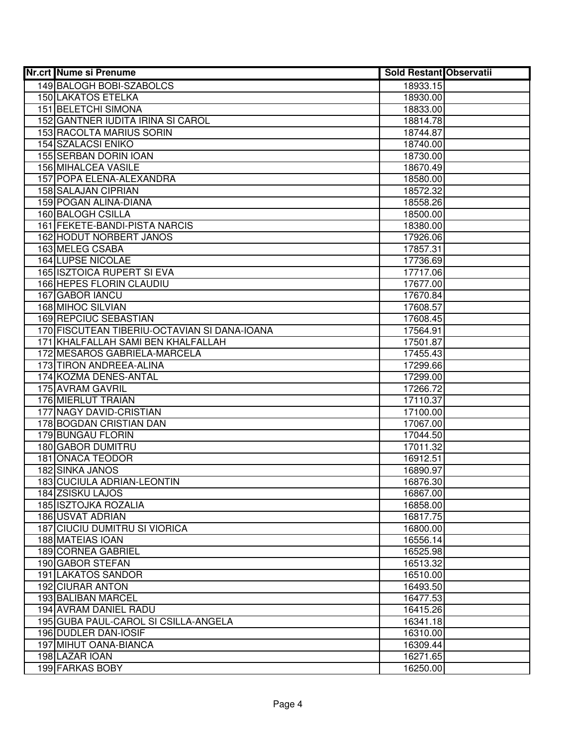| <b>Nr.crt Nume si Prenume</b>                | <b>Sold Restant Observatii</b> |
|----------------------------------------------|--------------------------------|
| 149 BALOGH BOBI-SZABOLCS                     | 18933.15                       |
| <b>150 LAKATOS ETELKA</b>                    | 18930.00                       |
| <b>151 BELETCHI SIMONA</b>                   | 18833.00                       |
| 152 GANTNER IUDITA IRINA SI CAROL            | 18814.78                       |
| 153 RACOLTA MARIUS SORIN                     | 18744.87                       |
| <b>154 SZALACSI ENIKO</b>                    | 18740.00                       |
| 155 SERBAN DORIN IOAN                        | 18730.00                       |
| 156 MIHALCEA VASILE                          | 18670.49                       |
| 157 POPA ELENA-ALEXANDRA                     | 18580.00                       |
| 158 SALAJAN CIPRIAN                          | 18572.32                       |
| 159 POGAN ALINA-DIANA                        | 18558.26                       |
| 160 BALOGH CSILLA                            | 18500.00                       |
| 161 FEKETE-BANDI-PISTA NARCIS                | 18380.00                       |
| 162 HODUT NORBERT JANOS                      | 17926.06                       |
| 163 MELEG CSABA                              | 17857.31                       |
| 164 LUPSE NICOLAE                            | 17736.69                       |
| <b>165 ISZTOICA RUPERT SI EVA</b>            | 17717.06                       |
| 166 HEPES FLORIN CLAUDIU                     | 17677.00                       |
| <b>167 GABOR IANCU</b>                       | 17670.84                       |
| 168 MIHOC SILVIAN                            | 17608.57                       |
| 169 REPCIUC SEBASTIAN                        | 17608.45                       |
| 170 FISCUTEAN TIBERIU-OCTAVIAN SI DANA-IOANA | 17564.91                       |
| 171 KHALFALLAH SAMI BEN KHALFALLAH           | 17501.87                       |
| 172 MESAROS GABRIELA-MARCELA                 | 17455.43                       |
| 173 TIRON ANDREEA-ALINA                      | 17299.66                       |
| 174 KOZMA DENES-ANTAL                        | 17299.00                       |
| 175 AVRAM GAVRIL<br>176 MIERLUT TRAIAN       | 17266.72                       |
| 177 NAGY DAVID-CRISTIAN                      | 17110.37<br>17100.00           |
| 178 BOGDAN CRISTIAN DAN                      | 17067.00                       |
| 179 BUNGAU FLORIN                            | 17044.50                       |
| 180 GABOR DUMITRU                            | 17011.32                       |
| 181 ONACA TEODOR                             | 16912.51                       |
| <b>182 SINKA JANOS</b>                       | 16890.97                       |
| <b>183 CUCIULA ADRIAN-LEONTIN</b>            | 16876.30                       |
| <b>184 ZSISKU LAJOS</b>                      | 16867.00                       |
| <b>185 ISZTOJKA ROZALIA</b>                  | 16858.00                       |
| <b>186 USVAT ADRIAN</b>                      | 16817.75                       |
| <b>187 CIUCIU DUMITRU SI VIORICA</b>         | 16800.00                       |
| 188 MATEIAS IOAN                             | 16556.14                       |
| 189 CORNEA GABRIEL                           | 16525.98                       |
| 190 GABOR STEFAN                             | 16513.32                       |
| 191 LAKATOS SANDOR                           | 16510.00                       |
| 192 CIURAR ANTON                             | 16493.50                       |
| 193 BALIBAN MARCEL                           | 16477.53                       |
| 194 AVRAM DANIEL RADU                        | 16415.26                       |
| 195 GUBA PAUL-CAROL SI CSILLA-ANGELA         | 16341.18                       |
| 196 DUDLER DAN-IOSIF                         | 16310.00                       |
| 197 MIHUT OANA-BIANCA                        | 16309.44                       |
| 198 LAZAR IOAN                               | 16271.65                       |
| 199 FARKAS BOBY                              | 16250.00                       |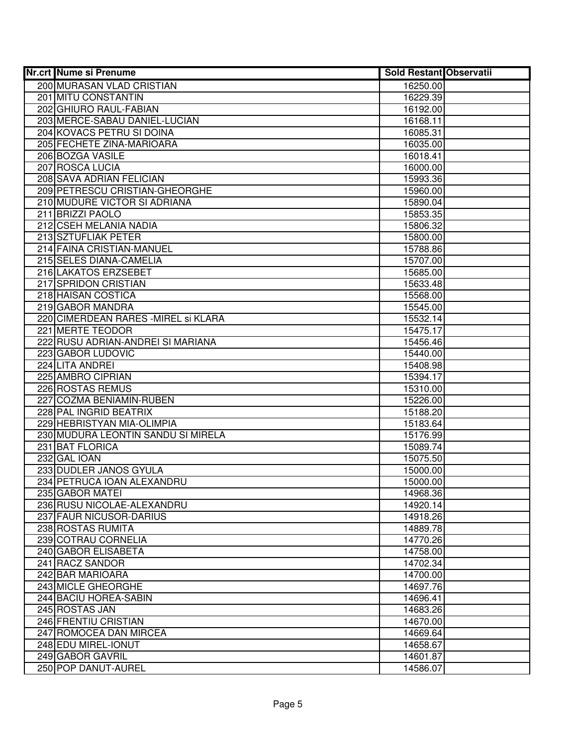| <b>Nr.crt Nume si Prenume</b>                         | Sold Restant Observatii |  |
|-------------------------------------------------------|-------------------------|--|
| 200 MURASAN VLAD CRISTIAN                             | 16250.00                |  |
| <b>201 MITU CONSTANTIN</b>                            | 16229.39                |  |
| 202 GHIURO RAUL-FABIAN                                | 16192.00                |  |
| 203 MERCE-SABAU DANIEL-LUCIAN                         | 16168.11                |  |
| 204 KOVACS PETRU SI DOINA                             | 16085.31                |  |
| 205 FECHETE ZINA-MARIOARA                             | 16035.00                |  |
| 206 BOZGA VASILE                                      | 16018.41                |  |
| 207 ROSCA LUCIA                                       | 16000.00                |  |
| 208 SAVA ADRIAN FELICIAN                              | 15993.36                |  |
| 209 PETRESCU CRISTIAN-GHEORGHE                        | 15960.00                |  |
| 210 MUDURE VICTOR SI ADRIANA                          | 15890.04                |  |
| 211 BRIZZI PAOLO                                      | 15853.35                |  |
| 212 CSEH MELANIA NADIA                                | 15806.32                |  |
| 213 SZTUFLIAK PETER                                   | 15800.00                |  |
| 214 FAINA CRISTIAN-MANUEL                             | 15788.86                |  |
| 215 SELES DIANA-CAMELIA                               | 15707.00                |  |
| 216 LAKATOS ERZSEBET                                  | 15685.00                |  |
| 217 SPRIDON CRISTIAN                                  | 15633.48                |  |
| 218 HAISAN COSTICA                                    | 15568.00                |  |
| 219 GABOR MANDRA                                      | 15545.00                |  |
| 220 CIMERDEAN RARES - MIREL Si KLARA                  | 15532.14                |  |
| 221 MERTE TEODOR                                      | 15475.17                |  |
| 222 RUSU ADRIAN-ANDREI SI MARIANA                     | 15456.46                |  |
| 223 GABOR LUDOVIC                                     | 15440.00                |  |
| 224 LITA ANDREI                                       | 15408.98                |  |
| 225 AMBRO CIPRIAN                                     | 15394.17                |  |
| 226 ROSTAS REMUS                                      | 15310.00                |  |
| 227 COZMA BENIAMIN-RUBEN                              | 15226.00                |  |
| 228 PAL INGRID BEATRIX                                | 15188.20                |  |
| 229 HEBRISTYAN MIA-OLIMPIA                            | 15183.64                |  |
| 230 MUDURA LEONTIN SANDU SI MIRELA<br>231 BAT FLORICA | 15176.99                |  |
|                                                       | 15089.74                |  |
| 232 GAL IOAN<br>233 DUDLER JANOS GYULA                | 15075.50                |  |
| 234 PETRUCA IOAN ALEXANDRU                            | 15000.00<br>15000.00    |  |
| 235 GABOR MATEI                                       | 14968.36                |  |
| 236 RUSU NICOLAE-ALEXANDRU                            | 14920.14                |  |
| 237 FAUR NICUSOR-DARIUS                               | 14918.26                |  |
| 238 ROSTAS RUMITA                                     | 14889.78                |  |
| 239 COTRAU CORNELIA                                   | 14770.26                |  |
| 240 GABOR ELISABETA                                   | 14758.00                |  |
| 241 RACZ SANDOR                                       | 14702.34                |  |
| 242 BAR MARIOARA                                      | 14700.00                |  |
| 243 MICLE GHEORGHE                                    | 14697.76                |  |
| 244 BACIU HOREA-SABIN                                 | 14696.41                |  |
| 245 ROSTAS JAN                                        | 14683.26                |  |
| 246 FRENTIU CRISTIAN                                  | 14670.00                |  |
| 247 ROMOCEA DAN MIRCEA                                | 14669.64                |  |
| 248 EDU MIREL-IONUT                                   | 14658.67                |  |
| 249 GABOR GAVRIL                                      | 14601.87                |  |
| 250 POP DANUT-AUREL                                   | 14586.07                |  |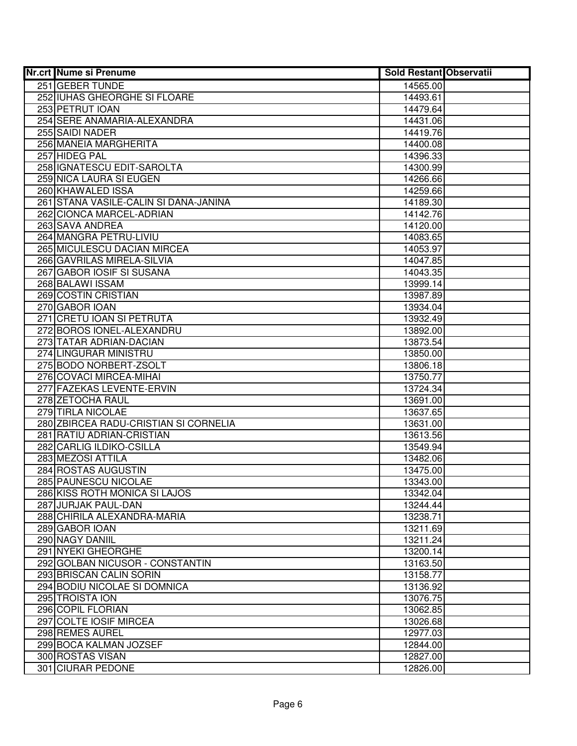| <b>Nr.crt Nume si Prenume</b>                              | <b>Sold Restant Observatii</b> |  |
|------------------------------------------------------------|--------------------------------|--|
| 251 GEBER TUNDE                                            | 14565.00                       |  |
| 252 IUHAS GHEORGHE SI FLOARE                               | 14493.61                       |  |
| 253 PETRUT IOAN                                            | 14479.64                       |  |
| 254 SERE ANAMARIA-ALEXANDRA                                | 14431.06                       |  |
| 255 SAIDI NADER                                            | 14419.76                       |  |
| 256 MANEIA MARGHERITA                                      | 14400.08                       |  |
| 257 HIDEG PAL                                              | 14396.33                       |  |
| 258 IGNATESCU EDIT-SAROLTA                                 | 14300.99                       |  |
| 259 NICA LAURA SI EUGEN                                    | 14266.66                       |  |
| 260 KHAWALED ISSA                                          | 14259.66                       |  |
| 261 STANA VASILE-CALIN SI DANA-JANINA                      | 14189.30                       |  |
| 262 CIONCA MARCEL-ADRIAN                                   | 14142.76                       |  |
| 263 SAVA ANDREA                                            | 14120.00                       |  |
| 264 MANGRA PETRU-LIVIU                                     | 14083.65                       |  |
| 265 MICULESCU DACIAN MIRCEA                                | 14053.97                       |  |
| 266 GAVRILAS MIRELA-SILVIA                                 | 14047.85                       |  |
| 267 GABOR IOSIF SI SUSANA                                  | 14043.35                       |  |
| 268 BALAWI ISSAM                                           | 13999.14                       |  |
| 269 COSTIN CRISTIAN                                        | 13987.89                       |  |
| 270 GABOR IOAN                                             | 13934.04                       |  |
| 271 CRETU IOAN SI PETRUTA                                  | 13932.49                       |  |
| 272 BOROS IONEL-ALEXANDRU                                  | 13892.00                       |  |
| 273 TATAR ADRIAN-DACIAN                                    | 13873.54                       |  |
| 274 LINGURAR MINISTRU                                      | 13850.00                       |  |
| 275 BODO NORBERT-ZSOLT                                     | 13806.18                       |  |
| 276 COVACI MIRCEA-MIHAI                                    | 13750.77                       |  |
| 277 FAZEKAS LEVENTE-ERVIN                                  | 13724.34                       |  |
| 278 ZETOCHA RAUL                                           | 13691.00                       |  |
| 279 TIRLA NICOLAE                                          | 13637.65                       |  |
| 280 ZBIRCEA RADU-CRISTIAN SI CORNELIA                      | 13631.00                       |  |
| 281 RATIU ADRIAN-CRISTIAN                                  | 13613.56                       |  |
| 282 CARLIG ILDIKO-CSILLA                                   | 13549.94                       |  |
| 283 MEZOSI ATTILA                                          | 13482.06                       |  |
| 284 ROSTAS AUGUSTIN                                        | 13475.00                       |  |
| 285 PAUNESCU NICOLAE                                       | 13343.00                       |  |
| 286 KISS ROTH MONICA SI LAJOS                              | 13342.04                       |  |
| 287 JURJAK PAUL-DAN                                        | 13244.44                       |  |
| 288 CHIRILA ALEXANDRA-MARIA                                | 13238.71                       |  |
| 289 GABOR IOAN                                             | 13211.69                       |  |
| 290 NAGY DANIIL<br>291 NYEKI GHEORGHE                      | 13211.24<br>13200.14           |  |
|                                                            | 13163.50                       |  |
| 292 GOLBAN NICUSOR - CONSTANTIN<br>293 BRISCAN CALIN SORIN |                                |  |
| 294 BODIU NICOLAE SI DOMNICA                               | 13158.77<br>13136.92           |  |
| 295 TROISTA ION                                            | 13076.75                       |  |
| 296 COPIL FLORIAN                                          | 13062.85                       |  |
| 297 COLTE IOSIF MIRCEA                                     | 13026.68                       |  |
| 298 REMES AUREL                                            | 12977.03                       |  |
| 299 BOCA KALMAN JOZSEF                                     | 12844.00                       |  |
| 300 ROSTAS VISAN                                           | 12827.00                       |  |
|                                                            |                                |  |
| 301 CIURAR PEDONE                                          | 12826.00                       |  |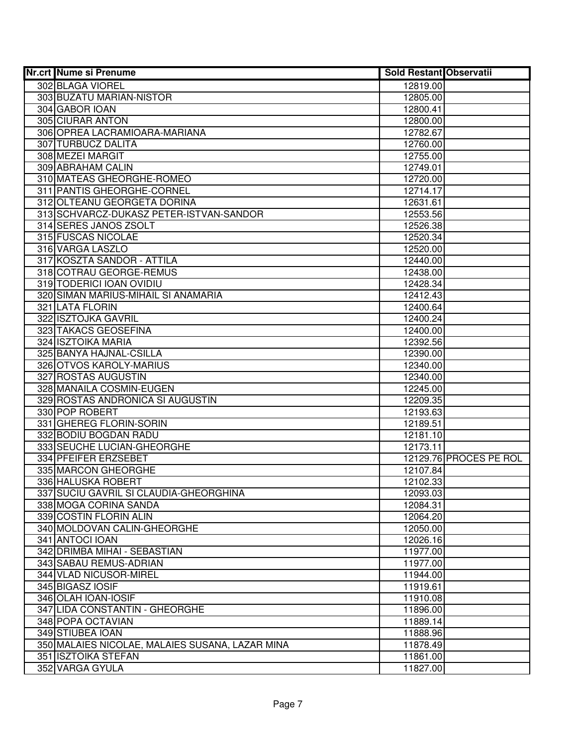| Nr.crt Nume si Prenume                          | <b>Sold Restant Observatii</b> |                        |
|-------------------------------------------------|--------------------------------|------------------------|
| 302 BLAGA VIOREL                                | 12819.00                       |                        |
| 303 BUZATU MARIAN-NISTOR                        | 12805.00                       |                        |
| 304 GABOR IOAN                                  | 12800.41                       |                        |
| 305 CIURAR ANTON                                | 12800.00                       |                        |
| 306 OPREA LACRAMIOARA-MARIANA                   | 12782.67                       |                        |
| 307 TURBUCZ DALITA                              | 12760.00                       |                        |
| 308 MEZEI MARGIT                                | 12755.00                       |                        |
| 309 ABRAHAM CALIN                               | 12749.01                       |                        |
| 310 MATEAS GHEORGHE-ROMEO                       | 12720.00                       |                        |
| 311 PANTIS GHEORGHE-CORNEL                      | 12714.17                       |                        |
| 312 OLTEANU GEORGETA DORINA                     | 12631.61                       |                        |
| 313 SCHVARCZ-DUKASZ PETER-ISTVAN-SANDOR         | 12553.56                       |                        |
| 314 SERES JANOS ZSOLT                           | 12526.38                       |                        |
| 315 FUSCAS NICOLAE                              | 12520.34                       |                        |
| 316 VARGA LASZLO                                | 12520.00                       |                        |
| 317 KOSZTA SANDOR - ATTILA                      | 12440.00                       |                        |
| 318 COTRAU GEORGE-REMUS                         | 12438.00                       |                        |
| 319 TODERICI IOAN OVIDIU                        | 12428.34                       |                        |
| 320 SIMAN MARIUS-MIHAIL SI ANAMARIA             | 12412.43                       |                        |
| 321 LATA FLORIN                                 | 12400.64                       |                        |
| 322 ISZTOJKA GAVRIL                             | 12400.24                       |                        |
| 323 TAKACS GEOSEFINA                            | 12400.00                       |                        |
| 324 ISZTOIKA MARIA                              | 12392.56                       |                        |
| 325 BANYA HAJNAL-CSILLA                         | 12390.00                       |                        |
| 326 OTVOS KAROLY-MARIUS                         | 12340.00                       |                        |
| 327 ROSTAS AUGUSTIN                             | 12340.00                       |                        |
| 328 MANAILA COSMIN-EUGEN                        | 12245.00                       |                        |
| 329 ROSTAS ANDRONICA SI AUGUSTIN                | 12209.35                       |                        |
| 330 POP ROBERT                                  | 12193.63                       |                        |
| 331 GHEREG FLORIN-SORIN                         | 12189.51                       |                        |
| 332 BODIU BOGDAN RADU                           | 12181.10                       |                        |
| 333 SEUCHE LUCIAN-GHEORGHE                      | 12173.11                       |                        |
| 334 PFEIFER ERZSEBET                            |                                | 12129.76 PROCES PE ROL |
| 335 MARCON GHEORGHE                             | 12107.84                       |                        |
| 336 HALUSKA ROBERT                              | 12102.33                       |                        |
| 337 SUCIU GAVRIL SI CLAUDIA-GHEORGHINA          | 12093.03                       |                        |
| 338 MOGA CORINA SANDA                           | 12084.31                       |                        |
| 339 COSTIN FLORIN ALIN                          | 12064.20                       |                        |
| 340 MOLDOVAN CALIN-GHEORGHE                     | 12050.00                       |                        |
| 341 ANTOCI IOAN                                 | 12026.16                       |                        |
| 342 DRIMBA MIHAI - SEBASTIAN                    | 11977.00                       |                        |
| 343 SABAU REMUS-ADRIAN                          | 11977.00                       |                        |
| 344 VLAD NICUSOR-MIREL                          | 11944.00                       |                        |
| 345 BIGASZ IOSIF                                | 11919.61                       |                        |
| 346 OLAH IOAN-IOSIF                             | 11910.08                       |                        |
| 347 LIDA CONSTANTIN - GHEORGHE                  | 11896.00                       |                        |
| 348 POPA OCTAVIAN                               | 11889.14                       |                        |
| 349 STIUBEA IOAN                                | 11888.96                       |                        |
| 350 MALAIES NICOLAE, MALAIES SUSANA, LAZAR MINA | 11878.49                       |                        |
| 351 ISZTOIKA STEFAN                             | 11861.00                       |                        |
| 352 VARGA GYULA                                 | 11827.00                       |                        |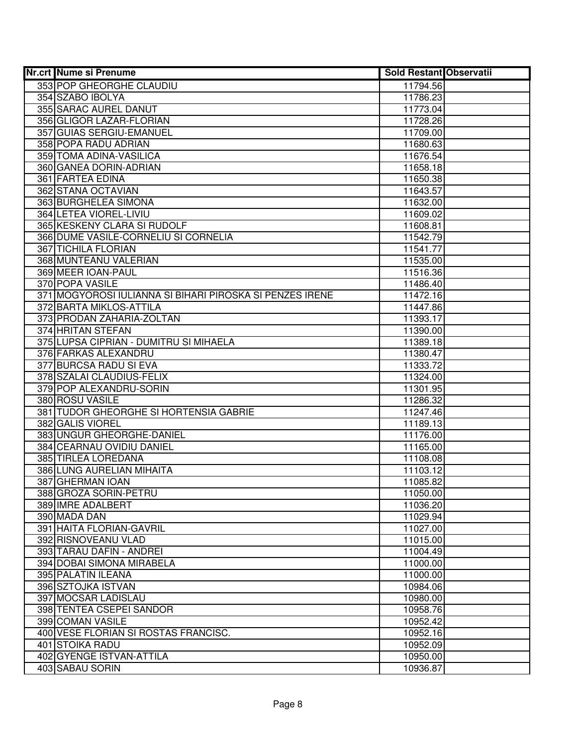| 353 POP GHEORGHE CLAUDIU<br>11794.56<br>354 SZABO IBOLYA<br>11786.23<br>355 SARAC AUREL DANUT<br>11773.04<br>356 GLIGOR LAZAR-FLORIAN<br>11728.26<br>357 GUIAS SERGIU-EMANUEL<br>11709.00<br>358 POPA RADU ADRIAN<br>11680.63<br>359 TOMA ADINA-VASILICA<br>11676.54<br>360 GANEA DORIN-ADRIAN<br>11658.18<br><b>361 FARTEA EDINA</b><br>11650.38<br>362 STANA OCTAVIAN<br>11643.57<br>363 BURGHELEA SIMONA<br>11632.00<br>364 LETEA VIOREL-LIVIU<br>11609.02<br>365 KESKENY CLARA SI RUDOLF<br>11608.81<br>366 DUME VASILE-CORNELIU SI CORNELIA<br>11542.79<br>367 TICHILA FLORIAN<br>11541.77<br>368 MUNTEANU VALERIAN<br>11535.00<br>369 MEER IOAN-PAUL<br>11516.36<br>370 POPA VASILE<br>11486.40<br>371 MOGYOROSI IULIANNA SI BIHARI PIROSKA SI PENZES IRENE<br>11472.16<br>372 BARTA MIKLOS-ATTILA<br>11447.86<br>373 PRODAN ZAHARIA-ZOLTAN<br>11393.17<br>374 HRITAN STEFAN<br>11390.00<br>375 LUPSA CIPRIAN - DUMITRU SI MIHAELA<br>11389.18<br>376 FARKAS ALEXANDRU<br>11380.47<br>377 BURCSA RADU SI EVA<br>11333.72<br>378 SZALAI CLAUDIUS-FELIX<br>11324.00<br>379 POP ALEXANDRU-SORIN<br>11301.95<br>380 ROSU VASILE<br>11286.32<br>381 TUDOR GHEORGHE SI HORTENSIA GABRIE<br>11247.46<br>382 GALIS VIOREL<br>11189.13<br>383 UNGUR GHEORGHE-DANIEL<br>11176.00<br>384 CEARNAU OVIDIU DANIEL<br>11165.00<br>385 TIRLEA LOREDANA<br>11108.08<br>386 LUNG AURELIAN MIHAITA<br>11103.12<br>387 GHERMAN IOAN<br>11085.82<br>388 GROZA SORIN-PETRU<br>11050.00<br>389 IMRE ADALBERT<br>11036.20<br>390 MADA DAN<br>11029.94<br>391 HAITA FLORIAN-GAVRIL<br>11027.00<br>392 RISNOVEANU VLAD<br>11015.00<br>393 TARAU DAFIN - ANDREI<br>11004.49<br>394 DOBAI SIMONA MIRABELA<br>11000.00<br>395 PALATIN ILEANA<br>11000.00<br>396 SZTOJKA ISTVAN<br>10984.06<br>397 MOCSAR LADISLAU<br>10980.00<br>10958.76<br>398 TENTEA CSEPEI SANDOR<br>399 COMAN VASILE<br>10952.42<br>400 VESE FLORIAN SI ROSTAS FRANCISC.<br>10952.16<br>401 STOIKA RADU<br>10952.09 | <b>Nr.crt Nume si Prenume</b> | <b>Sold Restant Observatii</b> |  |
|-------------------------------------------------------------------------------------------------------------------------------------------------------------------------------------------------------------------------------------------------------------------------------------------------------------------------------------------------------------------------------------------------------------------------------------------------------------------------------------------------------------------------------------------------------------------------------------------------------------------------------------------------------------------------------------------------------------------------------------------------------------------------------------------------------------------------------------------------------------------------------------------------------------------------------------------------------------------------------------------------------------------------------------------------------------------------------------------------------------------------------------------------------------------------------------------------------------------------------------------------------------------------------------------------------------------------------------------------------------------------------------------------------------------------------------------------------------------------------------------------------------------------------------------------------------------------------------------------------------------------------------------------------------------------------------------------------------------------------------------------------------------------------------------------------------------------------------------------------------------------------------------------------------------------------------------------------------------|-------------------------------|--------------------------------|--|
|                                                                                                                                                                                                                                                                                                                                                                                                                                                                                                                                                                                                                                                                                                                                                                                                                                                                                                                                                                                                                                                                                                                                                                                                                                                                                                                                                                                                                                                                                                                                                                                                                                                                                                                                                                                                                                                                                                                                                                   |                               |                                |  |
|                                                                                                                                                                                                                                                                                                                                                                                                                                                                                                                                                                                                                                                                                                                                                                                                                                                                                                                                                                                                                                                                                                                                                                                                                                                                                                                                                                                                                                                                                                                                                                                                                                                                                                                                                                                                                                                                                                                                                                   |                               |                                |  |
|                                                                                                                                                                                                                                                                                                                                                                                                                                                                                                                                                                                                                                                                                                                                                                                                                                                                                                                                                                                                                                                                                                                                                                                                                                                                                                                                                                                                                                                                                                                                                                                                                                                                                                                                                                                                                                                                                                                                                                   |                               |                                |  |
|                                                                                                                                                                                                                                                                                                                                                                                                                                                                                                                                                                                                                                                                                                                                                                                                                                                                                                                                                                                                                                                                                                                                                                                                                                                                                                                                                                                                                                                                                                                                                                                                                                                                                                                                                                                                                                                                                                                                                                   |                               |                                |  |
|                                                                                                                                                                                                                                                                                                                                                                                                                                                                                                                                                                                                                                                                                                                                                                                                                                                                                                                                                                                                                                                                                                                                                                                                                                                                                                                                                                                                                                                                                                                                                                                                                                                                                                                                                                                                                                                                                                                                                                   |                               |                                |  |
|                                                                                                                                                                                                                                                                                                                                                                                                                                                                                                                                                                                                                                                                                                                                                                                                                                                                                                                                                                                                                                                                                                                                                                                                                                                                                                                                                                                                                                                                                                                                                                                                                                                                                                                                                                                                                                                                                                                                                                   |                               |                                |  |
|                                                                                                                                                                                                                                                                                                                                                                                                                                                                                                                                                                                                                                                                                                                                                                                                                                                                                                                                                                                                                                                                                                                                                                                                                                                                                                                                                                                                                                                                                                                                                                                                                                                                                                                                                                                                                                                                                                                                                                   |                               |                                |  |
|                                                                                                                                                                                                                                                                                                                                                                                                                                                                                                                                                                                                                                                                                                                                                                                                                                                                                                                                                                                                                                                                                                                                                                                                                                                                                                                                                                                                                                                                                                                                                                                                                                                                                                                                                                                                                                                                                                                                                                   |                               |                                |  |
|                                                                                                                                                                                                                                                                                                                                                                                                                                                                                                                                                                                                                                                                                                                                                                                                                                                                                                                                                                                                                                                                                                                                                                                                                                                                                                                                                                                                                                                                                                                                                                                                                                                                                                                                                                                                                                                                                                                                                                   |                               |                                |  |
|                                                                                                                                                                                                                                                                                                                                                                                                                                                                                                                                                                                                                                                                                                                                                                                                                                                                                                                                                                                                                                                                                                                                                                                                                                                                                                                                                                                                                                                                                                                                                                                                                                                                                                                                                                                                                                                                                                                                                                   |                               |                                |  |
|                                                                                                                                                                                                                                                                                                                                                                                                                                                                                                                                                                                                                                                                                                                                                                                                                                                                                                                                                                                                                                                                                                                                                                                                                                                                                                                                                                                                                                                                                                                                                                                                                                                                                                                                                                                                                                                                                                                                                                   |                               |                                |  |
|                                                                                                                                                                                                                                                                                                                                                                                                                                                                                                                                                                                                                                                                                                                                                                                                                                                                                                                                                                                                                                                                                                                                                                                                                                                                                                                                                                                                                                                                                                                                                                                                                                                                                                                                                                                                                                                                                                                                                                   |                               |                                |  |
|                                                                                                                                                                                                                                                                                                                                                                                                                                                                                                                                                                                                                                                                                                                                                                                                                                                                                                                                                                                                                                                                                                                                                                                                                                                                                                                                                                                                                                                                                                                                                                                                                                                                                                                                                                                                                                                                                                                                                                   |                               |                                |  |
|                                                                                                                                                                                                                                                                                                                                                                                                                                                                                                                                                                                                                                                                                                                                                                                                                                                                                                                                                                                                                                                                                                                                                                                                                                                                                                                                                                                                                                                                                                                                                                                                                                                                                                                                                                                                                                                                                                                                                                   |                               |                                |  |
|                                                                                                                                                                                                                                                                                                                                                                                                                                                                                                                                                                                                                                                                                                                                                                                                                                                                                                                                                                                                                                                                                                                                                                                                                                                                                                                                                                                                                                                                                                                                                                                                                                                                                                                                                                                                                                                                                                                                                                   |                               |                                |  |
|                                                                                                                                                                                                                                                                                                                                                                                                                                                                                                                                                                                                                                                                                                                                                                                                                                                                                                                                                                                                                                                                                                                                                                                                                                                                                                                                                                                                                                                                                                                                                                                                                                                                                                                                                                                                                                                                                                                                                                   |                               |                                |  |
|                                                                                                                                                                                                                                                                                                                                                                                                                                                                                                                                                                                                                                                                                                                                                                                                                                                                                                                                                                                                                                                                                                                                                                                                                                                                                                                                                                                                                                                                                                                                                                                                                                                                                                                                                                                                                                                                                                                                                                   |                               |                                |  |
|                                                                                                                                                                                                                                                                                                                                                                                                                                                                                                                                                                                                                                                                                                                                                                                                                                                                                                                                                                                                                                                                                                                                                                                                                                                                                                                                                                                                                                                                                                                                                                                                                                                                                                                                                                                                                                                                                                                                                                   |                               |                                |  |
|                                                                                                                                                                                                                                                                                                                                                                                                                                                                                                                                                                                                                                                                                                                                                                                                                                                                                                                                                                                                                                                                                                                                                                                                                                                                                                                                                                                                                                                                                                                                                                                                                                                                                                                                                                                                                                                                                                                                                                   |                               |                                |  |
|                                                                                                                                                                                                                                                                                                                                                                                                                                                                                                                                                                                                                                                                                                                                                                                                                                                                                                                                                                                                                                                                                                                                                                                                                                                                                                                                                                                                                                                                                                                                                                                                                                                                                                                                                                                                                                                                                                                                                                   |                               |                                |  |
|                                                                                                                                                                                                                                                                                                                                                                                                                                                                                                                                                                                                                                                                                                                                                                                                                                                                                                                                                                                                                                                                                                                                                                                                                                                                                                                                                                                                                                                                                                                                                                                                                                                                                                                                                                                                                                                                                                                                                                   |                               |                                |  |
|                                                                                                                                                                                                                                                                                                                                                                                                                                                                                                                                                                                                                                                                                                                                                                                                                                                                                                                                                                                                                                                                                                                                                                                                                                                                                                                                                                                                                                                                                                                                                                                                                                                                                                                                                                                                                                                                                                                                                                   |                               |                                |  |
|                                                                                                                                                                                                                                                                                                                                                                                                                                                                                                                                                                                                                                                                                                                                                                                                                                                                                                                                                                                                                                                                                                                                                                                                                                                                                                                                                                                                                                                                                                                                                                                                                                                                                                                                                                                                                                                                                                                                                                   |                               |                                |  |
|                                                                                                                                                                                                                                                                                                                                                                                                                                                                                                                                                                                                                                                                                                                                                                                                                                                                                                                                                                                                                                                                                                                                                                                                                                                                                                                                                                                                                                                                                                                                                                                                                                                                                                                                                                                                                                                                                                                                                                   |                               |                                |  |
|                                                                                                                                                                                                                                                                                                                                                                                                                                                                                                                                                                                                                                                                                                                                                                                                                                                                                                                                                                                                                                                                                                                                                                                                                                                                                                                                                                                                                                                                                                                                                                                                                                                                                                                                                                                                                                                                                                                                                                   |                               |                                |  |
|                                                                                                                                                                                                                                                                                                                                                                                                                                                                                                                                                                                                                                                                                                                                                                                                                                                                                                                                                                                                                                                                                                                                                                                                                                                                                                                                                                                                                                                                                                                                                                                                                                                                                                                                                                                                                                                                                                                                                                   |                               |                                |  |
|                                                                                                                                                                                                                                                                                                                                                                                                                                                                                                                                                                                                                                                                                                                                                                                                                                                                                                                                                                                                                                                                                                                                                                                                                                                                                                                                                                                                                                                                                                                                                                                                                                                                                                                                                                                                                                                                                                                                                                   |                               |                                |  |
|                                                                                                                                                                                                                                                                                                                                                                                                                                                                                                                                                                                                                                                                                                                                                                                                                                                                                                                                                                                                                                                                                                                                                                                                                                                                                                                                                                                                                                                                                                                                                                                                                                                                                                                                                                                                                                                                                                                                                                   |                               |                                |  |
|                                                                                                                                                                                                                                                                                                                                                                                                                                                                                                                                                                                                                                                                                                                                                                                                                                                                                                                                                                                                                                                                                                                                                                                                                                                                                                                                                                                                                                                                                                                                                                                                                                                                                                                                                                                                                                                                                                                                                                   |                               |                                |  |
|                                                                                                                                                                                                                                                                                                                                                                                                                                                                                                                                                                                                                                                                                                                                                                                                                                                                                                                                                                                                                                                                                                                                                                                                                                                                                                                                                                                                                                                                                                                                                                                                                                                                                                                                                                                                                                                                                                                                                                   |                               |                                |  |
|                                                                                                                                                                                                                                                                                                                                                                                                                                                                                                                                                                                                                                                                                                                                                                                                                                                                                                                                                                                                                                                                                                                                                                                                                                                                                                                                                                                                                                                                                                                                                                                                                                                                                                                                                                                                                                                                                                                                                                   |                               |                                |  |
|                                                                                                                                                                                                                                                                                                                                                                                                                                                                                                                                                                                                                                                                                                                                                                                                                                                                                                                                                                                                                                                                                                                                                                                                                                                                                                                                                                                                                                                                                                                                                                                                                                                                                                                                                                                                                                                                                                                                                                   |                               |                                |  |
|                                                                                                                                                                                                                                                                                                                                                                                                                                                                                                                                                                                                                                                                                                                                                                                                                                                                                                                                                                                                                                                                                                                                                                                                                                                                                                                                                                                                                                                                                                                                                                                                                                                                                                                                                                                                                                                                                                                                                                   |                               |                                |  |
|                                                                                                                                                                                                                                                                                                                                                                                                                                                                                                                                                                                                                                                                                                                                                                                                                                                                                                                                                                                                                                                                                                                                                                                                                                                                                                                                                                                                                                                                                                                                                                                                                                                                                                                                                                                                                                                                                                                                                                   |                               |                                |  |
|                                                                                                                                                                                                                                                                                                                                                                                                                                                                                                                                                                                                                                                                                                                                                                                                                                                                                                                                                                                                                                                                                                                                                                                                                                                                                                                                                                                                                                                                                                                                                                                                                                                                                                                                                                                                                                                                                                                                                                   |                               |                                |  |
|                                                                                                                                                                                                                                                                                                                                                                                                                                                                                                                                                                                                                                                                                                                                                                                                                                                                                                                                                                                                                                                                                                                                                                                                                                                                                                                                                                                                                                                                                                                                                                                                                                                                                                                                                                                                                                                                                                                                                                   |                               |                                |  |
|                                                                                                                                                                                                                                                                                                                                                                                                                                                                                                                                                                                                                                                                                                                                                                                                                                                                                                                                                                                                                                                                                                                                                                                                                                                                                                                                                                                                                                                                                                                                                                                                                                                                                                                                                                                                                                                                                                                                                                   |                               |                                |  |
|                                                                                                                                                                                                                                                                                                                                                                                                                                                                                                                                                                                                                                                                                                                                                                                                                                                                                                                                                                                                                                                                                                                                                                                                                                                                                                                                                                                                                                                                                                                                                                                                                                                                                                                                                                                                                                                                                                                                                                   |                               |                                |  |
|                                                                                                                                                                                                                                                                                                                                                                                                                                                                                                                                                                                                                                                                                                                                                                                                                                                                                                                                                                                                                                                                                                                                                                                                                                                                                                                                                                                                                                                                                                                                                                                                                                                                                                                                                                                                                                                                                                                                                                   |                               |                                |  |
|                                                                                                                                                                                                                                                                                                                                                                                                                                                                                                                                                                                                                                                                                                                                                                                                                                                                                                                                                                                                                                                                                                                                                                                                                                                                                                                                                                                                                                                                                                                                                                                                                                                                                                                                                                                                                                                                                                                                                                   |                               |                                |  |
|                                                                                                                                                                                                                                                                                                                                                                                                                                                                                                                                                                                                                                                                                                                                                                                                                                                                                                                                                                                                                                                                                                                                                                                                                                                                                                                                                                                                                                                                                                                                                                                                                                                                                                                                                                                                                                                                                                                                                                   |                               |                                |  |
|                                                                                                                                                                                                                                                                                                                                                                                                                                                                                                                                                                                                                                                                                                                                                                                                                                                                                                                                                                                                                                                                                                                                                                                                                                                                                                                                                                                                                                                                                                                                                                                                                                                                                                                                                                                                                                                                                                                                                                   |                               |                                |  |
|                                                                                                                                                                                                                                                                                                                                                                                                                                                                                                                                                                                                                                                                                                                                                                                                                                                                                                                                                                                                                                                                                                                                                                                                                                                                                                                                                                                                                                                                                                                                                                                                                                                                                                                                                                                                                                                                                                                                                                   |                               |                                |  |
|                                                                                                                                                                                                                                                                                                                                                                                                                                                                                                                                                                                                                                                                                                                                                                                                                                                                                                                                                                                                                                                                                                                                                                                                                                                                                                                                                                                                                                                                                                                                                                                                                                                                                                                                                                                                                                                                                                                                                                   |                               |                                |  |
|                                                                                                                                                                                                                                                                                                                                                                                                                                                                                                                                                                                                                                                                                                                                                                                                                                                                                                                                                                                                                                                                                                                                                                                                                                                                                                                                                                                                                                                                                                                                                                                                                                                                                                                                                                                                                                                                                                                                                                   |                               |                                |  |
|                                                                                                                                                                                                                                                                                                                                                                                                                                                                                                                                                                                                                                                                                                                                                                                                                                                                                                                                                                                                                                                                                                                                                                                                                                                                                                                                                                                                                                                                                                                                                                                                                                                                                                                                                                                                                                                                                                                                                                   |                               |                                |  |
|                                                                                                                                                                                                                                                                                                                                                                                                                                                                                                                                                                                                                                                                                                                                                                                                                                                                                                                                                                                                                                                                                                                                                                                                                                                                                                                                                                                                                                                                                                                                                                                                                                                                                                                                                                                                                                                                                                                                                                   |                               |                                |  |
|                                                                                                                                                                                                                                                                                                                                                                                                                                                                                                                                                                                                                                                                                                                                                                                                                                                                                                                                                                                                                                                                                                                                                                                                                                                                                                                                                                                                                                                                                                                                                                                                                                                                                                                                                                                                                                                                                                                                                                   |                               |                                |  |
|                                                                                                                                                                                                                                                                                                                                                                                                                                                                                                                                                                                                                                                                                                                                                                                                                                                                                                                                                                                                                                                                                                                                                                                                                                                                                                                                                                                                                                                                                                                                                                                                                                                                                                                                                                                                                                                                                                                                                                   | 402 GYENGE ISTVAN-ATTILA      | 10950.00                       |  |
| 403 SABAU SORIN<br>10936.87                                                                                                                                                                                                                                                                                                                                                                                                                                                                                                                                                                                                                                                                                                                                                                                                                                                                                                                                                                                                                                                                                                                                                                                                                                                                                                                                                                                                                                                                                                                                                                                                                                                                                                                                                                                                                                                                                                                                       |                               |                                |  |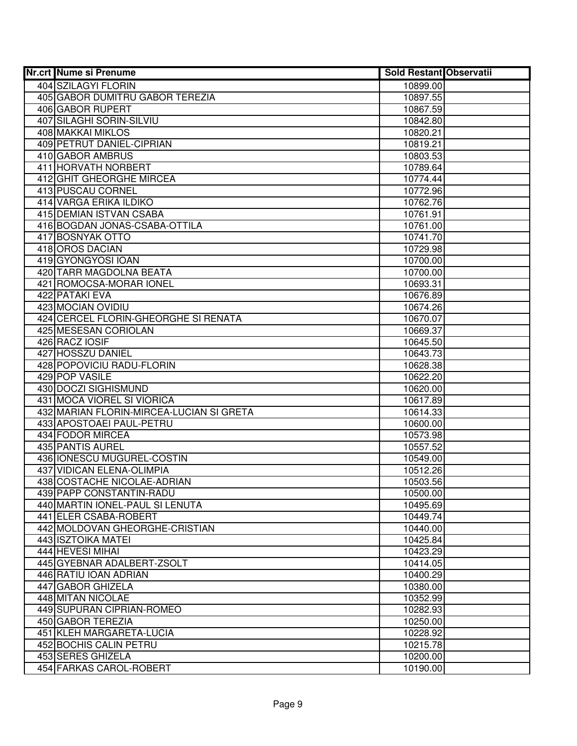| <b>Nr.crt Nume si Prenume</b>                      | <b>Sold Restant Observatii</b> |  |
|----------------------------------------------------|--------------------------------|--|
| 404 SZILAGYI FLORIN                                | 10899.00                       |  |
| 405 GABOR DUMITRU GABOR TEREZIA                    | 10897.55                       |  |
| 406 GABOR RUPERT                                   | 10867.59                       |  |
| 407 SILAGHI SORIN-SILVIU                           | 10842.80                       |  |
| <b>408 MAKKAI MIKLOS</b>                           | 10820.21                       |  |
| 409 PETRUT DANIEL-CIPRIAN                          | 10819.21                       |  |
| 410 GABOR AMBRUS                                   | 10803.53                       |  |
| 411 HORVATH NORBERT                                | 10789.64                       |  |
| 412 GHIT GHEORGHE MIRCEA                           | 10774.44                       |  |
| 413 PUSCAU CORNEL                                  | 10772.96                       |  |
| 414 VARGA ERIKA ILDIKO                             | 10762.76                       |  |
| 415 DEMIAN ISTVAN CSABA                            | 10761.91                       |  |
| 416 BOGDAN JONAS-CSABA-OTTILA                      | 10761.00                       |  |
| 417 BOSNYAK OTTO                                   | 10741.70                       |  |
| 418 OROS DACIAN                                    | 10729.98                       |  |
| 419 GYONGYOSI IOAN                                 | 10700.00                       |  |
| 420 TARR MAGDOLNA BEATA                            | 10700.00                       |  |
| 421   ROMOCSA-MORAR IONEL                          | 10693.31                       |  |
| 422 PATAKI EVA                                     | 10676.89                       |  |
| 423 MOCIAN OVIDIU                                  | 10674.26                       |  |
| 424 CERCEL FLORIN-GHEORGHE SI RENATA               | 10670.07                       |  |
| 425 MESESAN CORIOLAN                               | 10669.37                       |  |
| 426 RACZ IOSIF                                     | 10645.50                       |  |
| <b>427 HOSSZU DANIEL</b>                           | 10643.73                       |  |
| 428 POPOVICIU RADU-FLORIN                          | 10628.38                       |  |
| 429 POP VASILE                                     | 10622.20                       |  |
| 430 DOCZI SIGHISMUND<br>431 MOCA VIOREL SI VIORICA | 10620.00                       |  |
| 432 MARIAN FLORIN-MIRCEA-LUCIAN SI GRETA           | 10617.89                       |  |
| 433 APOSTOAEI PAUL-PETRU                           | 10614.33<br>10600.00           |  |
| 434 FODOR MIRCEA                                   | 10573.98                       |  |
| 435 PANTIS AUREL                                   | 10557.52                       |  |
| 436 IONESCU MUGUREL-COSTIN                         | 10549.00                       |  |
| <b>437 VIDICAN ELENA-OLIMPIA</b>                   | 10512.26                       |  |
| 438 COSTACHE NICOLAE-ADRIAN                        | 10503.56                       |  |
| 439 PAPP CONSTANTIN-RADU                           | 10500.00                       |  |
| 440 MARTIN IONEL-PAUL SI LENUTA                    | 10495.69                       |  |
| 441 ELER CSABA-ROBERT                              | 10449.74                       |  |
| 442 MOLDOVAN GHEORGHE-CRISTIAN                     | 10440.00                       |  |
| 443 ISZTOIKA MATEI                                 | 10425.84                       |  |
| 444 HEVESI MIHAI                                   | 10423.29                       |  |
| 445 GYEBNAR ADALBERT-ZSOLT                         | 10414.05                       |  |
| 446 RATIU IOAN ADRIAN                              | 10400.29                       |  |
| 447 GABOR GHIZELA                                  | 10380.00                       |  |
| 448 MITAN NICOLAE                                  | 10352.99                       |  |
| 449 SUPURAN CIPRIAN-ROMEO                          | 10282.93                       |  |
| 450 GABOR TEREZIA                                  | 10250.00                       |  |
| 451 KLEH MARGARETA-LUCIA                           | 10228.92                       |  |
| 452 BOCHIS CALIN PETRU                             | 10215.78                       |  |
| 453 SERES GHIZELA                                  | 10200.00                       |  |
| 454 FARKAS CAROL-ROBERT                            | 10190.00                       |  |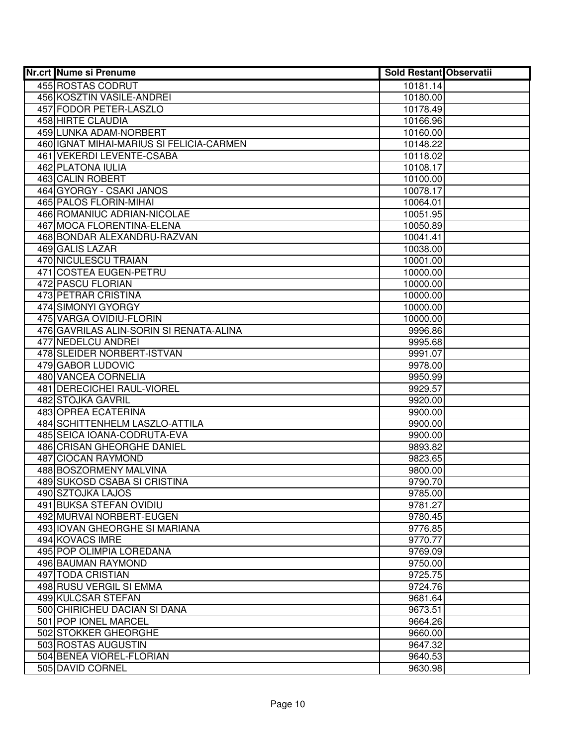| <b>Nr.crt Nume si Prenume</b>                     | <b>Sold Restant Observatii</b> |
|---------------------------------------------------|--------------------------------|
| 455 ROSTAS CODRUT                                 | 10181.14                       |
| 456 KOSZTIN VASILE-ANDREI                         | 10180.00                       |
| 457 FODOR PETER-LASZLO                            | 10178.49                       |
| 458 HIRTE CLAUDIA                                 | 10166.96                       |
| 459 LUNKA ADAM-NORBERT                            | 10160.00                       |
| 460 IGNAT MIHAI-MARIUS SI FELICIA-CARMEN          | 10148.22                       |
| 461 VEKERDI LEVENTE-CSABA                         | 10118.02                       |
| 462 PLATONA IULIA                                 | 10108.17                       |
| <b>463 CALIN ROBERT</b>                           | 10100.00                       |
| 464 GYORGY - CSAKI JANOS                          | 10078.17                       |
| <b>465 PALOS FLORIN-MIHAI</b>                     | 10064.01                       |
| 466 ROMANIUC ADRIAN-NICOLAE                       | 10051.95                       |
| 467 MOCA FLORENTINA-ELENA                         | 10050.89                       |
| 468 BONDAR ALEXANDRU-RAZVAN                       | 10041.41                       |
| 469 GALIS LAZAR                                   | 10038.00                       |
| 470 NICULESCU TRAIAN                              | 10001.00                       |
| 471 COSTEA EUGEN-PETRU                            | 10000.00                       |
| 472 PASCU FLORIAN                                 | 10000.00                       |
| 473 PETRAR CRISTINA                               | 10000.00                       |
| 474 SIMONYI GYORGY                                | 10000.00                       |
| 475 VARGA OVIDIU-FLORIN                           | 10000.00                       |
| 476 GAVRILAS ALIN-SORIN SI RENATA-ALINA           | 9996.86                        |
| 477 NEDELCU ANDREI                                | 9995.68                        |
| 478 SLEIDER NORBERT-ISTVAN                        | 9991.07                        |
| 479 GABOR LUDOVIC                                 | 9978.00                        |
| 480 VANCEA CORNELIA<br>481 DERECICHEI RAUL-VIOREL | 9950.99                        |
| 482 STOJKA GAVRIL                                 | 9929.57<br>9920.00             |
| 483 OPREA ECATERINA                               | 9900.00                        |
| 484 SCHITTENHELM LASZLO-ATTILA                    | 9900.00                        |
| 485 SEICA IOANA-CODRUTA-EVA                       | 9900.00                        |
| 486 CRISAN GHEORGHE DANIEL                        | 9893.82                        |
| 487 CIOCAN RAYMOND                                | 9823.65                        |
| 488 BOSZORMENY MALVINA                            | 9800.00                        |
| 489 SUKOSD CSABA SI CRISTINA                      | 9790.70                        |
| <b>490 SZTOJKA LAJOS</b>                          | 9785.00                        |
| 491 BUKSA STEFAN OVIDIU                           | 9781.27                        |
| 492 MURVAI NORBERT-EUGEN                          | 9780.45                        |
| 493 IOVAN GHEORGHE SI MARIANA                     | 9776.85                        |
| 494 KOVACS IMRE                                   | 9770.77                        |
| 495 POP OLIMPIA LOREDANA                          | 9769.09                        |
| 496 BAUMAN RAYMOND                                | 9750.00                        |
| 497 TODA CRISTIAN                                 | 9725.75                        |
| 498 RUSU VERGIL SI EMMA                           | 9724.76                        |
| 499 KULCSAR STEFAN                                | 9681.64                        |
| 500 CHIRICHEU DACIAN SI DANA                      | 9673.51                        |
| 501 POP IONEL MARCEL                              | 9664.26                        |
| 502 STOKKER GHEORGHE                              | 9660.00                        |
| 503 ROSTAS AUGUSTIN                               | 9647.32                        |
| 504 BENEA VIOREL-FLORIAN                          | 9640.53                        |
| 505 DAVID CORNEL                                  | 9630.98                        |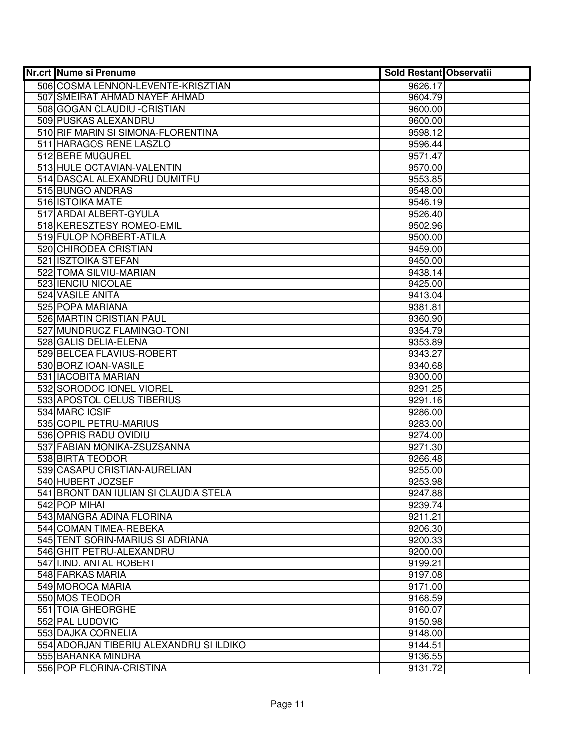| <b>Nr.crt Nume si Prenume</b>           | Sold Restant Observatii |  |
|-----------------------------------------|-------------------------|--|
| 506 COSMA LENNON-LEVENTE-KRISZTIAN      | 9626.17                 |  |
| 507 SMEIRAT AHMAD NAYEF AHMAD           | 9604.79                 |  |
| 508 GOGAN CLAUDIU - CRISTIAN            | 9600.00                 |  |
| 509 PUSKAS ALEXANDRU                    | 9600.00                 |  |
| 510 RIF MARIN SI SIMONA-FLORENTINA      | 9598.12                 |  |
| 511 HARAGOS RENE LASZLO                 | 9596.44                 |  |
| 512 BERE MUGUREL                        | 9571.47                 |  |
| 513 HULE OCTAVIAN-VALENTIN              | 9570.00                 |  |
| 514 DASCAL ALEXANDRU DUMITRU            | 9553.85                 |  |
| 515 BUNGO ANDRAS                        | 9548.00                 |  |
| 516 <b>ISTOIKA MATE</b>                 | 9546.19                 |  |
| 517 ARDAI ALBERT-GYULA                  | 9526.40                 |  |
| 518 KERESZTESY ROMEO-EMIL               | 9502.96                 |  |
| 519 FULOP NORBERT-ATILA                 | 9500.00                 |  |
| 520 CHIRODEA CRISTIAN                   | 9459.00                 |  |
| 521 ISZTOIKA STEFAN                     | 9450.00                 |  |
| 522 TOMA SILVIU-MARIAN                  | 9438.14                 |  |
| 523 IENCIU NICOLAE                      | 9425.00                 |  |
| 524 VASILE ANITA                        | 9413.04                 |  |
| 525 POPA MARIANA                        | 9381.81                 |  |
| 526 MARTIN CRISTIAN PAUL                | 9360.90                 |  |
| 527 MUNDRUCZ FLAMINGO-TONI              | 9354.79                 |  |
| 528 GALIS DELIA-ELENA                   | 9353.89                 |  |
| 529 BELCEA FLAVIUS-ROBERT               | 9343.27                 |  |
| 530 BORZ IOAN-VASILE                    | 9340.68                 |  |
| 531 IACOBITA MARIAN                     | 9300.00                 |  |
| 532 SORODOC IONEL VIOREL                | 9291.25                 |  |
| 533 APOSTOL CELUS TIBERIUS              | 9291.16                 |  |
| 534 MARC IOSIF                          | 9286.00                 |  |
| 535 COPIL PETRU-MARIUS                  | 9283.00                 |  |
| 536 OPRIS RADU OVIDIU                   | 9274.00                 |  |
| 537 FABIAN MONIKA-ZSUZSANNA             | 9271.30                 |  |
| 538 BIRTA TEODOR                        | 9266.48                 |  |
| 539 CASAPU CRISTIAN-AURELIAN            | 9255.00                 |  |
| 540 HUBERT JOZSEF                       | 9253.98                 |  |
| 541 BRONT DAN IULIAN SI CLAUDIA STELA   | 9247.88                 |  |
| 542 POP MIHAI                           | 9239.74                 |  |
| 543 MANGRA ADINA FLORINA                | 9211.21                 |  |
| 544 COMAN TIMEA-REBEKA                  | 9206.30                 |  |
| 545 TENT SORIN-MARIUS SI ADRIANA        | 9200.33                 |  |
| 546 GHIT PETRU-ALEXANDRU                | 9200.00                 |  |
| 547 I.IND. ANTAL ROBERT                 | 9199.21                 |  |
| 548 FARKAS MARIA                        | 9197.08                 |  |
| 549 MOROCA MARIA                        | 9171.00                 |  |
| 550 MOS TEODOR                          | 9168.59                 |  |
| 551 TOIA GHEORGHE                       | 9160.07                 |  |
| 552 PAL LUDOVIC                         | 9150.98                 |  |
| 553 DAJKA CORNELIA                      | 9148.00                 |  |
| 554 ADORJAN TIBERIU ALEXANDRU SI ILDIKO | 9144.51                 |  |
| 555 BARANKA MINDRA                      | 9136.55                 |  |
| 556 POP FLORINA-CRISTINA                | 9131.72                 |  |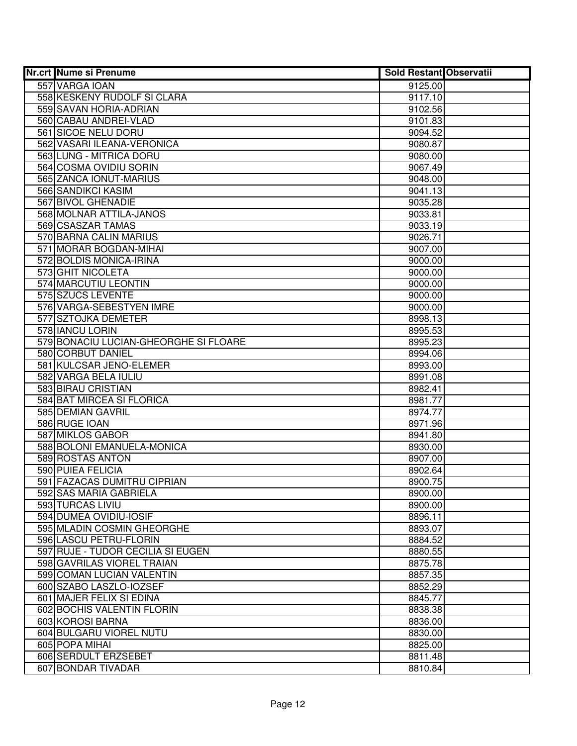| <b>Nr.crt Nume si Prenume</b>         | <b>Sold Restant Observatii</b> |  |
|---------------------------------------|--------------------------------|--|
| 557 VARGA IOAN                        | 9125.00                        |  |
| 558 KESKENY RUDOLF SI CLARA           | 9117.10                        |  |
| 559 SAVAN HORIA-ADRIAN                | 9102.56                        |  |
| 560 CABAU ANDREI-VLAD                 | 9101.83                        |  |
| 561 SICOE NELU DORU                   | 9094.52                        |  |
| 562 VASARI ILEANA-VERONICA            | 9080.87                        |  |
| 563 LUNG - MITRICA DORU               | 9080.00                        |  |
| 564 COSMA OVIDIU SORIN                | 9067.49                        |  |
| 565 ZANCA IONUT-MARIUS                | 9048.00                        |  |
| 566 SANDIKCI KASIM                    | 9041.13                        |  |
| 567 BIVOL GHENADIE                    | 9035.28                        |  |
| 568 MOLNAR ATTILA-JANOS               | 9033.81                        |  |
| 569 CSASZAR TAMAS                     | 9033.19                        |  |
| 570 BARNA CALIN MARIUS                | 9026.71                        |  |
| 571 MORAR BOGDAN-MIHAI                | 9007.00                        |  |
| 572 BOLDIS MONICA-IRINA               | 9000.00                        |  |
| 573 GHIT NICOLETA                     | 9000.00                        |  |
| 574 MARCUTIU LEONTIN                  | 9000.00                        |  |
| 575 SZUCS LEVENTE                     | 9000.00                        |  |
| 576 VARGA-SEBESTYEN IMRE              | 9000.00                        |  |
| 577 SZTOJKA DEMETER                   | 8998.13                        |  |
| 578 IANCU LORIN                       | 8995.53                        |  |
| 579 BONACIU LUCIAN-GHEORGHE SI FLOARE | 8995.23                        |  |
| 580 CORBUT DANIEL                     | 8994.06                        |  |
| 581 KULCSAR JENO-ELEMER               | 8993.00                        |  |
| 582 VARGA BELA IULIU                  | 8991.08                        |  |
| 583 BIRAU CRISTIAN                    | 8982.41                        |  |
| 584 BAT MIRCEA SI FLORICA             | 8981.77                        |  |
| 585 DEMIAN GAVRIL                     | 8974.77                        |  |
| 586 RUGE IOAN                         | 8971.96                        |  |
| 587 MIKLOS GABOR                      | 8941.80                        |  |
| 588 BOLONI EMANUELA-MONICA            | 8930.00                        |  |
| 589 ROSTAS ANTON                      | 8907.00                        |  |
| 590 PUIEA FELICIA                     | 8902.64                        |  |
| 591 FAZACAS DUMITRU CIPRIAN           | 8900.75                        |  |
| 592 SAS MARIA GABRIELA                | 8900.00                        |  |
| 593 TURCAS LIVIU                      | 8900.00                        |  |
| 594 DUMEA OVIDIU-IOSIF                | 8896.11                        |  |
| 595 MLADIN COSMIN GHEORGHE            | 8893.07                        |  |
| 596 LASCU PETRU-FLORIN                | 8884.52                        |  |
| 597 RUJE - TUDOR CECILIA SI EUGEN     | 8880.55                        |  |
| 598 GAVRILAS VIOREL TRAIAN            | 8875.78                        |  |
| 599 COMAN LUCIAN VALENTIN             | 8857.35                        |  |
| 600 SZABO LASZLO-IOZSEF               | 8852.29                        |  |
| 601 MAJER FELIX SI EDINA              | 8845.77                        |  |
| 602 BOCHIS VALENTIN FLORIN            | 8838.38                        |  |
| 603 KOROSI BARNA                      | 8836.00                        |  |
| 604 BULGARU VIOREL NUTU               | 8830.00                        |  |
| 605 POPA MIHAI                        | 8825.00                        |  |
| 606 SERDULT ERZSEBET                  | 8811.48                        |  |
| 607 BONDAR TIVADAR                    | 8810.84                        |  |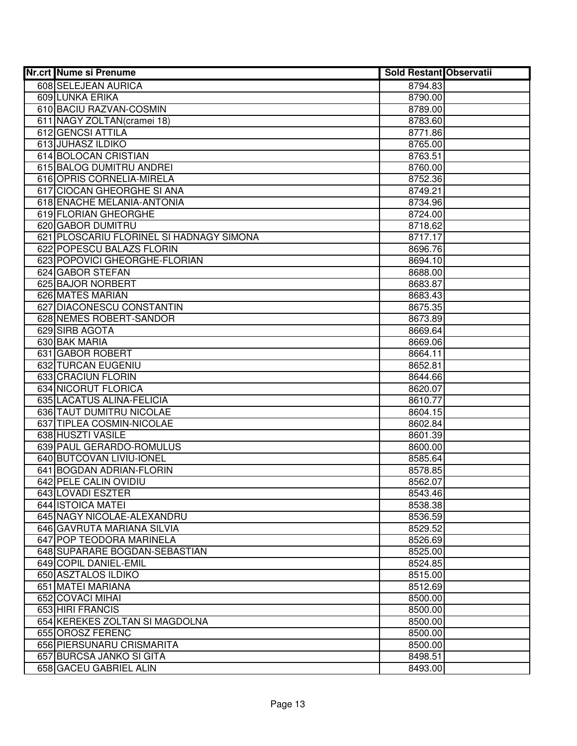| Nr.crt Nume si Prenume                   | <b>Sold Restant Observatii</b> |
|------------------------------------------|--------------------------------|
| 608 SELEJEAN AURICA                      | 8794.83                        |
| 609 LUNKA ERIKA                          | 8790.00                        |
| 610 BACIU RAZVAN-COSMIN                  | 8789.00                        |
| 611 NAGY ZOLTAN (cramei 18)              | 8783.60                        |
| 612 GENCSI ATTILA                        | 8771.86                        |
| <b>613 JUHASZ ILDIKO</b>                 | 8765.00                        |
| 614 BOLOCAN CRISTIAN                     | 8763.51                        |
| 615 BALOG DUMITRU ANDREI                 | 8760.00                        |
| 616 OPRIS CORNELIA-MIRELA                | 8752.36                        |
| 617 CIOCAN GHEORGHE SI ANA               | 8749.21                        |
| 618 ENACHE MELANIA-ANTONIA               | 8734.96                        |
| 619 FLORIAN GHEORGHE                     | 8724.00                        |
| 620 GABOR DUMITRU                        | 8718.62                        |
| 621 PLOSCARIU FLORINEL SI HADNAGY SIMONA | 8717.17                        |
| 622 POPESCU BALAZS FLORIN                | 8696.76                        |
| 623 POPOVICI GHEORGHE-FLORIAN            | 8694.10                        |
| 624 GABOR STEFAN                         | 8688.00                        |
| 625 BAJOR NORBERT                        | 8683.87                        |
| 626 MATES MARIAN                         | 8683.43                        |
| 627 DIACONESCU CONSTANTIN                | 8675.35                        |
| 628 NEMES ROBERT-SANDOR                  | 8673.89                        |
| 629 SIRB AGOTA                           | 8669.64                        |
| 630 BAK MARIA                            | 8669.06                        |
| 631 GABOR ROBERT                         | 8664.11                        |
| 632 TURCAN EUGENIU                       | 8652.81                        |
| 633 CRACIUN FLORIN                       | 8644.66                        |
| 634 NICORUT FLORICA                      | 8620.07                        |
| 635 LACATUS ALINA-FELICIA                | 8610.77                        |
| 636 TAUT DUMITRU NICOLAE                 | 8604.15                        |
| 637 TIPLEA COSMIN-NICOLAE                | 8602.84                        |
| 638 HUSZTI VASILE                        | 8601.39                        |
| 639 PAUL GERARDO-ROMULUS                 | 8600.00                        |
| 640 BUTCOVAN LIVIU-IONEL                 | 8585.64                        |
| 641 BOGDAN ADRIAN-FLORIN                 | 8578.85                        |
| 642 PELE CALIN OVIDIU                    | 8562.07                        |
| 643 LOVADI ESZTER                        | 8543.46                        |
| 644 ISTOICA MATEI                        | 8538.38                        |
| 645 NAGY NICOLAE-ALEXANDRU               | 8536.59                        |
| 646 GAVRUTA MARIANA SILVIA               | 8529.52                        |
| 647 POP TEODORA MARINELA                 | 8526.69                        |
| 648 SUPARARE BOGDAN-SEBASTIAN            | 8525.00                        |
| 649 COPIL DANIEL-EMIL                    | 8524.85                        |
| 650 ASZTALOS ILDIKO                      | 8515.00                        |
| 651 MATEI MARIANA                        | 8512.69                        |
| 652 COVACI MIHAI                         | 8500.00                        |
| 653 HIRI FRANCIS                         | 8500.00                        |
| 654 KEREKES ZOLTAN SI MAGDOLNA           | 8500.00                        |
| 655 OROSZ FERENC                         | 8500.00                        |
| 656 PIERSUNARU CRISMARITA                | 8500.00                        |
| 657 BURCSA JANKO SI GITA                 | 8498.51                        |
| 658 GACEU GABRIEL ALIN                   | 8493.00                        |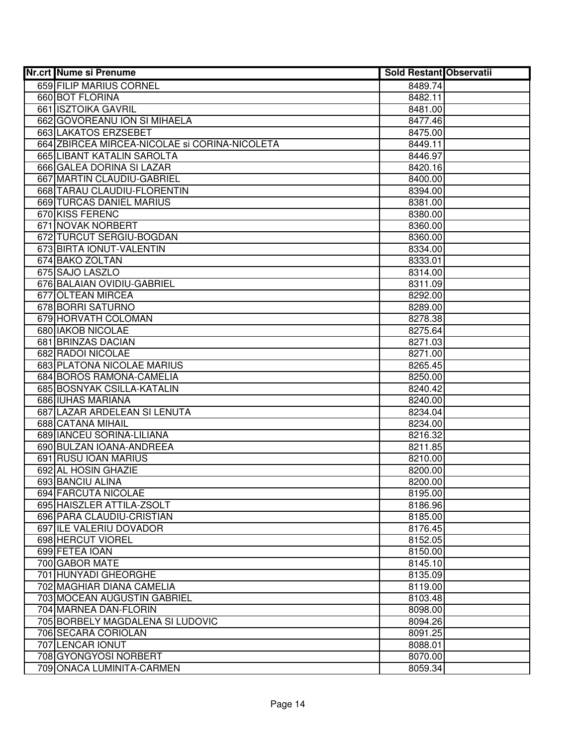| <b>Nr.crt Nume si Prenume</b>                 | <b>Sold Restant Observatii</b> |  |
|-----------------------------------------------|--------------------------------|--|
| 659 FILIP MARIUS CORNEL                       | 8489.74                        |  |
| 660 BOT FLORINA                               | 8482.11                        |  |
| 661 ISZTOIKA GAVRIL                           | 8481.00                        |  |
| 662 GOVOREANU ION SI MIHAELA                  | 8477.46                        |  |
| 663 LAKATOS ERZSEBET                          | 8475.00                        |  |
| 664 ZBIRCEA MIRCEA-NICOLAE si CORINA-NICOLETA | 8449.11                        |  |
| 665 LIBANT KATALIN SAROLTA                    | 8446.97                        |  |
| 666 GALEA DORINA SI LAZAR                     | 8420.16                        |  |
| 667 MARTIN CLAUDIU-GABRIEL                    | 8400.00                        |  |
| 668 TARAU CLAUDIU-FLORENTIN                   | 8394.00                        |  |
| 669 TURCAS DANIEL MARIUS                      | 8381.00                        |  |
| 670 KISS FERENC                               | 8380.00                        |  |
| 671 NOVAK NORBERT                             | 8360.00                        |  |
| 672 TURCUT SERGIU-BOGDAN                      | 8360.00                        |  |
| 673 BIRTA IONUT-VALENTIN                      | 8334.00                        |  |
| 674 BAKO ZOLTAN                               | 8333.01                        |  |
| 675 SAJO LASZLO                               | 8314.00                        |  |
| 676 BALAIAN OVIDIU-GABRIEL                    | 8311.09                        |  |
| 677 OLTEAN MIRCEA                             | 8292.00                        |  |
| 678 BORRI SATURNO                             | 8289.00                        |  |
| 679 HORVATH COLOMAN                           | 8278.38                        |  |
| 680 IAKOB NICOLAE                             | 8275.64                        |  |
| 681 BRINZAS DACIAN                            | 8271.03                        |  |
| 682 RADOI NICOLAE                             | 8271.00                        |  |
| 683 PLATONA NICOLAE MARIUS                    | 8265.45                        |  |
| 684 BOROS RAMONA-CAMELIA                      | 8250.00                        |  |
| 685 BOSNYAK CSILLA-KATALIN                    | 8240.42                        |  |
| 686 IUHAS MARIANA                             | 8240.00                        |  |
| 687 LAZAR ARDELEAN SI LENUTA                  | 8234.04                        |  |
| 688 CATANA MIHAIL                             | 8234.00                        |  |
| 689 IANCEU SORINA-LILIANA                     | 8216.32                        |  |
| 690 BULZAN IOANA-ANDREEA                      | 8211.85                        |  |
| 691 RUSU IOAN MARIUS                          | 8210.00                        |  |
| 692 AL HOSIN GHAZIE                           | 8200.00                        |  |
| 693 BANCIU ALINA                              | 8200.00                        |  |
| 694 FARCUTA NICOLAE                           | 8195.00                        |  |
| 695 HAISZLER ATTILA-ZSOLT                     | 8186.96                        |  |
| 696 PARA CLAUDIU-CRISTIAN                     | 8185.00                        |  |
| 697 ILE VALERIU DOVADOR                       | 8176.45                        |  |
| 698 HERCUT VIOREL                             | 8152.05                        |  |
| 699 FETEA IOAN                                | 8150.00                        |  |
| 700 GABOR MATE                                | 8145.10                        |  |
| 701 HUNYADI GHEORGHE                          | 8135.09                        |  |
| 702 MAGHIAR DIANA CAMELIA                     | 8119.00                        |  |
| 703 MOCEAN AUGUSTIN GABRIEL                   | 8103.48                        |  |
| 704 MARNEA DAN-FLORIN                         | 8098.00                        |  |
| 705 BORBELY MAGDALENA SI LUDOVIC              | 8094.26                        |  |
| 706 SECARA CORIOLAN                           | 8091.25                        |  |
| 707 LENCAR IONUT                              | 8088.01                        |  |
| 708 GYONGYOSI NORBERT                         | 8070.00                        |  |
| 709 ONACA LUMINITA-CARMEN                     | 8059.34                        |  |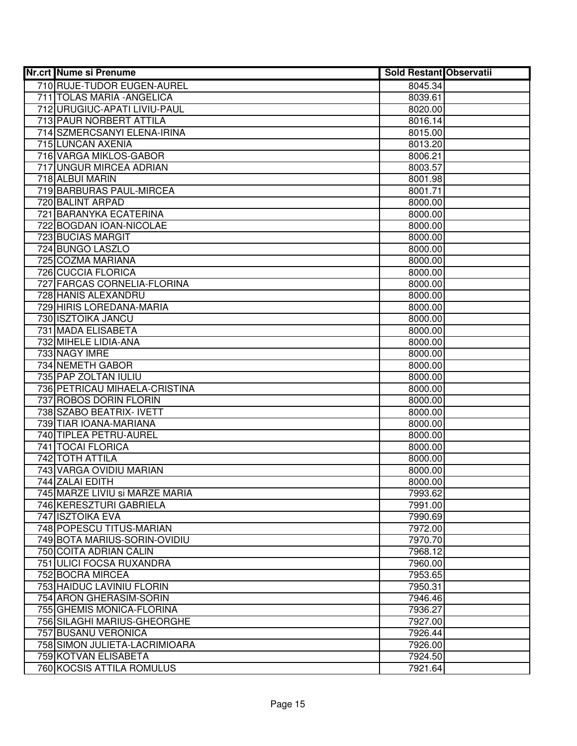| <b>Nr.crt Nume si Prenume</b>  | <b>Sold Restant Observatii</b> |  |
|--------------------------------|--------------------------------|--|
| 710 RUJE-TUDOR EUGEN-AUREL     | 8045.34                        |  |
| 711 TOLAS MARIA - ANGELICA     | 8039.61                        |  |
| 712 URUGIUC-APATI LIVIU-PAUL   | 8020.00                        |  |
| 713 PAUR NORBERT ATTILA        | 8016.14                        |  |
| 714 SZMERCSANYI ELENA-IRINA    | 8015.00                        |  |
| 715 LUNCAN AXENIA              | 8013.20                        |  |
| 716 VARGA MIKLOS-GABOR         | 8006.21                        |  |
| 717 UNGUR MIRCEA ADRIAN        | 8003.57                        |  |
| 718 ALBUI MARIN                | 8001.98                        |  |
| 719 BARBURAS PAUL-MIRCEA       | 8001.71                        |  |
| 720 BALINT ARPAD               | 8000.00                        |  |
| 721 BARANYKA ECATERINA         | 8000.00                        |  |
| 722 BOGDAN IOAN-NICOLAE        | 8000.00                        |  |
| 723 BUCIAS MARGIT              | 8000.00                        |  |
| 724 BUNGO LASZLO               | 8000.00                        |  |
| 725 COZMA MARIANA              | 8000.00                        |  |
| 726 CUCCIA FLORICA             | 8000.00                        |  |
| 727 FARCAS CORNELIA-FLORINA    | 8000.00                        |  |
| 728 HANIS ALEXANDRU            | 8000.00                        |  |
| 729 HIRIS LOREDANA-MARIA       | 8000.00                        |  |
| 730 ISZTOIKA JANCU             | 8000.00                        |  |
| 731 MADA ELISABETA             | 8000.00                        |  |
| 732 MIHELE LIDIA-ANA           | 8000.00                        |  |
| 733 NAGY IMRE                  | 8000.00                        |  |
| 734 NEMETH GABOR               | 8000.00                        |  |
| 735 PAP ZOLTAN IULIU           | 8000.00                        |  |
| 736 PETRICAU MIHAELA-CRISTINA  | 8000.00                        |  |
| 737 ROBOS DORIN FLORIN         | 8000.00                        |  |
| 738 SZABO BEATRIX- IVETT       | 8000.00                        |  |
| 739 TIAR IOANA-MARIANA         | 8000.00                        |  |
| 740 TIPLEA PETRU-AUREL         | 8000.00                        |  |
| 741 TOCAI FLORICA              | 8000.00                        |  |
| 742 TOTH ATTILA                | 8000.00                        |  |
| 743 VARGA OVIDIU MARIAN        | 8000.00                        |  |
| 744 ZALAI EDITH                | 8000.00                        |  |
| 745 MARZE LIVIU si MARZE MARIA | 7993.62                        |  |
| 746 KERESZTURI GABRIELA        | 7991.00                        |  |
| 747 ISZTOIKA EVA               | 7990.69                        |  |
| 748 POPESCU TITUS-MARIAN       | 7972.00                        |  |
| 749 BOTA MARIUS-SORIN-OVIDIU   | 7970.70                        |  |
| 750 COITA ADRIAN CALIN         | 7968.12                        |  |
| 751 ULICI FOCSA RUXANDRA       | 7960.00                        |  |
| 752 BOCRA MIRCEA               | 7953.65                        |  |
| 753 HAIDUC LAVINIU FLORIN      | 7950.31                        |  |
| 754 ARON GHERASIM-SORIN        | 7946.46                        |  |
| 755 GHEMIS MONICA-FLORINA      | 7936.27                        |  |
| 756 SILAGHI MARIUS-GHEORGHE    | 7927.00                        |  |
| 757 BUSANU VERONICA            | 7926.44                        |  |
| 758 SIMON JULIETA-LACRIMIOARA  | 7926.00                        |  |
| 759 KOTVAN ELISABETA           | 7924.50                        |  |
| 760 KOCSIS ATTILA ROMULUS      | 7921.64                        |  |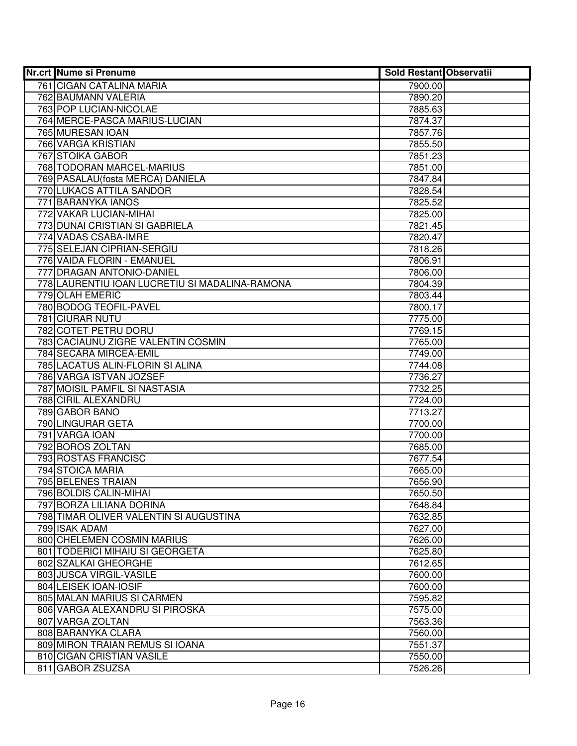| <b>Nr.crt Nume si Prenume</b>                  | <b>Sold Restant Observatii</b> |  |
|------------------------------------------------|--------------------------------|--|
| 761 CIGAN CATALINA MARIA                       | 7900.00                        |  |
| 762 BAUMANN VALERIA                            | 7890.20                        |  |
| 763 POP LUCIAN-NICOLAE                         | 7885.63                        |  |
| 764 MERCE-PASCA MARIUS-LUCIAN                  | 7874.37                        |  |
| 765 MURESAN IOAN                               | 7857.76                        |  |
| 766 VARGA KRISTIAN                             | 7855.50                        |  |
| 767 STOIKA GABOR                               | 7851.23                        |  |
| 768 TODORAN MARCEL-MARIUS                      | 7851.00                        |  |
| 769 PASALAU (fosta MERCA) DANIELA              | 7847.84                        |  |
| 770 LUKACS ATTILA SANDOR                       | 7828.54                        |  |
| 771 BARANYKA IANOS                             | 7825.52                        |  |
| 772 VAKAR LUCIAN-MIHAI                         | 7825.00                        |  |
| 773 DUNAI CRISTIAN SI GABRIELA                 | 7821.45                        |  |
| 774 VADAS CSABA-IMRE                           | 7820.47                        |  |
| 775 SELEJAN CIPRIAN-SERGIU                     | 7818.26                        |  |
| 776 VAIDA FLORIN - EMANUEL                     | 7806.91                        |  |
| 777 DRAGAN ANTONIO-DANIEL                      | 7806.00                        |  |
| 778 LAURENTIU IOAN LUCRETIU SI MADALINA-RAMONA | 7804.39                        |  |
| 779 OLAH EMERIC                                | 7803.44                        |  |
| 780 BODOG TEOFIL-PAVEL                         | 7800.17                        |  |
| 781 CIURAR NUTU                                | 7775.00                        |  |
| 782 COTET PETRU DORU                           | 7769.15                        |  |
| 783 CACIAUNU ZIGRE VALENTIN COSMIN             | 7765.00                        |  |
| 784 SECARA MIRCEA-EMIL                         | 7749.00                        |  |
| 785 LACATUS ALIN-FLORIN SI ALINA               | 7744.08                        |  |
| 786 VARGA ISTVAN JOZSEF                        | 7736.27                        |  |
| 787 MOISIL PAMFIL SI NASTASIA                  | 7732.25                        |  |
| 788 CIRIL ALEXANDRU                            | 7724.00                        |  |
| 789 GABOR BANO                                 | 7713.27                        |  |
| 790 LINGURAR GETA                              | 7700.00                        |  |
| 791 VARGA IOAN                                 | 7700.00                        |  |
| 792 BOROS ZOLTAN                               | 7685.00                        |  |
| 793 ROSTAS FRANCISC                            | 7677.54                        |  |
| 794 STOICA MARIA                               | 7665.00                        |  |
| 795 BELENES TRAIAN<br>796 BOLDIS CALIN-MIHAI   | 7656.90                        |  |
| 797 BORZA LILIANA DORINA                       | 7650.50                        |  |
| 798 TIMAR OLIVER VALENTIN SI AUGUSTINA         | 7648.84<br>7632.85             |  |
| 799 ISAK ADAM                                  | 7627.00                        |  |
| 800 CHELEMEN COSMIN MARIUS                     | 7626.00                        |  |
| 801 TODERICI MIHAIU SI GEORGETA                | 7625.80                        |  |
| 802 SZALKAI GHEORGHE                           | 7612.65                        |  |
| 803 JUSCA VIRGIL-VASILE                        | 7600.00                        |  |
| 804 LEISEK IOAN-IOSIF                          | 7600.00                        |  |
| 805 MALAN MARIUS SI CARMEN                     | 7595.82                        |  |
| 806 VARGA ALEXANDRU SI PIROSKA                 | 7575.00                        |  |
| 807 VARGA ZOLTAN                               | 7563.36                        |  |
| 808 BARANYKA CLARA                             | 7560.00                        |  |
| 809 MIRON TRAIAN REMUS SI IOANA                | 7551.37                        |  |
| 810 CIGAN CRISTIAN VASILE                      | 7550.00                        |  |
| 811 GABOR ZSUZSA                               | 7526.26                        |  |
|                                                |                                |  |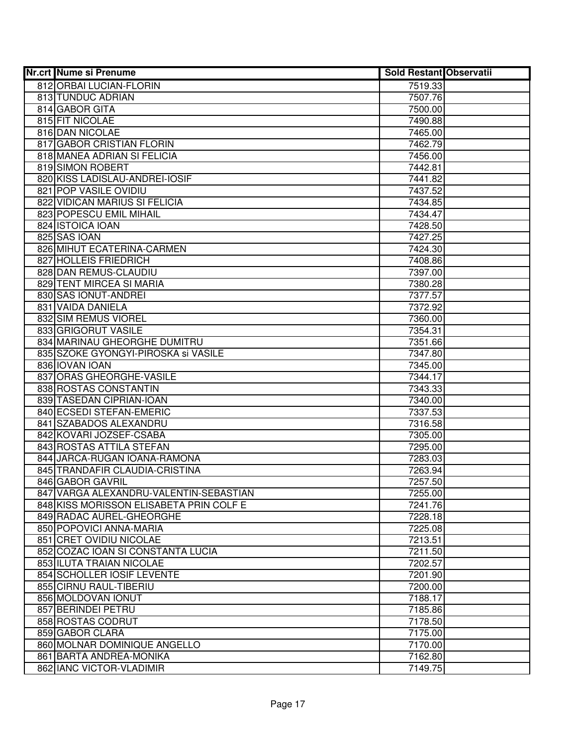| <b>Nr.crt Nume si Prenume</b>                                                     | <b>Sold Restant Observatii</b> |  |
|-----------------------------------------------------------------------------------|--------------------------------|--|
| 812 ORBAI LUCIAN-FLORIN                                                           | 7519.33                        |  |
| 813 TUNDUC ADRIAN                                                                 | 7507.76                        |  |
| 814 GABOR GITA                                                                    | 7500.00                        |  |
| 815 FIT NICOLAE                                                                   | 7490.88                        |  |
| 816 DAN NICOLAE                                                                   | 7465.00                        |  |
| 817 GABOR CRISTIAN FLORIN                                                         | 7462.79                        |  |
| 818 MANEA ADRIAN SI FELICIA                                                       | 7456.00                        |  |
| 819 SIMON ROBERT                                                                  | 7442.81                        |  |
| 820 KISS LADISLAU-ANDREI-IOSIF                                                    | 7441.82                        |  |
| 821 POP VASILE OVIDIU                                                             | 7437.52                        |  |
| 822 VIDICAN MARIUS SI FELICIA                                                     | 7434.85                        |  |
| 823 POPESCU EMIL MIHAIL                                                           | 7434.47                        |  |
| 824 ISTOICA IOAN                                                                  | 7428.50                        |  |
| 825 SAS IOAN                                                                      | 7427.25                        |  |
| 826 MIHUT ECATERINA-CARMEN                                                        | 7424.30                        |  |
| 827 HOLLEIS FRIEDRICH                                                             | 7408.86                        |  |
| 828 DAN REMUS-CLAUDIU                                                             | 7397.00                        |  |
| 829 TENT MIRCEA SI MARIA                                                          | 7380.28                        |  |
| 830 SAS IONUT-ANDREI                                                              | 7377.57                        |  |
| 831 VAIDA DANIELA                                                                 | 7372.92                        |  |
| 832 SIM REMUS VIOREL                                                              | 7360.00                        |  |
| 833 GRIGORUT VASILE                                                               | 7354.31                        |  |
| 834 MARINAU GHEORGHE DUMITRU                                                      | 7351.66                        |  |
| 835 SZOKE GYONGYI-PIROSKA si VASILE                                               | 7347.80                        |  |
| 836 IOVAN IOAN                                                                    | 7345.00                        |  |
| 837 ORAS GHEORGHE-VASILE                                                          | 7344.17                        |  |
| 838 ROSTAS CONSTANTIN                                                             | 7343.33                        |  |
| 839 TASEDAN CIPRIAN-IOAN                                                          | 7340.00                        |  |
| 840 ECSEDI STEFAN-EMERIC                                                          | 7337.53                        |  |
| 841 SZABADOS ALEXANDRU                                                            | 7316.58                        |  |
| 842 KOVARI JOZSEF-CSABA                                                           | 7305.00                        |  |
| 843 ROSTAS ATTILA STEFAN                                                          | 7295.00                        |  |
| 844 JARCA-RUGAN IOANA-RAMONA                                                      | 7283.03                        |  |
| 845 TRANDAFIR CLAUDIA-CRISTINA                                                    | 7263.94                        |  |
| 846 GABOR GAVRIL                                                                  | 7257.50                        |  |
| 847 VARGA ALEXANDRU-VALENTIN-SEBASTIAN<br>848 KISS MORISSON ELISABETA PRIN COLF E | 7255.00                        |  |
| 849 RADAC AUREL-GHEORGHE                                                          | 7241.76                        |  |
| 850 POPOVICI ANNA-MARIA                                                           | 7228.18<br>7225.08             |  |
| 851 CRET OVIDIU NICOLAE                                                           | 7213.51                        |  |
| 852 COZAC IOAN SI CONSTANTA LUCIA                                                 | 7211.50                        |  |
| 853 ILUTA TRAIAN NICOLAE                                                          | 7202.57                        |  |
| 854 SCHOLLER IOSIF LEVENTE                                                        | 7201.90                        |  |
| 855 CIRNU RAUL-TIBERIU                                                            |                                |  |
| 856 MOLDOVAN IONUT                                                                | 7200.00<br>7188.17             |  |
| 857 BERINDEI PETRU                                                                | 7185.86                        |  |
| 858 ROSTAS CODRUT                                                                 | 7178.50                        |  |
| 859 GABOR CLARA                                                                   | 7175.00                        |  |
| 860 MOLNAR DOMINIQUE ANGELLO                                                      | 7170.00                        |  |
| 861 BARTA ANDREA-MONIKA                                                           | 7162.80                        |  |
| 862 IANC VICTOR-VLADIMIR                                                          | 7149.75                        |  |
|                                                                                   |                                |  |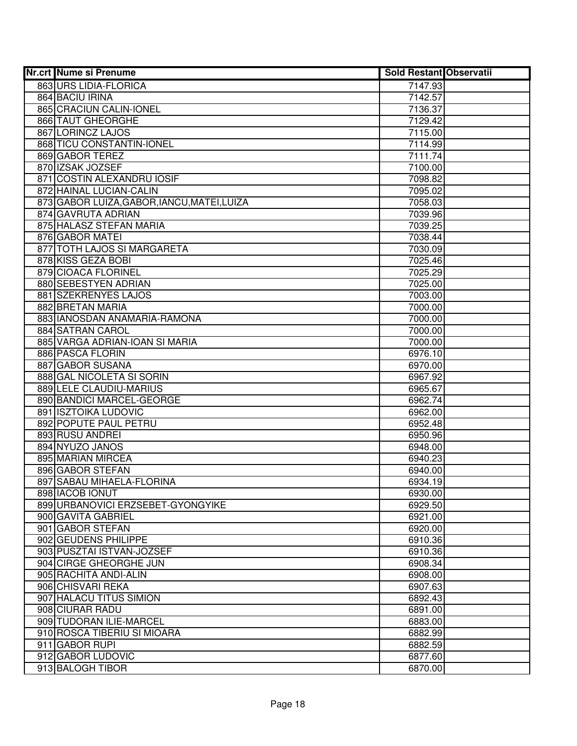| <b>Nr.crt Nume si Prenume</b>               | <b>Sold Restant Observatii</b> |  |
|---------------------------------------------|--------------------------------|--|
| 863 URS LIDIA-FLORICA                       | 7147.93                        |  |
| 864 BACIU IRINA                             | 7142.57                        |  |
| 865 CRACIUN CALIN-IONEL                     | 7136.37                        |  |
| 866 TAUT GHEORGHE                           | 7129.42                        |  |
| 867 LORINCZ LAJOS                           | 7115.00                        |  |
| 868 TICU CONSTANTIN-IONEL                   | 7114.99                        |  |
| 869 GABOR TEREZ                             | 7111.74                        |  |
| 870 IZSAK JOZSEF                            | 7100.00                        |  |
| 871 COSTIN ALEXANDRU IOSIF                  | 7098.82                        |  |
| 872 HAINAL LUCIAN-CALIN                     | 7095.02                        |  |
| 873 GABOR LUIZA, GABOR, IANCU, MATEI, LUIZA | 7058.03                        |  |
| 874 GAVRUTA ADRIAN                          | 7039.96                        |  |
| 875 HALASZ STEFAN MARIA                     | 7039.25                        |  |
| 876 GABOR MATEI                             | 7038.44                        |  |
| 877 TOTH LAJOS SI MARGARETA                 | 7030.09                        |  |
| 878 KISS GEZA BOBI                          | 7025.46                        |  |
| 879 CIOACA FLORINEL                         | 7025.29                        |  |
| 880 SEBESTYEN ADRIAN                        | 7025.00                        |  |
| 881 SZEKRENYES LAJOS                        | 7003.00                        |  |
| 882 BRETAN MARIA                            | 7000.00                        |  |
| 883 IANOSDAN ANAMARIA-RAMONA                | 7000.00                        |  |
| 884 SATRAN CAROL                            | 7000.00                        |  |
| 885 VARGA ADRIAN-IOAN SI MARIA              | 7000.00                        |  |
| 886 PASCA FLORIN                            | 6976.10                        |  |
| 887 GABOR SUSANA                            | 6970.00                        |  |
| 888 GAL NICOLETA SI SORIN                   | 6967.92                        |  |
| 889 LELE CLAUDIU-MARIUS                     | 6965.67                        |  |
| 890 BANDICI MARCEL-GEORGE                   | 6962.74                        |  |
| 891 ISZTOIKA LUDOVIC                        | 6962.00                        |  |
| 892 POPUTE PAUL PETRU                       | 6952.48                        |  |
| 893 RUSU ANDREI                             | 6950.96                        |  |
| 894 NYUZO JANOS                             | 6948.00                        |  |
| 895 MARIAN MIRCEA                           | 6940.23                        |  |
| 896 GABOR STEFAN                            | 6940.00                        |  |
| 897 SABAU MIHAELA-FLORINA                   | 6934.19                        |  |
| 898 IACOB IONUT                             | 6930.00                        |  |
| 899 URBANOVICI ERZSEBET-GYONGYIKE           | 6929.50                        |  |
| 900 GAVITA GABRIEL                          | 6921.00                        |  |
| 901 GABOR STEFAN                            | 6920.00                        |  |
| 902 GEUDENS PHILIPPE                        | 6910.36                        |  |
| 903 PUSZTAI ISTVAN-JOZSEF                   | 6910.36                        |  |
| 904 CIRGE GHEORGHE JUN                      | 6908.34                        |  |
| 905 RACHITA ANDI-ALIN                       | 6908.00                        |  |
| 906 CHISVARI REKA                           | 6907.63                        |  |
| 907 HALACU TITUS SIMION                     | 6892.43                        |  |
| 908 CIURAR RADU                             | 6891.00                        |  |
| 909 TUDORAN ILIE-MARCEL                     | 6883.00                        |  |
| 910 ROSCA TIBERIU SI MIOARA                 | 6882.99                        |  |
| 911 GABOR RUPI                              | 6882.59                        |  |
| 912 GABOR LUDOVIC                           | 6877.60                        |  |
| 913 BALOGH TIBOR                            | 6870.00                        |  |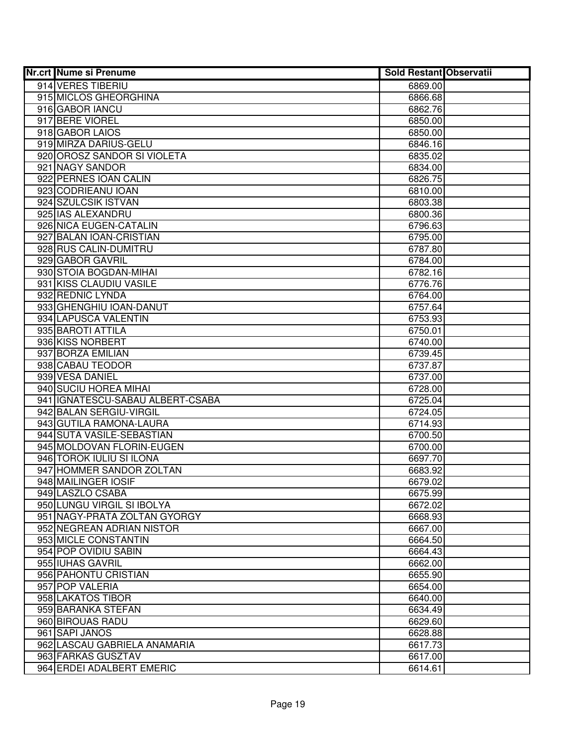| 914 VERES TIBERIU<br>6869.00<br>915 MICLOS GHEORGHINA<br>6866.68<br>916 GABOR IANCU<br>6862.76<br>917 BERE VIOREL<br>6850.00<br>918 GABOR LAIOS<br>6850.00<br>919 MIRZA DARIUS-GELU<br>6846.16<br>920 OROSZ SANDOR SI VIOLETA<br>6835.02<br>921 NAGY SANDOR<br>6834.00<br>922 PERNES IOAN CALIN<br>6826.75<br>923 CODRIEANU IOAN<br>6810.00<br>924 SZULCSIK ISTVAN<br>6803.38<br>925 IAS ALEXANDRU<br>6800.36<br>926 NICA EUGEN-CATALIN<br>6796.63<br>927 BALAN IOAN-CRISTIAN<br>6795.00<br>928 RUS CALIN-DUMITRU<br>6787.80<br>929 GABOR GAVRIL<br>6784.00<br>930 STOIA BOGDAN-MIHAI<br>6782.16<br>931 KISS CLAUDIU VASILE<br>6776.76<br>932 REDNIC LYNDA<br>6764.00<br>933 GHENGHIU IOAN-DANUT<br>6757.64<br>934 LAPUSCA VALENTIN<br>6753.93<br>935 BAROTI ATTILA<br>6750.01<br>936 KISS NORBERT<br>6740.00<br>937 BORZA EMILIAN<br>6739.45<br>938 CABAU TEODOR<br>6737.87<br>939 VESA DANIEL<br>6737.00<br>940 SUCIU HOREA MIHAI<br>6728.00<br>941 IGNATESCU-SABAU ALBERT-CSABA<br>6725.04<br>942 BALAN SERGIU-VIRGIL<br>6724.05<br>943 GUTILA RAMONA-LAURA<br>6714.93<br>944 SUTA VASILE-SEBASTIAN<br>6700.50<br>945 MOLDOVAN FLORIN-EUGEN<br>6700.00<br>946 TOROK IULIU SI ILONA<br>6697.70<br>947 HOMMER SANDOR ZOLTAN<br>6683.92<br>948 MAILINGER IOSIF<br>6679.02<br>949 LASZLO CSABA<br>6675.99<br>950 LUNGU VIRGIL SI IBOLYA<br>6672.02<br>951 NAGY-PRATA ZOLTAN GYORGY<br>6668.93<br>952 NEGREAN ADRIAN NISTOR<br>6667.00<br>953 MICLE CONSTANTIN<br>6664.50<br>954 POP OVIDIU SABIN<br>6664.43<br>955 IUHAS GAVRIL<br>6662.00<br>956 PAHONTU CRISTIAN<br>6655.90<br>957 POP VALERIA<br>6654.00<br>958 LAKATOS TIBOR<br>6640.00<br>959 BARANKA STEFAN<br>6634.49<br>960 BIROUAS RADU<br>6629.60<br>961 SAPI JANOS<br>6628.88<br>962 LASCAU GABRIELA ANAMARIA<br>6617.73<br>963 FARKAS GUSZTAV<br>6617.00<br>964 ERDEI ADALBERT EMERIC<br>6614.61 | Nr.crt Nume si Prenume | <b>Sold Restant Observatii</b> |  |
|-------------------------------------------------------------------------------------------------------------------------------------------------------------------------------------------------------------------------------------------------------------------------------------------------------------------------------------------------------------------------------------------------------------------------------------------------------------------------------------------------------------------------------------------------------------------------------------------------------------------------------------------------------------------------------------------------------------------------------------------------------------------------------------------------------------------------------------------------------------------------------------------------------------------------------------------------------------------------------------------------------------------------------------------------------------------------------------------------------------------------------------------------------------------------------------------------------------------------------------------------------------------------------------------------------------------------------------------------------------------------------------------------------------------------------------------------------------------------------------------------------------------------------------------------------------------------------------------------------------------------------------------------------------------------------------------------------------------------------------------------------------------------------------------------------------------------------------------------------------|------------------------|--------------------------------|--|
|                                                                                                                                                                                                                                                                                                                                                                                                                                                                                                                                                                                                                                                                                                                                                                                                                                                                                                                                                                                                                                                                                                                                                                                                                                                                                                                                                                                                                                                                                                                                                                                                                                                                                                                                                                                                                                                             |                        |                                |  |
|                                                                                                                                                                                                                                                                                                                                                                                                                                                                                                                                                                                                                                                                                                                                                                                                                                                                                                                                                                                                                                                                                                                                                                                                                                                                                                                                                                                                                                                                                                                                                                                                                                                                                                                                                                                                                                                             |                        |                                |  |
|                                                                                                                                                                                                                                                                                                                                                                                                                                                                                                                                                                                                                                                                                                                                                                                                                                                                                                                                                                                                                                                                                                                                                                                                                                                                                                                                                                                                                                                                                                                                                                                                                                                                                                                                                                                                                                                             |                        |                                |  |
|                                                                                                                                                                                                                                                                                                                                                                                                                                                                                                                                                                                                                                                                                                                                                                                                                                                                                                                                                                                                                                                                                                                                                                                                                                                                                                                                                                                                                                                                                                                                                                                                                                                                                                                                                                                                                                                             |                        |                                |  |
|                                                                                                                                                                                                                                                                                                                                                                                                                                                                                                                                                                                                                                                                                                                                                                                                                                                                                                                                                                                                                                                                                                                                                                                                                                                                                                                                                                                                                                                                                                                                                                                                                                                                                                                                                                                                                                                             |                        |                                |  |
|                                                                                                                                                                                                                                                                                                                                                                                                                                                                                                                                                                                                                                                                                                                                                                                                                                                                                                                                                                                                                                                                                                                                                                                                                                                                                                                                                                                                                                                                                                                                                                                                                                                                                                                                                                                                                                                             |                        |                                |  |
|                                                                                                                                                                                                                                                                                                                                                                                                                                                                                                                                                                                                                                                                                                                                                                                                                                                                                                                                                                                                                                                                                                                                                                                                                                                                                                                                                                                                                                                                                                                                                                                                                                                                                                                                                                                                                                                             |                        |                                |  |
|                                                                                                                                                                                                                                                                                                                                                                                                                                                                                                                                                                                                                                                                                                                                                                                                                                                                                                                                                                                                                                                                                                                                                                                                                                                                                                                                                                                                                                                                                                                                                                                                                                                                                                                                                                                                                                                             |                        |                                |  |
|                                                                                                                                                                                                                                                                                                                                                                                                                                                                                                                                                                                                                                                                                                                                                                                                                                                                                                                                                                                                                                                                                                                                                                                                                                                                                                                                                                                                                                                                                                                                                                                                                                                                                                                                                                                                                                                             |                        |                                |  |
|                                                                                                                                                                                                                                                                                                                                                                                                                                                                                                                                                                                                                                                                                                                                                                                                                                                                                                                                                                                                                                                                                                                                                                                                                                                                                                                                                                                                                                                                                                                                                                                                                                                                                                                                                                                                                                                             |                        |                                |  |
|                                                                                                                                                                                                                                                                                                                                                                                                                                                                                                                                                                                                                                                                                                                                                                                                                                                                                                                                                                                                                                                                                                                                                                                                                                                                                                                                                                                                                                                                                                                                                                                                                                                                                                                                                                                                                                                             |                        |                                |  |
|                                                                                                                                                                                                                                                                                                                                                                                                                                                                                                                                                                                                                                                                                                                                                                                                                                                                                                                                                                                                                                                                                                                                                                                                                                                                                                                                                                                                                                                                                                                                                                                                                                                                                                                                                                                                                                                             |                        |                                |  |
|                                                                                                                                                                                                                                                                                                                                                                                                                                                                                                                                                                                                                                                                                                                                                                                                                                                                                                                                                                                                                                                                                                                                                                                                                                                                                                                                                                                                                                                                                                                                                                                                                                                                                                                                                                                                                                                             |                        |                                |  |
|                                                                                                                                                                                                                                                                                                                                                                                                                                                                                                                                                                                                                                                                                                                                                                                                                                                                                                                                                                                                                                                                                                                                                                                                                                                                                                                                                                                                                                                                                                                                                                                                                                                                                                                                                                                                                                                             |                        |                                |  |
|                                                                                                                                                                                                                                                                                                                                                                                                                                                                                                                                                                                                                                                                                                                                                                                                                                                                                                                                                                                                                                                                                                                                                                                                                                                                                                                                                                                                                                                                                                                                                                                                                                                                                                                                                                                                                                                             |                        |                                |  |
|                                                                                                                                                                                                                                                                                                                                                                                                                                                                                                                                                                                                                                                                                                                                                                                                                                                                                                                                                                                                                                                                                                                                                                                                                                                                                                                                                                                                                                                                                                                                                                                                                                                                                                                                                                                                                                                             |                        |                                |  |
|                                                                                                                                                                                                                                                                                                                                                                                                                                                                                                                                                                                                                                                                                                                                                                                                                                                                                                                                                                                                                                                                                                                                                                                                                                                                                                                                                                                                                                                                                                                                                                                                                                                                                                                                                                                                                                                             |                        |                                |  |
|                                                                                                                                                                                                                                                                                                                                                                                                                                                                                                                                                                                                                                                                                                                                                                                                                                                                                                                                                                                                                                                                                                                                                                                                                                                                                                                                                                                                                                                                                                                                                                                                                                                                                                                                                                                                                                                             |                        |                                |  |
|                                                                                                                                                                                                                                                                                                                                                                                                                                                                                                                                                                                                                                                                                                                                                                                                                                                                                                                                                                                                                                                                                                                                                                                                                                                                                                                                                                                                                                                                                                                                                                                                                                                                                                                                                                                                                                                             |                        |                                |  |
|                                                                                                                                                                                                                                                                                                                                                                                                                                                                                                                                                                                                                                                                                                                                                                                                                                                                                                                                                                                                                                                                                                                                                                                                                                                                                                                                                                                                                                                                                                                                                                                                                                                                                                                                                                                                                                                             |                        |                                |  |
|                                                                                                                                                                                                                                                                                                                                                                                                                                                                                                                                                                                                                                                                                                                                                                                                                                                                                                                                                                                                                                                                                                                                                                                                                                                                                                                                                                                                                                                                                                                                                                                                                                                                                                                                                                                                                                                             |                        |                                |  |
|                                                                                                                                                                                                                                                                                                                                                                                                                                                                                                                                                                                                                                                                                                                                                                                                                                                                                                                                                                                                                                                                                                                                                                                                                                                                                                                                                                                                                                                                                                                                                                                                                                                                                                                                                                                                                                                             |                        |                                |  |
|                                                                                                                                                                                                                                                                                                                                                                                                                                                                                                                                                                                                                                                                                                                                                                                                                                                                                                                                                                                                                                                                                                                                                                                                                                                                                                                                                                                                                                                                                                                                                                                                                                                                                                                                                                                                                                                             |                        |                                |  |
|                                                                                                                                                                                                                                                                                                                                                                                                                                                                                                                                                                                                                                                                                                                                                                                                                                                                                                                                                                                                                                                                                                                                                                                                                                                                                                                                                                                                                                                                                                                                                                                                                                                                                                                                                                                                                                                             |                        |                                |  |
|                                                                                                                                                                                                                                                                                                                                                                                                                                                                                                                                                                                                                                                                                                                                                                                                                                                                                                                                                                                                                                                                                                                                                                                                                                                                                                                                                                                                                                                                                                                                                                                                                                                                                                                                                                                                                                                             |                        |                                |  |
|                                                                                                                                                                                                                                                                                                                                                                                                                                                                                                                                                                                                                                                                                                                                                                                                                                                                                                                                                                                                                                                                                                                                                                                                                                                                                                                                                                                                                                                                                                                                                                                                                                                                                                                                                                                                                                                             |                        |                                |  |
|                                                                                                                                                                                                                                                                                                                                                                                                                                                                                                                                                                                                                                                                                                                                                                                                                                                                                                                                                                                                                                                                                                                                                                                                                                                                                                                                                                                                                                                                                                                                                                                                                                                                                                                                                                                                                                                             |                        |                                |  |
|                                                                                                                                                                                                                                                                                                                                                                                                                                                                                                                                                                                                                                                                                                                                                                                                                                                                                                                                                                                                                                                                                                                                                                                                                                                                                                                                                                                                                                                                                                                                                                                                                                                                                                                                                                                                                                                             |                        |                                |  |
|                                                                                                                                                                                                                                                                                                                                                                                                                                                                                                                                                                                                                                                                                                                                                                                                                                                                                                                                                                                                                                                                                                                                                                                                                                                                                                                                                                                                                                                                                                                                                                                                                                                                                                                                                                                                                                                             |                        |                                |  |
|                                                                                                                                                                                                                                                                                                                                                                                                                                                                                                                                                                                                                                                                                                                                                                                                                                                                                                                                                                                                                                                                                                                                                                                                                                                                                                                                                                                                                                                                                                                                                                                                                                                                                                                                                                                                                                                             |                        |                                |  |
|                                                                                                                                                                                                                                                                                                                                                                                                                                                                                                                                                                                                                                                                                                                                                                                                                                                                                                                                                                                                                                                                                                                                                                                                                                                                                                                                                                                                                                                                                                                                                                                                                                                                                                                                                                                                                                                             |                        |                                |  |
|                                                                                                                                                                                                                                                                                                                                                                                                                                                                                                                                                                                                                                                                                                                                                                                                                                                                                                                                                                                                                                                                                                                                                                                                                                                                                                                                                                                                                                                                                                                                                                                                                                                                                                                                                                                                                                                             |                        |                                |  |
|                                                                                                                                                                                                                                                                                                                                                                                                                                                                                                                                                                                                                                                                                                                                                                                                                                                                                                                                                                                                                                                                                                                                                                                                                                                                                                                                                                                                                                                                                                                                                                                                                                                                                                                                                                                                                                                             |                        |                                |  |
|                                                                                                                                                                                                                                                                                                                                                                                                                                                                                                                                                                                                                                                                                                                                                                                                                                                                                                                                                                                                                                                                                                                                                                                                                                                                                                                                                                                                                                                                                                                                                                                                                                                                                                                                                                                                                                                             |                        |                                |  |
|                                                                                                                                                                                                                                                                                                                                                                                                                                                                                                                                                                                                                                                                                                                                                                                                                                                                                                                                                                                                                                                                                                                                                                                                                                                                                                                                                                                                                                                                                                                                                                                                                                                                                                                                                                                                                                                             |                        |                                |  |
|                                                                                                                                                                                                                                                                                                                                                                                                                                                                                                                                                                                                                                                                                                                                                                                                                                                                                                                                                                                                                                                                                                                                                                                                                                                                                                                                                                                                                                                                                                                                                                                                                                                                                                                                                                                                                                                             |                        |                                |  |
|                                                                                                                                                                                                                                                                                                                                                                                                                                                                                                                                                                                                                                                                                                                                                                                                                                                                                                                                                                                                                                                                                                                                                                                                                                                                                                                                                                                                                                                                                                                                                                                                                                                                                                                                                                                                                                                             |                        |                                |  |
|                                                                                                                                                                                                                                                                                                                                                                                                                                                                                                                                                                                                                                                                                                                                                                                                                                                                                                                                                                                                                                                                                                                                                                                                                                                                                                                                                                                                                                                                                                                                                                                                                                                                                                                                                                                                                                                             |                        |                                |  |
|                                                                                                                                                                                                                                                                                                                                                                                                                                                                                                                                                                                                                                                                                                                                                                                                                                                                                                                                                                                                                                                                                                                                                                                                                                                                                                                                                                                                                                                                                                                                                                                                                                                                                                                                                                                                                                                             |                        |                                |  |
|                                                                                                                                                                                                                                                                                                                                                                                                                                                                                                                                                                                                                                                                                                                                                                                                                                                                                                                                                                                                                                                                                                                                                                                                                                                                                                                                                                                                                                                                                                                                                                                                                                                                                                                                                                                                                                                             |                        |                                |  |
|                                                                                                                                                                                                                                                                                                                                                                                                                                                                                                                                                                                                                                                                                                                                                                                                                                                                                                                                                                                                                                                                                                                                                                                                                                                                                                                                                                                                                                                                                                                                                                                                                                                                                                                                                                                                                                                             |                        |                                |  |
|                                                                                                                                                                                                                                                                                                                                                                                                                                                                                                                                                                                                                                                                                                                                                                                                                                                                                                                                                                                                                                                                                                                                                                                                                                                                                                                                                                                                                                                                                                                                                                                                                                                                                                                                                                                                                                                             |                        |                                |  |
|                                                                                                                                                                                                                                                                                                                                                                                                                                                                                                                                                                                                                                                                                                                                                                                                                                                                                                                                                                                                                                                                                                                                                                                                                                                                                                                                                                                                                                                                                                                                                                                                                                                                                                                                                                                                                                                             |                        |                                |  |
|                                                                                                                                                                                                                                                                                                                                                                                                                                                                                                                                                                                                                                                                                                                                                                                                                                                                                                                                                                                                                                                                                                                                                                                                                                                                                                                                                                                                                                                                                                                                                                                                                                                                                                                                                                                                                                                             |                        |                                |  |
|                                                                                                                                                                                                                                                                                                                                                                                                                                                                                                                                                                                                                                                                                                                                                                                                                                                                                                                                                                                                                                                                                                                                                                                                                                                                                                                                                                                                                                                                                                                                                                                                                                                                                                                                                                                                                                                             |                        |                                |  |
|                                                                                                                                                                                                                                                                                                                                                                                                                                                                                                                                                                                                                                                                                                                                                                                                                                                                                                                                                                                                                                                                                                                                                                                                                                                                                                                                                                                                                                                                                                                                                                                                                                                                                                                                                                                                                                                             |                        |                                |  |
|                                                                                                                                                                                                                                                                                                                                                                                                                                                                                                                                                                                                                                                                                                                                                                                                                                                                                                                                                                                                                                                                                                                                                                                                                                                                                                                                                                                                                                                                                                                                                                                                                                                                                                                                                                                                                                                             |                        |                                |  |
|                                                                                                                                                                                                                                                                                                                                                                                                                                                                                                                                                                                                                                                                                                                                                                                                                                                                                                                                                                                                                                                                                                                                                                                                                                                                                                                                                                                                                                                                                                                                                                                                                                                                                                                                                                                                                                                             |                        |                                |  |
|                                                                                                                                                                                                                                                                                                                                                                                                                                                                                                                                                                                                                                                                                                                                                                                                                                                                                                                                                                                                                                                                                                                                                                                                                                                                                                                                                                                                                                                                                                                                                                                                                                                                                                                                                                                                                                                             |                        |                                |  |
|                                                                                                                                                                                                                                                                                                                                                                                                                                                                                                                                                                                                                                                                                                                                                                                                                                                                                                                                                                                                                                                                                                                                                                                                                                                                                                                                                                                                                                                                                                                                                                                                                                                                                                                                                                                                                                                             |                        |                                |  |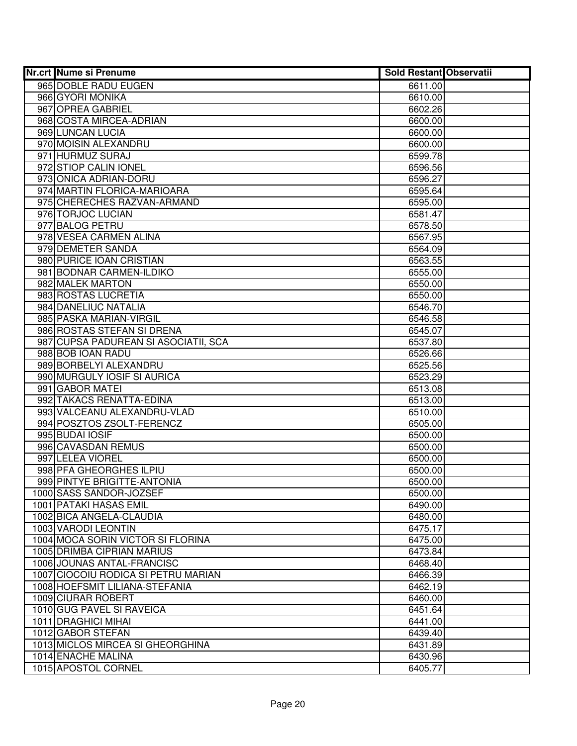| Nr.crt Nume si Prenume                                 | <b>Sold Restant Observatii</b> |  |
|--------------------------------------------------------|--------------------------------|--|
| 965 DOBLE RADU EUGEN                                   | 6611.00                        |  |
| 966 GYORI MONIKA                                       | 6610.00                        |  |
| 967 OPREA GABRIEL                                      | 6602.26                        |  |
| 968 COSTA MIRCEA-ADRIAN                                | 6600.00                        |  |
| 969 LUNCAN LUCIA                                       | 6600.00                        |  |
| 970 MOISIN ALEXANDRU                                   | 6600.00                        |  |
| 971 HURMUZ SURAJ                                       | 6599.78                        |  |
| 972 STIOP CALIN IONEL                                  | 6596.56                        |  |
| 973 ONICA ADRIAN-DORU                                  | 6596.27                        |  |
| 974 MARTIN FLORICA-MARIOARA                            | 6595.64                        |  |
| 975 CHERECHES RAZVAN-ARMAND                            | 6595.00                        |  |
| 976 TORJOC LUCIAN                                      | 6581.47                        |  |
| 977 BALOG PETRU                                        | 6578.50                        |  |
| 978 VESEA CARMEN ALINA                                 | 6567.95                        |  |
| 979 DEMETER SANDA                                      | 6564.09                        |  |
| 980 PURICE IOAN CRISTIAN                               | 6563.55                        |  |
| 981 BODNAR CARMEN-ILDIKO                               | 6555.00                        |  |
| 982 MALEK MARTON                                       | 6550.00                        |  |
| 983 ROSTAS LUCRETIA                                    | 6550.00                        |  |
| 984 DANELIUC NATALIA                                   | 6546.70                        |  |
| 985 PASKA MARIAN-VIRGIL                                | 6546.58                        |  |
| 986 ROSTAS STEFAN SI DRENA                             | 6545.07                        |  |
| 987 CUPSA PADUREAN SI ASOCIATII, SCA                   | 6537.80                        |  |
| 988 BOB IOAN RADU                                      | 6526.66                        |  |
| 989 BORBELYI ALEXANDRU                                 | 6525.56                        |  |
| 990 MURGULY IOSIF SI AURICA                            | 6523.29                        |  |
| 991 GABOR MATEI                                        | 6513.08                        |  |
| 992 TAKACS RENATTA-EDINA                               | 6513.00                        |  |
| 993 VALCEANU ALEXANDRU-VLAD                            | 6510.00                        |  |
| 994 POSZTOS ZSOLT-FERENCZ                              | 6505.00                        |  |
| 995 BUDAI IOSIF                                        | 6500.00                        |  |
| 996 CAVASDAN REMUS                                     | 6500.00                        |  |
| 997 LELEA VIOREL                                       | 6500.00                        |  |
| 998 PFA GHEORGHES ILPIU<br>999 PINTYE BRIGITTE-ANTONIA | 6500.00                        |  |
|                                                        | 6500.00                        |  |
| 1000 SASS SANDOR-JOZSEF<br>1001 PATAKI HASAS EMIL      | 6500.00                        |  |
| 1002 BICA ANGELA-CLAUDIA                               | 6490.00<br>6480.00             |  |
| 1003 VARODI LEONTIN                                    | 6475.17                        |  |
| 1004 MOCA SORIN VICTOR SI FLORINA                      | 6475.00                        |  |
| 1005 DRIMBA CIPRIAN MARIUS                             | 6473.84                        |  |
| 1006 JOUNAS ANTAL-FRANCISC                             | 6468.40                        |  |
| 1007 CIOCOIU RODICA SI PETRU MARIAN                    | 6466.39                        |  |
| 1008 HOEFSMIT LILIANA-STEFANIA                         | 6462.19                        |  |
| 1009 CIURAR ROBERT                                     | 6460.00                        |  |
| 1010 GUG PAVEL SI RAVEICA                              | 6451.64                        |  |
| 1011   DRAGHICI MIHAI                                  | 6441.00                        |  |
| 1012 GABOR STEFAN                                      | 6439.40                        |  |
| 1013 MICLOS MIRCEA SI GHEORGHINA                       | 6431.89                        |  |
| 1014 ENACHE MALINA                                     | 6430.96                        |  |
| 1015 APOSTOL CORNEL                                    | 6405.77                        |  |
|                                                        |                                |  |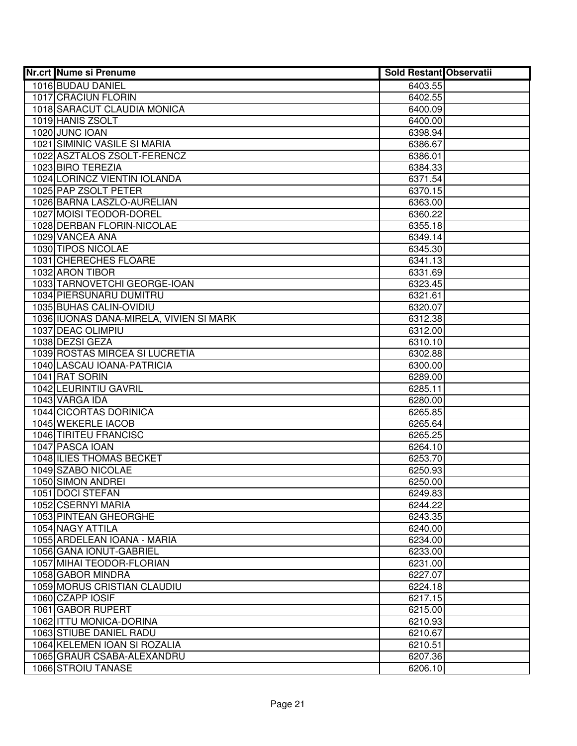| <b>Nr.crt Nume si Prenume</b>                              | <b>Sold Restant Observatii</b> |  |
|------------------------------------------------------------|--------------------------------|--|
| 1016 BUDAU DANIEL                                          | 6403.55                        |  |
| 1017 CRACIUN FLORIN                                        | 6402.55                        |  |
| 1018 SARACUT CLAUDIA MONICA                                | 6400.09                        |  |
| 1019 HANIS ZSOLT                                           | 6400.00                        |  |
| 1020 JUNC IOAN                                             | 6398.94                        |  |
| 1021 SIMINIC VASILE SI MARIA                               | 6386.67                        |  |
| 1022 ASZTALOS ZSOLT-FERENCZ                                | 6386.01                        |  |
| 1023 BIRO TEREZIA                                          | 6384.33                        |  |
| 1024 LORINCZ VIENTIN IOLANDA                               | 6371.54                        |  |
| 1025 PAP ZSOLT PETER                                       | 6370.15                        |  |
| 1026 BARNA LASZLO-AURELIAN                                 | 6363.00                        |  |
| 1027 MOISI TEODOR-DOREL                                    | 6360.22                        |  |
| 1028 DERBAN FLORIN-NICOLAE                                 | 6355.18                        |  |
| 1029 VANCEA ANA                                            | 6349.14                        |  |
| 1030 TIPOS NICOLAE                                         | 6345.30                        |  |
| 1031 CHERECHES FLOARE                                      | 6341.13                        |  |
| 1032 ARON TIBOR                                            | 6331.69                        |  |
| 1033 TARNOVETCHI GEORGE-IOAN                               | 6323.45                        |  |
| 1034 PIERSUNARU DUMITRU                                    | 6321.61                        |  |
| 1035 BUHAS CALIN-OVIDIU                                    | 6320.07                        |  |
| 1036 IUONAS DANA-MIRELA, VIVIEN SI MARK                    | 6312.38                        |  |
| 1037 DEAC OLIMPIU                                          | 6312.00                        |  |
| 1038 DEZSI GEZA                                            | 6310.10                        |  |
| 1039 ROSTAS MIRCEA SI LUCRETIA                             | 6302.88                        |  |
| 1040 LASCAU IOANA-PATRICIA                                 | 6300.00                        |  |
| 1041 RAT SORIN                                             | 6289.00                        |  |
| 1042 LEURINTIU GAVRIL                                      | 6285.11                        |  |
| 1043 VARGA IDA                                             | 6280.00                        |  |
| 1044 CICORTAS DORINICA                                     | 6265.85                        |  |
| 1045 WEKERLE IACOB                                         | 6265.64                        |  |
| 1046 TIRITEU FRANCISC                                      | 6265.25                        |  |
| 1047 PASCA IOAN                                            | 6264.10                        |  |
| <b>1048 ILIES THOMAS BECKET</b>                            | 6253.70                        |  |
| 1049 SZABO NICOLAE                                         | 6250.93                        |  |
| 1050 SIMON ANDREI                                          | 6250.00                        |  |
| 1051 DOCI STEFAN                                           | 6249.83                        |  |
| 1052 CSERNYI MARIA                                         | 6244.22                        |  |
| 1053 PINTEAN GHEORGHE                                      | 6243.35                        |  |
| 1054 NAGY ATTILA                                           | 6240.00                        |  |
| 1055 ARDELEAN IOANA - MARIA                                | 6234.00                        |  |
| 1056 GANA IONUT-GABRIEL                                    | 6233.00                        |  |
| 1057 MIHAI TEODOR-FLORIAN                                  | 6231.00                        |  |
| 1058 GABOR MINDRA                                          | 6227.07                        |  |
| 1059 MORUS CRISTIAN CLAUDIU                                | 6224.18                        |  |
| 1060 CZAPP IOSIF                                           | 6217.15                        |  |
| 1061 GABOR RUPERT                                          | 6215.00                        |  |
| 1062 ITTU MONICA-DORINA                                    | 6210.93                        |  |
| 1063 STIUBE DANIEL RADU                                    | 6210.67                        |  |
| 1064 KELEMEN IOAN SI ROZALIA<br>1065 GRAUR CSABA-ALEXANDRU | 6210.51<br>6207.36             |  |
| 1066 STROIU TANASE                                         |                                |  |
|                                                            | 6206.10                        |  |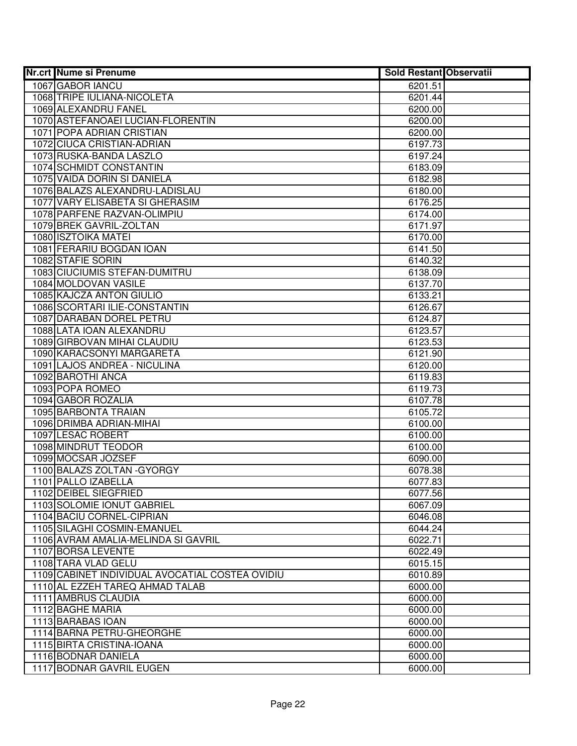| <b>Nr.crt Nume si Prenume</b>                           | <b>Sold Restant Observatii</b> |  |
|---------------------------------------------------------|--------------------------------|--|
| 1067 GABOR IANCU                                        | 6201.51                        |  |
| 1068 TRIPE IULIANA-NICOLETA                             | 6201.44                        |  |
| 1069 ALEXANDRU FANEL                                    | 6200.00                        |  |
| 1070 ASTEFANOAEI LUCIAN-FLORENTIN                       | 6200.00                        |  |
| 1071 POPA ADRIAN CRISTIAN                               | 6200.00                        |  |
| 1072 CIUCA CRISTIAN-ADRIAN                              | 6197.73                        |  |
| 1073 RUSKA-BANDA LASZLO                                 | 6197.24                        |  |
| 1074 SCHMIDT CONSTANTIN                                 | 6183.09                        |  |
| 1075 VAIDA DORIN SI DANIELA                             | 6182.98                        |  |
| 1076 BALAZS ALEXANDRU-LADISLAU                          | 6180.00                        |  |
| 1077 VARY ELISABETA SI GHERASIM                         | 6176.25                        |  |
| 1078 PARFENE RAZVAN-OLIMPIU                             | 6174.00                        |  |
| 1079 BREK GAVRIL-ZOLTAN                                 | 6171.97                        |  |
| 1080 ISZTOIKA MATEI                                     | 6170.00                        |  |
| 1081 FERARIU BOGDAN IOAN                                | 6141.50                        |  |
| 1082 STAFIE SORIN                                       | 6140.32                        |  |
| 1083 CIUCIUMIS STEFAN-DUMITRU                           | 6138.09                        |  |
| 1084 MOLDOVAN VASILE                                    | 6137.70                        |  |
| 1085 KAJCZA ANTON GIULIO                                | 6133.21                        |  |
| 1086 SCORTARI ILIE-CONSTANTIN                           | 6126.67                        |  |
| 1087 DARABAN DOREL PETRU                                | 6124.87                        |  |
| 1088 LATA IOAN ALEXANDRU                                | 6123.57                        |  |
| 1089 GIRBOVAN MIHAI CLAUDIU                             | 6123.53                        |  |
| 1090 KARACSONYI MARGARETA                               | 6121.90                        |  |
| 1091 LAJOS ANDREA - NICULINA                            | 6120.00                        |  |
| 1092 BAROTHI ANCA                                       | 6119.83                        |  |
| 1093 POPA ROMEO                                         | 6119.73                        |  |
| 1094 GABOR ROZALIA                                      | 6107.78                        |  |
| 1095 BARBONTA TRAIAN                                    | 6105.72                        |  |
| 1096 DRIMBA ADRIAN-MIHAI                                | 6100.00                        |  |
| 1097 LESAC ROBERT                                       | 6100.00                        |  |
| 1098 MINDRUT TEODOR                                     | 6100.00                        |  |
| 1099 MOCSAR JOZSEF                                      | 6090.00                        |  |
| 1100 BALAZS ZOLTAN - GYORGY                             | 6078.38                        |  |
| 1101 PALLO IZABELLA                                     | 6077.83                        |  |
| 1102 DEIBEL SIEGFRIED                                   | 6077.56<br>6067.09             |  |
| 1103 SOLOMIE IONUT GABRIEL<br>1104 BACIU CORNEL-CIPRIAN |                                |  |
| 1105 SILAGHI COSMIN-EMANUEL                             | 6046.08<br>6044.24             |  |
| 1106 AVRAM AMALIA-MELINDA SI GAVRIL                     | 6022.71                        |  |
| 1107 BORSA LEVENTE                                      | 6022.49                        |  |
| 1108 TARA VLAD GELU                                     | 6015.15                        |  |
| 1109 CABINET INDIVIDUAL AVOCATIAL COSTEA OVIDIU         | 6010.89                        |  |
| 1110 AL EZZEH TAREQ AHMAD TALAB                         | 6000.00                        |  |
| 1111 AMBRUS CLAUDIA                                     | 6000.00                        |  |
| 1112 BAGHE MARIA                                        | 6000.00                        |  |
| 1113 BARABAS IOAN                                       | 6000.00                        |  |
| 1114 BARNA PETRU-GHEORGHE                               | 6000.00                        |  |
| 1115 BIRTA CRISTINA-IOANA                               | 6000.00                        |  |
| 1116 BODNAR DANIELA                                     | 6000.00                        |  |
| 1117 BODNAR GAVRIL EUGEN                                | 6000.00                        |  |
|                                                         |                                |  |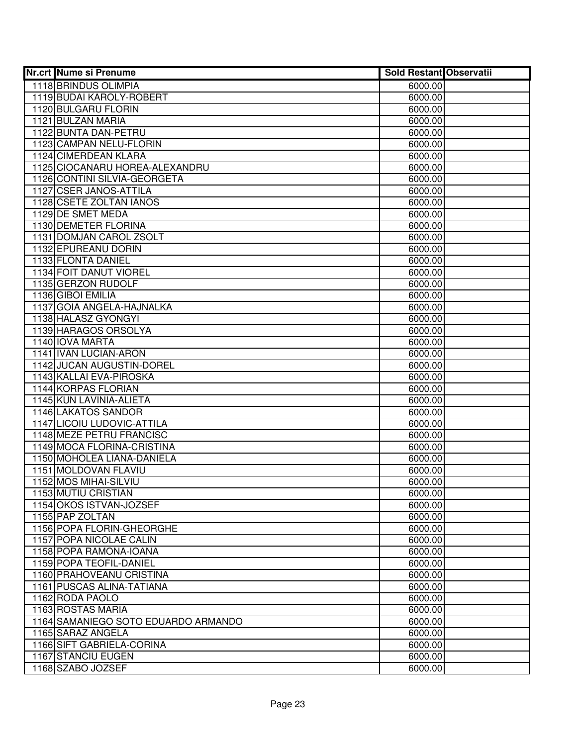| <b>Nr.crt Nume si Prenume</b>       | <b>Sold Restant Observatii</b> |  |
|-------------------------------------|--------------------------------|--|
| 1118 BRINDUS OLIMPIA                | 6000.00                        |  |
| 1119 BUDAI KAROLY-ROBERT            | 6000.00                        |  |
| 1120 BULGARU FLORIN                 | 6000.00                        |  |
| 1121 BULZAN MARIA                   | 6000.00                        |  |
| 1122 BUNTA DAN-PETRU                | 6000.00                        |  |
| 1123 CAMPAN NELU-FLORIN             | 6000.00                        |  |
| 1124 CIMERDEAN KLARA                | 6000.00                        |  |
| 1125 CIOCANARU HOREA-ALEXANDRU      | 6000.00                        |  |
| 1126 CONTINI SILVIA-GEORGETA        | 6000.00                        |  |
| <b>1127 CSER JANOS-ATTILA</b>       | 6000.00                        |  |
| 1128 CSETE ZOLTAN IANOS             | 6000.00                        |  |
| 1129 DE SMET MEDA                   | 6000.00                        |  |
| 1130 DEMETER FLORINA                | 6000.00                        |  |
| 1131 DOMJAN CAROL ZSOLT             | 6000.00                        |  |
| 1132 EPUREANU DORIN                 | 6000.00                        |  |
| 1133 FLONTA DANIEL                  | 6000.00                        |  |
| 1134 FOIT DANUT VIOREL              | 6000.00                        |  |
| 1135 GERZON RUDOLF                  | 6000.00                        |  |
| 1136 GIBOI EMILIA                   | 6000.00                        |  |
| 1137 GOIA ANGELA-HAJNALKA           | 6000.00                        |  |
| 1138 HALASZ GYONGYI                 | 6000.00                        |  |
| 1139 HARAGOS ORSOLYA                | 6000.00                        |  |
| 1140 IOVA MARTA                     | 6000.00                        |  |
| 1141 IVAN LUCIAN-ARON               | 6000.00                        |  |
| 1142 JUCAN AUGUSTIN-DOREL           | 6000.00                        |  |
| 1143 KALLAI EVA-PIROSKA             | 6000.00                        |  |
| <b>1144 KORPAS FLORIAN</b>          | 6000.00                        |  |
| 1145 KUN LAVINIA-ALIETA             | 6000.00                        |  |
| 1146 LAKATOS SANDOR                 | 6000.00                        |  |
| 1147 LICOIU LUDOVIC-ATTILA          | 6000.00                        |  |
| 1148 MEZE PETRU FRANCISC            | 6000.00                        |  |
| 1149 MOCA FLORINA-CRISTINA          | 6000.00                        |  |
| 1150 MOHOLEA LIANA-DANIELA          | 6000.00                        |  |
| 1151 MOLDOVAN FLAVIU                | 6000.00                        |  |
| 1152 MOS MIHAI-SILVIU               | 6000.00                        |  |
| 1153 MUTIU CRISTIAN                 | 6000.00                        |  |
| 1154 OKOS ISTVAN-JOZSEF             | 6000.00                        |  |
| 1155 PAP ZOLTAN                     | 6000.00                        |  |
| 1156 POPA FLORIN-GHEORGHE           | 6000.00                        |  |
| 1157 POPA NICOLAE CALIN             | 6000.00                        |  |
| 1158 POPA RAMONA-IOANA              | 6000.00                        |  |
| 1159 POPA TEOFIL-DANIEL             | 6000.00                        |  |
| 1160 PRAHOVEANU CRISTINA            | 6000.00                        |  |
| 1161 PUSCAS ALINA-TATIANA           | 6000.00                        |  |
| 1162 RODA PAOLO                     | 6000.00                        |  |
| 1163 ROSTAS MARIA                   | 6000.00                        |  |
| 1164 SAMANIEGO SOTO EDUARDO ARMANDO | 6000.00                        |  |
| 1165 SARAZ ANGELA                   | 6000.00                        |  |
| 1166 SIFT GABRIELA-CORINA           | 6000.00                        |  |
| 1167 STANCIU EUGEN                  | 6000.00                        |  |
| 1168 SZABO JOZSEF                   | 6000.00                        |  |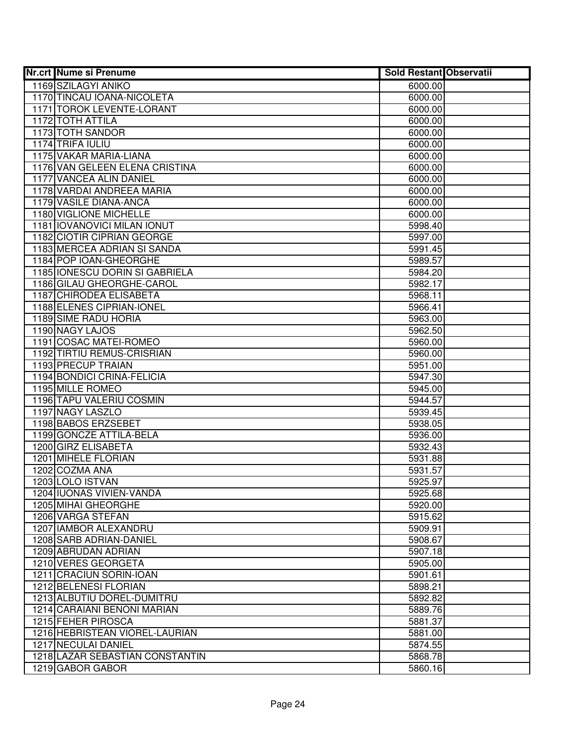| <b>Nr.crt Nume si Prenume</b>              | <b>Sold Restant Observatii</b> |  |
|--------------------------------------------|--------------------------------|--|
| 1169 SZILAGYI ANIKO                        | 6000.00                        |  |
| 1170 TINCAU IOANA-NICOLETA                 | 6000.00                        |  |
| 1171 TOROK LEVENTE-LORANT                  | 6000.00                        |  |
| 1172 TOTH ATTILA                           | 6000.00                        |  |
| 1173 TOTH SANDOR                           | 6000.00                        |  |
| 1174 TRIFA IULIU                           | 6000.00                        |  |
| 1175 VAKAR MARIA-LIANA                     | 6000.00                        |  |
| 1176 VAN GELEEN ELENA CRISTINA             | 6000.00                        |  |
| <b>1177 VANCEA ALIN DANIEL</b>             | 6000.00                        |  |
| 1178 VARDAI ANDREEA MARIA                  | 6000.00                        |  |
| 1179 VASILE DIANA-ANCA                     | 6000.00                        |  |
| 1180 VIGLIONE MICHELLE                     | 6000.00                        |  |
| 1181   IOVANOVICI MILAN IONUT              | 5998.40                        |  |
| 1182 CIOTIR CIPRIAN GEORGE                 | 5997.00                        |  |
| 1183 MERCEA ADRIAN SI SANDA                | 5991.45                        |  |
| 1184 POP IOAN-GHEORGHE                     | 5989.57                        |  |
| 1185 IONESCU DORIN SI GABRIELA             | 5984.20                        |  |
| 1186 GILAU GHEORGHE-CAROL                  | 5982.17                        |  |
| 1187 CHIRODEA ELISABETA                    | 5968.11                        |  |
| 1188 ELENES CIPRIAN-IONEL                  | 5966.41                        |  |
| 1189 SIME RADU HORIA                       | 5963.00                        |  |
| 1190 NAGY LAJOS                            | 5962.50                        |  |
| 1191 COSAC MATEI-ROMEO                     | 5960.00                        |  |
| 1192 TIRTIU REMUS-CRISRIAN                 | 5960.00                        |  |
| 1193 PRECUP TRAIAN                         | 5951.00                        |  |
| 1194 BONDICI CRINA-FELICIA                 | 5947.30                        |  |
| 1195 MILLE ROMEO                           | 5945.00                        |  |
| 1196 TAPU VALERIU COSMIN                   | 5944.57                        |  |
| 1197 NAGY LASZLO                           | 5939.45                        |  |
| 1198 BABOS ERZSEBET                        | 5938.05                        |  |
| 1199 GONCZE ATTILA-BELA                    | 5936.00                        |  |
| 1200 GIRZ ELISABETA                        | 5932.43                        |  |
| 1201 MIHELE FLORIAN                        | 5931.88                        |  |
| 1202 COZMA ANA                             | 5931.57                        |  |
| 1203 LOLO ISTVAN                           | 5925.97                        |  |
| 1204 IUONAS VIVIEN-VANDA                   | 5925.68                        |  |
| 1205 MIHAI GHEORGHE                        | 5920.00<br>5915.62             |  |
| 1206 VARGA STEFAN<br>1207 IAMBOR ALEXANDRU |                                |  |
| 1208 SARB ADRIAN-DANIEL                    | 5909.91<br>5908.67             |  |
| 1209 ABRUDAN ADRIAN                        |                                |  |
| 1210 VERES GEORGETA                        | 5907.18                        |  |
| 1211 CRACIUN SORIN-IOAN                    | 5905.00<br>5901.61             |  |
| 1212 BELENESI FLORIAN                      |                                |  |
| 1213 ALBUTIU DOREL-DUMITRU                 | 5898.21<br>5892.82             |  |
| 1214 CARAIANI BENONI MARIAN                | 5889.76                        |  |
| 1215 FEHER PIROSCA                         | 5881.37                        |  |
| 1216 HEBRISTEAN VIOREL-LAURIAN             | 5881.00                        |  |
| 1217 NECULAI DANIEL                        | 5874.55                        |  |
| 1218 LAZAR SEBASTIAN CONSTANTIN            | 5868.78                        |  |
| 1219 GABOR GABOR                           | 5860.16                        |  |
|                                            |                                |  |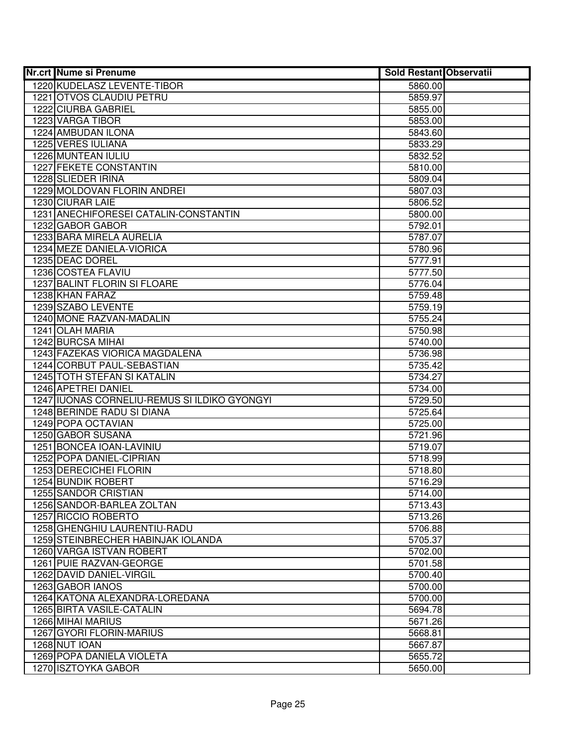| <b>Nr.crt Nume si Prenume</b>                       | <b>Sold Restant Observatii</b> |  |
|-----------------------------------------------------|--------------------------------|--|
| 1220 KUDELASZ LEVENTE-TIBOR                         | 5860.00                        |  |
| 1221 OTVOS CLAUDIU PETRU                            | 5859.97                        |  |
| 1222 CIURBA GABRIEL                                 | 5855.00                        |  |
| 1223 VARGA TIBOR                                    | 5853.00                        |  |
| 1224 AMBUDAN ILONA                                  | 5843.60                        |  |
| 1225 VERES IULIANA                                  | 5833.29                        |  |
| 1226 MUNTEAN IULIU                                  | 5832.52                        |  |
| 1227 FEKETE CONSTANTIN                              | 5810.00                        |  |
| 1228 SLIEDER IRINA                                  | 5809.04                        |  |
| 1229 MOLDOVAN FLORIN ANDREI                         | 5807.03                        |  |
| 1230 CIURAR LAIE                                    | 5806.52                        |  |
| 1231 ANECHIFORESEI CATALIN-CONSTANTIN               | 5800.00                        |  |
| 1232 GABOR GABOR                                    | 5792.01                        |  |
| 1233 BARA MIRELA AURELIA                            | 5787.07                        |  |
| 1234 MEZE DANIELA-VIORICA                           | 5780.96                        |  |
| 1235 DEAC DOREL                                     | 5777.91                        |  |
| 1236 COSTEA FLAVIU                                  | 5777.50                        |  |
| 1237 BALINT FLORIN SI FLOARE                        | 5776.04                        |  |
| 1238 KHAN FARAZ                                     | 5759.48                        |  |
| 1239 SZABO LEVENTE                                  | 5759.19                        |  |
| 1240 MONE RAZVAN-MADALIN                            | 5755.24                        |  |
| 1241 OLAH MARIA                                     | 5750.98                        |  |
| 1242 BURCSA MIHAI                                   | 5740.00                        |  |
| 1243 FAZEKAS VIORICA MAGDALENA                      | 5736.98                        |  |
| 1244 CORBUT PAUL-SEBASTIAN                          | 5735.42                        |  |
| 1245 TOTH STEFAN SI KATALIN                         | 5734.27                        |  |
| 1246 APETREI DANIEL                                 | 5734.00                        |  |
| 1247 IUONAS CORNELIU-REMUS SI ILDIKO GYONGYI        | 5729.50                        |  |
| 1248 BERINDE RADU SI DIANA                          | 5725.64                        |  |
| 1249 POPA OCTAVIAN                                  | 5725.00                        |  |
| 1250 GABOR SUSANA                                   | 5721.96                        |  |
| 1251 BONCEA IOAN-LAVINIU                            | 5719.07                        |  |
| 1252 POPA DANIEL-CIPRIAN                            | 5718.99                        |  |
| 1253 DERECICHEI FLORIN                              | 5718.80                        |  |
| 1254 BUNDIK ROBERT                                  | 5716.29                        |  |
| 1255 SANDOR CRISTIAN                                | 5714.00                        |  |
| 1256 SANDOR-BARLEA ZOLTAN                           | 5713.43                        |  |
| 1257 RICCIO ROBERTO                                 | 5713.26                        |  |
| 1258 GHENGHIU LAURENTIU-RADU                        | 5706.88                        |  |
| 1259 STEINBRECHER HABINJAK IOLANDA                  | 5705.37                        |  |
| 1260 VARGA ISTVAN ROBERT<br>1261 PUIE RAZVAN-GEORGE | 5702.00                        |  |
| 1262 DAVID DANIEL-VIRGIL                            | 5701.58<br>5700.40             |  |
|                                                     |                                |  |
| 1263 GABOR IANOS<br>1264 KATONA ALEXANDRA-LOREDANA  | 5700.00                        |  |
| 1265 BIRTA VASILE-CATALIN                           | 5700.00                        |  |
| 1266 MIHAI MARIUS                                   | 5694.78                        |  |
| 1267 GYORI FLORIN-MARIUS                            | 5671.26                        |  |
| 1268 NUT IOAN                                       | 5668.81<br>5667.87             |  |
| 1269 POPA DANIELA VIOLETA                           | 5655.72                        |  |
| 1270 ISZTOYKA GABOR                                 |                                |  |
|                                                     | 5650.00                        |  |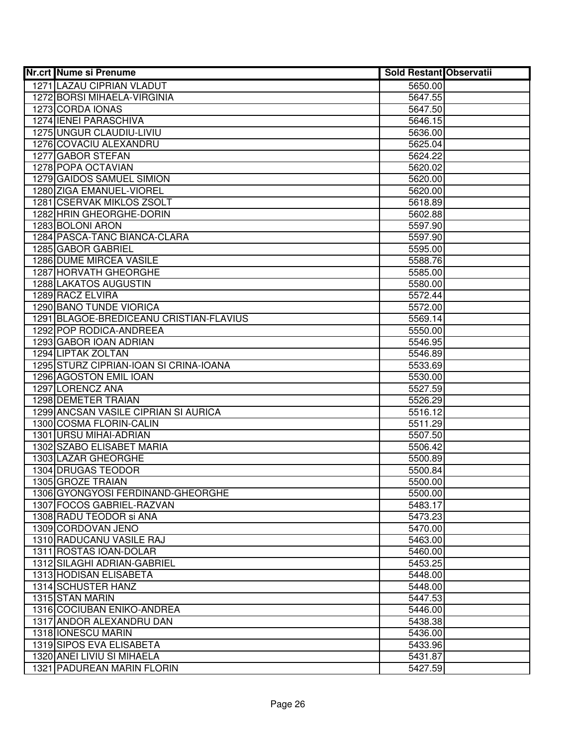| <b>Nr.crt Nume si Prenume</b>           | <b>Sold Restant Observatii</b> |  |
|-----------------------------------------|--------------------------------|--|
| 1271 LAZAU CIPRIAN VLADUT               | 5650.00                        |  |
| 1272 BORSI MIHAELA-VIRGINIA             | 5647.55                        |  |
| 1273 CORDA IONAS                        | 5647.50                        |  |
| 1274 IENEI PARASCHIVA                   | 5646.15                        |  |
| 1275 UNGUR CLAUDIU-LIVIU                | 5636.00                        |  |
| 1276 COVACIU ALEXANDRU                  | 5625.04                        |  |
| 1277 GABOR STEFAN                       | 5624.22                        |  |
| 1278 POPA OCTAVIAN                      | 5620.02                        |  |
| 1279 GAIDOS SAMUEL SIMION               | 5620.00                        |  |
| 1280 ZIGA EMANUEL-VIOREL                | 5620.00                        |  |
| 1281 CSERVAK MIKLOS ZSOLT               | 5618.89                        |  |
| 1282 HRIN GHEORGHE-DORIN                | 5602.88                        |  |
| 1283 BOLONI ARON                        | 5597.90                        |  |
| 1284 PASCA-TANC BIANCA-CLARA            | 5597.90                        |  |
| 1285 GABOR GABRIEL                      | 5595.00                        |  |
| 1286 DUME MIRCEA VASILE                 | 5588.76                        |  |
| 1287 HORVATH GHEORGHE                   | 5585.00                        |  |
| 1288 LAKATOS AUGUSTIN                   | 5580.00                        |  |
| 1289 RACZ ELVIRA                        | 5572.44                        |  |
| 1290 BANO TUNDE VIORICA                 | 5572.00                        |  |
| 1291 BLAGOE-BREDICEANU CRISTIAN-FLAVIUS | 5569.14                        |  |
| 1292 POP RODICA-ANDREEA                 | 5550.00                        |  |
| 1293 GABOR IOAN ADRIAN                  | 5546.95                        |  |
| 1294 LIPTAK ZOLTAN                      | 5546.89                        |  |
| 1295 STURZ CIPRIAN-IOAN SI CRINA-IOANA  | 5533.69                        |  |
| 1296 AGOSTON EMIL IOAN                  | 5530.00                        |  |
| 1297 LORENCZ ANA                        | 5527.59                        |  |
| 1298 DEMETER TRAIAN                     | 5526.29                        |  |
| 1299 ANCSAN VASILE CIPRIAN SI AURICA    | 5516.12                        |  |
| 1300 COSMA FLORIN-CALIN                 | 5511.29                        |  |
| 1301 URSU MIHAI-ADRIAN                  | 5507.50                        |  |
| 1302 SZABO ELISABET MARIA               | 5506.42                        |  |
| 1303 LAZAR GHEORGHE                     | 5500.89                        |  |
| 1304 DRUGAS TEODOR                      | 5500.84                        |  |
| 1305 GROZE TRAIAN                       | 5500.00                        |  |
| 1306 GYONGYOSI FERDINAND-GHEORGHE       | 5500.00                        |  |
| 1307 FOCOS GABRIEL-RAZVAN               | 5483.17                        |  |
| 1308 RADU TEODOR si ANA                 | 5473.23                        |  |
| 1309 CORDOVAN JENO                      | 5470.00                        |  |
| 1310 RADUCANU VASILE RAJ                | 5463.00                        |  |
| 1311 ROSTAS IOAN-DOLAR                  | 5460.00                        |  |
| 1312 SILAGHI ADRIAN-GABRIEL             | 5453.25                        |  |
| 1313 HODISAN ELISABETA                  | 5448.00                        |  |
| 1314 SCHUSTER HANZ                      | 5448.00                        |  |
| 1315 STAN MARIN                         | 5447.53                        |  |
| 1316 COCIUBAN ENIKO-ANDREA              | 5446.00                        |  |
| 1317 ANDOR ALEXANDRU DAN                | 5438.38                        |  |
| 1318 IONESCU MARIN                      | 5436.00                        |  |
| 1319 SIPOS EVA ELISABETA                | 5433.96                        |  |
| 1320 ANEI LIVIU SI MIHAELA              | 5431.87                        |  |
| 1321 PADUREAN MARIN FLORIN              | 5427.59                        |  |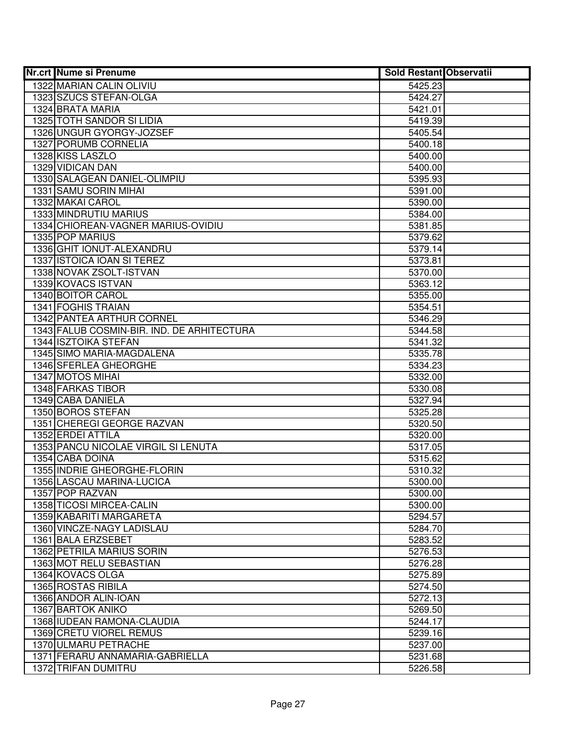| <b>Nr.crt Nume si Prenume</b>              | <b>Sold Restant Observatii</b> |  |
|--------------------------------------------|--------------------------------|--|
| 1322 MARIAN CALIN OLIVIU                   | 5425.23                        |  |
| 1323 SZUCS STEFAN-OLGA                     | 5424.27                        |  |
| 1324 BRATA MARIA                           | 5421.01                        |  |
| 1325 TOTH SANDOR SI LIDIA                  | 5419.39                        |  |
| 1326 UNGUR GYORGY-JOZSEF                   | 5405.54                        |  |
| 1327 PORUMB CORNELIA                       | 5400.18                        |  |
| 1328 KISS LASZLO                           | 5400.00                        |  |
| 1329 VIDICAN DAN                           | 5400.00                        |  |
| 1330 SALAGEAN DANIEL-OLIMPIU               | 5395.93                        |  |
| 1331 SAMU SORIN MIHAI                      | 5391.00                        |  |
| 1332 MAKAI CAROL                           | 5390.00                        |  |
| 1333 MINDRUTIU MARIUS                      | 5384.00                        |  |
| 1334 CHIOREAN-VAGNER MARIUS-OVIDIU         | 5381.85                        |  |
| 1335 POP MARIUS                            | 5379.62                        |  |
| 1336 GHIT IONUT-ALEXANDRU                  | 5379.14                        |  |
| 1337 ISTOICA IOAN SI TEREZ                 | 5373.81                        |  |
| 1338 NOVAK ZSOLT-ISTVAN                    | 5370.00                        |  |
| 1339 KOVACS ISTVAN                         | 5363.12                        |  |
| 1340 BOITOR CAROL                          | 5355.00                        |  |
| 1341 FOGHIS TRAIAN                         | 5354.51                        |  |
| 1342 PANTEA ARTHUR CORNEL                  | 5346.29                        |  |
| 1343 FALUB COSMIN-BIR. IND. DE ARHITECTURA | 5344.58                        |  |
| 1344 ISZTOIKA STEFAN                       | 5341.32                        |  |
| 1345 SIMO MARIA-MAGDALENA                  | 5335.78                        |  |
| 1346 SFERLEA GHEORGHE                      | 5334.23                        |  |
| 1347 MOTOS MIHAI                           | 5332.00                        |  |
| 1348 FARKAS TIBOR                          | 5330.08                        |  |
| 1349 CABA DANIELA                          | 5327.94                        |  |
| 1350 BOROS STEFAN                          | 5325.28                        |  |
| 1351 CHEREGI GEORGE RAZVAN                 | 5320.50                        |  |
| 1352 ERDEI ATTILA                          | 5320.00                        |  |
| 1353 PANCU NICOLAE VIRGIL SI LENUTA        | 5317.05                        |  |
| 1354 CABA DOINA                            | 5315.62                        |  |
| 1355 INDRIE GHEORGHE-FLORIN                | 5310.32                        |  |
| 1356 LASCAU MARINA-LUCICA                  | 5300.00                        |  |
| 1357 POP RAZVAN                            | 5300.00                        |  |
| 1358 TICOSI MIRCEA-CALIN                   | 5300.00                        |  |
| 1359 KABARITI MARGARETA                    | 5294.57                        |  |
| 1360 VINCZE-NAGY LADISLAU                  | 5284.70                        |  |
| 1361 BALA ERZSEBET                         | 5283.52                        |  |
| <b>1362 PETRILA MARIUS SORIN</b>           | 5276.53                        |  |
| 1363 MOT RELU SEBASTIAN                    | 5276.28                        |  |
| 1364 KOVACS OLGA                           | 5275.89                        |  |
| 1365 ROSTAS RIBILA                         | 5274.50                        |  |
| 1366 ANDOR ALIN-IOAN                       | 5272.13                        |  |
| 1367 BARTOK ANIKO                          | 5269.50                        |  |
| 1368 IUDEAN RAMONA-CLAUDIA                 | 5244.17                        |  |
| 1369 CRETU VIOREL REMUS                    | 5239.16                        |  |
| 1370 ULMARU PETRACHE                       | 5237.00                        |  |
| 1371 FERARU ANNAMARIA-GABRIELLA            | 5231.68                        |  |
| 1372 TRIFAN DUMITRU                        | 5226.58                        |  |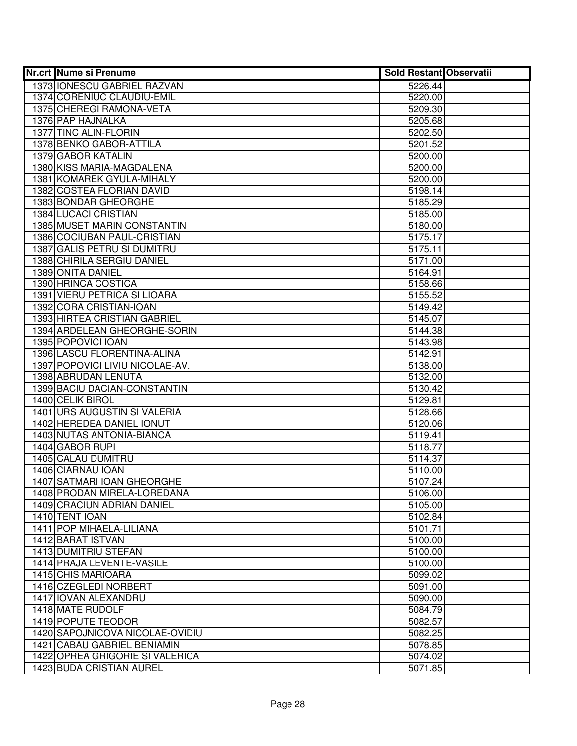| <b>Nr.crt Nume si Prenume</b>      | <b>Sold Restant Observatii</b> |  |
|------------------------------------|--------------------------------|--|
| 1373 <b>IONESCU GABRIEL RAZVAN</b> | 5226.44                        |  |
| 1374 CORENIUC CLAUDIU-EMIL         | 5220.00                        |  |
| 1375 CHEREGI RAMONA-VETA           | 5209.30                        |  |
| 1376 PAP HAJNALKA                  | 5205.68                        |  |
| 1377 TINC ALIN-FLORIN              | 5202.50                        |  |
| 1378 BENKO GABOR-ATTILA            | 5201.52                        |  |
| 1379 GABOR KATALIN                 | 5200.00                        |  |
| 1380 KISS MARIA-MAGDALENA          | 5200.00                        |  |
| 1381 KOMAREK GYULA-MIHALY          | 5200.00                        |  |
| 1382 COSTEA FLORIAN DAVID          | 5198.14                        |  |
| 1383 BONDAR GHEORGHE               | 5185.29                        |  |
| 1384 LUCACI CRISTIAN               | 5185.00                        |  |
| 1385 MUSET MARIN CONSTANTIN        | 5180.00                        |  |
| 1386 COCIUBAN PAUL-CRISTIAN        | 5175.17                        |  |
| 1387 GALIS PETRU SI DUMITRU        | 5175.11                        |  |
| 1388 CHIRILA SERGIU DANIEL         | 5171.00                        |  |
| 1389 ONITA DANIEL                  | 5164.91                        |  |
| 1390 HRINCA COSTICA                | 5158.66                        |  |
| 1391 VIERU PETRICA SI LIOARA       | 5155.52                        |  |
| 1392 CORA CRISTIAN-IOAN            | 5149.42                        |  |
| 1393 HIRTEA CRISTIAN GABRIEL       | 5145.07                        |  |
| 1394 ARDELEAN GHEORGHE-SORIN       | 5144.38                        |  |
| 1395 POPOVICI IOAN                 | 5143.98                        |  |
| 1396 LASCU FLORENTINA-ALINA        | 5142.91                        |  |
| 1397 POPOVICI LIVIU NICOLAE-AV.    | 5138.00                        |  |
| 1398 ABRUDAN LENUTA                | 5132.00                        |  |
| 1399 BACIU DACIAN-CONSTANTIN       | 5130.42                        |  |
| 1400 CELIK BIROL                   | 5129.81                        |  |
| 1401 URS AUGUSTIN SI VALERIA       | 5128.66                        |  |
| 1402 HEREDEA DANIEL IONUT          | 5120.06                        |  |
| 1403 NUTAS ANTONIA-BIANCA          | 5119.41                        |  |
| 1404 GABOR RUPI                    | 5118.77                        |  |
| 1405 CALAU DUMITRU                 | 5114.37                        |  |
| 1406 CIARNAU IOAN                  | 5110.00                        |  |
| 1407 SATMARI IOAN GHEORGHE         | 5107.24                        |  |
| 1408 PRODAN MIRELA-LOREDANA        | 5106.00                        |  |
| 1409 CRACIUN ADRIAN DANIEL         | 5105.00                        |  |
| 1410 TENT IOAN                     | 5102.84                        |  |
| 1411 POP MIHAELA-LILIANA           | 5101.71                        |  |
| 1412 BARAT ISTVAN                  | 5100.00                        |  |
| 1413 DUMITRIU STEFAN               | 5100.00                        |  |
| 1414 PRAJA LEVENTE-VASILE          | 5100.00                        |  |
| 1415 CHIS MARIOARA                 | 5099.02                        |  |
| 1416 CZEGLEDI NORBERT              | 5091.00                        |  |
| 1417 IOVAN ALEXANDRU               | 5090.00                        |  |
| 1418 MATE RUDOLF                   | 5084.79                        |  |
| 1419 POPUTE TEODOR                 | 5082.57                        |  |
| 1420 SAPOJNICOVA NICOLAE-OVIDIU    | 5082.25                        |  |
| 1421 CABAU GABRIEL BENIAMIN        | 5078.85                        |  |
| 1422 OPREA GRIGORIE SI VALERICA    | 5074.02                        |  |
| 1423 BUDA CRISTIAN AUREL           | 5071.85                        |  |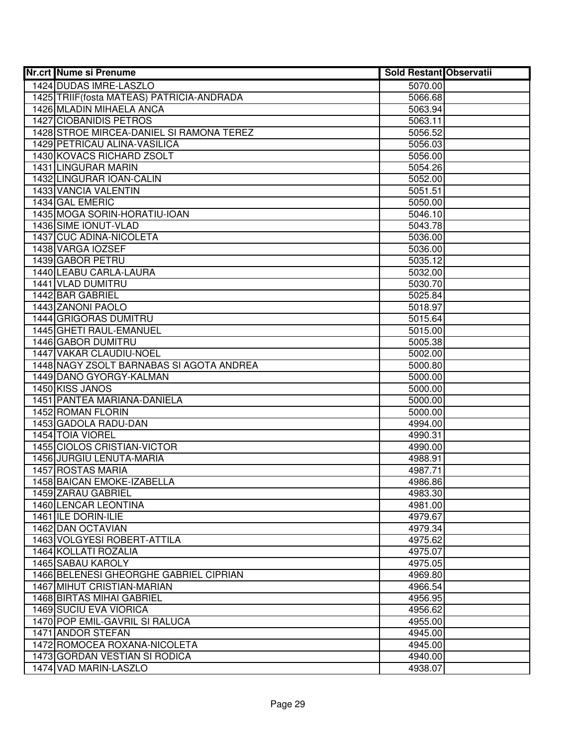| <b>Nr.crt Nume si Prenume</b>                       | <b>Sold Restant Observatii</b> |  |
|-----------------------------------------------------|--------------------------------|--|
| 1424 DUDAS IMRE-LASZLO                              | 5070.00                        |  |
| 1425 TRIIF (fosta MATEAS) PATRICIA-ANDRADA          | 5066.68                        |  |
| 1426 MLADIN MIHAELA ANCA                            | 5063.94                        |  |
| 1427 CIOBANIDIS PETROS                              | 5063.11                        |  |
| 1428 STROE MIRCEA-DANIEL SI RAMONA TEREZ            | 5056.52                        |  |
| 1429 PETRICAU ALINA-VASILICA                        | 5056.03                        |  |
| 1430 KOVACS RICHARD ZSOLT                           | 5056.00                        |  |
| 1431 LINGURAR MARIN                                 | 5054.26                        |  |
| 1432 LINGURAR IOAN-CALIN                            | 5052.00                        |  |
| 1433 VANCIA VALENTIN                                | 5051.51                        |  |
| 1434 GAL EMERIC                                     | 5050.00                        |  |
| 1435 MOGA SORIN-HORATIU-IOAN                        | 5046.10                        |  |
| 1436 SIME IONUT-VLAD                                | 5043.78                        |  |
| 1437 CUC ADINA-NICOLETA                             | 5036.00                        |  |
| 1438 VARGA IOZSEF                                   | 5036.00                        |  |
| 1439 GABOR PETRU                                    | 5035.12                        |  |
| 1440 LEABU CARLA-LAURA                              | 5032.00                        |  |
| 1441 VLAD DUMITRU                                   | 5030.70                        |  |
| 1442 BAR GABRIEL                                    | 5025.84                        |  |
| 1443 ZANONI PAOLO                                   | 5018.97                        |  |
| 1444 GRIGORAS DUMITRU                               | 5015.64                        |  |
| 1445 GHETI RAUL-EMANUEL                             | 5015.00                        |  |
| 1446 GABOR DUMITRU                                  | 5005.38                        |  |
| 1447 VAKAR CLAUDIU-NOEL                             | 5002.00                        |  |
| 1448 NAGY ZSOLT BARNABAS SI AGOTA ANDREA            | 5000.80                        |  |
| 1449 DANO GYORGY-KALMAN                             | 5000.00                        |  |
| 1450 KISS JANOS                                     | 5000.00                        |  |
| 1451 PANTEA MARIANA-DANIELA                         | 5000.00                        |  |
| 1452 ROMAN FLORIN                                   | 5000.00                        |  |
| 1453 GADOLA RADU-DAN                                | 4994.00                        |  |
| 1454 TOIA VIOREL                                    | 4990.31                        |  |
| 1455 CIOLOS CRISTIAN-VICTOR                         | 4990.00                        |  |
| <b>1456 JURGIU LENUTA-MARIA</b>                     | 4988.91                        |  |
| 1457 ROSTAS MARIA                                   | 4987.71                        |  |
| 1458 BAICAN EMOKE-IZABELLA                          | 4986.86                        |  |
| 1459 ZARAU GABRIEL                                  | 4983.30                        |  |
| 1460 LENCAR LEONTINA                                | 4981.00                        |  |
| 1461 ILE DORIN-ILIE                                 | 4979.67                        |  |
| 1462 DAN OCTAVIAN                                   | 4979.34                        |  |
| 1463 VOLGYESI ROBERT-ATTILA<br>1464 KOLLATI ROZALIA | 4975.62                        |  |
| 1465 SABAU KAROLY                                   | 4975.07                        |  |
| 1466 BELENESI GHEORGHE GABRIEL CIPRIAN              | 4975.05<br>4969.80             |  |
| 1467 MIHUT CRISTIAN-MARIAN                          |                                |  |
|                                                     | 4966.54                        |  |
| 1468 BIRTAS MIHAI GABRIEL<br>1469 SUCIU EVA VIORICA | 4956.95<br>4956.62             |  |
| 1470 POP EMIL-GAVRIL SI RALUCA                      | 4955.00                        |  |
| 1471 ANDOR STEFAN                                   | 4945.00                        |  |
| 1472 ROMOCEA ROXANA-NICOLETA                        | 4945.00                        |  |
| 1473 GORDAN VESTIAN SI RODICA                       | 4940.00                        |  |
| 1474 VAD MARIN-LASZLO                               | 4938.07                        |  |
|                                                     |                                |  |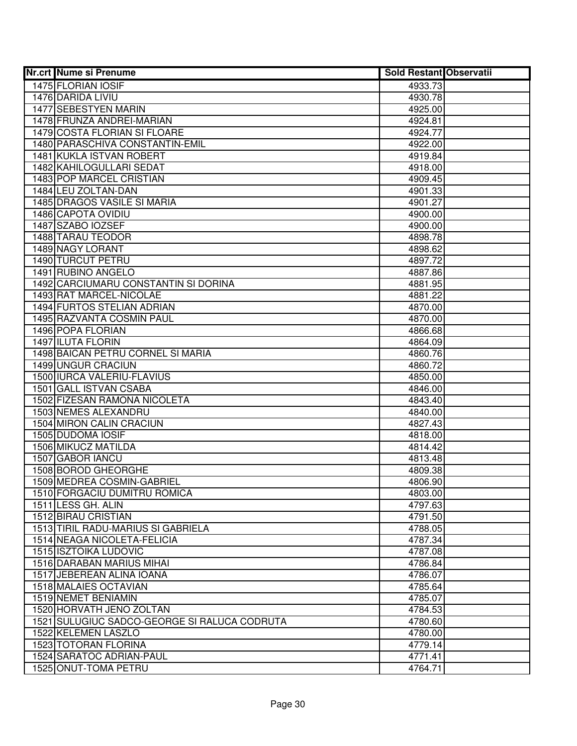| <b>Nr.crt Nume si Prenume</b>                | <b>Sold Restant Observatii</b> |  |
|----------------------------------------------|--------------------------------|--|
| 1475 FLORIAN IOSIF                           | 4933.73                        |  |
| 1476 DARIDA LIVIU                            | 4930.78                        |  |
| <b>1477 SEBESTYEN MARIN</b>                  | 4925.00                        |  |
| 1478 FRUNZA ANDREI-MARIAN                    | 4924.81                        |  |
| 1479 COSTA FLORIAN SI FLOARE                 | 4924.77                        |  |
| 1480 PARASCHIVA CONSTANTIN-EMIL              | 4922.00                        |  |
| 1481 KUKLA ISTVAN ROBERT                     | 4919.84                        |  |
| 1482 KAHILOGULLARI SEDAT                     | 4918.00                        |  |
| <b>1483 POP MARCEL CRISTIAN</b>              | 4909.45                        |  |
| 1484 LEU ZOLTAN-DAN                          | 4901.33                        |  |
| 1485 DRAGOS VASILE SI MARIA                  | 4901.27                        |  |
| 1486 CAPOTA OVIDIU                           | 4900.00                        |  |
| 1487 SZABO IOZSEF                            | 4900.00                        |  |
| 1488 TARAU TEODOR                            | 4898.78                        |  |
| 1489 NAGY LORANT                             | 4898.62                        |  |
| 1490 TURCUT PETRU                            | 4897.72                        |  |
| 1491 RUBINO ANGELO                           | 4887.86                        |  |
| 1492 CARCIUMARU CONSTANTIN SI DORINA         | 4881.95                        |  |
| 1493 RAT MARCEL-NICOLAE                      | 4881.22                        |  |
| <b>1494 FURTOS STELIAN ADRIAN</b>            | 4870.00                        |  |
| 1495 RAZVANTA COSMIN PAUL                    | 4870.00                        |  |
| 1496 POPA FLORIAN                            | 4866.68                        |  |
| 1497 ILUTA FLORIN                            | 4864.09                        |  |
| 1498 BAICAN PETRU CORNEL SI MARIA            | 4860.76                        |  |
| 1499 UNGUR CRACIUN                           | 4860.72                        |  |
| 1500 IURCA VALERIU-FLAVIUS                   | 4850.00                        |  |
| 1501 GALL ISTVAN CSABA                       | 4846.00                        |  |
| 1502 FIZESAN RAMONA NICOLETA                 | 4843.40                        |  |
| 1503 NEMES ALEXANDRU                         | 4840.00                        |  |
| 1504 MIRON CALIN CRACIUN                     | 4827.43                        |  |
| 1505 DUDOMA IOSIF                            | 4818.00                        |  |
| 1506 MIKUCZ MATILDA                          | 4814.42                        |  |
| 1507 GABOR IANCU                             | 4813.48                        |  |
| 1508 BOROD GHEORGHE                          | 4809.38                        |  |
| 1509 MEDREA COSMIN-GABRIEL                   | 4806.90                        |  |
| 1510 FORGACIU DUMITRU ROMICA                 | 4803.00                        |  |
| 1511 LESS GH. ALIN                           | 4797.63                        |  |
| 1512 BIRAU CRISTIAN                          | 4791.50                        |  |
| 1513 TIRIL RADU-MARIUS SI GABRIELA           | 4788.05                        |  |
| 1514 NEAGA NICOLETA-FELICIA                  | 4787.34                        |  |
| 1515 ISZTOIKA LUDOVIC                        | 4787.08                        |  |
| 1516 DARABAN MARIUS MIHAI                    | 4786.84                        |  |
| 1517 JEBEREAN ALINA IOANA                    | 4786.07                        |  |
| 1518 MALAIES OCTAVIAN                        | 4785.64                        |  |
| 1519 NEMET BENIAMIN                          | 4785.07                        |  |
| 1520 HORVATH JENO ZOLTAN                     | 4784.53                        |  |
| 1521 SULUGIUC SADCO-GEORGE SI RALUCA CODRUTA | 4780.60                        |  |
| 1522 KELEMEN LASZLO                          | 4780.00                        |  |
| 1523 TOTORAN FLORINA                         | 4779.14                        |  |
| 1524 SARATOC ADRIAN-PAUL                     | 4771.41                        |  |
| 1525 ONUT-TOMA PETRU                         | 4764.71                        |  |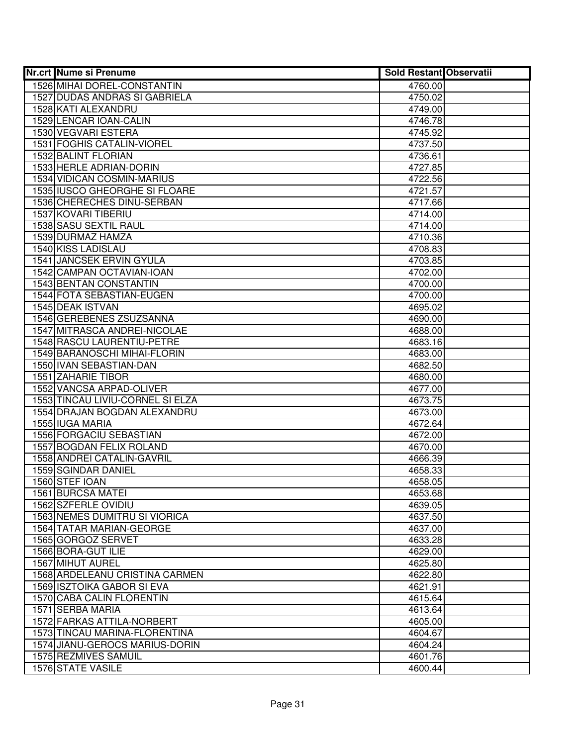| Nr.crt Nume si Prenume                                       | <b>Sold Restant Observatii</b> |  |
|--------------------------------------------------------------|--------------------------------|--|
| 1526 MIHAI DOREL-CONSTANTIN                                  | 4760.00                        |  |
| 1527 DUDAS ANDRAS SI GABRIELA                                | 4750.02                        |  |
| 1528 KATI ALEXANDRU                                          | 4749.00                        |  |
| 1529 LENCAR IOAN-CALIN                                       | 4746.78                        |  |
| 1530 VEGVARI ESTERA                                          | 4745.92                        |  |
| 1531 FOGHIS CATALIN-VIOREL                                   | 4737.50                        |  |
| 1532 BALINT FLORIAN                                          | 4736.61                        |  |
| 1533 HERLE ADRIAN-DORIN                                      | 4727.85                        |  |
| 1534 VIDICAN COSMIN-MARIUS                                   | 4722.56                        |  |
| <b>1535 IUSCO GHEORGHE SI FLOARE</b>                         | 4721.57                        |  |
| 1536 CHERECHES DINU-SERBAN                                   | 4717.66                        |  |
| 1537 KOVARI TIBERIU                                          | 4714.00                        |  |
| 1538 SASU SEXTIL RAUL                                        | 4714.00                        |  |
| 1539 DURMAZ HAMZA                                            | 4710.36                        |  |
| 1540 KISS LADISLAU                                           | 4708.83                        |  |
| 1541 JANCSEK ERVIN GYULA                                     | 4703.85                        |  |
| 1542 CAMPAN OCTAVIAN-IOAN                                    | 4702.00                        |  |
| 1543 BENTAN CONSTANTIN                                       | 4700.00                        |  |
| 1544 FOTA SEBASTIAN-EUGEN                                    | 4700.00                        |  |
| 1545 DEAK ISTVAN                                             | 4695.02                        |  |
| 1546 GEREBENES ZSUZSANNA                                     | 4690.00                        |  |
| 1547 MITRASCA ANDREI-NICOLAE                                 | 4688.00                        |  |
| 1548 RASCU LAURENTIU-PETRE                                   | 4683.16                        |  |
| 1549 BARANOSCHI MIHAI-FLORIN                                 | 4683.00                        |  |
| 1550 IVAN SEBASTIAN-DAN                                      | 4682.50                        |  |
| 1551 ZAHARIE TIBOR                                           | 4680.00                        |  |
| 1552 VANCSA ARPAD-OLIVER<br>1553 TINCAU LIVIU-CORNEL SI ELZA | 4677.00                        |  |
| 1554 DRAJAN BOGDAN ALEXANDRU                                 | 4673.75<br>4673.00             |  |
| 1555 IUGA MARIA                                              | 4672.64                        |  |
| 1556 FORGACIU SEBASTIAN                                      | 4672.00                        |  |
| 1557 BOGDAN FELIX ROLAND                                     | 4670.00                        |  |
| 1558 ANDREI CATALIN-GAVRIL                                   | 4666.39                        |  |
| 1559 SGINDAR DANIEL                                          | 4658.33                        |  |
| 1560 STEF IOAN                                               | 4658.05                        |  |
| 1561 BURCSA MATEI                                            | 4653.68                        |  |
| 1562 SZFERLE OVIDIU                                          | 4639.05                        |  |
| <b>1563 NEMES DUMITRU SI VIORICA</b>                         | 4637.50                        |  |
| <b>1564 TATAR MARIAN-GEORGE</b>                              | 4637.00                        |  |
| 1565 GORGOZ SERVET                                           | 4633.28                        |  |
| 1566 BORA-GUT ILIE                                           | 4629.00                        |  |
| 1567 MIHUT AUREL                                             | 4625.80                        |  |
| 1568 ARDELEANU CRISTINA CARMEN                               | 4622.80                        |  |
| 1569 ISZTOIKA GABOR SI EVA                                   | 4621.91                        |  |
| 1570 CABA CALIN FLORENTIN                                    | 4615.64                        |  |
| 1571 SERBA MARIA                                             | 4613.64                        |  |
| 1572 FARKAS ATTILA-NORBERT                                   | 4605.00                        |  |
| 1573 TINCAU MARINA-FLORENTINA                                | 4604.67                        |  |
| 1574 JIANU-GEROCS MARIUS-DORIN                               | 4604.24                        |  |
| 1575 REZMIVES SAMUIL                                         | 4601.76                        |  |
| <b>1576 STATE VASILE</b>                                     | 4600.44                        |  |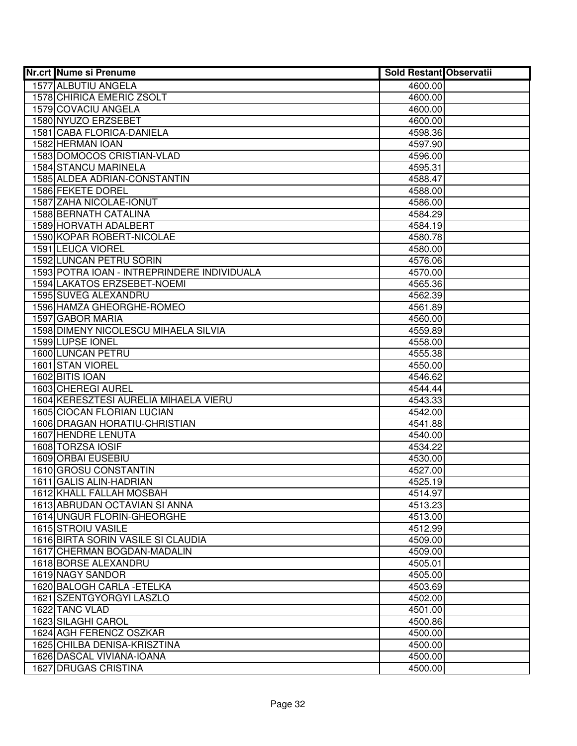| <b>Nr.crt Nume si Prenume</b>                    | <b>Sold Restant Observatii</b> |  |
|--------------------------------------------------|--------------------------------|--|
| 1577 ALBUTIU ANGELA                              | 4600.00                        |  |
| 1578 CHIRICA EMERIC ZSOLT                        | 4600.00                        |  |
| 1579 COVACIU ANGELA                              | 4600.00                        |  |
| 1580 NYUZO ERZSEBET                              | 4600.00                        |  |
| 1581 CABA FLORICA-DANIELA                        | 4598.36                        |  |
| 1582 HERMAN IOAN                                 | 4597.90                        |  |
| 1583 DOMOCOS CRISTIAN-VLAD                       | 4596.00                        |  |
| <b>1584 STANCU MARINELA</b>                      | 4595.31                        |  |
| 1585 ALDEA ADRIAN-CONSTANTIN                     | 4588.47                        |  |
| 1586 FEKETE DOREL                                | 4588.00                        |  |
| 1587 ZAHA NICOLAE-IONUT                          | 4586.00                        |  |
| 1588 BERNATH CATALINA                            | 4584.29                        |  |
| 1589 HORVATH ADALBERT                            | 4584.19                        |  |
| 1590 KOPAR ROBERT-NICOLAE                        | 4580.78                        |  |
| 1591 LEUCA VIOREL                                | 4580.00                        |  |
| 1592 LUNCAN PETRU SORIN                          | 4576.06                        |  |
| 1593 POTRA IOAN - INTREPRINDERE INDIVIDUALA      | 4570.00                        |  |
| <b>1594 LAKATOS ERZSEBET-NOEMI</b>               | 4565.36                        |  |
| 1595 SUVEG ALEXANDRU                             | 4562.39                        |  |
| 1596 HAMZA GHEORGHE-ROMEO                        | 4561.89                        |  |
| 1597 GABOR MARIA                                 | 4560.00                        |  |
| 1598 DIMENY NICOLESCU MIHAELA SILVIA             | 4559.89                        |  |
| 1599 LUPSE IONEL                                 | 4558.00                        |  |
| 1600 LUNCAN PETRU                                | 4555.38                        |  |
| 1601 STAN VIOREL                                 | 4550.00                        |  |
| 1602 BITIS IOAN                                  | 4546.62                        |  |
| 1603 CHEREGI AUREL                               | 4544.44                        |  |
| 1604 KERESZTESI AURELIA MIHAELA VIERU            | 4543.33                        |  |
| 1605 CIOCAN FLORIAN LUCIAN                       | 4542.00                        |  |
| 1606 DRAGAN HORATIU-CHRISTIAN                    | 4541.88                        |  |
| 1607 HENDRE LENUTA                               | 4540.00                        |  |
| 1608 TORZSA IOSIF                                | 4534.22                        |  |
| 1609 ORBAI EUSEBIU                               | 4530.00                        |  |
| 1610 GROSU CONSTANTIN<br>1611 GALIS ALIN-HADRIAN | 4527.00<br>4525.19             |  |
| 1612 KHALL FALLAH MOSBAH                         | 4514.97                        |  |
| 1613 ABRUDAN OCTAVIAN SI ANNA                    | 4513.23                        |  |
| <b>1614 UNGUR FLORIN-GHEORGHE</b>                | 4513.00                        |  |
| 1615 STROIU VASILE                               | 4512.99                        |  |
| 1616 BIRTA SORIN VASILE SI CLAUDIA               | 4509.00                        |  |
| 1617 CHERMAN BOGDAN-MADALIN                      | 4509.00                        |  |
| 1618 BORSE ALEXANDRU                             | 4505.01                        |  |
| 1619 NAGY SANDOR                                 | 4505.00                        |  |
| 1620 BALOGH CARLA - ETELKA                       | 4503.69                        |  |
| 1621 SZENTGYORGYI LASZLO                         | 4502.00                        |  |
| 1622 TANC VLAD                                   | 4501.00                        |  |
| 1623 SILAGHI CAROL                               | 4500.86                        |  |
| 1624 AGH FERENCZ OSZKAR                          | 4500.00                        |  |
| 1625 CHILBA DENISA-KRISZTINA                     | 4500.00                        |  |
| 1626 DASCAL VIVIANA-IOANA                        | 4500.00                        |  |
| 1627 DRUGAS CRISTINA                             | 4500.00                        |  |
|                                                  |                                |  |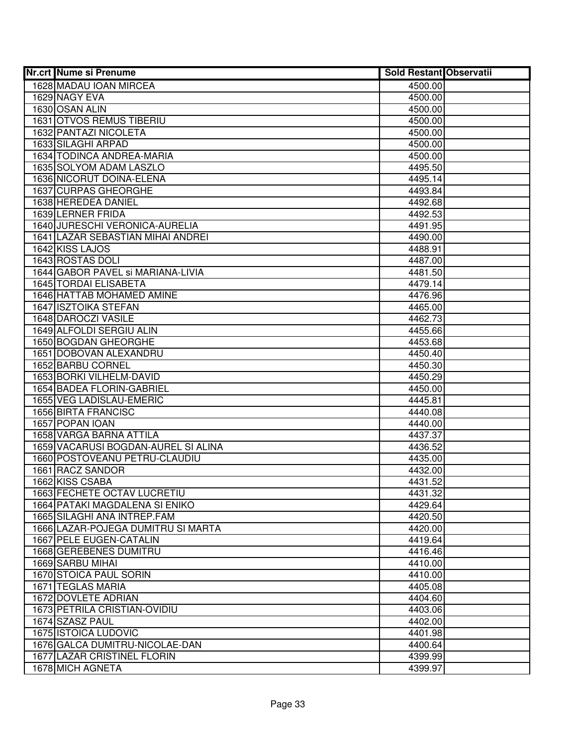| <b>Nr.crt Nume si Prenume</b>                         | <b>Sold Restant Observatii</b> |  |
|-------------------------------------------------------|--------------------------------|--|
| 1628 MADAU IOAN MIRCEA                                | 4500.00                        |  |
| 1629 NAGY EVA                                         | 4500.00                        |  |
| 1630 OSAN ALIN                                        | 4500.00                        |  |
| <b>1631 OTVOS REMUS TIBERIU</b>                       | 4500.00                        |  |
| 1632 PANTAZI NICOLETA                                 | 4500.00                        |  |
| 1633 SILAGHI ARPAD                                    | 4500.00                        |  |
| 1634 TODINCA ANDREA-MARIA                             | 4500.00                        |  |
| 1635 SOLYOM ADAM LASZLO                               | 4495.50                        |  |
| 1636 NICORUT DOINA-ELENA                              | 4495.14                        |  |
| 1637 CURPAS GHEORGHE                                  | 4493.84                        |  |
| 1638 HEREDEA DANIEL                                   | 4492.68                        |  |
| 1639 LERNER FRIDA                                     | 4492.53                        |  |
| 1640 JURESCHI VERONICA-AURELIA                        | 4491.95                        |  |
| 1641 LAZAR SEBASTIAN MIHAI ANDREI                     | 4490.00                        |  |
| 1642 KISS LAJOS                                       | 4488.91                        |  |
| 1643 ROSTAS DOLI                                      | 4487.00                        |  |
| 1644 GABOR PAVEL SI MARIANA-LIVIA                     | 4481.50                        |  |
| 1645 TORDAI ELISABETA                                 | 4479.14                        |  |
| 1646 HATTAB MOHAMED AMINE                             | 4476.96                        |  |
| 1647 ISZTOIKA STEFAN                                  | 4465.00                        |  |
| 1648 DAROCZI VASILE                                   | 4462.73                        |  |
| 1649 ALFOLDI SERGIU ALIN                              | 4455.66                        |  |
| 1650 BOGDAN GHEORGHE                                  | 4453.68                        |  |
| 1651 DOBOVAN ALEXANDRU                                | 4450.40                        |  |
| 1652 BARBU CORNEL                                     | 4450.30                        |  |
| 1653 BORKI VILHELM-DAVID                              | 4450.29                        |  |
| 1654 BADEA FLORIN-GABRIEL<br>1655 VEG LADISLAU-EMERIC | 4450.00<br>4445.81             |  |
| 1656 BIRTA FRANCISC                                   | 4440.08                        |  |
| 1657 POPAN IOAN                                       | 4440.00                        |  |
| 1658 VARGA BARNA ATTILA                               | 4437.37                        |  |
| 1659 VACARUSI BOGDAN-AUREL SI ALINA                   | 4436.52                        |  |
| 1660 POSTOVEANU PETRU-CLAUDIU                         | 4435.00                        |  |
| 1661 RACZ SANDOR                                      | 4432.00                        |  |
| 1662 KISS CSABA                                       | 4431.52                        |  |
| 1663 FECHETE OCTAV LUCRETIU                           | 4431.32                        |  |
| 1664 PATAKI MAGDALENA SI ENIKO                        | 4429.64                        |  |
| 1665 SILAGHI ANA INTREP.FAM                           | 4420.50                        |  |
| 1666 LAZAR-POJEGA DUMITRU SI MARTA                    | 4420.00                        |  |
| 1667 PELE EUGEN-CATALIN                               | 4419.64                        |  |
| 1668 GEREBENES DUMITRU                                | 4416.46                        |  |
| 1669 SARBU MIHAI                                      | 4410.00                        |  |
| <b>1670 STOICA PAUL SORIN</b>                         | 4410.00                        |  |
| 1671 TEGLAS MARIA                                     | 4405.08                        |  |
| 1672 DOVLETE ADRIAN                                   | 4404.60                        |  |
| 1673 PETRILA CRISTIAN-OVIDIU                          | 4403.06                        |  |
| 1674 SZASZ PAUL                                       | 4402.00                        |  |
| 1675 ISTOICA LUDOVIC                                  | 4401.98                        |  |
| 1676 GALCA DUMITRU-NICOLAE-DAN                        | 4400.64                        |  |
| 1677 LAZAR CRISTINEL FLORIN                           | 4399.99                        |  |
| 1678 MICH AGNETA                                      | 4399.97                        |  |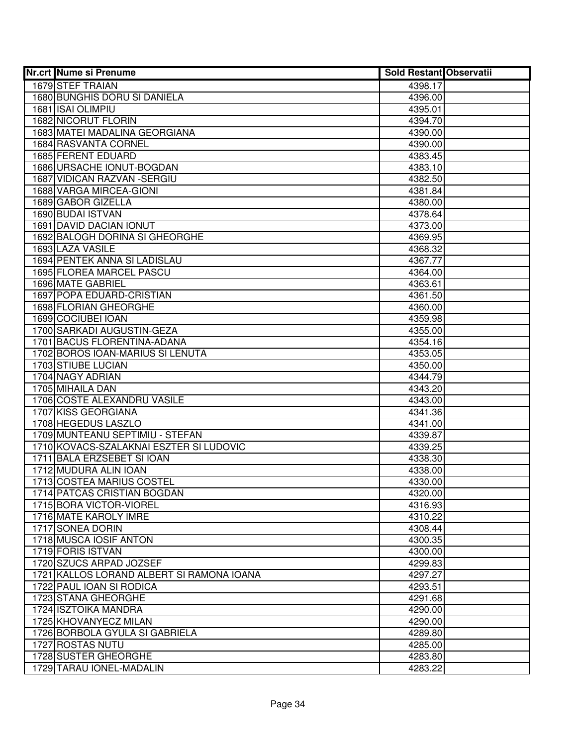| <b>Nr.crt Nume si Prenume</b>                      | <b>Sold Restant Observatii</b> |  |
|----------------------------------------------------|--------------------------------|--|
| 1679 STEF TRAIAN                                   | 4398.17                        |  |
| 1680 BUNGHIS DORU SI DANIELA                       | 4396.00                        |  |
| 1681 ISAI OLIMPIU                                  | 4395.01                        |  |
| 1682 NICORUT FLORIN                                | 4394.70                        |  |
| 1683 MATEI MADALINA GEORGIANA                      | 4390.00                        |  |
| 1684 RASVANTA CORNEL                               | 4390.00                        |  |
| 1685 FERENT EDUARD                                 | 4383.45                        |  |
| 1686 URSACHE IONUT-BOGDAN                          | 4383.10                        |  |
| 1687 VIDICAN RAZVAN - SERGIU                       | 4382.50                        |  |
| 1688 VARGA MIRCEA-GIONI                            | 4381.84                        |  |
| 1689 GABOR GIZELLA                                 | 4380.00                        |  |
| 1690 BUDAI ISTVAN                                  | 4378.64                        |  |
| 1691 DAVID DACIAN IONUT                            | 4373.00                        |  |
| 1692 BALOGH DORINA SI GHEORGHE                     | 4369.95                        |  |
| 1693 LAZA VASILE                                   | 4368.32                        |  |
| 1694 PENTEK ANNA SI LADISLAU                       | 4367.77                        |  |
| 1695 FLOREA MARCEL PASCU                           | 4364.00                        |  |
| 1696 MATE GABRIEL                                  | 4363.61                        |  |
| 1697 POPA EDUARD-CRISTIAN                          | 4361.50                        |  |
| 1698 FLORIAN GHEORGHE                              | 4360.00                        |  |
| 1699 COCIUBEI IOAN                                 | 4359.98                        |  |
| 1700 SARKADI AUGUSTIN-GEZA                         | 4355.00                        |  |
| 1701 BACUS FLORENTINA-ADANA                        | 4354.16                        |  |
| 1702 BOROS IOAN-MARIUS SI LENUTA                   | 4353.05                        |  |
| 1703 STIUBE LUCIAN                                 | 4350.00                        |  |
| 1704 NAGY ADRIAN                                   | 4344.79                        |  |
| 1705 MIHAILA DAN                                   | 4343.20                        |  |
| 1706 COSTE ALEXANDRU VASILE                        | 4343.00                        |  |
| 1707 KISS GEORGIANA                                | 4341.36                        |  |
| 1708 HEGEDUS LASZLO                                | 4341.00                        |  |
| 1709 MUNTEANU SEPTIMIU - STEFAN                    | 4339.87                        |  |
| 1710 KOVACS-SZALAKNAI ESZTER SI LUDOVIC            | 4339.25                        |  |
| 1711 BALA ERZSEBET SI IOAN                         | 4338.30                        |  |
| 1712 MUDURA ALIN IOAN<br>1713 COSTEA MARIUS COSTEL | 4338.00<br>4330.00             |  |
| 1714 PATCAS CRISTIAN BOGDAN                        | 4320.00                        |  |
| 1715 BORA VICTOR-VIOREL                            | 4316.93                        |  |
| 1716 MATE KAROLY IMRE                              | 4310.22                        |  |
| 1717 SONEA DORIN                                   | 4308.44                        |  |
| 1718 MUSCA IOSIF ANTON                             | 4300.35                        |  |
| 1719 FORIS ISTVAN                                  | 4300.00                        |  |
| 1720 SZUCS ARPAD JOZSEF                            | 4299.83                        |  |
| 1721 KALLOS LORAND ALBERT SI RAMONA IOANA          | 4297.27                        |  |
| 1722 PAUL IOAN SI RODICA                           | 4293.51                        |  |
| 1723 STANA GHEORGHE                                | 4291.68                        |  |
| 1724 ISZTOIKA MANDRA                               | 4290.00                        |  |
| 1725 KHOVANYECZ MILAN                              | 4290.00                        |  |
| 1726 BORBOLA GYULA SI GABRIELA                     | 4289.80                        |  |
| 1727 ROSTAS NUTU                                   | 4285.00                        |  |
| 1728 SUSTER GHEORGHE                               | 4283.80                        |  |
| 1729 TARAU IONEL-MADALIN                           | 4283.22                        |  |
|                                                    |                                |  |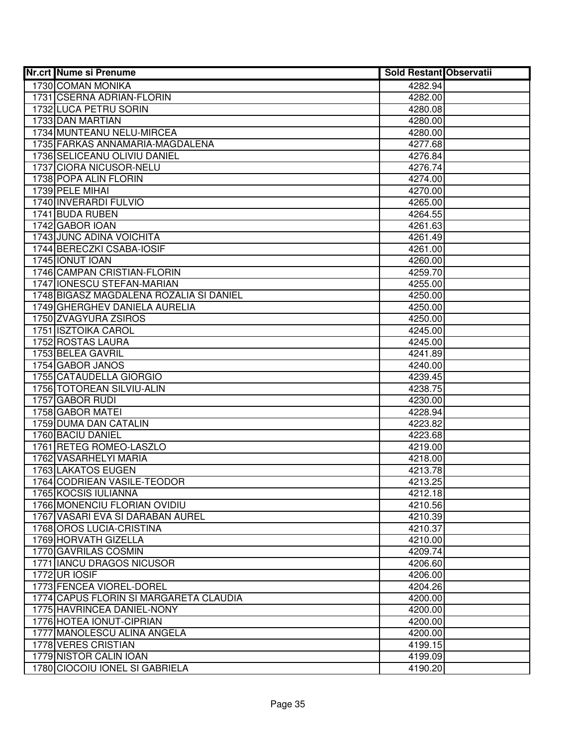| <b>Nr.crt Nume si Prenume</b>                       | <b>Sold Restant Observatii</b> |  |
|-----------------------------------------------------|--------------------------------|--|
| 1730 COMAN MONIKA                                   | 4282.94                        |  |
| 1731 CSERNA ADRIAN-FLORIN                           | 4282.00                        |  |
| 1732 LUCA PETRU SORIN                               | 4280.08                        |  |
| 1733 DAN MARTIAN                                    | 4280.00                        |  |
| 1734 MUNTEANU NELU-MIRCEA                           | 4280.00                        |  |
| 1735 FARKAS ANNAMARIA-MAGDALENA                     | 4277.68                        |  |
| 1736 SELICEANU OLIVIU DANIEL                        | 4276.84                        |  |
| 1737 CIORA NICUSOR-NELU                             | 4276.74                        |  |
| 1738 POPA ALIN FLORIN                               | 4274.00                        |  |
| 1739 PELE MIHAI                                     | 4270.00                        |  |
| 1740 INVERARDI FULVIO                               | 4265.00                        |  |
| 1741 BUDA RUBEN                                     | 4264.55                        |  |
| 1742 GABOR IOAN                                     | 4261.63                        |  |
| 1743 JUNC ADINA VOICHITA                            | 4261.49                        |  |
| 1744 BERECZKI CSABA-IOSIF                           | 4261.00                        |  |
| 1745 IONUT IOAN                                     | 4260.00                        |  |
| 1746 CAMPAN CRISTIAN-FLORIN                         | 4259.70                        |  |
| 1747 IONESCU STEFAN-MARIAN                          | 4255.00                        |  |
| 1748 BIGASZ MAGDALENA ROZALIA SI DANIEL             | 4250.00                        |  |
| 1749 GHERGHEV DANIELA AURELIA                       | 4250.00                        |  |
| 1750 ZVAGYURA ZSIROS                                | 4250.00                        |  |
| 1751 ISZTOIKA CAROL                                 | 4245.00                        |  |
| 1752 ROSTAS LAURA                                   | 4245.00                        |  |
| 1753 BELEA GAVRIL                                   | 4241.89                        |  |
| 1754 GABOR JANOS                                    | 4240.00                        |  |
| 1755 CATAUDELLA GIORGIO                             | 4239.45                        |  |
| 1756 TOTOREAN SILVIU-ALIN                           | 4238.75                        |  |
| 1757 GABOR RUDI                                     | 4230.00                        |  |
| 1758 GABOR MATEI                                    | 4228.94                        |  |
| 1759 DUMA DAN CATALIN                               | 4223.82                        |  |
| 1760 BACIU DANIEL                                   | 4223.68                        |  |
| 1761 RETEG ROMEO-LASZLO                             | 4219.00                        |  |
| 1762 VASARHELYI MARIA                               | 4218.00                        |  |
| 1763 LAKATOS EUGEN                                  | 4213.78<br>4213.25             |  |
| 1764 CODRIEAN VASILE-TEODOR<br>1765 KOCSIS IULIANNA | 4212.18                        |  |
| 1766 MONENCIU FLORIAN OVIDIU                        | 4210.56                        |  |
| 1767 VASARI EVA SI DARABAN AUREL                    | 4210.39                        |  |
| 1768 OROS LUCIA-CRISTINA                            | 4210.37                        |  |
| 1769 HORVATH GIZELLA                                | 4210.00                        |  |
| 1770 GAVRILAS COSMIN                                | 4209.74                        |  |
| 1771 IIANCU DRAGOS NICUSOR                          | 4206.60                        |  |
| <b>1772 UR IOSIF</b>                                | 4206.00                        |  |
| 1773 FENCEA VIOREL-DOREL                            | 4204.26                        |  |
| 1774 CAPUS FLORIN SI MARGARETA CLAUDIA              | 4200.00                        |  |
| 1775 HAVRINCEA DANIEL-NONY                          | 4200.00                        |  |
| 1776 HOTEA IONUT-CIPRIAN                            | 4200.00                        |  |
| 1777 MANOLESCU ALINA ANGELA                         | 4200.00                        |  |
| 1778 VERES CRISTIAN                                 | 4199.15                        |  |
| 1779 NISTOR CALIN IOAN                              | 4199.09                        |  |
| 1780 CIOCOIU IONEL SI GABRIELA                      | 4190.20                        |  |
|                                                     |                                |  |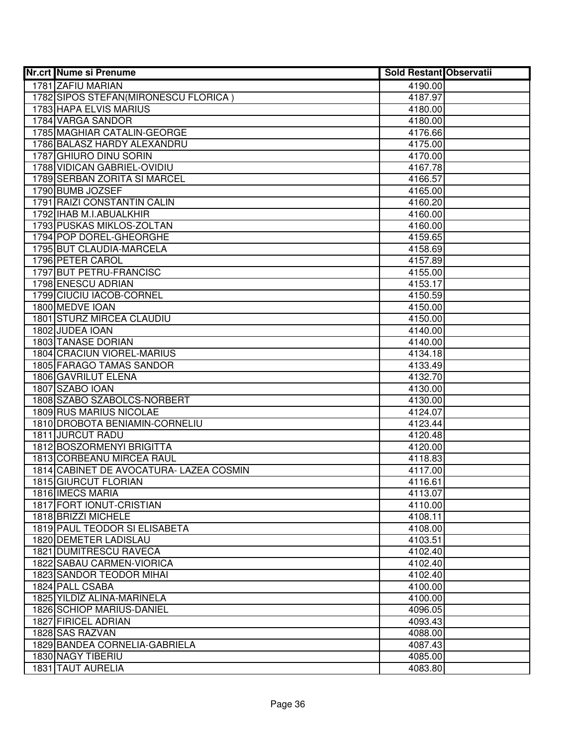| <b>Nr.crt Nume si Prenume</b>           | <b>Sold Restant Observatii</b> |  |
|-----------------------------------------|--------------------------------|--|
| 1781 ZAFIU MARIAN                       | 4190.00                        |  |
| 1782 SIPOS STEFAN (MIRONESCU FLORICA)   | 4187.97                        |  |
| 1783 HAPA ELVIS MARIUS                  | 4180.00                        |  |
| 1784 VARGA SANDOR                       | 4180.00                        |  |
| 1785 MAGHIAR CATALIN-GEORGE             | 4176.66                        |  |
| 1786 BALASZ HARDY ALEXANDRU             | 4175.00                        |  |
| 1787 GHIURO DINU SORIN                  | 4170.00                        |  |
| 1788 VIDICAN GABRIEL-OVIDIU             | 4167.78                        |  |
| 1789 SERBAN ZORITA SI MARCEL            | 4166.57                        |  |
| 1790 BUMB JOZSEF                        | 4165.00                        |  |
| 1791 RAIZI CONSTANTIN CALIN             | 4160.20                        |  |
| 1792 IHAB M.I.ABUALKHIR                 | 4160.00                        |  |
| 1793 PUSKAS MIKLOS-ZOLTAN               | 4160.00                        |  |
| 1794 POP DOREL-GHEORGHE                 | 4159.65                        |  |
| 1795 BUT CLAUDIA-MARCELA                | 4158.69                        |  |
| 1796 PETER CAROL                        | 4157.89                        |  |
| 1797 BUT PETRU-FRANCISC                 | 4155.00                        |  |
| 1798 ENESCU ADRIAN                      | 4153.17                        |  |
| 1799 CIUCIU IACOB-CORNEL                | 4150.59                        |  |
| 1800 MEDVE IOAN                         | 4150.00                        |  |
| 1801 STURZ MIRCEA CLAUDIU               | 4150.00                        |  |
| 1802 JUDEA IOAN                         | 4140.00                        |  |
| <b>1803 TANASE DORIAN</b>               | 4140.00                        |  |
| 1804 CRACIUN VIOREL-MARIUS              | 4134.18                        |  |
| 1805 FARAGO TAMAS SANDOR                | 4133.49                        |  |
| 1806 GAVRILUT ELENA                     | 4132.70                        |  |
| 1807 SZABO IOAN                         | 4130.00                        |  |
| 1808 SZABO SZABOLCS-NORBERT             | 4130.00                        |  |
| 1809 RUS MARIUS NICOLAE                 | 4124.07                        |  |
| 1810 DROBOTA BENIAMIN-CORNELIU          | 4123.44                        |  |
| 1811 JURCUT RADU                        | 4120.48                        |  |
| 1812 BOSZORMENYI BRIGITTA               | 4120.00                        |  |
| 1813 CORBEANU MIRCEA RAUL               | 4118.83                        |  |
| 1814 CABINET DE AVOCATURA- LAZEA COSMIN | 4117.00                        |  |
| 1815 GIURCUT FLORIAN                    | 4116.61                        |  |
| 1816 IMECS MARIA                        | 4113.07                        |  |
| 1817 FORT IONUT-CRISTIAN                | 4110.00                        |  |
| 1818 BRIZZI MICHELE                     | 4108.11                        |  |
| 1819 PAUL TEODOR SI ELISABETA           | 4108.00                        |  |
| 1820 DEMETER LADISLAU                   | 4103.51                        |  |
| <b>1821 DUMITRESCU RAVECA</b>           | 4102.40                        |  |
| 1822 SABAU CARMEN-VIORICA               | 4102.40                        |  |
| <b>1823 SANDOR TEODOR MIHAI</b>         | 4102.40                        |  |
| 1824 PALL CSABA                         | 4100.00                        |  |
| 1825 YILDÎZ ALINA-MARINELA              | 4100.00                        |  |
| 1826 SCHIOP MARIUS-DANIEL               | 4096.05                        |  |
| 1827 FIRICEL ADRIAN                     | 4093.43                        |  |
| 1828 SAS RAZVAN                         | 4088.00                        |  |
| 1829 BANDEA CORNELIA-GABRIELA           | 4087.43                        |  |
| 1830 NAGY TIBERIU                       | 4085.00                        |  |
| 1831 TAUT AURELIA                       | 4083.80                        |  |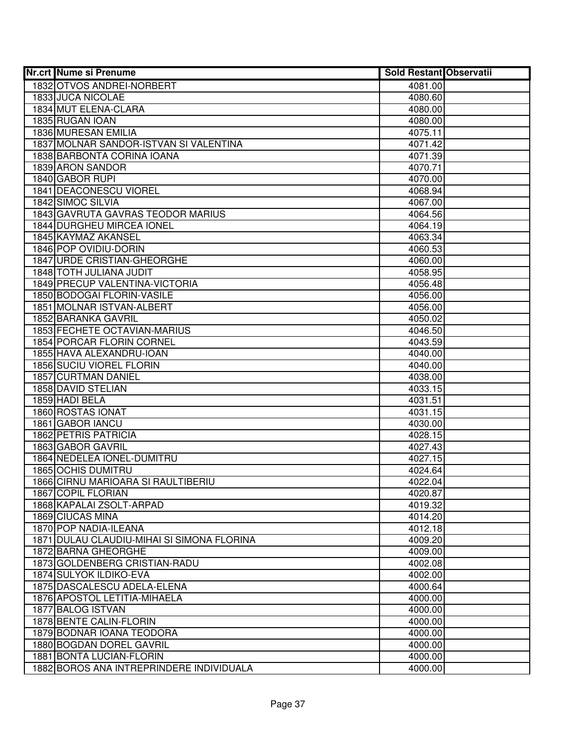| <b>Nr.crt Nume si Prenume</b>              | <b>Sold Restant Observatii</b> |  |
|--------------------------------------------|--------------------------------|--|
| 1832 OTVOS ANDREI-NORBERT                  | 4081.00                        |  |
| 1833 JUCA NICOLAE                          | 4080.60                        |  |
| 1834 MUT ELENA-CLARA                       | 4080.00                        |  |
| 1835 RUGAN IOAN                            | 4080.00                        |  |
| 1836 MURESAN EMILIA                        | 4075.11                        |  |
| 1837 MOLNAR SANDOR-ISTVAN SI VALENTINA     | 4071.42                        |  |
| 1838 BARBONTA CORINA IOANA                 | 4071.39                        |  |
| 1839 ARON SANDOR                           | 4070.71                        |  |
| 1840 GABOR RUPI                            | 4070.00                        |  |
| 1841 DEACONESCU VIOREL                     | 4068.94                        |  |
| 1842 SIMOC SILVIA                          | 4067.00                        |  |
| 1843 GAVRUTA GAVRAS TEODOR MARIUS          | 4064.56                        |  |
| 1844 DURGHEU MIRCEA IONEL                  | 4064.19                        |  |
| 1845 KAYMAZ AKANSEL                        | 4063.34                        |  |
| 1846 POP OVIDIU-DORIN                      | 4060.53                        |  |
| 1847 URDE CRISTIAN-GHEORGHE                | 4060.00                        |  |
| 1848 TOTH JULIANA JUDIT                    | 4058.95                        |  |
| 1849 PRECUP VALENTINA-VICTORIA             | 4056.48                        |  |
| 1850 BODOGAI FLORIN-VASILE                 | 4056.00                        |  |
| 1851 MOLNAR ISTVAN-ALBERT                  | 4056.00                        |  |
| 1852 BARANKA GAVRIL                        | 4050.02                        |  |
| 1853 FECHETE OCTAVIAN-MARIUS               | 4046.50                        |  |
| 1854 PORCAR FLORIN CORNEL                  | 4043.59                        |  |
| 1855 HAVA ALEXANDRU-IOAN                   | 4040.00                        |  |
| 1856 SUCIU VIOREL FLORIN                   | 4040.00                        |  |
| 1857 CURTMAN DANIEL                        | 4038.00                        |  |
| 1858 DAVID STELIAN                         | 4033.15                        |  |
| 1859 HADI BELA                             | 4031.51                        |  |
| 1860 ROSTAS IONAT                          | 4031.15                        |  |
| 1861 GABOR IANCU                           | 4030.00                        |  |
| 1862 PETRIS PATRICIA                       | 4028.15                        |  |
| 1863 GABOR GAVRIL                          | 4027.43                        |  |
| 1864 NEDELEA IONEL-DUMITRU                 | 4027.15                        |  |
| 1865 OCHIS DUMITRU                         | 4024.64                        |  |
| 1866 CIRNU MARIOARA SI RAULTIBERIU         | 4022.04                        |  |
| 1867 COPIL FLORIAN                         | 4020.87                        |  |
| 1868 KAPALAI ZSOLT-ARPAD                   | 4019.32                        |  |
| 1869 CIUCAS MINA                           | 4014.20                        |  |
| 1870 POP NADIA-ILEANA                      | 4012.18                        |  |
| 1871 DULAU CLAUDIU-MIHAI SI SIMONA FLORINA | 4009.20                        |  |
| 1872 BARNA GHEORGHE                        | 4009.00                        |  |
| 1873 GOLDENBERG CRISTIAN-RADU              | 4002.08                        |  |
| 1874 SULYOK ILDIKO-EVA                     | 4002.00                        |  |
| 1875 DASCALESCU ADELA-ELENA                | 4000.64                        |  |
| 1876 APOSTOL LETITIA-MIHAELA               | 4000.00                        |  |
| 1877 BALOG ISTVAN                          | 4000.00                        |  |
| 1878 BENTE CALIN-FLORIN                    | 4000.00                        |  |
| 1879 BODNAR IOANA TEODORA                  | 4000.00                        |  |
| 1880 BOGDAN DOREL GAVRIL                   | 4000.00                        |  |
| 1881 BONTA LUCIAN-FLORIN                   | 4000.00                        |  |
| 1882 BOROS ANA INTREPRINDERE INDIVIDUALA   | 4000.00                        |  |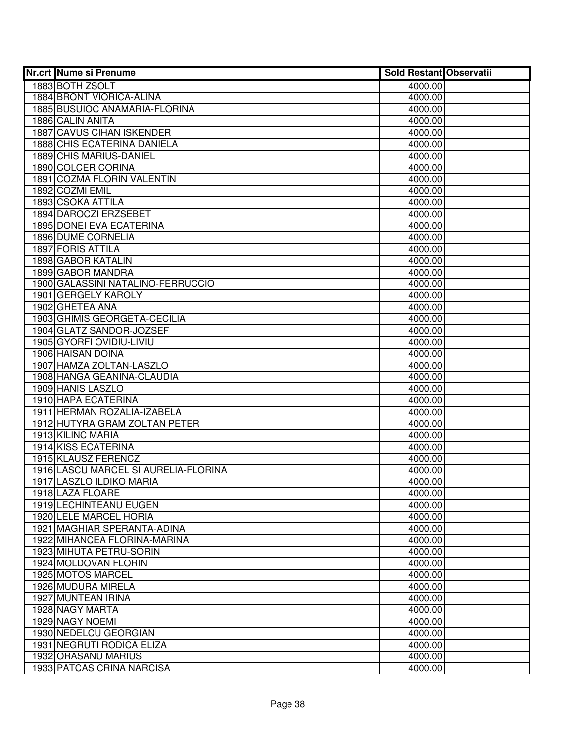| <b>Nr.crt Nume si Prenume</b>        | <b>Sold Restant Observatii</b> |  |
|--------------------------------------|--------------------------------|--|
| 1883 BOTH ZSOLT                      | 4000.00                        |  |
| 1884 BRONT VIORICA-ALINA             | 4000.00                        |  |
| 1885 BUSUIOC ANAMARIA-FLORINA        | 4000.00                        |  |
| 1886 CALIN ANITA                     | 4000.00                        |  |
| <b>1887 CAVUS CIHAN ISKENDER</b>     | 4000.00                        |  |
| 1888 CHIS ECATERINA DANIELA          | 4000.00                        |  |
| 1889 CHIS MARIUS-DANIEL              | 4000.00                        |  |
| 1890 COLCER CORINA                   | 4000.00                        |  |
| 1891 COZMA FLORIN VALENTIN           | 4000.00                        |  |
| 1892 COZMI EMIL                      | 4000.00                        |  |
| 1893 CSOKA ATTILA                    | 4000.00                        |  |
| 1894 DAROCZI ERZSEBET                | 4000.00                        |  |
| <b>1895 DONEI EVA ECATERINA</b>      | 4000.00                        |  |
| 1896 DUME CORNELIA                   | 4000.00                        |  |
| 1897 FORIS ATTILA                    | 4000.00                        |  |
| 1898 GABOR KATALIN                   | 4000.00                        |  |
| 1899 GABOR MANDRA                    | 4000.00                        |  |
| 1900 GALASSINI NATALINO-FERRUCCIO    | 4000.00                        |  |
| 1901 GERGELY KAROLY                  | 4000.00                        |  |
| 1902 GHETEA ANA                      | 4000.00                        |  |
| 1903 GHIMIS GEORGETA-CECILIA         | 4000.00                        |  |
| 1904 GLATZ SANDOR-JOZSEF             | 4000.00                        |  |
| 1905 GYORFI OVIDIU-LIVIU             | 4000.00                        |  |
| 1906 HAISAN DOINA                    | 4000.00                        |  |
| 1907 HAMZA ZOLTAN-LASZLO             | 4000.00                        |  |
| 1908 HANGA GEANINA-CLAUDIA           | 4000.00                        |  |
| 1909 HANIS LASZLO                    | 4000.00                        |  |
| 1910 HAPA ECATERINA                  | 4000.00                        |  |
| 1911 HERMAN ROZALIA-IZABELA          | 4000.00                        |  |
| 1912 HUTYRA GRAM ZOLTAN PETER        | 4000.00                        |  |
| 1913 KILINC MARIA                    | 4000.00                        |  |
| 1914 KISS ECATERINA                  | 4000.00                        |  |
| 1915 KLAUSZ FERENCZ                  | 4000.00                        |  |
| 1916 LASCU MARCEL SI AURELIA-FLORINA | 4000.00                        |  |
| 1917 LASZLO ILDIKO MARIA             | 4000.00                        |  |
| 1918 LAZA FLOARE                     | 4000.00                        |  |
| <b>1919 LECHINTEANU EUGEN</b>        | 4000.00                        |  |
| 1920 LELE MARCEL HORIA               | 4000.00                        |  |
| 1921 MAGHIAR SPERANTA-ADINA          | 4000.00                        |  |
| 1922 MIHANCEA FLORINA-MARINA         | 4000.00                        |  |
| 1923 MIHUTA PETRU-SORIN              | 4000.00                        |  |
| 1924 MOLDOVAN FLORIN                 | 4000.00                        |  |
| 1925 MOTOS MARCEL                    | 4000.00                        |  |
| 1926 MUDURA MIRELA                   | 4000.00                        |  |
| 1927 MUNTEAN IRINA                   | 4000.00                        |  |
| 1928 NAGY MARTA                      | 4000.00                        |  |
| 1929 NAGY NOEMI                      | 4000.00                        |  |
| 1930 NEDELCU GEORGIAN                | 4000.00                        |  |
| 1931 NEGRUTI RODICA ELIZA            | 4000.00                        |  |
| 1932 ORASANU MARIUS                  | 4000.00                        |  |
| 1933 PATCAS CRINA NARCISA            | 4000.00                        |  |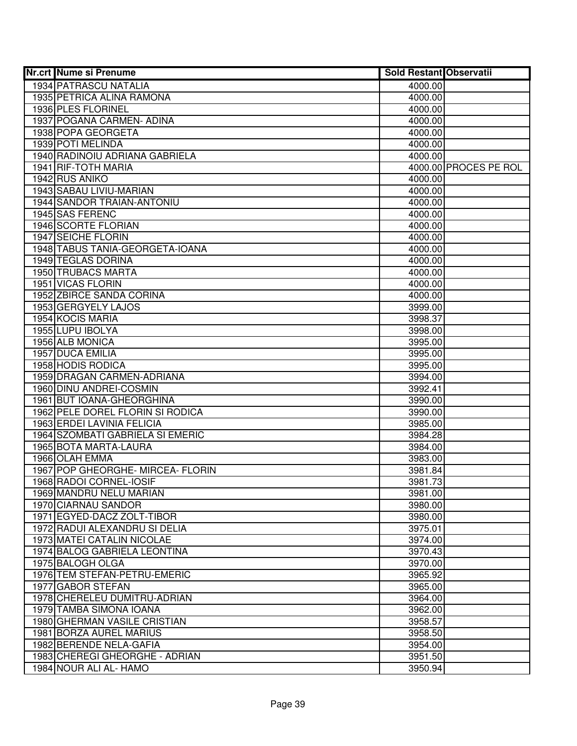| <b>Nr.crt Nume si Prenume</b>                           | <b>Sold Restant Observatii</b> |                       |
|---------------------------------------------------------|--------------------------------|-----------------------|
| <b>1934 PATRASCU NATALIA</b>                            | 4000.00                        |                       |
| 1935 PETRICA ALINA RAMONA                               | 4000.00                        |                       |
| 1936 PLES FLORINEL                                      | 4000.00                        |                       |
| 1937 POGANA CARMEN- ADINA                               | 4000.00                        |                       |
| 1938 POPA GEORGETA                                      | 4000.00                        |                       |
| 1939 POTI MELINDA                                       | 4000.00                        |                       |
| 1940 RADINOIU ADRIANA GABRIELA                          | 4000.00                        |                       |
| 1941 RIF-TOTH MARIA                                     |                                | 4000.00 PROCES PE ROL |
| 1942 RUS ANIKO                                          | 4000.00                        |                       |
| 1943 SABAU LIVIU-MARIAN                                 | 4000.00                        |                       |
| 1944 SANDOR TRAIAN-ANTONIU                              | 4000.00                        |                       |
| 1945 SAS FERENC                                         | 4000.00                        |                       |
| 1946 SCORTE FLORIAN                                     | 4000.00                        |                       |
| 1947 SEICHE FLORIN                                      | 4000.00                        |                       |
| 1948 TABUS TANIA-GEORGETA-IOANA                         | 4000.00                        |                       |
| 1949 TEGLAS DORINA                                      | 4000.00                        |                       |
| 1950 TRUBACS MARTA                                      | 4000.00                        |                       |
| 1951 VICAS FLORIN                                       | 4000.00                        |                       |
| 1952 ZBIRCE SANDA CORINA                                | 4000.00                        |                       |
| 1953 GERGYELY LAJOS                                     | 3999.00                        |                       |
| 1954 KOCIS MARIA                                        | 3998.37                        |                       |
| 1955 LUPU IBOLYA                                        | 3998.00                        |                       |
| 1956 ALB MONICA                                         | 3995.00                        |                       |
| 1957 DUCA EMILIA                                        | 3995.00                        |                       |
| 1958 HODIS RODICA                                       | 3995.00                        |                       |
| 1959 DRAGAN CARMEN-ADRIANA                              | 3994.00                        |                       |
| 1960 DINU ANDREI-COSMIN                                 | 3992.41                        |                       |
| 1961 BUT IOANA-GHEORGHINA                               | 3990.00                        |                       |
| 1962 PELE DOREL FLORIN SI RODICA                        | 3990.00                        |                       |
| 1963 ERDEI LAVINIA FELICIA                              | 3985.00                        |                       |
| 1964 SZOMBATI GABRIELA SI EMERIC                        | 3984.28                        |                       |
| 1965 BOTA MARTA-LAURA                                   | 3984.00                        |                       |
| 1966 OLAH EMMA                                          | 3983.00                        |                       |
| 1967 POP GHEORGHE-MIRCEA-FLORIN                         | 3981.84                        |                       |
| 1968 RADOI CORNEL-IOSIF                                 | 3981.73                        |                       |
| 1969 MANDRU NELU MARIAN                                 | 3981.00                        |                       |
| 1970 CIARNAU SANDOR                                     | 3980.00                        |                       |
| 1971 EGYED-DACZ ZOLT-TIBOR                              | 3980.00                        |                       |
| 1972 RADUI ALEXANDRU SI DELIA                           | 3975.01                        |                       |
| 1973 MATEI CATALIN NICOLAE                              | 3974.00                        |                       |
| 1974 BALOG GABRIELA LEONTINA                            | 3970.43                        |                       |
| 1975 BALOGH OLGA<br>1976 TEM STEFAN-PETRU-EMERIC        | 3970.00                        |                       |
|                                                         | 3965.92                        |                       |
| 1977 GABOR STEFAN                                       | 3965.00<br>3964.00             |                       |
| 1978 CHERELEU DUMITRU-ADRIAN                            |                                |                       |
| 1979 TAMBA SIMONA IOANA                                 | 3962.00                        |                       |
| 1980 GHERMAN VASILE CRISTIAN<br>1981 BORZA AUREL MARIUS | 3958.57                        |                       |
| 1982 BERENDE NELA-GAFIA                                 | 3958.50<br>3954.00             |                       |
| 1983 CHEREGI GHEORGHE - ADRIAN                          | 3951.50                        |                       |
| 1984 NOUR ALI AL- HAMO                                  | 3950.94                        |                       |
|                                                         |                                |                       |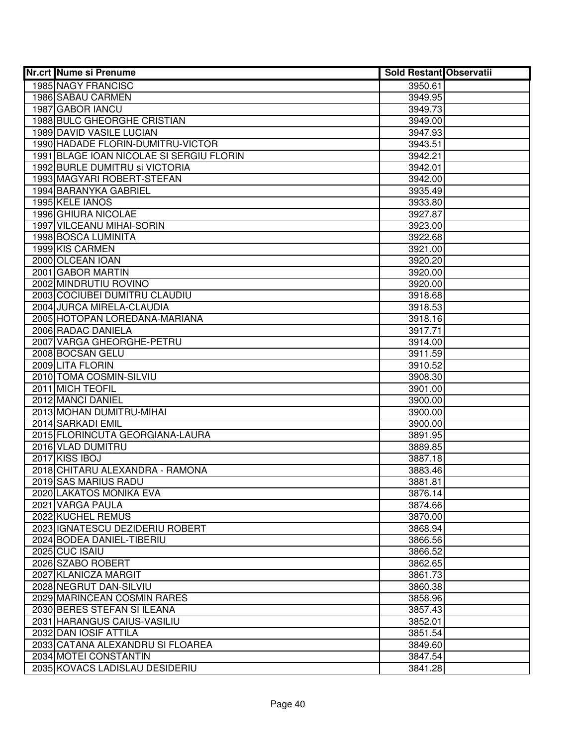| <b>Nr.crt Nume si Prenume</b>            | <b>Sold Restant Observatii</b> |  |
|------------------------------------------|--------------------------------|--|
| 1985 NAGY FRANCISC                       | 3950.61                        |  |
| 1986 SABAU CARMEN                        | 3949.95                        |  |
| 1987 GABOR IANCU                         | 3949.73                        |  |
| 1988 BULC GHEORGHE CRISTIAN              | 3949.00                        |  |
| 1989 DAVID VASILE LUCIAN                 | 3947.93                        |  |
| 1990 HADADE FLORIN-DUMITRU-VICTOR        | 3943.51                        |  |
| 1991 BLAGE IOAN NICOLAE SI SERGIU FLORIN | 3942.21                        |  |
| 1992 BURLE DUMITRU si VICTORIA           | 3942.01                        |  |
| 1993 MAGYARI ROBERT-STEFAN               | 3942.00                        |  |
| 1994 BARANYKA GABRIEL                    | 3935.49                        |  |
| 1995 KELE IANOS                          | 3933.80                        |  |
| 1996 GHIURA NICOLAE                      | 3927.87                        |  |
| 1997 VILCEANU MIHAI-SORIN                | 3923.00                        |  |
| 1998 BOSCA LUMINITA                      | 3922.68                        |  |
| 1999 KIS CARMEN                          | 3921.00                        |  |
| 2000 OLCEAN IOAN                         | 3920.20                        |  |
| 2001 GABOR MARTIN                        | 3920.00                        |  |
| 2002 MINDRUTIU ROVINO                    | 3920.00                        |  |
| 2003 COCIUBEI DUMITRU CLAUDIU            | 3918.68                        |  |
| 2004 JURCA MIRELA-CLAUDIA                | 3918.53                        |  |
| 2005 HOTOPAN LOREDANA-MARIANA            | 3918.16                        |  |
| 2006 RADAC DANIELA                       | 3917.71                        |  |
| 2007 VARGA GHEORGHE-PETRU                | 3914.00                        |  |
| 2008 BOCSAN GELU                         | 3911.59                        |  |
| 2009 LITA FLORIN                         | 3910.52                        |  |
| 2010 TOMA COSMIN-SILVIU                  | 3908.30                        |  |
| 2011 MICH TEOFIL                         | 3901.00                        |  |
| 2012 MANCI DANIEL                        | 3900.00                        |  |
| 2013 MOHAN DUMITRU-MIHAI                 | 3900.00                        |  |
| 2014 SARKADI EMIL                        | 3900.00                        |  |
| 2015 FLORINCUTA GEORGIANA-LAURA          | 3891.95                        |  |
| 2016 VLAD DUMITRU                        | 3889.85                        |  |
| 2017 KISS IBOJ                           | 3887.18                        |  |
| 2018 CHITARU ALEXANDRA - RAMONA          | 3883.46                        |  |
| 2019 SAS MARIUS RADU                     | 3881.81                        |  |
| 2020 LAKATOS MONIKA EVA                  | 3876.14                        |  |
| 2021 VARGA PAULA                         | 3874.66                        |  |
| 2022 KUCHEL REMUS                        | 3870.00                        |  |
| 2023 IGNATESCU DEZIDERIU ROBERT          | 3868.94                        |  |
| 2024 BODEA DANIEL-TIBERIU                | 3866.56                        |  |
| 2025 CUC ISAIU                           | 3866.52                        |  |
| 2026 SZABO ROBERT                        | 3862.65                        |  |
| 2027 KLANICZA MARGIT                     | 3861.73                        |  |
| 2028 NEGRUT DAN-SILVIU                   | 3860.38                        |  |
| 2029 MARINCEAN COSMIN RARES              | 3858.96                        |  |
| 2030 BERES STEFAN SI ILEANA              | 3857.43                        |  |
| 2031 HARANGUS CAIUS-VASILIU              | 3852.01                        |  |
| 2032 DAN IOSIF ATTILA                    | 3851.54                        |  |
| 2033 CATANA ALEXANDRU SI FLOAREA         | 3849.60                        |  |
| 2034 MOTEI CONSTANTIN                    | 3847.54                        |  |
| 2035 KOVACS LADISLAU DESIDERIU           | 3841.28                        |  |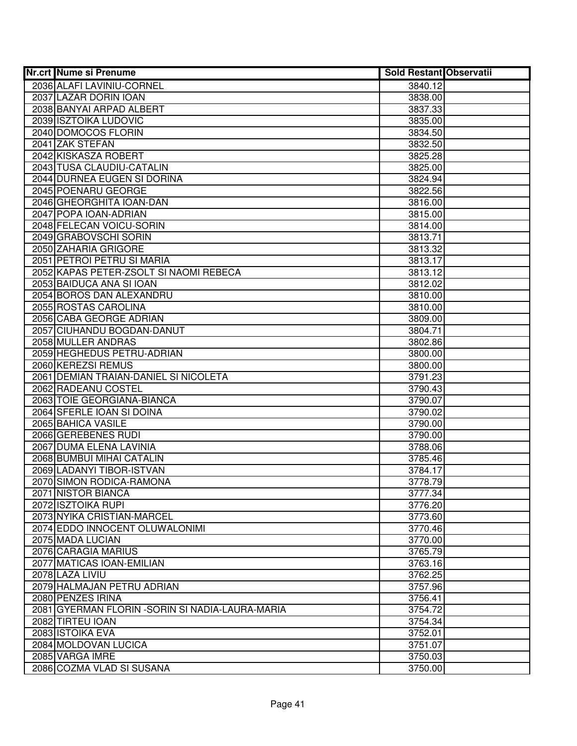| Nr.crt Nume si Prenume                           | <b>Sold Restant Observatii</b> |  |
|--------------------------------------------------|--------------------------------|--|
| 2036 ALAFI LAVINIU-CORNEL                        | 3840.12                        |  |
| 2037 LAZAR DORIN IOAN                            | 3838.00                        |  |
| 2038 BANYAI ARPAD ALBERT                         | 3837.33                        |  |
| 2039 ISZTOIKA LUDOVIC                            | 3835.00                        |  |
| 2040 DOMOCOS FLORIN                              | 3834.50                        |  |
| 2041 ZAK STEFAN                                  | 3832.50                        |  |
| 2042 KISKASZA ROBERT                             | 3825.28                        |  |
| 2043 TUSA CLAUDIU-CATALIN                        | 3825.00                        |  |
| 2044 DURNEA EUGEN SI DORINA                      | 3824.94                        |  |
| 2045 POENARU GEORGE                              | 3822.56                        |  |
| 2046 GHEORGHITA IOAN-DAN                         | 3816.00                        |  |
| 2047 POPA IOAN-ADRIAN                            | 3815.00                        |  |
| 2048 FELECAN VOICU-SORIN                         | 3814.00                        |  |
| 2049 GRABOVSCHI SORIN                            | 3813.71                        |  |
| 2050 ZAHARIA GRIGORE                             | 3813.32                        |  |
| 2051 PETROI PETRU SI MARIA                       | 3813.17                        |  |
| 2052 KAPAS PETER-ZSOLT SI NAOMI REBECA           | 3813.12                        |  |
| 2053 BAIDUCA ANA SI IOAN                         | 3812.02                        |  |
| 2054 BOROS DAN ALEXANDRU                         | 3810.00                        |  |
| 2055 ROSTAS CAROLINA                             | 3810.00                        |  |
| 2056 CABA GEORGE ADRIAN                          | 3809.00                        |  |
| 2057 CIUHANDU BOGDAN-DANUT                       | 3804.71                        |  |
| 2058 MULLER ANDRAS                               | 3802.86                        |  |
| 2059 HEGHEDUS PETRU-ADRIAN                       | 3800.00                        |  |
| 2060 KEREZSI REMUS                               | 3800.00                        |  |
| 2061 DEMIAN TRAIAN-DANIEL SI NICOLETA            | 3791.23                        |  |
| 2062 RADEANU COSTEL                              | 3790.43                        |  |
| 2063 TOIE GEORGIANA-BIANCA                       | 3790.07                        |  |
| 2064 SFERLE IOAN SI DOINA<br>2065 BAHICA VASILE  | 3790.02<br>3790.00             |  |
| 2066 GEREBENES RUDI                              | 3790.00                        |  |
| 2067 DUMA ELENA LAVINIA                          | 3788.06                        |  |
| 2068 BUMBUI MIHAI CATALIN                        | 3785.46                        |  |
| 2069 LADANYI TIBOR-ISTVAN                        | 3784.17                        |  |
| 2070 SIMON RODICA-RAMONA                         | 3778.79                        |  |
| 2071 NISTOR BIANCA                               | 3777.34                        |  |
| 2072 ISZTOIKA RUPI                               | 3776.20                        |  |
| 2073 NYIKA CRISTIAN-MARCEL                       | 3773.60                        |  |
| 2074 EDDO INNOCENT OLUWALONIMI                   | 3770.46                        |  |
| 2075 MADA LUCIAN                                 | 3770.00                        |  |
| 2076 CARAGIA MARIUS                              | 3765.79                        |  |
| 2077 MATICAS IOAN-EMILIAN                        | 3763.16                        |  |
| 2078 LAZA LIVIU                                  | 3762.25                        |  |
| 2079 HALMAJAN PETRU ADRIAN                       | 3757.96                        |  |
| 2080 PENZES IRINA                                | 3756.41                        |  |
| 2081 GYERMAN FLORIN - SORIN SI NADIA-LAURA-MARIA | 3754.72                        |  |
| 2082 TIRTEU IOAN                                 | 3754.34                        |  |
| 2083 ISTOIKA EVA                                 | 3752.01                        |  |
| 2084 MOLDOVAN LUCICA                             | 3751.07                        |  |
| 2085 VARGA IMRE                                  | 3750.03                        |  |
| 2086 COZMA VLAD SI SUSANA                        | 3750.00                        |  |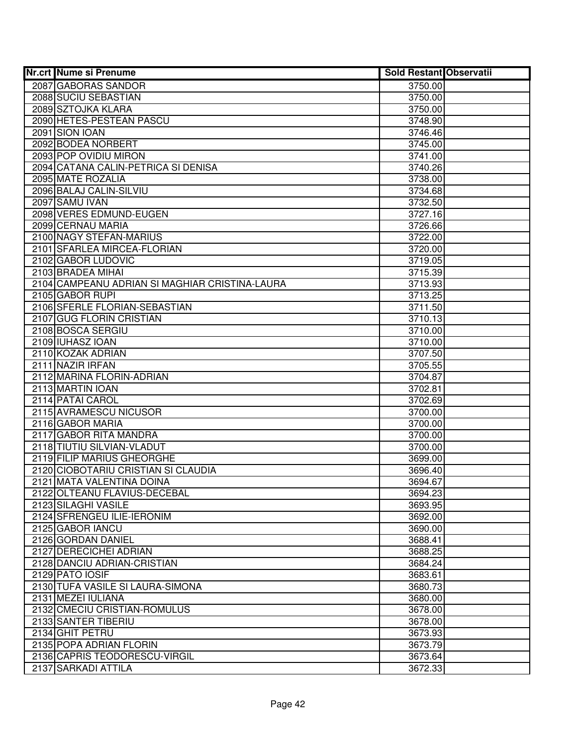| <b>Nr.crt Nume si Prenume</b>                            | <b>Sold Restant Observatii</b> |  |
|----------------------------------------------------------|--------------------------------|--|
| 2087 GABORAS SANDOR                                      | 3750.00                        |  |
| 2088 SUCIU SEBASTIAN                                     | 3750.00                        |  |
| 2089 SZTOJKA KLARA                                       | 3750.00                        |  |
| 2090 HETES-PESTEAN PASCU                                 | 3748.90                        |  |
| 2091 SION IOAN                                           | 3746.46                        |  |
| 2092 BODEA NORBERT                                       | 3745.00                        |  |
| 2093 POP OVIDIU MIRON                                    | 3741.00                        |  |
| 2094 CATANA CALIN-PETRICA SI DENISA                      | 3740.26                        |  |
| 2095 MATE ROZALIA                                        | 3738.00                        |  |
| 2096 BALAJ CALIN-SILVIU                                  | 3734.68                        |  |
| 2097 SAMU IVAN                                           | 3732.50                        |  |
| 2098 VERES EDMUND-EUGEN                                  | 3727.16                        |  |
| 2099 CERNAU MARIA                                        | 3726.66                        |  |
| 2100 NAGY STEFAN-MARIUS                                  | 3722.00                        |  |
| 2101 SFARLEA MIRCEA-FLORIAN                              | 3720.00                        |  |
| 2102 GABOR LUDOVIC                                       | 3719.05                        |  |
| 2103 BRADEA MIHAI                                        | 3715.39                        |  |
| 2104 CAMPEANU ADRIAN SI MAGHIAR CRISTINA-LAURA           | 3713.93                        |  |
| 2105 GABOR RUPI                                          | 3713.25                        |  |
| 2106 SFERLE FLORIAN-SEBASTIAN                            | 3711.50                        |  |
| 2107 GUG FLORIN CRISTIAN                                 | 3710.13                        |  |
| 2108 BOSCA SERGIU                                        | 3710.00                        |  |
| 2109 IUHASZ IOAN                                         | 3710.00                        |  |
| 2110 KOZAK ADRIAN                                        | 3707.50                        |  |
| 2111 NAZIR IRFAN                                         | 3705.55                        |  |
| 2112 MARINA FLORIN-ADRIAN                                | 3704.87                        |  |
| 2113 MARTIN IOAN                                         | 3702.81                        |  |
| 2114 PATAI CAROL                                         | 3702.69                        |  |
| 2115 AVRAMESCU NICUSOR                                   | 3700.00                        |  |
| 2116 GABOR MARIA                                         | 3700.00                        |  |
| 2117 GABOR RITA MANDRA                                   | 3700.00                        |  |
| 2118 TIUTIU SILVIAN-VLADUT<br>2119 FILIP MARIUS GHEORGHE | 3700.00                        |  |
| 2120 CIOBOTARIU CRISTIAN SI CLAUDIA                      | 3699.00                        |  |
| 2121 MATA VALENTINA DOINA                                | 3696.40<br>3694.67             |  |
| 2122 OLTEANU FLAVIUS-DECEBAL                             | 3694.23                        |  |
| 2123 SILAGHI VASILE                                      | 3693.95                        |  |
| 2124 SFRENGEU ILIE-IERONIM                               | 3692.00                        |  |
| 2125 GABOR IANCU                                         | 3690.00                        |  |
| 2126 GORDAN DANIEL                                       | 3688.41                        |  |
| 2127 DERECICHEI ADRIAN                                   | 3688.25                        |  |
| 2128 DANCIU ADRIAN-CRISTIAN                              | 3684.24                        |  |
| 2129 PATO IOSIF                                          | 3683.61                        |  |
| 2130 TUFA VASILE SI LAURA-SIMONA                         | 3680.73                        |  |
| 2131 MEZEI IULIANA                                       | 3680.00                        |  |
| 2132 CMECIU CRISTIAN-ROMULUS                             | 3678.00                        |  |
| 2133 SANTER TIBERIU                                      | 3678.00                        |  |
| 2134 GHIT PETRU                                          | 3673.93                        |  |
| 2135 POPA ADRIAN FLORIN                                  | 3673.79                        |  |
| 2136 CAPRIS TEODORESCU-VIRGIL                            | 3673.64                        |  |
| 2137 SARKADI ATTILA                                      | 3672.33                        |  |
|                                                          |                                |  |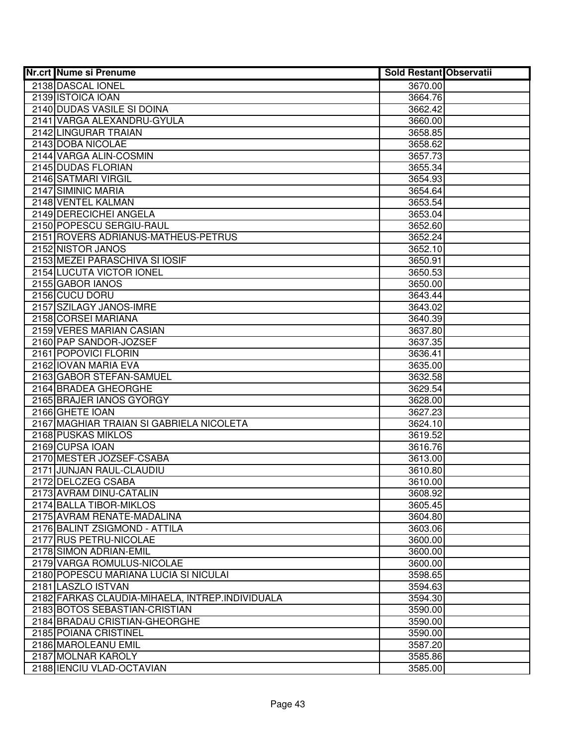| <b>Nr.crt Nume si Prenume</b>                         | <b>Sold Restant Observatii</b> |  |
|-------------------------------------------------------|--------------------------------|--|
| 2138 DASCAL IONEL                                     | 3670.00                        |  |
| 2139 ISTOICA IOAN                                     | 3664.76                        |  |
| 2140 DUDAS VASILE SI DOINA                            | 3662.42                        |  |
| 2141 VARGA ALEXANDRU-GYULA                            | 3660.00                        |  |
| 2142 LINGURAR TRAIAN                                  | 3658.85                        |  |
| 2143 DOBA NICOLAE                                     | 3658.62                        |  |
| 2144 VARGA ALIN-COSMIN                                | 3657.73                        |  |
| 2145 DUDAS FLORIAN                                    | 3655.34                        |  |
| 2146 SATMARI VIRGIL                                   | 3654.93                        |  |
| 2147 SIMINIC MARIA                                    | 3654.64                        |  |
| 2148 VENTEL KALMAN                                    | 3653.54                        |  |
| 2149 DERECICHEI ANGELA                                | 3653.04                        |  |
| 2150 POPESCU SERGIU-RAUL                              | 3652.60                        |  |
| 2151 ROVERS ADRIANUS-MATHEUS-PETRUS                   | 3652.24                        |  |
| 2152 NISTOR JANOS                                     | 3652.10                        |  |
| 2153 MEZEI PARASCHIVA SI IOSIF                        | 3650.91                        |  |
| 2154 LUCUTA VICTOR IONEL                              | 3650.53                        |  |
| 2155 GABOR IANOS                                      | 3650.00                        |  |
| 2156 CUCU DORU                                        | 3643.44                        |  |
| 2157 SZILAGY JANOS-IMRE                               | 3643.02                        |  |
| 2158 CORSEI MARIANA                                   | 3640.39                        |  |
| 2159 VERES MARIAN CASIAN                              | 3637.80                        |  |
| 2160 PAP SANDOR-JOZSEF                                | 3637.35                        |  |
| 2161 POPOVICI FLORIN                                  | 3636.41                        |  |
| 2162 IOVAN MARIA EVA                                  | 3635.00                        |  |
| 2163 GABOR STEFAN-SAMUEL                              | 3632.58                        |  |
| 2164 BRADEA GHEORGHE                                  | 3629.54                        |  |
| 2165 BRAJER IANOS GYORGY                              | 3628.00                        |  |
| 2166 GHETE IOAN                                       | 3627.23                        |  |
| 2167 MAGHIAR TRAIAN SI GABRIELA NICOLETA              | 3624.10                        |  |
| 2168 PUSKAS MIKLOS                                    | 3619.52                        |  |
| 2169 CUPSA IOAN                                       | 3616.76                        |  |
| 2170 MESTER JOZSEF-CSABA                              | 3613.00                        |  |
| 2171 JUNJAN RAUL-CLAUDIU                              | 3610.80                        |  |
| 2172 DELCZEG CSABA                                    | 3610.00                        |  |
| 2173 AVRAM DINU-CATALIN                               | 3608.92                        |  |
| 2174 BALLA TIBOR-MIKLOS<br>2175 AVRAM RENATE-MADALINA | 3605.45<br>3604.80             |  |
| 2176 BALINT ZSIGMOND - ATTILA                         | 3603.06                        |  |
| 2177 RUS PETRU-NICOLAE                                | 3600.00                        |  |
| 2178 SIMON ADRIAN-EMIL                                | 3600.00                        |  |
| 2179 VARGA ROMULUS-NICOLAE                            | 3600.00                        |  |
| 2180 POPESCU MARIANA LUCIA SI NICULAI                 | 3598.65                        |  |
| 2181 LASZLO ISTVAN                                    | 3594.63                        |  |
| 2182 FARKAS CLAUDIA-MIHAELA, INTREP. INDIVIDUALA      | 3594.30                        |  |
| 2183 BOTOS SEBASTIAN-CRISTIAN                         | 3590.00                        |  |
| 2184 BRADAU CRISTIAN-GHEORGHE                         | 3590.00                        |  |
| 2185 POIANA CRISTINEL                                 | 3590.00                        |  |
| 2186 MAROLEANU EMIL                                   | 3587.20                        |  |
| 2187 MOLNAR KAROLY                                    | 3585.86                        |  |
| 2188 IENCIU VLAD-OCTAVIAN                             | 3585.00                        |  |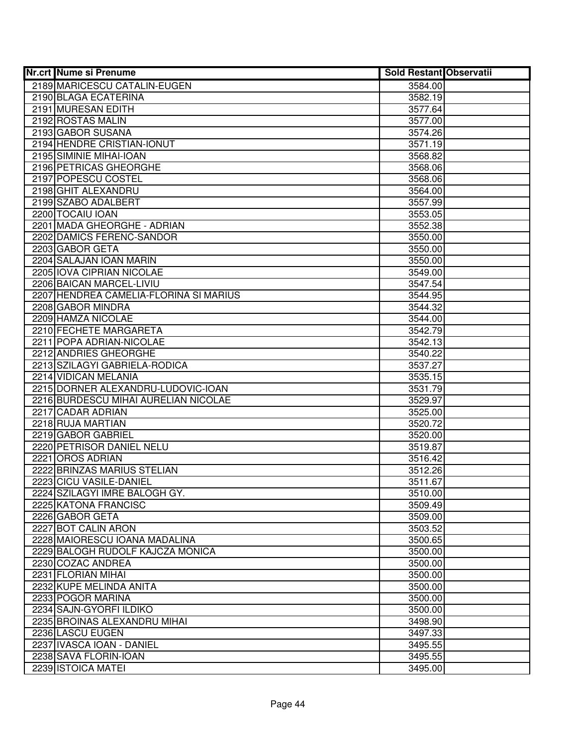| <b>Nr.crt Nume si Prenume</b>                   | <b>Sold Restant Observatii</b> |  |
|-------------------------------------------------|--------------------------------|--|
| 2189 MARICESCU CATALIN-EUGEN                    | 3584.00                        |  |
| 2190 BLAGA ECATERINA                            | 3582.19                        |  |
| 2191 MURESAN EDITH                              | 3577.64                        |  |
| 2192 ROSTAS MALIN                               | 3577.00                        |  |
| 2193 GABOR SUSANA                               | 3574.26                        |  |
| 2194 HENDRE CRISTIAN-IONUT                      | 3571.19                        |  |
| 2195 SIMINIE MIHAI-IOAN                         | 3568.82                        |  |
| 2196 PETRICAS GHEORGHE                          | 3568.06                        |  |
| 2197 POPESCU COSTEL                             | 3568.06                        |  |
| 2198 GHIT ALEXANDRU                             | 3564.00                        |  |
| 2199 SZABO ADALBERT                             | 3557.99                        |  |
| 2200 TOCAIU IOAN                                | 3553.05                        |  |
| 2201 MADA GHEORGHE - ADRIAN                     | 3552.38                        |  |
| 2202 DAMICS FERENC-SANDOR                       | 3550.00                        |  |
| 2203 GABOR GETA                                 | 3550.00                        |  |
| 2204 SALAJAN IOAN MARIN                         | 3550.00                        |  |
| 2205 IOVA CIPRIAN NICOLAE                       | 3549.00                        |  |
| 2206 BAICAN MARCEL-LIVIU                        | 3547.54                        |  |
| 2207 HENDREA CAMELIA-FLORINA SI MARIUS          | 3544.95                        |  |
| 2208 GABOR MINDRA                               | 3544.32                        |  |
| 2209 HAMZA NICOLAE                              | 3544.00                        |  |
| 2210 FECHETE MARGARETA                          | 3542.79                        |  |
| 2211 POPA ADRIAN-NICOLAE                        | 3542.13                        |  |
| 2212 ANDRIES GHEORGHE                           | 3540.22                        |  |
| 2213 SZILAGYI GABRIELA-RODICA                   | 3537.27                        |  |
| 2214 VIDICAN MELANIA                            | 3535.15                        |  |
| 2215 DORNER ALEXANDRU-LUDOVIC-IOAN              | 3531.79                        |  |
| 2216 BURDESCU MIHAI AURELIAN NICOLAE            | 3529.97                        |  |
| 2217 CADAR ADRIAN                               | 3525.00                        |  |
| 2218 RUJA MARTIAN                               | 3520.72                        |  |
| 2219 GABOR GABRIEL                              | 3520.00                        |  |
| 2220 PETRISOR DANIEL NELU                       | 3519.87                        |  |
| 2221 OROS ADRIAN<br>2222 BRINZAS MARIUS STELIAN | 3516.42<br>3512.26             |  |
| 2223 CICU VASILE-DANIEL                         | 3511.67                        |  |
| 2224 SZILAGYI IMRE BALOGH GY.                   | 3510.00                        |  |
| 2225 KATONA FRANCISC                            | 3509.49                        |  |
| 2226 GABOR GETA                                 | 3509.00                        |  |
| 2227 BOT CALIN ARON                             | 3503.52                        |  |
| 2228 MAIORESCU IOANA MADALINA                   | 3500.65                        |  |
| 2229 BALOGH RUDOLF KAJCZA MONICA                | 3500.00                        |  |
| 2230 COZAC ANDREA                               | 3500.00                        |  |
| 2231 FLORIAN MIHAI                              | 3500.00                        |  |
| 2232 KUPE MELINDA ANITA                         | 3500.00                        |  |
| 2233 POGOR MARINA                               | 3500.00                        |  |
| 2234 SAJN-GYORFI ILDIKO                         | 3500.00                        |  |
| 2235 BROINAS ALEXANDRU MIHAI                    | 3498.90                        |  |
| 2236 LASCU EUGEN                                | 3497.33                        |  |
| 2237 IVASCA IOAN - DANIEL                       | 3495.55                        |  |
| 2238 SAVA FLORIN-IOAN                           | 3495.55                        |  |
| 2239 ISTOICA MATEI                              | 3495.00                        |  |
|                                                 |                                |  |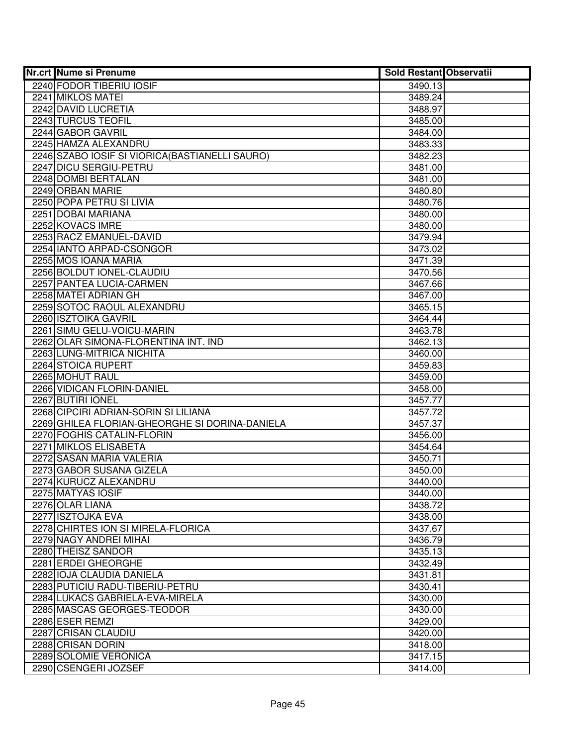| <b>Nr.crt Nume si Prenume</b>                   | <b>Sold Restant Observatii</b> |  |
|-------------------------------------------------|--------------------------------|--|
| 2240 FODOR TIBERIU IOSIF                        | 3490.13                        |  |
| 2241 MIKLOS MATEI                               | 3489.24                        |  |
| 2242 DAVID LUCRETIA                             | 3488.97                        |  |
| 2243 TURCUS TEOFIL                              | 3485.00                        |  |
| 2244 GABOR GAVRIL                               | 3484.00                        |  |
| 2245 HAMZA ALEXANDRU                            | 3483.33                        |  |
| 2246 SZABO IOSIF SI VIORICA (BASTIANELLI SAURO) | 3482.23                        |  |
| 2247 DICU SERGIU-PETRU                          | 3481.00                        |  |
| 2248 DOMBI BERTALAN                             | 3481.00                        |  |
| 2249 ORBAN MARIE                                | 3480.80                        |  |
| 2250 POPA PETRU SI LIVIA                        | 3480.76                        |  |
| 2251 DOBAI MARIANA                              | 3480.00                        |  |
| 2252 KOVACS IMRE                                | 3480.00                        |  |
| 2253 RACZ EMANUEL-DAVID                         | 3479.94                        |  |
| 2254 IANTO ARPAD-CSONGOR                        | 3473.02                        |  |
| 2255 MOS IOANA MARIA                            | 3471.39                        |  |
| 2256 BOLDUT IONEL-CLAUDIU                       | 3470.56                        |  |
| 2257 PANTEA LUCIA-CARMEN                        | 3467.66                        |  |
| 2258 MATEI ADRIAN GH                            | 3467.00                        |  |
| 2259 SOTOC RAOUL ALEXANDRU                      | 3465.15                        |  |
| 2260 ISZTOIKA GAVRIL                            | 3464.44                        |  |
| 2261 SIMU GELU-VOICU-MARIN                      | 3463.78                        |  |
| 2262 OLAR SIMONA-FLORENTINA INT. IND            | 3462.13                        |  |
| 2263 LUNG-MITRICA NICHITA                       | 3460.00                        |  |
| 2264 STOICA RUPERT                              | 3459.83                        |  |
| 2265 MOHUT RAUL                                 | 3459.00                        |  |
| 2266 VIDICAN FLORIN-DANIEL                      | 3458.00                        |  |
| 2267 BUTIRI IONEL                               | 3457.77                        |  |
| 2268 CIPCIRI ADRIAN-SORIN SI LILIANA            | 3457.72                        |  |
| 2269 GHILEA FLORIAN-GHEORGHE SI DORINA-DANIELA  | 3457.37                        |  |
| 2270 FOGHIS CATALIN-FLORIN                      | 3456.00                        |  |
| 2271 MIKLOS ELISABETA                           | 3454.64                        |  |
| 2272 SASAN MARIA VALERIA                        | 3450.71                        |  |
| 2273 GABOR SUSANA GIZELA                        | 3450.00                        |  |
| 2274 KURUCZ ALEXANDRU                           | 3440.00                        |  |
| 2275 MATYAS IOSIF                               | 3440.00                        |  |
| 2276 OLAR LIANA                                 | 3438.72                        |  |
| 2277 ISZTOJKA EVA                               | 3438.00                        |  |
| 2278 CHIRTES ION SI MIRELA-FLORICA              | 3437.67                        |  |
| 2279 NAGY ANDREI MIHAI                          | 3436.79                        |  |
| 2280 THEISZ SANDOR                              | 3435.13                        |  |
| 2281 ERDEI GHEORGHE                             | 3432.49                        |  |
| 2282 IOJA CLAUDIA DANIELA                       | 3431.81                        |  |
| 2283 PUTICIU RADU-TIBERIU-PETRU                 | 3430.41                        |  |
| 2284 LUKACS GABRIELA-EVA-MIRELA                 | 3430.00                        |  |
| 2285 MASCAS GEORGES-TEODOR                      | 3430.00                        |  |
| 2286 ESER REMZI                                 | 3429.00                        |  |
| 2287 CRISAN CLAUDIU                             | 3420.00                        |  |
| 2288 CRISAN DORIN                               | 3418.00                        |  |
| 2289 SOLOMIE VERONICA                           | 3417.15                        |  |
| 2290 CSENGERI JOZSEF                            | 3414.00                        |  |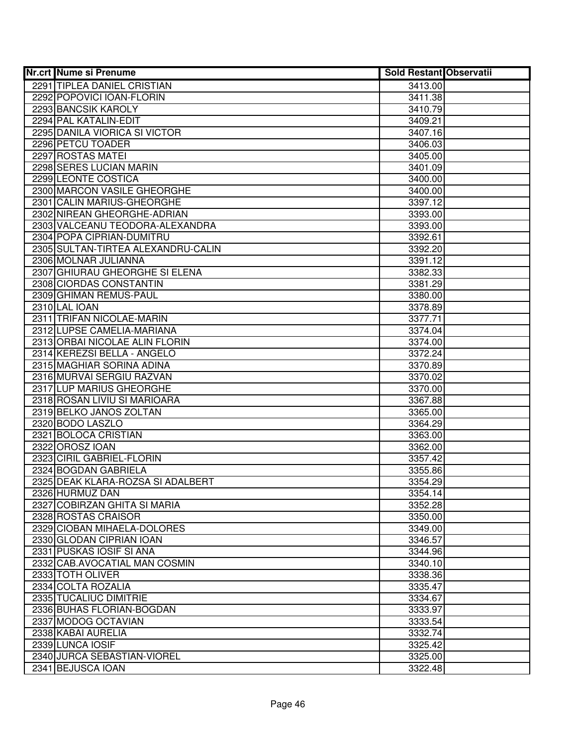| <b>Nr.crt Nume si Prenume</b>      | <b>Sold Restant Observatii</b> |  |
|------------------------------------|--------------------------------|--|
| 2291 TIPLEA DANIEL CRISTIAN        | 3413.00                        |  |
| 2292 POPOVICI IOAN-FLORIN          | 3411.38                        |  |
| 2293 BANCSIK KAROLY                | 3410.79                        |  |
| 2294 PAL KATALIN-EDIT              | 3409.21                        |  |
| 2295 DANILA VIORICA SI VICTOR      | 3407.16                        |  |
| 2296 PETCU TOADER                  | 3406.03                        |  |
| 2297 ROSTAS MATEI                  | 3405.00                        |  |
| 2298 SERES LUCIAN MARIN            | 3401.09                        |  |
| 2299 LEONTE COSTICA                | 3400.00                        |  |
| 2300 MARCON VASILE GHEORGHE        | 3400.00                        |  |
| 2301 CALIN MARIUS-GHEORGHE         | 3397.12                        |  |
| 2302 NIREAN GHEORGHE-ADRIAN        | 3393.00                        |  |
| 2303 VALCEANU TEODORA-ALEXANDRA    | 3393.00                        |  |
| 2304 POPA CIPRIAN-DUMITRU          | 3392.61                        |  |
| 2305 SULTAN-TIRTEA ALEXANDRU-CALIN | 3392.20                        |  |
| 2306 MOLNAR JULIANNA               | 3391.12                        |  |
| 2307 GHIURAU GHEORGHE SI ELENA     | 3382.33                        |  |
| 2308 CIORDAS CONSTANTIN            | 3381.29                        |  |
| 2309 GHIMAN REMUS-PAUL             | 3380.00                        |  |
| 2310 LAL IOAN                      | 3378.89                        |  |
| 2311 TRIFAN NICOLAE-MARIN          | 3377.71                        |  |
| 2312 LUPSE CAMELIA-MARIANA         | 3374.04                        |  |
| 2313 ORBAI NICOLAE ALIN FLORIN     | 3374.00                        |  |
| 2314 KEREZSI BELLA - ANGELO        | 3372.24                        |  |
| 2315 MAGHIAR SORINA ADINA          | 3370.89                        |  |
| 2316 MURVAI SERGIU RAZVAN          | 3370.02                        |  |
| 2317 LUP MARIUS GHEORGHE           | 3370.00                        |  |
| 2318 ROSAN LIVIU SI MARIOARA       | 3367.88                        |  |
| 2319 BELKO JANOS ZOLTAN            | 3365.00                        |  |
| 2320 BODO LASZLO                   | 3364.29                        |  |
| 2321 BOLOCA CRISTIAN               | 3363.00                        |  |
| 2322 OROSZ IOAN                    | 3362.00                        |  |
| 2323 CIRIL GABRIEL-FLORIN          | 3357.42                        |  |
| 2324 BOGDAN GABRIELA               | 3355.86                        |  |
| 2325 DEAK KLARA-ROZSA SI ADALBERT  | 3354.29                        |  |
| 2326 HURMUZ DAN                    | 3354.14                        |  |
| 2327 COBIRZAN GHITA SI MARIA       | 3352.28                        |  |
| 2328 ROSTAS CRAISOR                | 3350.00                        |  |
| 2329 CIOBAN MIHAELA-DOLORES        | 3349.00                        |  |
| 2330 GLODAN CIPRIAN IOAN           | 3346.57                        |  |
| 2331 PUSKAS IOSIF SI ANA           | 3344.96                        |  |
| 2332 CAB.AVOCATIAL MAN COSMIN      | 3340.10                        |  |
| 2333 TOTH OLIVER                   | 3338.36                        |  |
| 2334 COLTA ROZALIA                 | 3335.47                        |  |
| 2335 TUCALIUC DIMITRIE             | 3334.67                        |  |
| 2336 BUHAS FLORIAN-BOGDAN          | 3333.97                        |  |
| 2337 MODOG OCTAVIAN                | 3333.54                        |  |
| 2338 KABAI AURELIA                 | 3332.74                        |  |
| 2339 LUNCA IOSIF                   | 3325.42                        |  |
| 2340 JURCA SEBASTIAN-VIOREL        | 3325.00                        |  |
| 2341 BEJUSCA IOAN                  | 3322.48                        |  |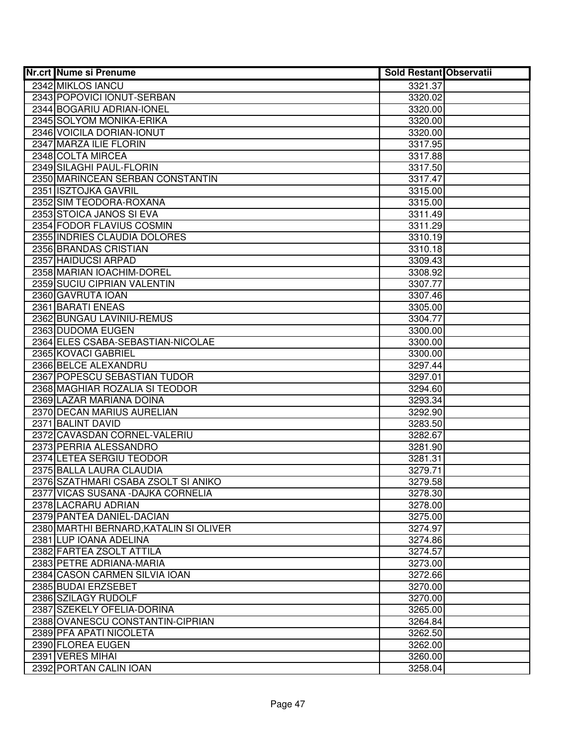| <b>Nr.crt Nume si Prenume</b>                                   | <b>Sold Restant Observatii</b> |  |
|-----------------------------------------------------------------|--------------------------------|--|
| 2342 MIKLOS IANCU                                               | 3321.37                        |  |
| 2343 POPOVICI IONUT-SERBAN                                      | 3320.02                        |  |
| 2344 BOGARIU ADRIAN-IONEL                                       | 3320.00                        |  |
| 2345 SOLYOM MONIKA-ERIKA                                        | 3320.00                        |  |
| 2346 VOICILA DORIAN-IONUT                                       | 3320.00                        |  |
| 2347 MARZA ILIE FLORIN                                          | 3317.95                        |  |
| 2348 COLTA MIRCEA                                               | 3317.88                        |  |
| 2349 SILAGHI PAUL-FLORIN                                        | 3317.50                        |  |
| 2350 MARINCEAN SERBAN CONSTANTIN                                | 3317.47                        |  |
| 2351 ISZTOJKA GAVRIL                                            | 3315.00                        |  |
| 2352 SIM TEODORA-ROXANA                                         | 3315.00                        |  |
| 2353 STOICA JANOS SI EVA                                        | 3311.49                        |  |
| 2354 FODOR FLAVIUS COSMIN                                       | 3311.29                        |  |
| 2355 INDRIES CLAUDIA DOLORES                                    | 3310.19                        |  |
| 2356 BRANDAS CRISTIAN                                           | 3310.18                        |  |
| 2357 HAIDUCSI ARPAD                                             | 3309.43                        |  |
| 2358 MARIAN IOACHIM-DOREL                                       | 3308.92                        |  |
| 2359 SUCIU CIPRIAN VALENTIN                                     | 3307.77                        |  |
| 2360 GAVRUTA IOAN                                               | 3307.46                        |  |
| 2361 BARATI ENEAS                                               | 3305.00                        |  |
| 2362 BUNGAU LAVINIU-REMUS                                       | 3304.77                        |  |
| 2363 DUDOMA EUGEN                                               | 3300.00                        |  |
| 2364 ELES CSABA-SEBASTIAN-NICOLAE                               | 3300.00                        |  |
| 2365 KOVACI GABRIEL                                             | 3300.00                        |  |
| 2366 BELCE ALEXANDRU                                            | 3297.44                        |  |
| 2367 POPESCU SEBASTIAN TUDOR                                    | 3297.01                        |  |
| 2368 MAGHIAR ROZALIA SI TEODOR                                  | 3294.60                        |  |
| 2369 LAZAR MARIANA DOINA                                        | 3293.34                        |  |
| 2370 DECAN MARIUS AURELIAN                                      | 3292.90                        |  |
| 2371 BALINT DAVID                                               | 3283.50                        |  |
| 2372 CAVASDAN CORNEL-VALERIU                                    | 3282.67                        |  |
| 2373 PERRIA ALESSANDRO                                          | 3281.90                        |  |
| 2374 LETEA SERGIU TEODOR                                        | 3281.31                        |  |
| 2375 BALLA LAURA CLAUDIA<br>2376 SZATHMARI CSABA ZSOLT SI ANIKO | 3279.71                        |  |
| 2377 VICAS SUSANA - DAJKA CORNELIA                              | 3279.58<br>3278.30             |  |
| 2378 LACRARU ADRIAN                                             | 3278.00                        |  |
| 2379 PANTEA DANIEL-DACIAN                                       | 3275.00                        |  |
| 2380 MARTHI BERNARD, KATALIN SI OLIVER                          | 3274.97                        |  |
| 2381 LUP IOANA ADELINA                                          | 3274.86                        |  |
| 2382 FARTEA ZSOLT ATTILA                                        | 3274.57                        |  |
| 2383 PETRE ADRIANA-MARIA                                        | 3273.00                        |  |
| 2384 CASON CARMEN SILVIA IOAN                                   | 3272.66                        |  |
| 2385 BUDAI ERZSEBET                                             | 3270.00                        |  |
| 2386 SZILAGY RUDOLF                                             | 3270.00                        |  |
| 2387 SZEKELY OFELIA-DORINA                                      | 3265.00                        |  |
| 2388 OVANESCU CONSTANTIN-CIPRIAN                                | 3264.84                        |  |
| 2389 PFA APATI NICOLETA                                         | 3262.50                        |  |
| 2390 FLOREA EUGEN                                               | 3262.00                        |  |
| 2391 VERES MIHAI                                                | 3260.00                        |  |
| 2392 PORTAN CALIN IOAN                                          | 3258.04                        |  |
|                                                                 |                                |  |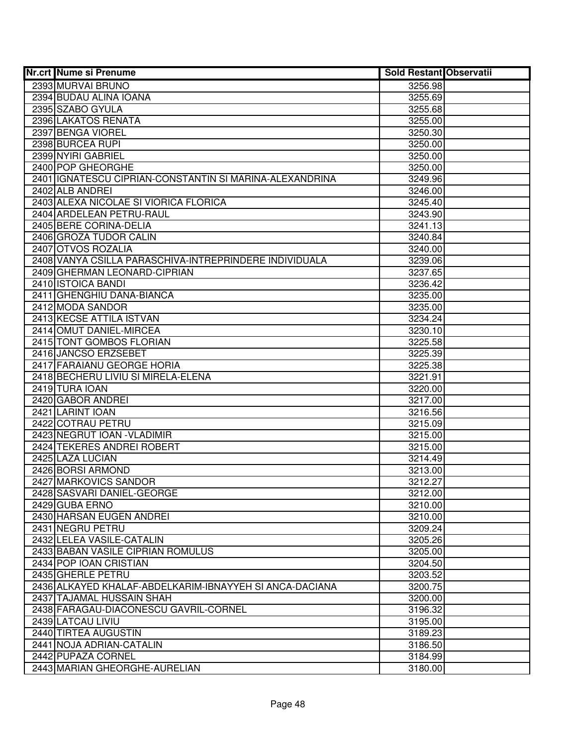| <b>Nr.crt Nume si Prenume</b>                           | <b>Sold Restant Observatii</b> |  |
|---------------------------------------------------------|--------------------------------|--|
| 2393 MURVAI BRUNO                                       | 3256.98                        |  |
| 2394 BUDAU ALINA IOANA                                  | 3255.69                        |  |
| 2395 SZABO GYULA                                        | 3255.68                        |  |
| 2396 LAKATOS RENATA                                     | 3255.00                        |  |
| 2397 BENGA VIOREL                                       | 3250.30                        |  |
| 2398 BURCEA RUPI                                        | 3250.00                        |  |
| 2399 NYIRI GABRIEL                                      | 3250.00                        |  |
| 2400 POP GHEORGHE                                       | 3250.00                        |  |
| 2401 IGNATESCU CIPRIAN-CONSTANTIN SI MARINA-ALEXANDRINA | 3249.96                        |  |
| 2402 ALB ANDREI                                         | 3246.00                        |  |
| 2403 ALEXA NICOLAE SI VIORICA FLORICA                   | 3245.40                        |  |
| 2404 ARDELEAN PETRU-RAUL                                | 3243.90                        |  |
| 2405 BERE CORINA-DELIA                                  | 3241.13                        |  |
| 2406 GROZA TUDOR CALIN                                  | 3240.84                        |  |
| 2407 OTVOS ROZALIA                                      | 3240.00                        |  |
| 2408 VANYA CSILLA PARASCHIVA-INTREPRINDERE INDIVIDUALA  | 3239.06                        |  |
| 2409 GHERMAN LEONARD-CIPRIAN                            | 3237.65                        |  |
| 2410 ISTOICA BANDI                                      | 3236.42                        |  |
| 2411 GHENGHIU DANA-BIANCA                               | 3235.00                        |  |
| 2412 MODA SANDOR                                        | 3235.00                        |  |
| 2413 KECSE ATTILA ISTVAN                                | 3234.24                        |  |
| 2414 OMUT DANIEL-MIRCEA                                 | 3230.10                        |  |
| 2415 TONT GOMBOS FLORIAN                                | 3225.58                        |  |
| 2416 JANCSO ERZSEBET                                    | 3225.39                        |  |
| 2417 FARAIANU GEORGE HORIA                              | 3225.38                        |  |
| 2418 BECHERU LIVIU SI MIRELA-ELENA                      | 3221.91                        |  |
| 2419 TURA IOAN                                          | 3220.00                        |  |
| 2420 GABOR ANDREI                                       | 3217.00                        |  |
| 2421 LARINT IOAN                                        | 3216.56                        |  |
| 2422 COTRAU PETRU                                       | 3215.09                        |  |
| 2423 NEGRUT IOAN - VLADIMIR                             | 3215.00                        |  |
| 2424 TEKERES ANDREI ROBERT                              | 3215.00                        |  |
| 2425 LAZA LUCIAN                                        | 3214.49                        |  |
| 2426 BORSI ARMOND                                       | 3213.00                        |  |
| 2427 MARKOVICS SANDOR                                   | 3212.27                        |  |
| 2428 SASVARI DANIEL-GEORGE                              | 3212.00                        |  |
| 2429 GUBA ERNO                                          | 3210.00                        |  |
| 2430 HARSAN EUGEN ANDREI                                | 3210.00                        |  |
| 2431 NEGRU PETRU                                        | 3209.24                        |  |
| 2432 LELEA VASILE-CATALIN                               | 3205.26                        |  |
| 2433 BABAN VASILE CIPRIAN ROMULUS                       | 3205.00                        |  |
| 2434 POP IOAN CRISTIAN                                  | 3204.50                        |  |
| 2435 GHERLE PETRU                                       | 3203.52                        |  |
| 2436 ALKAYED KHALAF-ABDELKARIM-IBNAYYEH SI ANCA-DACIANA | 3200.75                        |  |
| 2437 TAJAMAL HUSSAIN SHAH                               | 3200.00                        |  |
| 2438 FARAGAU-DIACONESCU GAVRIL-CORNEL                   | 3196.32                        |  |
| 2439 LATCAU LIVIU                                       | 3195.00                        |  |
| 2440 TIRTEA AUGUSTIN                                    | 3189.23                        |  |
| 2441 NOJA ADRIAN-CATALIN                                | 3186.50                        |  |
| 2442 PUPAZA CORNEL                                      | 3184.99                        |  |
| 2443 MARIAN GHEORGHE-AURELIAN                           | 3180.00                        |  |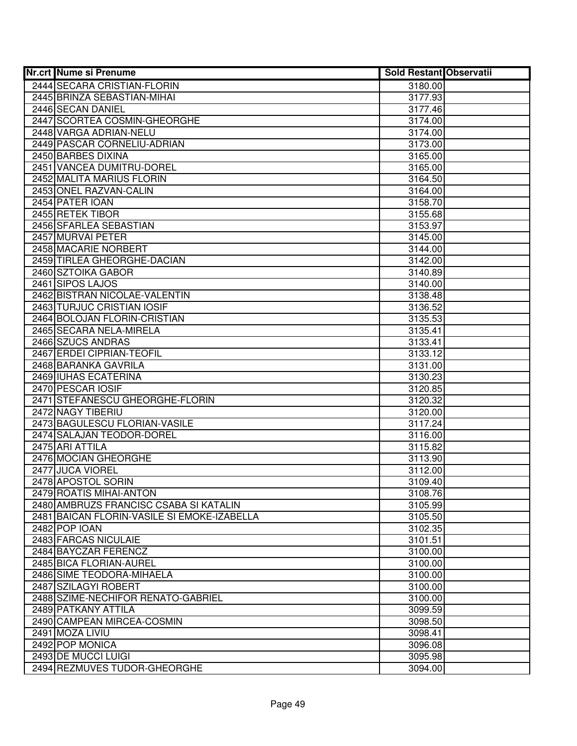| <b>Nr.crt Nume si Prenume</b>               | <b>Sold Restant Observatii</b> |  |
|---------------------------------------------|--------------------------------|--|
| 2444 SECARA CRISTIAN-FLORIN                 | 3180.00                        |  |
| 2445 BRINZA SEBASTIAN-MIHAI                 | 3177.93                        |  |
| 2446 SECAN DANIEL                           | 3177.46                        |  |
| 2447 SCORTEA COSMIN-GHEORGHE                | 3174.00                        |  |
| 2448 VARGA ADRIAN-NELU                      | 3174.00                        |  |
| 2449 PASCAR CORNELIU-ADRIAN                 | 3173.00                        |  |
| 2450 BARBES DIXINA                          | 3165.00                        |  |
| 2451 VANCEA DUMITRU-DOREL                   | 3165.00                        |  |
| 2452 MALITA MARIUS FLORIN                   | 3164.50                        |  |
| 2453 ONEL RAZVAN-CALIN                      | 3164.00                        |  |
| 2454 PATER IOAN                             | 3158.70                        |  |
| 2455 RETEK TIBOR                            | 3155.68                        |  |
| 2456 SFARLEA SEBASTIAN                      | 3153.97                        |  |
| 2457 MURVAI PETER                           | 3145.00                        |  |
| 2458 MACARIE NORBERT                        | 3144.00                        |  |
| 2459 TIRLEA GHEORGHE-DACIAN                 | 3142.00                        |  |
| 2460 SZTOIKA GABOR                          | 3140.89                        |  |
| 2461 SIPOS LAJOS                            | 3140.00                        |  |
| 2462 BISTRAN NICOLAE-VALENTIN               | 3138.48                        |  |
| 2463 TURJUC CRISTIAN IOSIF                  | 3136.52                        |  |
| 2464 BOLOJAN FLORIN-CRISTIAN                | 3135.53                        |  |
| 2465 SECARA NELA-MIRELA                     | 3135.41                        |  |
| 2466 SZUCS ANDRAS                           | 3133.41                        |  |
| 2467 ERDEI CIPRIAN-TEOFIL                   | 3133.12                        |  |
| 2468 BARANKA GAVRILA                        | 3131.00                        |  |
| 2469 IUHAS ECATERINA                        | 3130.23                        |  |
| 2470 PESCAR IOSIF                           | 3120.85                        |  |
| 2471 STEFANESCU GHEORGHE-FLORIN             | 3120.32                        |  |
| 2472 NAGY TIBERIU                           | 3120.00                        |  |
| 2473 BAGULESCU FLORIAN-VASILE               | 3117.24                        |  |
| 2474 SALAJAN TEODOR-DOREL                   | 3116.00                        |  |
| 2475 ARI ATTILA                             | 3115.82                        |  |
| 2476 MOCIAN GHEORGHE                        | 3113.90                        |  |
| 2477 JUCA VIOREL                            | 3112.00                        |  |
| 2478 APOSTOL SORIN                          | 3109.40                        |  |
| 2479 ROATIS MIHAI-ANTON                     | 3108.76                        |  |
| 2480 AMBRUZS FRANCISC CSABA SI KATALIN      | 3105.99                        |  |
| 2481 BAICAN FLORIN-VASILE SI EMOKE-IZABELLA | 3105.50                        |  |
| 2482 POP IOAN                               | 3102.35                        |  |
| 2483 FARCAS NICULAIE                        | 3101.51                        |  |
| 2484 BAYCZAR FERENCZ                        | 3100.00                        |  |
| 2485 BICA FLORIAN-AUREL                     | 3100.00                        |  |
| 2486 SIME TEODORA-MIHAELA                   | 3100.00                        |  |
| 2487 SZILAGYI ROBERT                        | 3100.00                        |  |
| 2488 SZIME-NECHIFOR RENATO-GABRIEL          | 3100.00                        |  |
| 2489 PATKANY ATTILA                         | 3099.59                        |  |
| 2490 CAMPEAN MIRCEA-COSMIN                  | 3098.50                        |  |
| 2491 MOZA LIVIU                             | 3098.41                        |  |
| 2492 POP MONICA<br>2493 DE MUCCI LUIGI      | 3096.08                        |  |
| 2494 REZMUVES TUDOR-GHEORGHE                | 3095.98                        |  |
|                                             | 3094.00                        |  |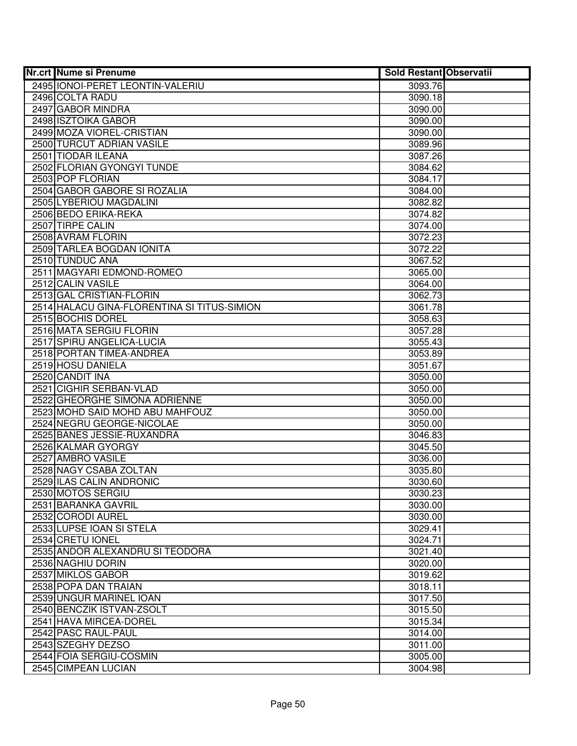| <b>Nr.crt Nume si Prenume</b>               | <b>Sold Restant Observatii</b> |  |
|---------------------------------------------|--------------------------------|--|
| 2495 IONOI-PERET LEONTIN-VALERIU            | 3093.76                        |  |
| 2496 COLTA RADU                             | 3090.18                        |  |
| 2497 GABOR MINDRA                           | 3090.00                        |  |
| 2498 ISZTOIKA GABOR                         | 3090.00                        |  |
| 2499 MOZA VIOREL-CRISTIAN                   | 3090.00                        |  |
| 2500 TURCUT ADRIAN VASILE                   | 3089.96                        |  |
| 2501 TIODAR ILEANA                          | 3087.26                        |  |
| 2502 FLORIAN GYONGYI TUNDE                  | 3084.62                        |  |
| 2503 POP FLORIAN                            | 3084.17                        |  |
| 2504 GABOR GABORE SI ROZALIA                | 3084.00                        |  |
| 2505 LYBERIOU MAGDALINI                     | 3082.82                        |  |
| 2506 BEDO ERIKA-REKA                        | 3074.82                        |  |
| 2507 TIRPE CALIN                            | 3074.00                        |  |
| 2508 AVRAM FLORIN                           | 3072.23                        |  |
| 2509 TARLEA BOGDAN IONITA                   | 3072.22                        |  |
| 2510 TUNDUC ANA                             | 3067.52                        |  |
| 2511 MAGYARI EDMOND-ROMEO                   | 3065.00                        |  |
| 2512 CALIN VASILE                           | 3064.00                        |  |
| 2513 GAL CRISTIAN-FLORIN                    | 3062.73                        |  |
| 2514 HALACU GINA-FLORENTINA SI TITUS-SIMION | 3061.78                        |  |
| 2515 BOCHIS DOREL                           | 3058.63                        |  |
| 2516 MATA SERGIU FLORIN                     | 3057.28                        |  |
| 2517 SPIRU ANGELICA-LUCIA                   | 3055.43                        |  |
| 2518 PORTAN TIMEA-ANDREA                    | 3053.89                        |  |
| 2519 HOSU DANIELA                           | 3051.67                        |  |
| 2520 CANDIT INA                             | 3050.00                        |  |
| 2521 CIGHIR SERBAN-VLAD                     | 3050.00                        |  |
| 2522 GHEORGHE SIMONA ADRIENNE               | 3050.00                        |  |
| 2523 MOHD SAID MOHD ABU MAHFOUZ             | 3050.00                        |  |
| 2524 NEGRU GEORGE-NICOLAE                   | 3050.00                        |  |
| 2525 BANES JESSIE-RUXANDRA                  | 3046.83                        |  |
| 2526 KALMAR GYORGY                          | 3045.50                        |  |
| 2527 AMBRO VASILE                           | 3036.00                        |  |
| 2528 NAGY CSABA ZOLTAN                      | 3035.80                        |  |
| 2529 ILAS CALIN ANDRONIC                    | 3030.60                        |  |
| 2530 MOTOS SERGIU                           | 3030.23                        |  |
| 2531 BARANKA GAVRIL                         | 3030.00                        |  |
| 2532 CORODI AUREL                           | 3030.00                        |  |
| 2533 LUPSE IOAN SI STELA                    | 3029.41                        |  |
| 2534 CRETU IONEL                            | 3024.71                        |  |
| 2535 ANDOR ALEXANDRU SI TEODORA             | 3021.40                        |  |
| 2536 NAGHIU DORIN                           | 3020.00                        |  |
| 2537 MIKLOS GABOR                           | 3019.62                        |  |
| 2538 POPA DAN TRAIAN                        | 3018.11                        |  |
| 2539 UNGUR MARINEL IOAN                     | 3017.50                        |  |
| 2540 BENCZIK ISTVAN-ZSOLT                   | 3015.50                        |  |
| 2541 HAVA MIRCEA-DOREL                      | 3015.34                        |  |
| 2542 PASC RAUL-PAUL                         | 3014.00                        |  |
| 2543 SZEGHY DEZSO                           | 3011.00                        |  |
| 2544 FOIA SERGIU-COSMIN                     | 3005.00                        |  |
| 2545 CIMPEAN LUCIAN                         | 3004.98                        |  |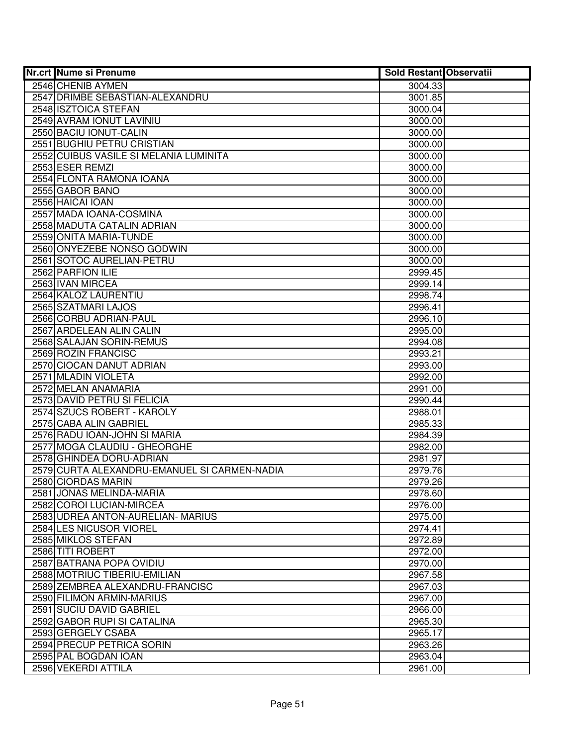| <b>Nr.crt Nume si Prenume</b>                | <b>Sold Restant Observatii</b> |  |
|----------------------------------------------|--------------------------------|--|
| 2546 CHENIB AYMEN                            | 3004.33                        |  |
| 2547 DRIMBE SEBASTIAN-ALEXANDRU              | 3001.85                        |  |
| 2548 ISZTOICA STEFAN                         | 3000.04                        |  |
| 2549 AVRAM IONUT LAVINIU                     | 3000.00                        |  |
| 2550 BACIU IONUT-CALIN                       | 3000.00                        |  |
| 2551 BUGHIU PETRU CRISTIAN                   | 3000.00                        |  |
| 2552 CUIBUS VASILE SI MELANIA LUMINITA       | 3000.00                        |  |
| 2553 ESER REMZI                              | 3000.00                        |  |
| 2554 FLONTA RAMONA IOANA                     | 3000.00                        |  |
| 2555 GABOR BANO                              | 3000.00                        |  |
| 2556 HAICAI IOAN                             | 3000.00                        |  |
| 2557 MADA IOANA-COSMINA                      | 3000.00                        |  |
| 2558 MADUTA CATALIN ADRIAN                   | 3000.00                        |  |
| 2559 ONITA MARIA-TUNDE                       | 3000.00                        |  |
| 2560 ONYEZEBE NONSO GODWIN                   | 3000.00                        |  |
| 2561 SOTOC AURELIAN-PETRU                    | 3000.00                        |  |
| 2562 PARFION ILIE                            | 2999.45                        |  |
| 2563 IVAN MIRCEA                             | 2999.14                        |  |
| 2564 KALOZ LAURENTIU                         | 2998.74                        |  |
| 2565 SZATMARI LAJOS                          | 2996.41                        |  |
| 2566 CORBU ADRIAN-PAUL                       | 2996.10                        |  |
| 2567 ARDELEAN ALIN CALIN                     | 2995.00                        |  |
| 2568 SALAJAN SORIN-REMUS                     | 2994.08                        |  |
| 2569 ROZIN FRANCISC                          | 2993.21                        |  |
| 2570 CIOCAN DANUT ADRIAN                     | 2993.00                        |  |
| 2571 MLADIN VIOLETA                          | 2992.00                        |  |
| 2572 MELAN ANAMARIA                          | 2991.00                        |  |
| 2573 DAVID PETRU SI FELICIA                  | 2990.44                        |  |
| 2574 SZUCS ROBERT - KAROLY                   | 2988.01                        |  |
| 2575 CABA ALIN GABRIEL                       | 2985.33                        |  |
| 2576 RADU IOAN-JOHN SI MARIA                 | 2984.39                        |  |
| 2577 MOGA CLAUDIU - GHEORGHE                 | 2982.00                        |  |
| 2578 GHINDEA DORU-ADRIAN                     | 2981.97                        |  |
| 2579 CURTA ALEXANDRU-EMANUEL SI CARMEN-NADIA | 2979.76                        |  |
| 2580 CIORDAS MARIN                           | 2979.26                        |  |
| 2581 JONAS MELINDA-MARIA                     | 2978.60                        |  |
| 2582 COROI LUCIAN-MIRCEA                     | 2976.00                        |  |
| 2583 UDREA ANTON-AURELIAN- MARIUS            | 2975.00                        |  |
| 2584 LES NICUSOR VIOREL                      | 2974.41                        |  |
| 2585 MIKLOS STEFAN                           | 2972.89                        |  |
| 2586 TITI ROBERT                             | 2972.00                        |  |
| 2587 BATRANA POPA OVIDIU                     | 2970.00                        |  |
| 2588 MOTRIUC TIBERIU-EMILIAN                 | 2967.58                        |  |
| 2589 ZEMBREA ALEXANDRU-FRANCISC              | 2967.03                        |  |
| 2590 FILIMON ARMIN-MARIUS                    | 2967.00                        |  |
| 2591 SUCIU DAVID GABRIEL                     | 2966.00                        |  |
| 2592 GABOR RUPI SI CATALINA                  | 2965.30                        |  |
| 2593 GERGELY CSABA                           | 2965.17                        |  |
| 2594 PRECUP PETRICA SORIN                    | 2963.26                        |  |
| 2595 PAL BOGDAN IOAN                         | 2963.04                        |  |
| 2596 VEKERDI ATTILA                          | 2961.00                        |  |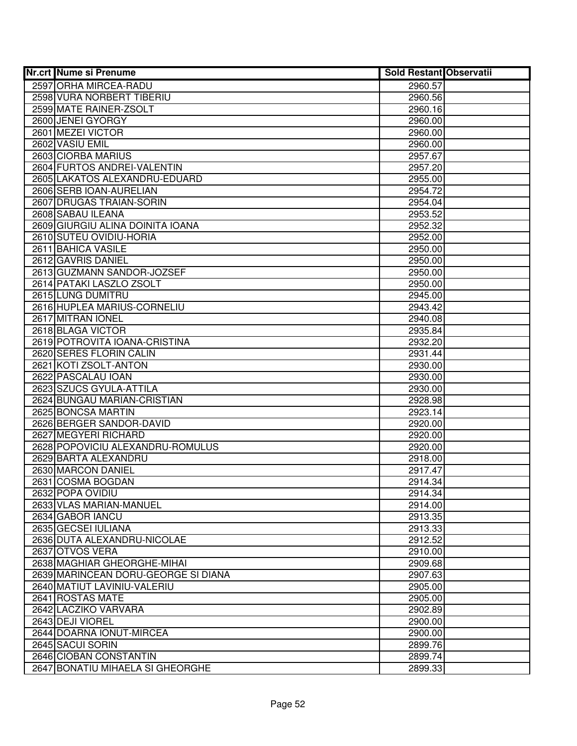| <b>Nr.crt Nume si Prenume</b>         | <b>Sold Restant Observatii</b> |  |
|---------------------------------------|--------------------------------|--|
| 2597 ORHA MIRCEA-RADU                 | 2960.57                        |  |
| 2598 VURA NORBERT TIBERIU             | 2960.56                        |  |
| 2599 MATE RAINER-ZSOLT                | 2960.16                        |  |
| 2600 JENEI GYORGY                     | 2960.00                        |  |
| 2601 MEZEI VICTOR                     | 2960.00                        |  |
| 2602 VASIU EMIL                       | 2960.00                        |  |
| 2603 CIORBA MARIUS                    | 2957.67                        |  |
| 2604 FURTOS ANDREI-VALENTIN           | 2957.20                        |  |
| 2605 LAKATOS ALEXANDRU-EDUARD         | 2955.00                        |  |
| 2606 SERB IOAN-AURELIAN               | 2954.72                        |  |
| 2607 DRUGAS TRAIAN-SORIN              | 2954.04                        |  |
| 2608 SABAU ILEANA                     | 2953.52                        |  |
| 2609 GIURGIU ALINA DOINITA IOANA      | 2952.32                        |  |
| 2610 SUTEU OVIDIU-HORIA               | 2952.00                        |  |
| 2611 BAHICA VASILE                    | 2950.00                        |  |
| 2612 GAVRIS DANIEL                    | 2950.00                        |  |
| 2613 GUZMANN SANDOR-JOZSEF            | 2950.00                        |  |
| 2614 PATAKI LASZLO ZSOLT              | 2950.00                        |  |
| 2615 LUNG DUMITRU                     | 2945.00                        |  |
| 2616 HUPLEA MARIUS-CORNELIU           | 2943.42                        |  |
| 2617 MITRAN IONEL                     | 2940.08                        |  |
| 2618 BLAGA VICTOR                     | 2935.84                        |  |
| 2619 POTROVITA IOANA-CRISTINA         | 2932.20                        |  |
| 2620 SERES FLORIN CALIN               | 2931.44                        |  |
| 2621 KOTI ZSOLT-ANTON                 | 2930.00                        |  |
| 2622 PASCALAU IOAN                    | 2930.00                        |  |
| 2623 SZUCS GYULA-ATTILA               | 2930.00                        |  |
| 2624 BUNGAU MARIAN-CRISTIAN           | 2928.98                        |  |
| 2625 BONCSA MARTIN                    | 2923.14                        |  |
| 2626 BERGER SANDOR-DAVID              | 2920.00                        |  |
| 2627 MEGYERI RICHARD                  | 2920.00                        |  |
| 2628 POPOVICIU ALEXANDRU-ROMULUS      | 2920.00                        |  |
| 2629 BARTA ALEXANDRU                  | 2918.00                        |  |
| 2630 MARCON DANIEL                    | 2917.47                        |  |
| 2631 COSMA BOGDAN<br>2632 POPA OVIDIU | 2914.34                        |  |
| 2633 VLAS MARIAN-MANUEL               | 2914.34<br>2914.00             |  |
| 2634 GABOR IANCU                      | 2913.35                        |  |
| 2635 GECSEI IULIANA                   | 2913.33                        |  |
| 2636 DUTA ALEXANDRU-NICOLAE           | 2912.52                        |  |
| 2637 OTVOS VERA                       | 2910.00                        |  |
| 2638 MAGHIAR GHEORGHE-MIHAI           | 2909.68                        |  |
| 2639 MARINCEAN DORU-GEORGE SI DIANA   | 2907.63                        |  |
| 2640 MATIUT LAVINIU-VALERIU           | 2905.00                        |  |
| 2641 ROSTAS MATE                      | 2905.00                        |  |
| 2642 LACZIKO VARVARA                  | 2902.89                        |  |
| 2643 DEJI VIOREL                      | 2900.00                        |  |
| 2644 DOARNA IONUT-MIRCEA              | 2900.00                        |  |
| 2645 SACUI SORIN                      | 2899.76                        |  |
| 2646 CIOBAN CONSTANTIN                | 2899.74                        |  |
| 2647 BONATIU MIHAELA SI GHEORGHE      | 2899.33                        |  |
|                                       |                                |  |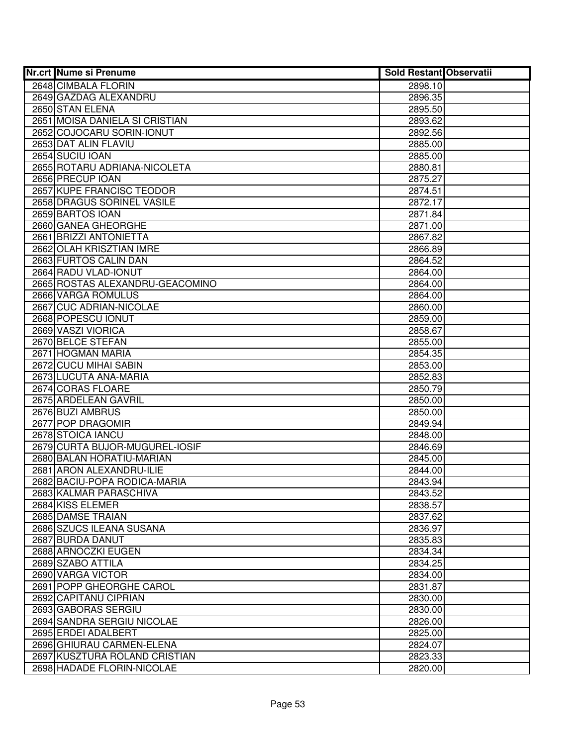| <b>Nr.crt Nume si Prenume</b>                 | <b>Sold Restant Observatii</b> |  |
|-----------------------------------------------|--------------------------------|--|
| 2648 CIMBALA FLORIN                           | 2898.10                        |  |
| 2649 GAZDAG ALEXANDRU                         | 2896.35                        |  |
| 2650 STAN ELENA                               | 2895.50                        |  |
| 2651 MOISA DANIELA SI CRISTIAN                | 2893.62                        |  |
| 2652 COJOCARU SORIN-IONUT                     | 2892.56                        |  |
| 2653 DAT ALIN FLAVIU                          | 2885.00                        |  |
| 2654 SUCIU IOAN                               | 2885.00                        |  |
| 2655 ROTARU ADRIANA-NICOLETA                  | 2880.81                        |  |
| 2656 PRECUP IOAN                              | 2875.27                        |  |
| 2657 KUPE FRANCISC TEODOR                     | 2874.51                        |  |
| 2658 DRAGUS SORINEL VASILE                    | 2872.17                        |  |
| 2659 BARTOS IOAN                              | 2871.84                        |  |
| 2660 GANEA GHEORGHE                           | 2871.00                        |  |
| 2661 BRIZZI ANTONIETTA                        | 2867.82                        |  |
| 2662 OLAH KRISZTIAN IMRE                      | 2866.89                        |  |
| 2663 FURTOS CALIN DAN                         | 2864.52                        |  |
| 2664 RADU VLAD-IONUT                          | 2864.00                        |  |
| 2665 ROSTAS ALEXANDRU-GEACOMINO               | 2864.00                        |  |
| 2666 VARGA ROMULUS                            | 2864.00                        |  |
| 2667 CUC ADRIAN-NICOLAE                       | 2860.00                        |  |
| 2668 POPESCU IONUT                            | 2859.00                        |  |
| 2669 VASZI VIORICA                            | 2858.67                        |  |
| 2670 BELCE STEFAN                             | 2855.00                        |  |
| 2671 HOGMAN MARIA                             | 2854.35                        |  |
| 2672 CUCU MIHAI SABIN                         | 2853.00                        |  |
| 2673 LUCUTA ANA-MARIA                         | 2852.83                        |  |
| 2674 CORAS FLOARE                             | 2850.79                        |  |
| 2675 ARDELEAN GAVRIL                          | 2850.00                        |  |
| 2676 BUZI AMBRUS                              | 2850.00                        |  |
| 2677 POP DRAGOMIR                             | 2849.94                        |  |
| 2678 STOICA IANCU                             | 2848.00                        |  |
| 2679 CURTA BUJOR-MUGUREL-IOSIF                | 2846.69                        |  |
| 2680 BALAN HORATIU-MARIAN                     | 2845.00                        |  |
| 2681 ARON ALEXANDRU-ILIE                      | 2844.00                        |  |
| 2682 BACIU-POPA RODICA-MARIA                  | 2843.94                        |  |
| 2683 KALMAR PARASCHIVA                        | 2843.52                        |  |
| 2684 KISS ELEMER                              | 2838.57                        |  |
| 2685 DAMSE TRAIAN<br>2686 SZUCS ILEANA SUSANA | 2837.62                        |  |
| 2687 BURDA DANUT                              | 2836.97<br>2835.83             |  |
| 2688 ARNOCZKI EUGEN                           | 2834.34                        |  |
| 2689 SZABO ATTILA                             | 2834.25                        |  |
| 2690 VARGA VICTOR                             | 2834.00                        |  |
| 2691 POPP GHEORGHE CAROL                      | 2831.87                        |  |
| 2692 CAPITANU CIPRIAN                         | 2830.00                        |  |
| 2693 GABORAS SERGIU                           | 2830.00                        |  |
| 2694 SANDRA SERGIU NICOLAE                    | 2826.00                        |  |
| 2695 ERDEI ADALBERT                           | 2825.00                        |  |
| 2696 GHIURAU CARMEN-ELENA                     | 2824.07                        |  |
| 2697 KUSZTURA ROLAND CRISTIAN                 | 2823.33                        |  |
| 2698 HADADE FLORIN-NICOLAE                    | 2820.00                        |  |
|                                               |                                |  |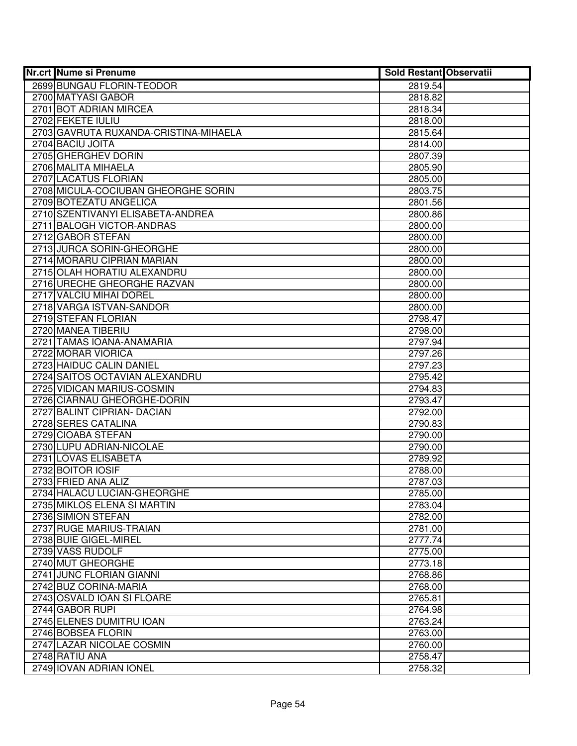| <b>Nr.crt Nume si Prenume</b>         | <b>Sold Restant Observatii</b> |  |
|---------------------------------------|--------------------------------|--|
| 2699 BUNGAU FLORIN-TEODOR             | 2819.54                        |  |
| 2700 MATYASI GABOR                    | 2818.82                        |  |
| 2701 BOT ADRIAN MIRCEA                | 2818.34                        |  |
| 2702 FEKETE IULIU                     | 2818.00                        |  |
| 2703 GAVRUTA RUXANDA-CRISTINA-MIHAELA | 2815.64                        |  |
| 2704 BACIU JOITA                      | 2814.00                        |  |
| 2705 GHERGHEV DORIN                   | 2807.39                        |  |
| 2706 MALITA MIHAELA                   | 2805.90                        |  |
| 2707 LACATUS FLORIAN                  | 2805.00                        |  |
| 2708 MICULA-COCIUBAN GHEORGHE SORIN   | 2803.75                        |  |
| 2709 BOTEZATU ANGELICA                | 2801.56                        |  |
| 2710 SZENTIVANYI ELISABETA-ANDREA     | 2800.86                        |  |
| 2711 BALOGH VICTOR-ANDRAS             | 2800.00                        |  |
| 2712 GABOR STEFAN                     | 2800.00                        |  |
| 2713 JURCA SORIN-GHEORGHE             | 2800.00                        |  |
| 2714 MORARU CIPRIAN MARIAN            | 2800.00                        |  |
| 2715 OLAH HORATIU ALEXANDRU           | 2800.00                        |  |
| 2716 URECHE GHEORGHE RAZVAN           | 2800.00                        |  |
| 2717 VALCIU MIHAI DOREL               | 2800.00                        |  |
| 2718 VARGA ISTVAN-SANDOR              | 2800.00                        |  |
| 2719 STEFAN FLORIAN                   | 2798.47                        |  |
| 2720 MANEA TIBERIU                    | 2798.00                        |  |
| 2721 TAMAS IOANA-ANAMARIA             | 2797.94                        |  |
| 2722 MORAR VIORICA                    | 2797.26                        |  |
| 2723 HAIDUC CALIN DANIEL              | 2797.23                        |  |
| 2724 SAITOS OCTAVIAN ALEXANDRU        | 2795.42                        |  |
| 2725 VIDICAN MARIUS-COSMIN            | 2794.83                        |  |
| 2726 CIARNAU GHEORGHE-DORIN           | 2793.47                        |  |
| 2727 BALINT CIPRIAN- DACIAN           | 2792.00                        |  |
| 2728 SERES CATALINA                   | 2790.83                        |  |
| 2729 CIOABA STEFAN                    | 2790.00                        |  |
| 2730 LUPU ADRIAN-NICOLAE              | 2790.00                        |  |
| 2731 LOVAS ELISABETA                  | 2789.92                        |  |
| 2732 BOITOR IOSIF                     | 2788.00                        |  |
| 2733 FRIED ANA ALIZ                   | 2787.03                        |  |
| 2734 HALACU LUCIAN-GHEORGHE           | 2785.00                        |  |
| 2735 MIKLOS ELENA SI MARTIN           | 2783.04                        |  |
| 2736 SIMION STEFAN                    | 2782.00                        |  |
| 2737 RUGE MARIUS-TRAIAN               | 2781.00                        |  |
| 2738 BUIE GIGEL-MIREL                 | 2777.74                        |  |
| 2739 VASS RUDOLF                      | 2775.00                        |  |
| 2740 MUT GHEORGHE                     | 2773.18                        |  |
| 2741 JUNC FLORIAN GIANNI              | 2768.86                        |  |
| 2742 BUZ CORINA-MARIA                 | 2768.00                        |  |
| 2743 OSVALD IOAN SI FLOARE            | 2765.81                        |  |
| 2744 GABOR RUPI                       | 2764.98                        |  |
| 2745 ELENES DUMITRU IOAN              | 2763.24                        |  |
| 2746 BOBSEA FLORIN                    | 2763.00                        |  |
| 2747 LAZAR NICOLAE COSMIN             | 2760.00                        |  |
| 2748 RATIU ANA                        | 2758.47                        |  |
| 2749 IOVAN ADRIAN IONEL               | 2758.32                        |  |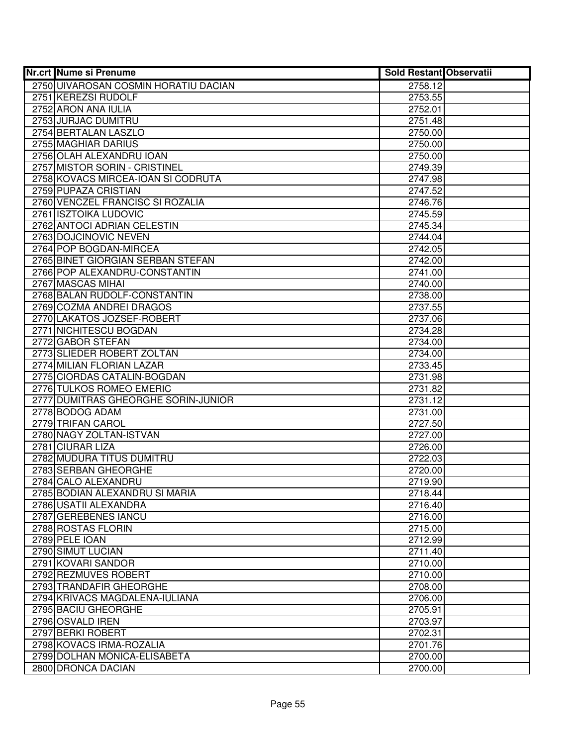| <b>Nr.crt Nume si Prenume</b>        | <b>Sold Restant Observatii</b> |  |
|--------------------------------------|--------------------------------|--|
| 2750 UIVAROSAN COSMIN HORATIU DACIAN | 2758.12                        |  |
| 2751 KEREZSI RUDOLF                  | 2753.55                        |  |
| 2752 ARON ANA IULIA                  | 2752.01                        |  |
| 2753 JURJAC DUMITRU                  | 2751.48                        |  |
| 2754 BERTALAN LASZLO                 | 2750.00                        |  |
| 2755 MAGHIAR DARIUS                  | 2750.00                        |  |
| 2756 OLAH ALEXANDRU IOAN             | 2750.00                        |  |
| 2757 MISTOR SORIN - CRISTINEL        | 2749.39                        |  |
| 2758 KOVACS MIRCEA-IOAN SI CODRUTA   | 2747.98                        |  |
| 2759 PUPAZA CRISTIAN                 | 2747.52                        |  |
| 2760 VENCZEL FRANCISC SI ROZALIA     | 2746.76                        |  |
| 2761 ISZTOIKA LUDOVIC                | 2745.59                        |  |
| 2762 ANTOCI ADRIAN CELESTIN          | 2745.34                        |  |
| 2763 DOJCINOVIC NEVEN                | 2744.04                        |  |
| 2764 POP BOGDAN-MIRCEA               | 2742.05                        |  |
| 2765 BINET GIORGIAN SERBAN STEFAN    | 2742.00                        |  |
| 2766 POP ALEXANDRU-CONSTANTIN        | 2741.00                        |  |
| 2767 MASCAS MIHAI                    | 2740.00                        |  |
| 2768 BALAN RUDOLF-CONSTANTIN         | 2738.00                        |  |
| 2769 COZMA ANDREI DRAGOS             | 2737.55                        |  |
| 2770 LAKATOS JOZSEF-ROBERT           | 2737.06                        |  |
| 2771 NICHITESCU BOGDAN               | 2734.28                        |  |
| 2772 GABOR STEFAN                    | 2734.00                        |  |
| 2773 SLIEDER ROBERT ZOLTAN           | 2734.00                        |  |
| 2774 MILIAN FLORIAN LAZAR            | 2733.45                        |  |
| 2775 CIORDAS CATALIN-BOGDAN          | 2731.98                        |  |
| 2776 TULKOS ROMEO EMERIC             | 2731.82                        |  |
| 2777 DUMITRAS GHEORGHE SORIN-JUNIOR  | 2731.12                        |  |
| 2778 BODOG ADAM                      | 2731.00                        |  |
| 2779 TRIFAN CAROL                    | 2727.50                        |  |
| 2780 NAGY ZOLTAN-ISTVAN              | 2727.00                        |  |
| 2781 CIURAR LIZA                     | 2726.00                        |  |
| 2782 MUDURA TITUS DUMITRU            | 2722.03                        |  |
| 2783 SERBAN GHEORGHE                 | 2720.00                        |  |
| 2784 CALO ALEXANDRU                  | 2719.90                        |  |
| 2785 BODIAN ALEXANDRU SI MARIA       | 2718.44                        |  |
| 2786 USATII ALEXANDRA                | 2716.40                        |  |
| 2787 GEREBENES IANCU                 | 2716.00                        |  |
| 2788 ROSTAS FLORIN                   | 2715.00                        |  |
| 2789 PELE IOAN                       | 2712.99                        |  |
| 2790 SIMUT LUCIAN                    | 2711.40                        |  |
| 2791 KOVARI SANDOR                   | 2710.00                        |  |
| 2792 REZMUVES ROBERT                 | 2710.00                        |  |
| 2793 TRANDAFIR GHEORGHE              | 2708.00                        |  |
| 2794 KRIVACS MAGDALENA-IULIANA       | 2706.00                        |  |
| 2795 BACIU GHEORGHE                  | 2705.91                        |  |
| 2796 OSVALD IREN                     | 2703.97                        |  |
| 2797 BERKI ROBERT                    | 2702.31                        |  |
| 2798 KOVACS IRMA-ROZALIA             | 2701.76                        |  |
| 2799 DOLHAN MONICA-ELISABETA         | 2700.00                        |  |
| 2800 DRONCA DACIAN                   | 2700.00                        |  |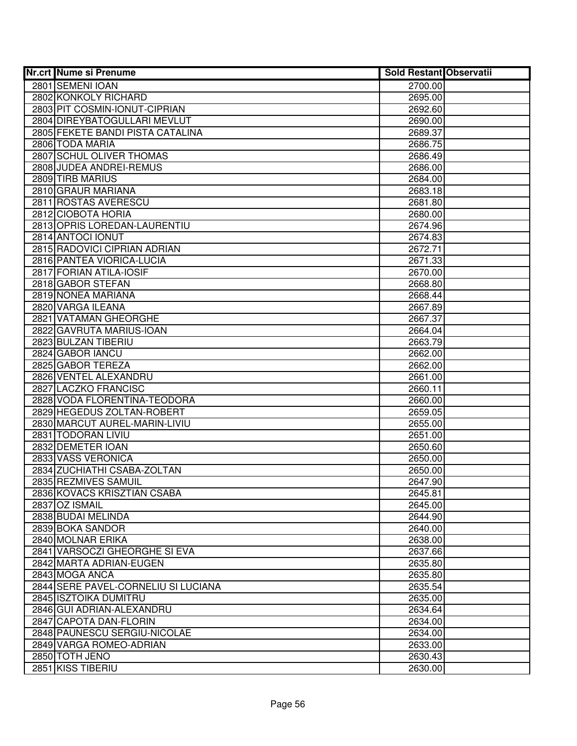| <b>Nr.crt Nume si Prenume</b>                 | <b>Sold Restant Observatii</b> |  |
|-----------------------------------------------|--------------------------------|--|
| 2801 SEMENI IOAN                              | 2700.00                        |  |
| 2802 KONKOLY RICHARD                          | 2695.00                        |  |
| 2803 PIT COSMIN-IONUT-CIPRIAN                 | 2692.60                        |  |
| 2804 DIREYBATOGULLARI MEVLUT                  | 2690.00                        |  |
| 2805 FEKETE BANDI PISTA CATALINA              | 2689.37                        |  |
| 2806 TODA MARIA                               | 2686.75                        |  |
| 2807 SCHUL OLIVER THOMAS                      | 2686.49                        |  |
| 2808 JUDEA ANDREI-REMUS                       | 2686.00                        |  |
| 2809 TIRB MARIUS                              | 2684.00                        |  |
| 2810 GRAUR MARIANA                            | 2683.18                        |  |
| 2811 ROSTAS AVERESCU                          | 2681.80                        |  |
| 2812 CIOBOTA HORIA                            | 2680.00                        |  |
| 2813 OPRIS LOREDAN-LAURENTIU                  | 2674.96                        |  |
| 2814 ANTOCI IONUT                             | 2674.83                        |  |
| 2815 RADOVICI CIPRIAN ADRIAN                  | 2672.71                        |  |
| 2816 PANTEA VIORICA-LUCIA                     | 2671.33                        |  |
| 2817 FORIAN ATILA-IOSIF                       | 2670.00                        |  |
| 2818 GABOR STEFAN                             | 2668.80                        |  |
| 2819 NONEA MARIANA                            | 2668.44                        |  |
| 2820 VARGA ILEANA                             | 2667.89                        |  |
| 2821 VATAMAN GHEORGHE                         | 2667.37                        |  |
| 2822 GAVRUTA MARIUS-IOAN                      | 2664.04                        |  |
| 2823 BULZAN TIBERIU                           | 2663.79                        |  |
| 2824 GABOR IANCU                              | 2662.00                        |  |
| 2825 GABOR TEREZA                             | 2662.00                        |  |
| 2826 VENTEL ALEXANDRU<br>2827 LACZKO FRANCISC | 2661.00                        |  |
| 2828 VODA FLORENTINA-TEODORA                  | 2660.11<br>2660.00             |  |
| 2829 HEGEDUS ZOLTAN-ROBERT                    | 2659.05                        |  |
| 2830 MARCUT AUREL-MARIN-LIVIU                 | 2655.00                        |  |
| 2831 TODORAN LIVIU                            | 2651.00                        |  |
| 2832 DEMETER IOAN                             | 2650.60                        |  |
| 2833 VASS VERONICA                            | 2650.00                        |  |
| 2834 ZUCHIATHI CSABA-ZOLTAN                   | 2650.00                        |  |
| 2835 REZMIVES SAMUIL                          | 2647.90                        |  |
| 2836 KOVACS KRISZTIAN CSABA                   | 2645.81                        |  |
| 2837 OZ ISMAIL                                | 2645.00                        |  |
| 2838 BUDAI MELINDA                            | 2644.90                        |  |
| 2839 BOKA SANDOR                              | 2640.00                        |  |
| 2840 MOLNAR ERIKA                             | 2638.00                        |  |
| 2841 VARSOCZI GHEORGHE SI EVA                 | 2637.66                        |  |
| 2842 MARTA ADRIAN-EUGEN                       | 2635.80                        |  |
| 2843 MOGA ANCA                                | 2635.80                        |  |
| 2844 SERE PAVEL-CORNELIU SI LUCIANA           | 2635.54                        |  |
| 2845 ISZTOIKA DUMITRU                         | 2635.00                        |  |
| 2846 GUI ADRIAN-ALEXANDRU                     | 2634.64                        |  |
| 2847 CAPOTA DAN-FLORIN                        | 2634.00                        |  |
| 2848 PAUNESCU SERGIU-NICOLAE                  | 2634.00                        |  |
| 2849 VARGA ROMEO-ADRIAN                       | 2633.00                        |  |
| 2850 TOTH JENO                                | 2630.43                        |  |
| 2851 KISS TIBERIU                             | 2630.00                        |  |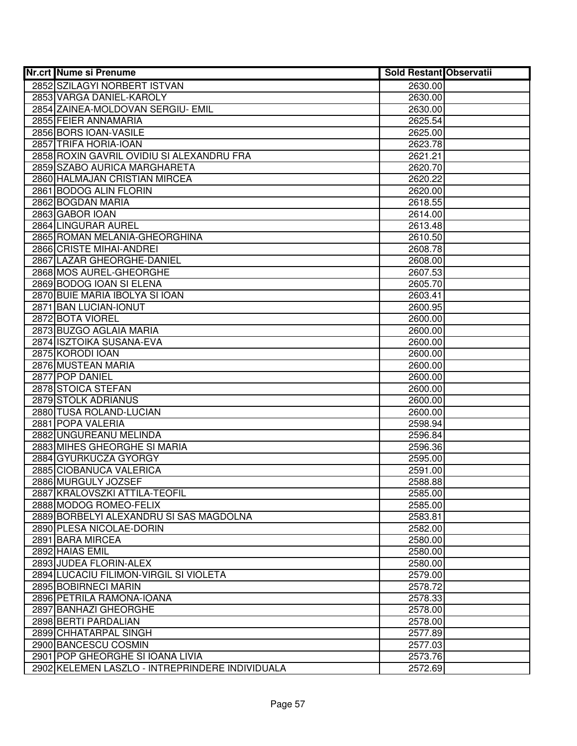| <b>Nr.crt Nume si Prenume</b>                                     | <b>Sold Restant Observatii</b> |  |
|-------------------------------------------------------------------|--------------------------------|--|
| 2852 SZILAGYI NORBERT ISTVAN                                      | 2630.00                        |  |
| 2853 VARGA DANIEL-KAROLY                                          | 2630.00                        |  |
| 2854 ZAINEA-MOLDOVAN SERGIU- EMIL                                 | 2630.00                        |  |
| 2855 FEIER ANNAMARIA                                              | 2625.54                        |  |
| 2856 BORS IOAN-VASILE                                             | 2625.00                        |  |
| 2857 TRIFA HORIA-IOAN                                             | 2623.78                        |  |
| 2858 ROXIN GAVRIL OVIDIU SI ALEXANDRU FRA                         | 2621.21                        |  |
| 2859 SZABO AURICA MARGHARETA                                      | 2620.70                        |  |
| 2860 HALMAJAN CRISTIAN MIRCEA                                     | 2620.22                        |  |
| 2861 BODOG ALIN FLORIN                                            | 2620.00                        |  |
| 2862 BOGDAN MARIA                                                 | 2618.55                        |  |
| 2863 GABOR IOAN                                                   | 2614.00                        |  |
| 2864 LINGURAR AUREL                                               | 2613.48                        |  |
| 2865 ROMAN MELANIA-GHEORGHINA                                     | 2610.50                        |  |
| 2866 CRISTE MIHAI-ANDREI                                          | 2608.78                        |  |
| 2867 LAZAR GHEORGHE-DANIEL                                        | 2608.00                        |  |
| 2868 MOS AUREL-GHEORGHE                                           | 2607.53                        |  |
| 2869 BODOG IOAN SI ELENA                                          | 2605.70                        |  |
| 2870 BUIE MARIA IBOLYA SI IOAN                                    | 2603.41                        |  |
| 2871 BAN LUCIAN-IONUT                                             | 2600.95                        |  |
| 2872 BOTA VIOREL                                                  | 2600.00                        |  |
| 2873 BUZGO AGLAIA MARIA                                           | 2600.00                        |  |
| 2874 ISZTOIKA SUSANA-EVA                                          | 2600.00                        |  |
| 2875 KORODI IOAN                                                  | 2600.00                        |  |
| 2876 MUSTEAN MARIA                                                | 2600.00                        |  |
| 2877 POP DANIEL                                                   | 2600.00                        |  |
| 2878 STOICA STEFAN                                                | 2600.00                        |  |
| 2879 STOLK ADRIANUS                                               | 2600.00                        |  |
| 2880 TUSA ROLAND-LUCIAN                                           | 2600.00                        |  |
| 2881 POPA VALERIA                                                 | 2598.94                        |  |
| 2882 UNGUREANU MELINDA                                            | 2596.84                        |  |
| 2883 MIHES GHEORGHE SI MARIA                                      | 2596.36                        |  |
| 2884 GYURKUCZA GYORGY                                             | 2595.00                        |  |
| 2885 CIOBANUCA VALERICA                                           | 2591.00                        |  |
| 2886 MURGULY JOZSEF<br>2887 KRALOVSZKI ATTILA-TEOFIL              | 2588.88                        |  |
|                                                                   | 2585.00                        |  |
| 2888 MODOG ROMEO-FELIX<br>2889 BORBELYI ALEXANDRU SI SAS MAGDOLNA | 2585.00<br>2583.81             |  |
| 2890 PLESA NICOLAE-DORIN                                          | 2582.00                        |  |
| 2891 BARA MIRCEA                                                  | 2580.00                        |  |
| 2892 HAIAS EMIL                                                   | 2580.00                        |  |
| 2893 JUDEA FLORIN-ALEX                                            | 2580.00                        |  |
| 2894 LUCACIU FILIMON-VIRGIL SI VIOLETA                            | 2579.00                        |  |
| 2895 BOBIRNECI MARIN                                              | 2578.72                        |  |
| 2896 PETRILA RAMONA-IOANA                                         | 2578.33                        |  |
| 2897 BANHAZI GHEORGHE                                             | 2578.00                        |  |
| 2898 BERTI PARDALIAN                                              | 2578.00                        |  |
| 2899 CHHATARPAL SINGH                                             | 2577.89                        |  |
| 2900 BANCESCU COSMIN                                              | 2577.03                        |  |
| 2901 POP GHEORGHE SI IOANA LIVIA                                  | 2573.76                        |  |
| 2902 KELEMEN LASZLO - INTREPRINDERE INDIVIDUALA                   | 2572.69                        |  |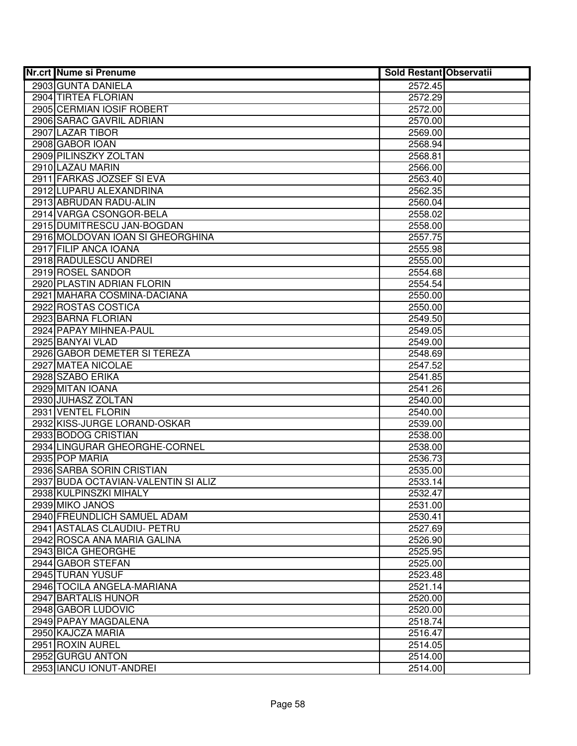| <b>Nr.crt Nume si Prenume</b>       | <b>Sold Restant Observatii</b> |  |
|-------------------------------------|--------------------------------|--|
| 2903 GUNTA DANIELA                  | 2572.45                        |  |
| 2904 TIRTEA FLORIAN                 | 2572.29                        |  |
| 2905 CERMIAN IOSIF ROBERT           | 2572.00                        |  |
| 2906 SARAC GAVRIL ADRIAN            | 2570.00                        |  |
| 2907 LAZAR TIBOR                    | 2569.00                        |  |
| 2908 GABOR IOAN                     | 2568.94                        |  |
| 2909 PILINSZKY ZOLTAN               | 2568.81                        |  |
| 2910 LAZAU MARIN                    | 2566.00                        |  |
| 2911 FARKAS JOZSEF SI EVA           | 2563.40                        |  |
| 2912 LUPARU ALEXANDRINA             | 2562.35                        |  |
| 2913 ABRUDAN RADU-ALIN              | 2560.04                        |  |
| 2914 VARGA CSONGOR-BELA             | 2558.02                        |  |
| 2915 DUMITRESCU JAN-BOGDAN          | 2558.00                        |  |
| 2916 MOLDOVAN IOAN SI GHEORGHINA    | 2557.75                        |  |
| 2917 FILIP ANCA IOANA               | 2555.98                        |  |
| 2918 RADULESCU ANDREI               | 2555.00                        |  |
| 2919 ROSEL SANDOR                   | 2554.68                        |  |
| 2920 PLASTIN ADRIAN FLORIN          | 2554.54                        |  |
| 2921 MAHARA COSMINA-DACIANA         | 2550.00                        |  |
| 2922 ROSTAS COSTICA                 | 2550.00                        |  |
| 2923 BARNA FLORIAN                  | 2549.50                        |  |
| 2924 PAPAY MIHNEA-PAUL              | 2549.05                        |  |
| 2925 BANYAI VLAD                    | 2549.00                        |  |
| 2926 GABOR DEMETER SI TEREZA        | 2548.69                        |  |
| 2927 MATEA NICOLAE                  | 2547.52                        |  |
| 2928 SZABO ERIKA                    | 2541.85                        |  |
| 2929 MITAN IOANA                    | 2541.26                        |  |
| 2930 JUHASZ ZOLTAN                  | 2540.00                        |  |
| 2931 VENTEL FLORIN                  | 2540.00                        |  |
| 2932 KISS-JURGE LORAND-OSKAR        | 2539.00                        |  |
| 2933 BODOG CRISTIAN                 | 2538.00                        |  |
| 2934 LINGURAR GHEORGHE-CORNEL       | 2538.00                        |  |
| 2935 POP MARIA                      | 2536.73                        |  |
| 2936 SARBA SORIN CRISTIAN           | 2535.00                        |  |
| 2937 BUDA OCTAVIAN-VALENTIN SI ALIZ | 2533.14                        |  |
| 2938 KULPINSZKI MIHALY              | 2532.47                        |  |
| 2939 MIKO JANOS                     | 2531.00                        |  |
| 2940 FREUNDLICH SAMUEL ADAM         | 2530.41                        |  |
| 2941 ASTALAS CLAUDIU- PETRU         | 2527.69                        |  |
| 2942 ROSCA ANA MARIA GALINA         | 2526.90                        |  |
| 2943 BICA GHEORGHE                  | 2525.95                        |  |
| 2944 GABOR STEFAN                   | 2525.00                        |  |
| 2945 TURAN YUSUF                    | 2523.48                        |  |
| 2946 TOCILA ANGELA-MARIANA          | 2521.14                        |  |
| 2947 BARTALIS HUNOR                 | 2520.00                        |  |
| 2948 GABOR LUDOVIC                  | 2520.00                        |  |
| 2949 PAPAY MAGDALENA                | 2518.74                        |  |
| 2950 KAJCZA MARIA                   | 2516.47                        |  |
| 2951 ROXIN AUREL                    | 2514.05                        |  |
| 2952 GURGU ANTON                    | 2514.00                        |  |
| 2953 IANCU IONUT-ANDREI             | 2514.00                        |  |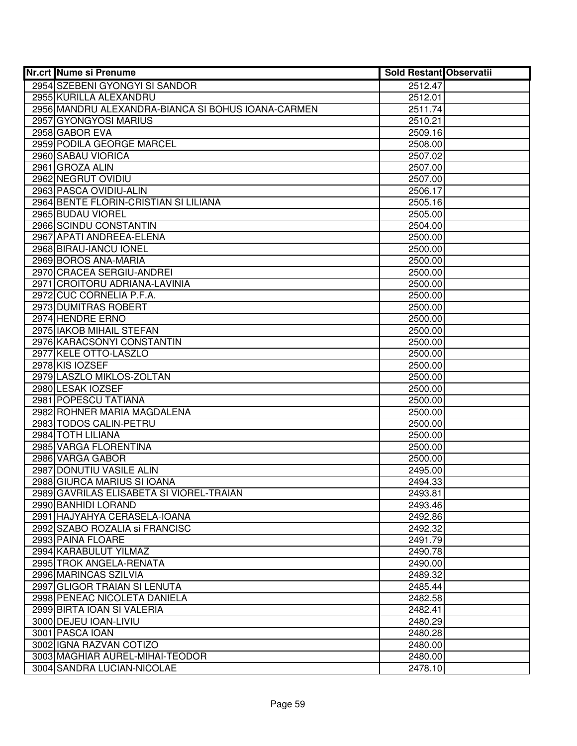| <b>Nr.crt Nume si Prenume</b>                                 | <b>Sold Restant Observatii</b> |  |
|---------------------------------------------------------------|--------------------------------|--|
| 2954 SZEBENI GYONGYI SI SANDOR                                | 2512.47                        |  |
| 2955 KURILLA ALEXANDRU                                        | 2512.01                        |  |
| 2956 MANDRU ALEXANDRA-BIANCA SI BOHUS IOANA-CARMEN            | 2511.74                        |  |
| 2957 GYONGYOSI MARIUS                                         | 2510.21                        |  |
| 2958 GABOR EVA                                                | 2509.16                        |  |
| 2959 PODILA GEORGE MARCEL                                     | 2508.00                        |  |
| 2960 SABAU VIORICA                                            | 2507.02                        |  |
| 2961 GROZA ALIN                                               | 2507.00                        |  |
| 2962 NEGRUT OVIDIU                                            | 2507.00                        |  |
| 2963 PASCA OVIDIU-ALIN                                        | 2506.17                        |  |
| 2964 BENTE FLORIN-CRISTIAN SI LILIANA                         | 2505.16                        |  |
| 2965 BUDAU VIOREL                                             | 2505.00                        |  |
| 2966 SCINDU CONSTANTIN                                        | 2504.00                        |  |
| 2967 APATI ANDREEA-ELENA                                      | 2500.00                        |  |
| 2968 BIRAU-IANCU IONEL                                        | 2500.00                        |  |
| 2969 BOROS ANA-MARIA                                          | 2500.00                        |  |
| 2970 CRACEA SERGIU-ANDREI                                     | 2500.00                        |  |
| 2971 CROITORU ADRIANA-LAVINIA                                 | 2500.00                        |  |
| 2972 CUC CORNELIA P.F.A.                                      | 2500.00                        |  |
| 2973 DUMITRAS ROBERT                                          | 2500.00                        |  |
| 2974 HENDRE ERNO                                              | 2500.00                        |  |
| 2975 IAKOB MIHAIL STEFAN                                      | 2500.00                        |  |
| 2976 KARACSONYI CONSTANTIN                                    | 2500.00                        |  |
| 2977 KELE OTTO-LASZLO                                         | 2500.00                        |  |
| 2978 KIS IOZSEF                                               | 2500.00                        |  |
| 2979 LASZLO MIKLOS-ZOLTAN                                     | 2500.00                        |  |
| 2980 LESAK IOZSEF                                             | 2500.00                        |  |
| 2981 POPESCU TATIANA                                          | 2500.00                        |  |
| 2982 ROHNER MARIA MAGDALENA                                   | 2500.00                        |  |
| 2983 TODOS CALIN-PETRU                                        | 2500.00                        |  |
| 2984 TOTH LILIANA                                             | 2500.00                        |  |
| 2985 VARGA FLORENTINA                                         | 2500.00                        |  |
| 2986 VARGA GABOR                                              | 2500.00                        |  |
| 2987 DONUTIU VASILE ALIN                                      | 2495.00                        |  |
| 2988 GIURCA MARIUS SI IOANA                                   | 2494.33                        |  |
| 2989 GAVRILAS ELISABETA SI VIOREL-TRAIAN                      | 2493.81                        |  |
| 2990 BANHIDI LORAND                                           | 2493.46                        |  |
| 2991 HAJYAHYA CERASELA-IOANA                                  | 2492.86                        |  |
| 2992 SZABO ROZALIA si FRANCISC                                | 2492.32                        |  |
| 2993 PAINA FLOARE                                             | 2491.79                        |  |
| 2994 KARABULUT YILMAZ                                         | 2490.78                        |  |
| 2995 TROK ANGELA-RENATA                                       | 2490.00                        |  |
| 2996 MARINCAS SZILVIA                                         | 2489.32                        |  |
| 2997 GLIGOR TRAIAN SI LENUTA                                  | 2485.44                        |  |
| 2998 PENEAC NICOLETA DANIELA                                  | 2482.58                        |  |
| 2999 BIRTA IOAN SI VALERIA                                    | 2482.41                        |  |
| 3000 DEJEU IOAN-LIVIU                                         | 2480.29                        |  |
| 3001 PASCA IOAN                                               | 2480.28                        |  |
| 3002 IGNA RAZVAN COTIZO                                       | 2480.00                        |  |
| 3003 MAGHIAR AUREL-MIHAI-TEODOR<br>3004 SANDRA LUCIAN-NICOLAE | 2480.00<br>2478.10             |  |
|                                                               |                                |  |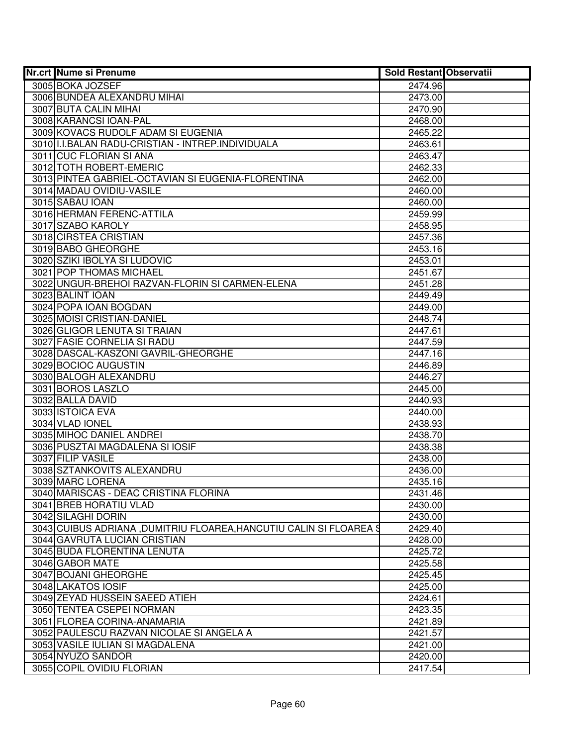| <b>Nr.crt Nume si Prenume</b>                                      | Sold Restant Observatii |  |
|--------------------------------------------------------------------|-------------------------|--|
| 3005 BOKA JOZSEF                                                   | 2474.96                 |  |
| 3006 BUNDEA ALEXANDRU MIHAI                                        | 2473.00                 |  |
| 3007 BUTA CALIN MIHAI                                              | 2470.90                 |  |
| 3008 KARANCSI IOAN-PAL                                             | 2468.00                 |  |
| 3009 KOVACS RUDOLF ADAM SI EUGENIA                                 | 2465.22                 |  |
| 3010 I.I.BALAN RADU-CRISTIAN - INTREP.INDIVIDUALA                  | 2463.61                 |  |
| 3011 CUC FLORIAN SI ANA                                            | 2463.47                 |  |
| 3012 TOTH ROBERT-EMERIC                                            | 2462.33                 |  |
| 3013 PINTEA GABRIEL-OCTAVIAN SI EUGENIA-FLORENTINA                 | 2462.00                 |  |
| 3014 MADAU OVIDIU-VASILE                                           | 2460.00                 |  |
| 3015 SABAU IOAN                                                    | 2460.00                 |  |
| 3016 HERMAN FERENC-ATTILA                                          | 2459.99                 |  |
| 3017 SZABO KAROLY                                                  | 2458.95                 |  |
| 3018 CIRSTEA CRISTIAN                                              | 2457.36                 |  |
| 3019 BABO GHEORGHE                                                 | 2453.16                 |  |
| 3020 SZIKI IBOLYA SI LUDOVIC                                       | 2453.01                 |  |
| 3021 POP THOMAS MICHAEL                                            | 2451.67                 |  |
| 3022 UNGUR-BREHOI RAZVAN-FLORIN SI CARMEN-ELENA                    | 2451.28                 |  |
| 3023 BALINT IOAN                                                   | 2449.49                 |  |
| 3024 POPA IOAN BOGDAN                                              | 2449.00                 |  |
| 3025 MOISI CRISTIAN-DANIEL                                         | 2448.74                 |  |
| 3026 GLIGOR LENUTA SI TRAIAN                                       | 2447.61                 |  |
| 3027 FASIE CORNELIA SI RADU                                        | 2447.59                 |  |
| 3028 DASCAL-KASZONI GAVRIL-GHEORGHE                                | 2447.16                 |  |
| 3029 BOCIOC AUGUSTIN                                               | 2446.89                 |  |
| 3030 BALOGH ALEXANDRU                                              | 2446.27                 |  |
| 3031 BOROS LASZLO                                                  | 2445.00                 |  |
| 3032 BALLA DAVID                                                   | 2440.93                 |  |
| 3033 ISTOICA EVA                                                   | 2440.00                 |  |
| 3034 VLAD IONEL                                                    | 2438.93                 |  |
| 3035 MIHOC DANIEL ANDREI                                           | 2438.70                 |  |
| 3036 PUSZTAI MAGDALENA SI IOSIF                                    | 2438.38                 |  |
| 3037 FILIP VASILE                                                  | 2438.00                 |  |
| 3038 SZTANKOVITS ALEXANDRU                                         | 2436.00                 |  |
| 3039 MARC LORENA                                                   | 2435.16                 |  |
| 3040 MARISCAS - DEAC CRISTINA FLORINA                              | 2431.46                 |  |
| 3041 BREB HORATIU VLAD                                             | 2430.00                 |  |
| 3042 SILAGHI DORIN                                                 | 2430.00                 |  |
| 3043 CUIBUS ADRIANA, DUMITRIU FLOAREA, HANCUTIU CALIN SI FLOAREA S | 2429.40                 |  |
| 3044 GAVRUTA LUCIAN CRISTIAN                                       | 2428.00                 |  |
| 3045 BUDA FLORENTINA LENUTA                                        | 2425.72                 |  |
| 3046 GABOR MATE                                                    | 2425.58                 |  |
| 3047 BOJANI GHEORGHE                                               | 2425.45                 |  |
| 3048 LAKATOS IOSIF                                                 | 2425.00                 |  |
| 3049 ZEYAD HUSSEIN SAEED ATIEH                                     | 2424.61                 |  |
| 3050 TENTEA CSEPEI NORMAN                                          | 2423.35                 |  |
| 3051 FLOREA CORINA-ANAMARIA                                        | 2421.89                 |  |
| 3052 PAULESCU RAZVAN NICOLAE SI ANGELA A                           | 2421.57                 |  |
| 3053 VASILE IULIAN SI MAGDALENA                                    | 2421.00                 |  |
| 3054 NYUZO SANDOR                                                  | 2420.00                 |  |
| 3055 COPIL OVIDIU FLORIAN                                          | 2417.54                 |  |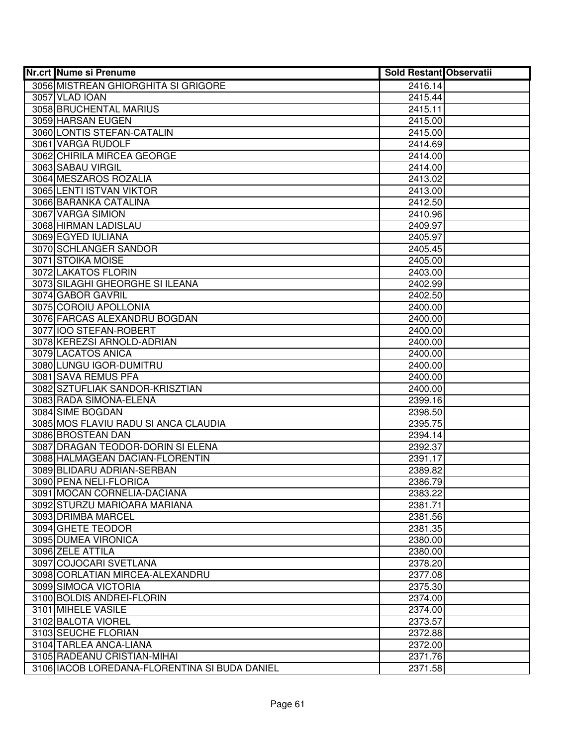| <b>Nr.crt Nume si Prenume</b>                 | <b>Sold Restant Observatii</b> |  |
|-----------------------------------------------|--------------------------------|--|
| 3056 MISTREAN GHIORGHITA SI GRIGORE           | 2416.14                        |  |
| 3057 VLAD IOAN                                | 2415.44                        |  |
| 3058 BRUCHENTAL MARIUS                        | 2415.11                        |  |
| 3059 HARSAN EUGEN                             | 2415.00                        |  |
| 3060 LONTIS STEFAN-CATALIN                    | 2415.00                        |  |
| 3061 VARGA RUDOLF                             | 2414.69                        |  |
| 3062 CHIRILA MIRCEA GEORGE                    | 2414.00                        |  |
| 3063 SABAU VIRGIL                             | 2414.00                        |  |
| 3064 MESZAROS ROZALIA                         | 2413.02                        |  |
| 3065 LENTI ISTVAN VIKTOR                      | 2413.00                        |  |
| 3066 BARANKA CATALINA                         | 2412.50                        |  |
| 3067 VARGA SIMION                             | 2410.96                        |  |
| 3068 HIRMAN LADISLAU                          | 2409.97                        |  |
| 3069 EGYED IULIANA                            | 2405.97                        |  |
| 3070 SCHLANGER SANDOR                         | 2405.45                        |  |
| 3071 STOIKA MOISE                             | 2405.00                        |  |
| 3072 LAKATOS FLORIN                           | 2403.00                        |  |
| 3073 SILAGHI GHEORGHE SI ILEANA               | 2402.99                        |  |
| 3074 GABOR GAVRIL                             | 2402.50                        |  |
| 3075 COROIU APOLLONIA                         | 2400.00                        |  |
| 3076 FARCAS ALEXANDRU BOGDAN                  | 2400.00                        |  |
| 3077 IOO STEFAN-ROBERT                        | 2400.00                        |  |
| 3078 KEREZSI ARNOLD-ADRIAN                    | 2400.00                        |  |
| 3079 LACATOS ANICA                            | 2400.00                        |  |
| 3080 LUNGU IGOR-DUMITRU                       | 2400.00                        |  |
| 3081 SAVA REMUS PFA                           | 2400.00                        |  |
| 3082 SZTUFLIAK SANDOR-KRISZTIAN               | 2400.00                        |  |
| 3083 RADA SIMONA-ELENA                        | 2399.16                        |  |
| 3084 SIME BOGDAN                              | 2398.50                        |  |
| 3085 MOS FLAVIU RADU SI ANCA CLAUDIA          | 2395.75                        |  |
| 3086 BROSTEAN DAN                             | 2394.14                        |  |
| 3087 DRAGAN TEODOR-DORIN SI ELENA             | 2392.37                        |  |
| 3088 HALMAGEAN DACIAN-FLORENTIN               | 2391.17                        |  |
| 3089 BLIDARU ADRIAN-SERBAN                    | 2389.82                        |  |
| 3090 PENA NELI-FLORICA                        | 2386.79                        |  |
| 3091 MOCAN CORNELIA-DACIANA                   | 2383.22                        |  |
| 3092 STURZU MARIOARA MARIANA                  | 2381.71                        |  |
| 3093 DRIMBA MARCEL                            | 2381.56                        |  |
| 3094 GHETE TEODOR                             | 2381.35                        |  |
| 3095 DUMEA VIRONICA                           | 2380.00                        |  |
| 3096 ZELE ATTILA                              | 2380.00                        |  |
| 3097 COJOCARI SVETLANA                        | 2378.20                        |  |
| 3098 CORLATIAN MIRCEA-ALEXANDRU               | 2377.08                        |  |
| 3099 SIMOCA VICTORIA                          | 2375.30                        |  |
| 3100 BOLDIS ANDREI-FLORIN                     | 2374.00                        |  |
| 3101 MIHELE VASILE                            | 2374.00                        |  |
| 3102 BALOTA VIOREL                            | 2373.57                        |  |
| 3103 SEUCHE FLORIAN                           | 2372.88                        |  |
| 3104 TARLEA ANCA-LIANA                        | 2372.00                        |  |
| 3105 RADEANU CRISTIAN-MIHAI                   | 2371.76                        |  |
| 3106 IACOB LOREDANA-FLORENTINA SI BUDA DANIEL | 2371.58                        |  |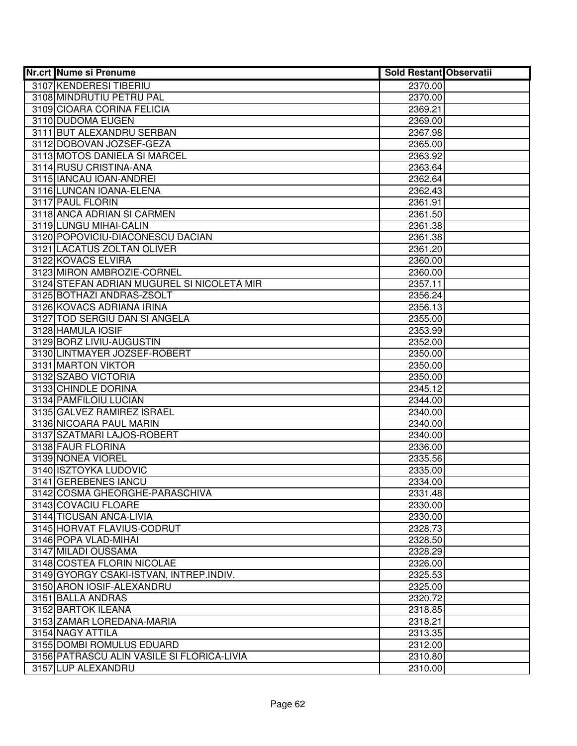| <b>Nr.crt Nume si Prenume</b>                         | <b>Sold Restant Observatii</b> |  |
|-------------------------------------------------------|--------------------------------|--|
| 3107 KENDERESI TIBERIU                                | 2370.00                        |  |
| 3108 MINDRUTIU PETRU PAL                              | 2370.00                        |  |
| 3109 CIOARA CORINA FELICIA                            | 2369.21                        |  |
| 3110 DUDOMA EUGEN                                     | 2369.00                        |  |
| 3111 BUT ALEXANDRU SERBAN                             | 2367.98                        |  |
| 3112 DOBOVAN JOZSEF-GEZA                              | 2365.00                        |  |
| 3113 MOTOS DANIELA SI MARCEL                          | 2363.92                        |  |
| 3114 RUSU CRISTINA-ANA                                | 2363.64                        |  |
| 3115 IANCAU IOAN-ANDREI                               | 2362.64                        |  |
| 3116 LUNCAN IOANA-ELENA                               | 2362.43                        |  |
| 3117 PAUL FLORIN                                      | 2361.91                        |  |
| 3118 ANCA ADRIAN SI CARMEN                            | 2361.50                        |  |
| 3119 LUNGU MIHAI-CALIN                                | 2361.38                        |  |
| 3120 POPOVICIU-DIACONESCU DACIAN                      | 2361.38                        |  |
| 3121 LACATUS ZOLTAN OLIVER                            | 2361.20                        |  |
| 3122 KOVACS ELVIRA                                    | 2360.00                        |  |
| 3123 MIRON AMBROZIE-CORNEL                            | 2360.00                        |  |
| 3124 STEFAN ADRIAN MUGUREL SI NICOLETA MIR            | 2357.11                        |  |
| 3125 BOTHAZI ANDRAS-ZSOLT                             | 2356.24                        |  |
| 3126 KOVACS ADRIANA IRINA                             | 2356.13                        |  |
| 3127 TOD SERGIU DAN SI ANGELA                         | 2355.00                        |  |
| 3128 HAMULA IOSIF                                     | 2353.99                        |  |
| 3129 BORZ LIVIU-AUGUSTIN                              | 2352.00                        |  |
| 3130 LINTMAYER JOZSEF-ROBERT                          | 2350.00                        |  |
| 3131 MARTON VIKTOR                                    | 2350.00                        |  |
| 3132 SZABO VICTORIA                                   | 2350.00                        |  |
| 3133 CHINDLE DORINA                                   | 2345.12                        |  |
| 3134 PAMFILOIU LUCIAN                                 | 2344.00                        |  |
| 3135 GALVEZ RAMIREZ ISRAEL                            | 2340.00                        |  |
| 3136 NICOARA PAUL MARIN                               | 2340.00                        |  |
| 3137 SZATMARI LAJOS-ROBERT                            | 2340.00                        |  |
| 3138 FAUR FLORINA                                     | 2336.00                        |  |
| 3139 NONEA VIOREL                                     | 2335.56                        |  |
| 3140 ISZTOYKA LUDOVIC                                 | 2335.00                        |  |
| 3141 GEREBENES IANCU                                  | 2334.00                        |  |
| 3142 COSMA GHEORGHE-PARASCHIVA                        | 2331.48                        |  |
| 3143 COVACIU FLOARE                                   | 2330.00<br>2330.00             |  |
| 3144 TICUSAN ANCA-LIVIA<br>3145 HORVAT FLAVIUS-CODRUT |                                |  |
| 3146 POPA VLAD-MIHAI                                  | 2328.73<br>2328.50             |  |
| 3147 MILADI OUSSAMA                                   | 2328.29                        |  |
| 3148 COSTEA FLORIN NICOLAE                            | 2326.00                        |  |
| 3149 GYORGY CSAKI-ISTVAN, INTREP.INDIV.               | 2325.53                        |  |
| 3150 ARON IOSIF-ALEXANDRU                             |                                |  |
| 3151 BALLA ANDRAS                                     | 2325.00<br>2320.72             |  |
| 3152 BARTOK ILEANA                                    | 2318.85                        |  |
| 3153 ZAMAR LOREDANA-MARIA                             | 2318.21                        |  |
| 3154 NAGY ATTILA                                      | 2313.35                        |  |
| 3155 DOMBI ROMULUS EDUARD                             | 2312.00                        |  |
| 3156 PATRASCU ALIN VASILE SI FLORICA-LIVIA            | 2310.80                        |  |
| 3157 LUP ALEXANDRU                                    | 2310.00                        |  |
|                                                       |                                |  |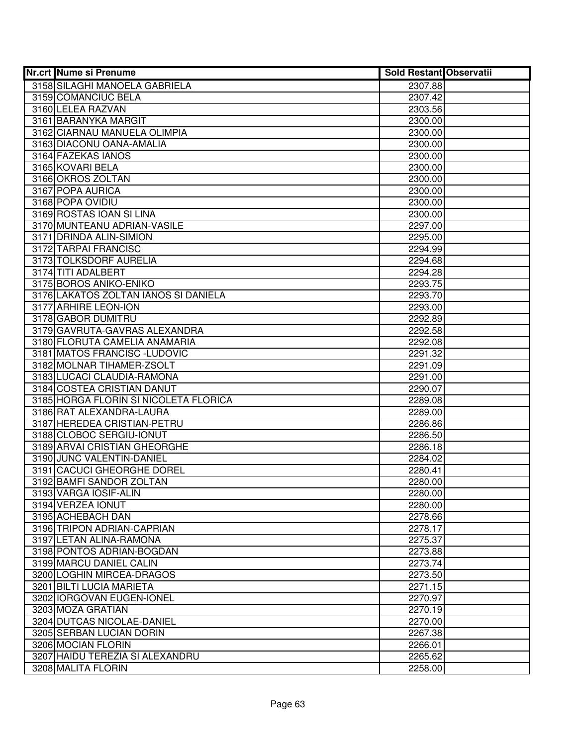| <b>Nr.crt Nume si Prenume</b>         | <b>Sold Restant Observatii</b> |  |
|---------------------------------------|--------------------------------|--|
| 3158 SILAGHI MANOELA GABRIELA         | 2307.88                        |  |
| 3159 COMANCIUC BELA                   | 2307.42                        |  |
| 3160 LELEA RAZVAN                     | 2303.56                        |  |
| 3161 BARANYKA MARGIT                  | 2300.00                        |  |
| 3162 CIARNAU MANUELA OLIMPIA          | 2300.00                        |  |
| 3163 DIACONU OANA-AMALIA              | 2300.00                        |  |
| 3164 FAZEKAS IANOS                    | 2300.00                        |  |
| 3165 KOVARI BELA                      | 2300.00                        |  |
| 3166 OKROS ZOLTAN                     | 2300.00                        |  |
| 3167 POPA AURICA                      | 2300.00                        |  |
| 3168 POPA OVIDIU                      | 2300.00                        |  |
| 3169 ROSTAS IOAN SI LINA              | 2300.00                        |  |
| 3170 MUNTEANU ADRIAN-VASILE           | 2297.00                        |  |
| 3171 DRINDA ALIN-SIMION               | 2295.00                        |  |
| 3172 TARPAI FRANCISC                  | 2294.99                        |  |
| 3173 TOLKSDORF AURELIA                | 2294.68                        |  |
| 3174 TITI ADALBERT                    | 2294.28                        |  |
| 3175 BOROS ANIKO-ENIKO                | 2293.75                        |  |
| 3176 LAKATOS ZOLTAN IANOS SI DANIELA  | 2293.70                        |  |
| 3177 ARHIRE LEON-ION                  | 2293.00                        |  |
| 3178 GABOR DUMITRU                    | 2292.89                        |  |
| 3179 GAVRUTA-GAVRAS ALEXANDRA         | 2292.58                        |  |
| 3180 FLORUTA CAMELIA ANAMARIA         | 2292.08                        |  |
| 3181 MATOS FRANCISC - LUDOVIC         | 2291.32                        |  |
| 3182 MOLNAR TIHAMER-ZSOLT             | 2291.09                        |  |
| 3183 LUCACI CLAUDIA-RAMONA            | 2291.00                        |  |
| 3184 COSTEA CRISTIAN DANUT            | 2290.07                        |  |
| 3185 HORGA FLORIN SI NICOLETA FLORICA | 2289.08                        |  |
| 3186 RAT ALEXANDRA-LAURA              | 2289.00                        |  |
| 3187 HEREDEA CRISTIAN-PETRU           | 2286.86                        |  |
| 3188 CLOBOC SERGIU-IONUT              | 2286.50                        |  |
| 3189 ARVAI CRISTIAN GHEORGHE          | 2286.18                        |  |
| 3190 JUNC VALENTIN-DANIEL             | 2284.02                        |  |
| 3191 CACUCI GHEORGHE DOREL            | 2280.41                        |  |
| 3192 BAMFI SANDOR ZOLTAN              | 2280.00                        |  |
| 3193 VARGA IOSIF-ALIN                 | 2280.00                        |  |
| 3194 VERZEA IONUT                     | 2280.00                        |  |
| 3195 ACHEBACH DAN                     | 2278.66                        |  |
| 3196 TRIPON ADRIAN-CAPRIAN            | 2278.17                        |  |
| 3197 LETAN ALINA-RAMONA               | 2275.37                        |  |
| 3198 PONTOS ADRIAN-BOGDAN             | 2273.88                        |  |
| 3199 MARCU DANIEL CALIN               | 2273.74                        |  |
| 3200 LOGHIN MIRCEA-DRAGOS             | 2273.50                        |  |
| 3201 BILTI LUCIA MARIETA              | 2271.15                        |  |
| 3202 IORGOVAN EUGEN-IONEL             | 2270.97                        |  |
| 3203 MOZA GRATIAN                     | 2270.19                        |  |
| 3204 DUTCAS NICOLAE-DANIEL            | 2270.00                        |  |
| 3205 SERBAN LUCIAN DORIN              | 2267.38                        |  |
| 3206 MOCIAN FLORIN                    | 2266.01                        |  |
| 3207 HAIDU TEREZIA SI ALEXANDRU       | 2265.62                        |  |
| 3208 MALITA FLORIN                    | 2258.00                        |  |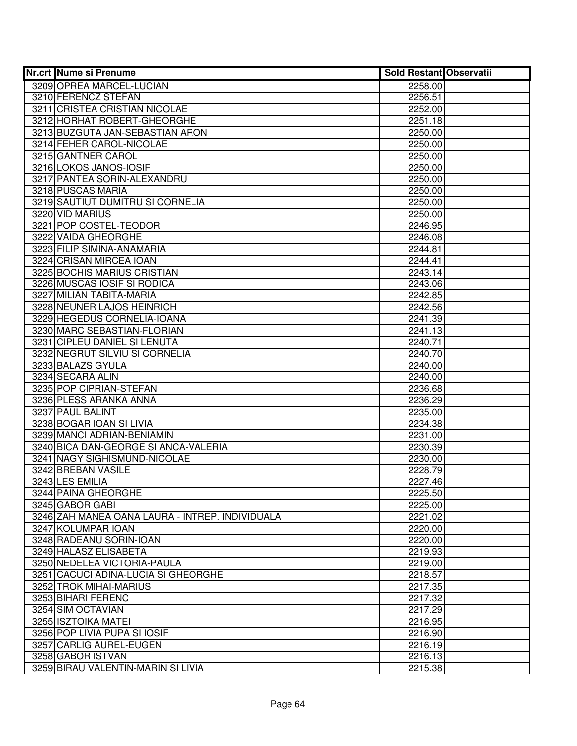| <b>Nr.crt Nume si Prenume</b>                   | <b>Sold Restant Observatii</b> |  |
|-------------------------------------------------|--------------------------------|--|
| 3209 OPREA MARCEL-LUCIAN                        | 2258.00                        |  |
| 3210 FERENCZ STEFAN                             | 2256.51                        |  |
| 3211 CRISTEA CRISTIAN NICOLAE                   | 2252.00                        |  |
| 3212 HORHAT ROBERT-GHEORGHE                     | 2251.18                        |  |
| 3213 BUZGUTA JAN-SEBASTIAN ARON                 | 2250.00                        |  |
| 3214 FEHER CAROL-NICOLAE                        | 2250.00                        |  |
| 3215 GANTNER CAROL                              | 2250.00                        |  |
| 3216 LOKOS JANOS-IOSIF                          | 2250.00                        |  |
| 3217 PANTEA SORIN-ALEXANDRU                     | 2250.00                        |  |
| 3218 PUSCAS MARIA                               | 2250.00                        |  |
| 3219 SAUTIUT DUMITRU SI CORNELIA                | 2250.00                        |  |
| 3220 VID MARIUS                                 | 2250.00                        |  |
| 3221 POP COSTEL-TEODOR                          | 2246.95                        |  |
| 3222 VAIDA GHEORGHE                             | 2246.08                        |  |
| 3223 FILIP SIMINA-ANAMARIA                      | 2244.81                        |  |
| 3224 CRISAN MIRCEA IOAN                         | 2244.41                        |  |
| 3225 BOCHIS MARIUS CRISTIAN                     | 2243.14                        |  |
| 3226 MUSCAS IOSIF SI RODICA                     | 2243.06                        |  |
| 3227 MILIAN TABITA-MARIA                        | 2242.85                        |  |
| 3228 NEUNER LAJOS HEINRICH                      | 2242.56                        |  |
| 3229 HEGEDUS CORNELIA-IOANA                     | 2241.39                        |  |
| 3230 MARC SEBASTIAN-FLORIAN                     | 2241.13                        |  |
| 3231 CIPLEU DANIEL SI LENUTA                    | 2240.71                        |  |
| 3232 NEGRUT SILVIU SI CORNELIA                  | 2240.70                        |  |
| 3233 BALAZS GYULA                               | 2240.00                        |  |
| 3234 SECARA ALIN                                | 2240.00                        |  |
| 3235 POP CIPRIAN-STEFAN                         | 2236.68                        |  |
| 3236 PLESS ARANKA ANNA                          | 2236.29                        |  |
| 3237 PAUL BALINT                                | 2235.00                        |  |
| 3238 BOGAR IOAN SI LIVIA                        | 2234.38                        |  |
| 3239 MANCI ADRIAN-BENIAMIN                      | 2231.00                        |  |
| 3240 BICA DAN-GEORGE SI ANCA-VALERIA            | 2230.39                        |  |
| 3241 NAGY SIGHISMUND-NICOLAE                    | 2230.00                        |  |
| 3242 BREBAN VASILE                              | 2228.79                        |  |
| 3243 LES EMILIA                                 | 2227.46                        |  |
| 3244 PAINA GHEORGHE                             | 2225.50                        |  |
| 3245 GABOR GABI                                 | 2225.00                        |  |
| 3246 ZAH MANEA OANA LAURA - INTREP. INDIVIDUALA | 2221.02                        |  |
| 3247 KOLUMPAR IOAN                              | 2220.00                        |  |
| 3248 RADEANU SORIN-IOAN                         | 2220.00                        |  |
| 3249 HALASZ ELISABETA                           | 2219.93                        |  |
| 3250 NEDELEA VICTORIA-PAULA                     | 2219.00                        |  |
| 3251 CACUCI ADINA-LUCIA SI GHEORGHE             | 2218.57                        |  |
| 3252 TROK MIHAI-MARIUS                          | 2217.35                        |  |
| 3253 BIHARI FERENC                              | 2217.32                        |  |
| 3254 SIM OCTAVIAN                               | 2217.29                        |  |
| 3255 ISZTOIKA MATEI                             | 2216.95                        |  |
| 3256 POP LIVIA PUPA SI IOSIF                    | 2216.90                        |  |
| 3257 CARLIG AUREL-EUGEN                         | 2216.19                        |  |
| 3258 GABOR ISTVAN                               | 2216.13                        |  |
| 3259 BIRAU VALENTIN-MARIN SI LIVIA              | 2215.38                        |  |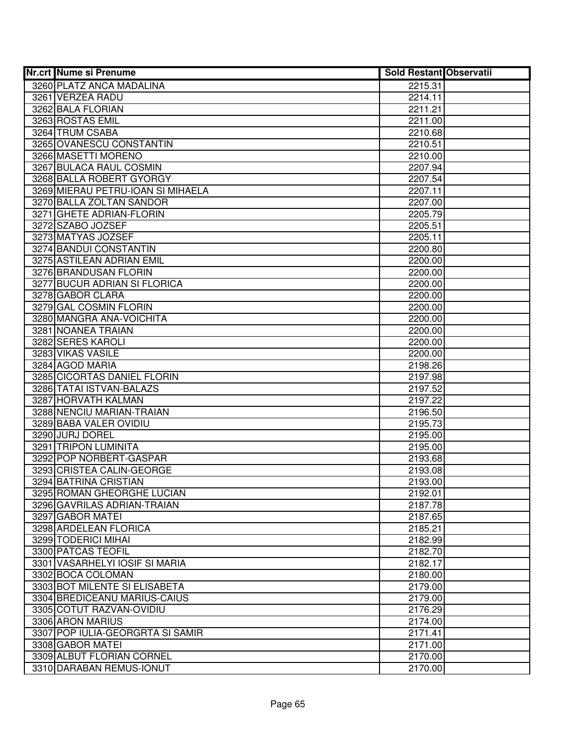| <b>Nr.crt Nume si Prenume</b>                             | <b>Sold Restant Observatii</b> |  |
|-----------------------------------------------------------|--------------------------------|--|
| 3260 PLATZ ANCA MADALINA                                  | 2215.31                        |  |
| 3261 VERZEA RADU                                          | 2214.11                        |  |
| 3262 BALA FLORIAN                                         | 2211.21                        |  |
| 3263 ROSTAS EMIL                                          | 2211.00                        |  |
| 3264 TRUM CSABA                                           | 2210.68                        |  |
| 3265 OVANESCU CONSTANTIN                                  | 2210.51                        |  |
| 3266 MASETTI MORENO                                       | 2210.00                        |  |
| 3267 BULACA RAUL COSMIN                                   | 2207.94                        |  |
| 3268 BALLA ROBERT GYORGY                                  | 2207.54                        |  |
| 3269 MIERAU PETRU-IOAN SI MIHAELA                         | 2207.11                        |  |
| 3270 BALLA ZOLTAN SANDOR                                  | 2207.00                        |  |
| 3271 GHETE ADRIAN-FLORIN                                  | 2205.79                        |  |
| 3272 SZABO JOZSEF                                         | 2205.51                        |  |
| 3273 MATYAS JOZSEF                                        | 2205.11                        |  |
| 3274 BANDUI CONSTANTIN                                    | 2200.80                        |  |
| 3275 ASTILEAN ADRIAN EMIL                                 | 2200.00                        |  |
| 3276 BRANDUSAN FLORIN                                     | 2200.00                        |  |
| 3277 BUCUR ADRIAN SI FLORICA                              | 2200.00                        |  |
| 3278 GABOR CLARA                                          | 2200.00                        |  |
| 3279 GAL COSMIN FLORIN                                    | 2200.00                        |  |
| 3280 MANGRA ANA-VOICHITA                                  | 2200.00                        |  |
| 3281 NOANEA TRAIAN                                        | 2200.00                        |  |
| 3282 SERES KAROLI                                         | 2200.00                        |  |
| 3283 VIKAS VASILE                                         | 2200.00                        |  |
| 3284 AGOD MARIA                                           | 2198.26                        |  |
| 3285 CICORTAS DANIEL FLORIN                               | 2197.98                        |  |
| 3286 TATAI ISTVAN-BALAZS                                  | 2197.52                        |  |
| 3287 HORVATH KALMAN                                       | 2197.22                        |  |
| 3288 NENCIU MARIAN-TRAIAN                                 | 2196.50                        |  |
| 3289 BABA VALER OVIDIU                                    | 2195.73                        |  |
| 3290 JURJ DOREL                                           | 2195.00                        |  |
| 3291 TRIPON LUMINITA                                      | 2195.00                        |  |
| 3292 POP NORBERT-GASPAR                                   | 2193.68                        |  |
| 3293 CRISTEA CALIN-GEORGE                                 | 2193.08                        |  |
| 3294 BATRINA CRISTIAN                                     | 2193.00                        |  |
| 3295 ROMAN GHEORGHE LUCIAN<br>3296 GAVRILAS ADRIAN-TRAIAN | 2192.01<br>2187.78             |  |
| 3297 GABOR MATEL                                          | 2187.65                        |  |
| 3298 ARDELEAN FLORICA                                     | 2185.21                        |  |
| 3299 TODERICI MIHAI                                       | 2182.99                        |  |
| 3300 PATCAS TEOFIL                                        | 2182.70                        |  |
| 3301 VASARHELYI IOSIF SI MARIA                            | 2182.17                        |  |
| 3302 BOCA COLOMAN                                         | 2180.00                        |  |
| 3303 BOT MILENTE SI ELISABETA                             | 2179.00                        |  |
| 3304 BREDICEANU MARIUS-CAIUS                              | 2179.00                        |  |
| 3305 COTUT RAZVAN-OVIDIU                                  | 2176.29                        |  |
| 3306 ARON MARIUS                                          | 2174.00                        |  |
| 3307 POP IULIA-GEORGRTA SI SAMIR                          | 2171.41                        |  |
| 3308 GABOR MATEI                                          | 2171.00                        |  |
| 3309 ALBUT FLORIAN CORNEL                                 | 2170.00                        |  |
| 3310 DARABAN REMUS-IONUT                                  | 2170.00                        |  |
|                                                           |                                |  |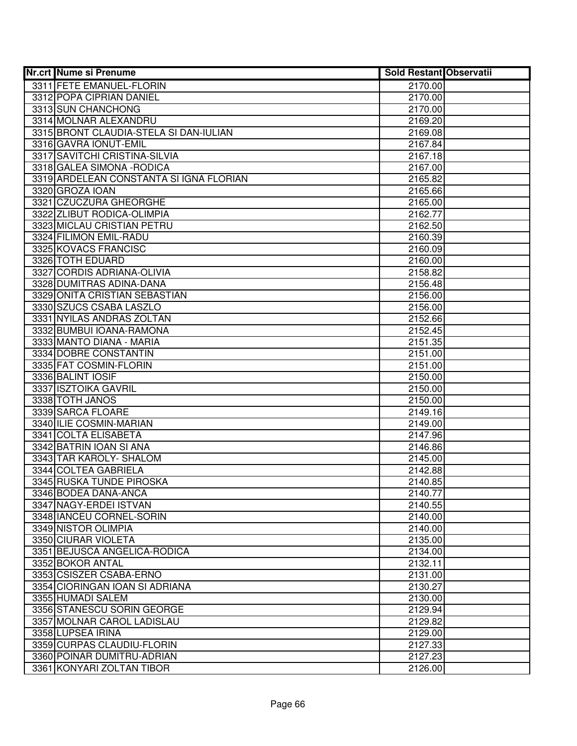| <b>Nr.crt Nume si Prenume</b>                    | <b>Sold Restant Observatii</b> |  |
|--------------------------------------------------|--------------------------------|--|
| 3311 FETE EMANUEL-FLORIN                         | 2170.00                        |  |
| 3312 POPA CIPRIAN DANIEL                         | 2170.00                        |  |
| 3313 SUN CHANCHONG                               | 2170.00                        |  |
| 3314 MOLNAR ALEXANDRU                            | 2169.20                        |  |
| 3315 BRONT CLAUDIA-STELA SI DAN-IULIAN           | 2169.08                        |  |
| 3316 GAVRA IONUT-EMIL                            | 2167.84                        |  |
| 3317 SAVITCHI CRISTINA-SILVIA                    | 2167.18                        |  |
| 3318 GALEA SIMONA - RODICA                       | 2167.00                        |  |
| 3319 ARDELEAN CONSTANTA SI IGNA FLORIAN          | 2165.82                        |  |
| 3320 GROZA IOAN                                  | 2165.66                        |  |
| 3321 CZUCZURA GHEORGHE                           | 2165.00                        |  |
| 3322 ZLIBUT RODICA-OLIMPIA                       | 2162.77                        |  |
| 3323 MICLAU CRISTIAN PETRU                       | 2162.50                        |  |
| 3324 FILIMON EMIL-RADU                           | 2160.39                        |  |
| 3325 KOVACS FRANCISC                             | 2160.09                        |  |
| 3326 TOTH EDUARD                                 | 2160.00                        |  |
| 3327 CORDIS ADRIANA-OLIVIA                       | 2158.82                        |  |
| 3328 DUMITRAS ADINA-DANA                         | 2156.48                        |  |
| 3329 ONITA CRISTIAN SEBASTIAN                    | 2156.00                        |  |
| 3330 SZUCS CSABA LASZLO                          | 2156.00                        |  |
| 3331 NYILAS ANDRAS ZOLTAN                        | 2152.66                        |  |
| 3332 BUMBUI IOANA-RAMONA                         | 2152.45                        |  |
| 3333 MANTO DIANA - MARIA                         | 2151.35                        |  |
| 3334 DOBRE CONSTANTIN                            | 2151.00                        |  |
| 3335 FAT COSMIN-FLORIN                           | 2151.00                        |  |
| 3336 BALINT IOSIF                                | 2150.00                        |  |
| 3337 ISZTOIKA GAVRIL                             | 2150.00                        |  |
| 3338 TOTH JANOS                                  | 2150.00                        |  |
| 3339 SARCA FLOARE                                | 2149.16                        |  |
| 3340 ILIE COSMIN-MARIAN                          | 2149.00                        |  |
| 3341 COLTA ELISABETA                             | 2147.96                        |  |
| 3342 BATRIN IOAN SI ANA                          | 2146.86                        |  |
| 3343 TAR KAROLY- SHALOM                          | 2145.00                        |  |
| 3344 COLTEA GABRIELA<br>3345 RUSKA TUNDE PIROSKA | 2142.88<br>2140.85             |  |
|                                                  |                                |  |
| 3346 BODEA DANA-ANCA<br>3347 NAGY-ERDEI ISTVAN   | 2140.77<br>2140.55             |  |
| 3348 IANCEU CORNEL-SORIN                         | 2140.00                        |  |
| 3349 NISTOR OLIMPIA                              | 2140.00                        |  |
| 3350 CIURAR VIOLETA                              | 2135.00                        |  |
| 3351 BEJUSCA ANGELICA-RODICA                     | 2134.00                        |  |
| 3352 BOKOR ANTAL                                 | 2132.11                        |  |
| 3353 CSISZER CSABA-ERNO                          | 2131.00                        |  |
| 3354 CIORINGAN IOAN SI ADRIANA                   | 2130.27                        |  |
| 3355 HUMADI SALEM                                | 2130.00                        |  |
| 3356 STANESCU SORIN GEORGE                       | 2129.94                        |  |
| 3357 MOLNAR CAROL LADISLAU                       | 2129.82                        |  |
| 3358 LUPSEA IRINA                                | 2129.00                        |  |
| 3359 CURPAS CLAUDIU-FLORIN                       | 2127.33                        |  |
| 3360 POINAR DUMITRU-ADRIAN                       | 2127.23                        |  |
| 3361 KONYARI ZOLTAN TIBOR                        | 2126.00                        |  |
|                                                  |                                |  |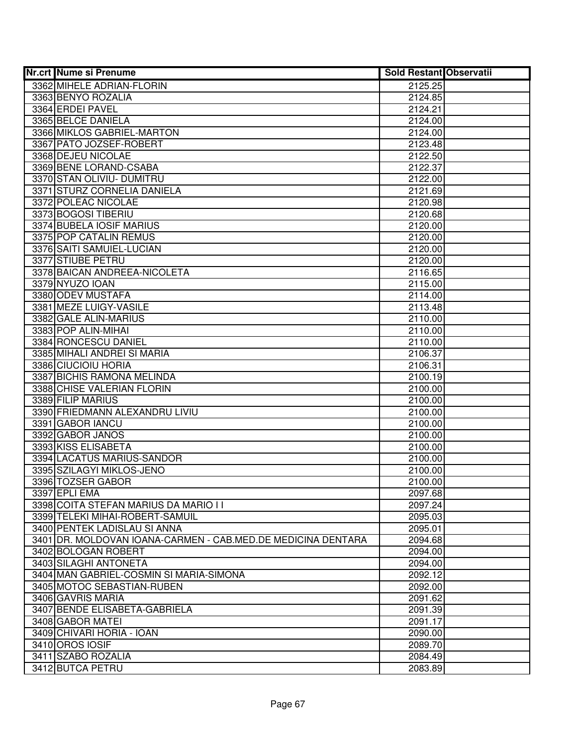| <b>Nr.crt Nume si Prenume</b>                                | <b>Sold Restant Observatii</b> |  |
|--------------------------------------------------------------|--------------------------------|--|
| 3362 MIHELE ADRIAN-FLORIN                                    | 2125.25                        |  |
| 3363 BENYO ROZALIA                                           | 2124.85                        |  |
| 3364 ERDEI PAVEL                                             | 2124.21                        |  |
| 3365 BELCE DANIELA                                           | 2124.00                        |  |
| 3366 MIKLOS GABRIEL-MARTON                                   | 2124.00                        |  |
| 3367 PATO JOZSEF-ROBERT                                      | 2123.48                        |  |
| 3368 DEJEU NICOLAE                                           | 2122.50                        |  |
| 3369 BENE LORAND-CSABA                                       | 2122.37                        |  |
| 3370 STAN OLIVIU- DUMITRU                                    | 2122.00                        |  |
| 3371 STURZ CORNELIA DANIELA                                  | 2121.69                        |  |
| 3372 POLEAC NICOLAE                                          | 2120.98                        |  |
| 3373 BOGOSI TIBERIU                                          | 2120.68                        |  |
| 3374 BUBELA IOSIF MARIUS                                     | 2120.00                        |  |
| 3375 POP CATALIN REMUS                                       | 2120.00                        |  |
| 3376 SAITI SAMUIEL-LUCIAN                                    | 2120.00                        |  |
| 3377 STIUBE PETRU                                            | 2120.00                        |  |
| 3378 BAICAN ANDREEA-NICOLETA                                 | 2116.65                        |  |
| 3379 NYUZO IOAN                                              | 2115.00                        |  |
| 3380 ODEV MUSTAFA                                            | 2114.00                        |  |
| 3381 MEZE LUIGY-VASILE                                       | 2113.48                        |  |
| 3382 GALE ALIN-MARIUS                                        | 2110.00                        |  |
| 3383 POP ALIN-MIHAI                                          | 2110.00                        |  |
| 3384 RONCESCU DANIEL                                         | 2110.00                        |  |
| 3385 MIHALI ANDREI SI MARIA                                  | 2106.37                        |  |
| 3386 CIUCIOIU HORIA                                          | 2106.31                        |  |
| 3387 BICHIS RAMONA MELINDA                                   | 2100.19                        |  |
| 3388 CHISE VALERIAN FLORIN                                   | 2100.00                        |  |
| 3389 FILIP MARIUS                                            | 2100.00                        |  |
| 3390 FRIEDMANN ALEXANDRU LIVIU                               | 2100.00                        |  |
| 3391 GABOR IANCU                                             | 2100.00                        |  |
| 3392 GABOR JANOS                                             | 2100.00                        |  |
| 3393 KISS ELISABETA                                          | 2100.00                        |  |
| 3394 LACATUS MARIUS-SANDOR                                   | 2100.00                        |  |
| 3395 SZILAGYI MIKLOS-JENO                                    | 2100.00                        |  |
| 3396 TOZSER GABOR                                            | 2100.00                        |  |
| 3397 EPLI EMA                                                | 2097.68                        |  |
| 3398 COITA STEFAN MARIUS DA MARIO I I                        | 2097.24                        |  |
| 3399 TELEKI MIHAI-ROBERT-SAMUIL                              | 2095.03                        |  |
| 3400 PENTEK LADISLAU SI ANNA                                 | 2095.01                        |  |
| 3401 DR. MOLDOVAN IOANA-CARMEN - CAB.MED.DE MEDICINA DENTARA | 2094.68                        |  |
| 3402 BOLOGAN ROBERT                                          | 2094.00                        |  |
| 3403 SILAGHI ANTONETA                                        | 2094.00                        |  |
| 3404 MAN GABRIEL-COSMIN SI MARIA-SIMONA                      | 2092.12                        |  |
| 3405 MOTOC SEBASTIAN-RUBEN                                   | 2092.00                        |  |
| 3406 GAVRIS MARIA                                            | 2091.62                        |  |
| 3407 BENDE ELISABETA-GABRIELA                                | 2091.39                        |  |
| 3408 GABOR MATEI                                             | 2091.17                        |  |
| 3409 CHIVARI HORIA - IOAN                                    | 2090.00                        |  |
| 3410 OROS IOSIF                                              | 2089.70                        |  |
| 3411 SZABO ROZALIA                                           | 2084.49                        |  |
| 3412 BUTCA PETRU                                             | 2083.89                        |  |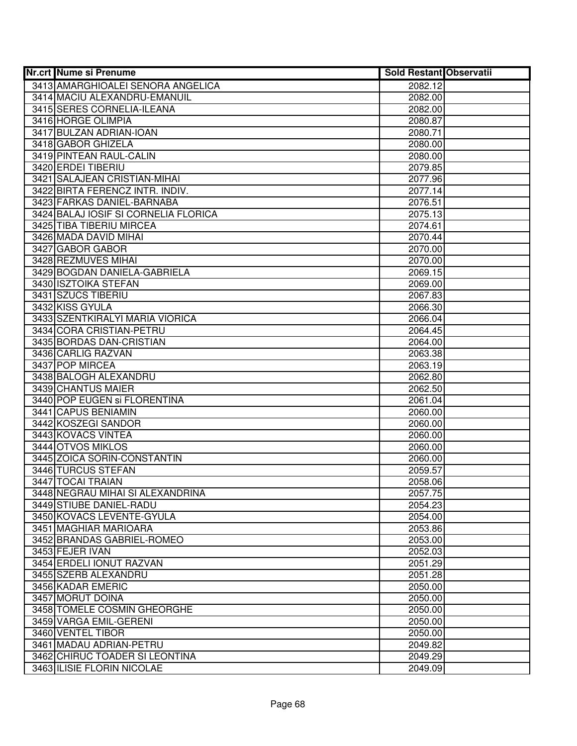| <b>Nr.crt Nume si Prenume</b>        | <b>Sold Restant Observatii</b> |  |
|--------------------------------------|--------------------------------|--|
| 3413 AMARGHIOALEI SENORA ANGELICA    | 2082.12                        |  |
| 3414 MACIU ALEXANDRU-EMANUIL         | 2082.00                        |  |
| 3415 SERES CORNELIA-ILEANA           | 2082.00                        |  |
| 3416 HORGE OLIMPIA                   | 2080.87                        |  |
| 3417 BULZAN ADRIAN-IOAN              | 2080.71                        |  |
| 3418 GABOR GHIZELA                   | 2080.00                        |  |
| 3419 PINTEAN RAUL-CALIN              | 2080.00                        |  |
| 3420 ERDEI TIBERIU                   | 2079.85                        |  |
| 3421 SALAJEAN CRISTIAN-MIHAI         | 2077.96                        |  |
| 3422 BIRTA FERENCZ INTR. INDIV.      | 2077.14                        |  |
| 3423 FARKAS DANIEL-BARNABA           | 2076.51                        |  |
| 3424 BALAJ IOSIF SI CORNELIA FLORICA | 2075.13                        |  |
| 3425 TIBA TIBERIU MIRCEA             | 2074.61                        |  |
| 3426 MADA DAVID MIHAI                | 2070.44                        |  |
| 3427 GABOR GABOR                     | 2070.00                        |  |
| 3428 REZMUVES MIHAI                  | 2070.00                        |  |
| 3429 BOGDAN DANIELA-GABRIELA         | 2069.15                        |  |
| 3430 ISZTOIKA STEFAN                 | 2069.00                        |  |
| 3431 SZUCS TIBERIU                   | 2067.83                        |  |
| 3432 KISS GYULA                      | 2066.30                        |  |
| 3433 SZENTKIRALYI MARIA VIORICA      | 2066.04                        |  |
| 3434 CORA CRISTIAN-PETRU             | 2064.45                        |  |
| 3435 BORDAS DAN-CRISTIAN             | 2064.00                        |  |
| 3436 CARLIG RAZVAN                   | 2063.38                        |  |
| 3437 POP MIRCEA                      | 2063.19                        |  |
| 3438 BALOGH ALEXANDRU                | 2062.80                        |  |
| 3439 CHANTUS MAIER                   | 2062.50                        |  |
| 3440 POP EUGEN Si FLORENTINA         | 2061.04                        |  |
| 3441 CAPUS BENIAMIN                  | 2060.00                        |  |
| 3442 KOSZEGI SANDOR                  | 2060.00                        |  |
| 3443 KOVACS VINTEA                   | 2060.00                        |  |
| 3444 OTVOS MIKLOS                    | 2060.00                        |  |
| 3445 ZOICA SORIN-CONSTANTIN          | 2060.00                        |  |
| 3446 TURCUS STEFAN                   | 2059.57                        |  |
| 3447 TOCAI TRAIAN                    | 2058.06                        |  |
| 3448 NEGRAU MIHAI SI ALEXANDRINA     | 2057.75                        |  |
| 3449 STIUBE DANIEL-RADU              | 2054.23                        |  |
| 3450 KOVACS LEVENTE-GYULA            | 2054.00                        |  |
| 3451 MAGHIAR MARIOARA                | 2053.86                        |  |
| 3452 BRANDAS GABRIEL-ROMEO           | 2053.00                        |  |
| 3453 FEJER IVAN                      | 2052.03                        |  |
| 3454 ERDELI IONUT RAZVAN             | 2051.29                        |  |
| 3455 SZERB ALEXANDRU                 | 2051.28                        |  |
| 3456 KADAR EMERIC                    | 2050.00                        |  |
| 3457 MORUT DOINA                     | 2050.00                        |  |
| 3458 TOMELE COSMIN GHEORGHE          | 2050.00                        |  |
| 3459 VARGA EMIL-GERENI               | 2050.00                        |  |
| 3460 VENTEL TIBOR                    | 2050.00                        |  |
| 3461 MADAU ADRIAN-PETRU              | 2049.82                        |  |
| 3462 CHIRUC TOADER SI LEONTINA       | 2049.29                        |  |
| 3463 ILISIE FLORIN NICOLAE           | 2049.09                        |  |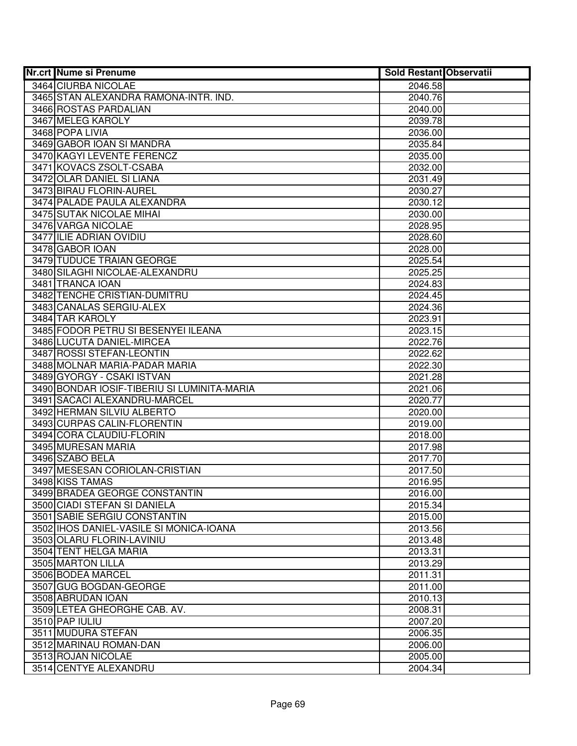| <b>Nr.crt Nume si Prenume</b>               | <b>Sold Restant Observatii</b> |  |
|---------------------------------------------|--------------------------------|--|
| 3464 CIURBA NICOLAE                         | 2046.58                        |  |
| 3465 STAN ALEXANDRA RAMONA-INTR. IND.       | 2040.76                        |  |
| 3466 ROSTAS PARDALIAN                       | 2040.00                        |  |
| 3467 MELEG KAROLY                           | 2039.78                        |  |
| 3468 POPA LIVIA                             | 2036.00                        |  |
| 3469 GABOR IOAN SI MANDRA                   | 2035.84                        |  |
| 3470 KAGYI LEVENTE FERENCZ                  | 2035.00                        |  |
| 3471 KOVACS ZSOLT-CSABA                     | 2032.00                        |  |
| 3472 OLAR DANIEL SI LIANA                   | 2031.49                        |  |
| 3473 BIRAU FLORIN-AUREL                     | 2030.27                        |  |
| 3474 PALADE PAULA ALEXANDRA                 | 2030.12                        |  |
| 3475 SUTAK NICOLAE MIHAI                    | 2030.00                        |  |
| 3476 VARGA NICOLAE                          | 2028.95                        |  |
| 3477 ILIE ADRIAN OVIDIU                     | 2028.60                        |  |
| 3478 GABOR IOAN                             | 2028.00                        |  |
| 3479 TUDUCE TRAIAN GEORGE                   | 2025.54                        |  |
| 3480 SILAGHI NICOLAE-ALEXANDRU              | 2025.25                        |  |
| 3481 TRANCA IOAN                            | 2024.83                        |  |
| 3482 TENCHE CRISTIAN-DUMITRU                | 2024.45                        |  |
| 3483 CANALAS SERGIU-ALEX                    | 2024.36                        |  |
| 3484 TAR KAROLY                             | 2023.91                        |  |
| 3485 FODOR PETRU SI BESENYEI ILEANA         | 2023.15                        |  |
| 3486 LUCUTA DANIEL-MIRCEA                   | 2022.76                        |  |
| 3487 ROSSI STEFAN-LEONTIN                   | 2022.62                        |  |
| 3488 MOLNAR MARIA-PADAR MARIA               | 2022.30                        |  |
| 3489 GYORGY - CSAKI ISTVAN                  | 2021.28                        |  |
| 3490 BONDAR IOSIF-TIBERIU SI LUMINITA-MARIA | 2021.06                        |  |
| 3491 SACACI ALEXANDRU-MARCEL                | 2020.77                        |  |
| 3492 HERMAN SILVIU ALBERTO                  | 2020.00                        |  |
| 3493 CURPAS CALIN-FLORENTIN                 | 2019.00                        |  |
| 3494 CORA CLAUDIU-FLORIN                    | 2018.00                        |  |
| 3495 MURESAN MARIA                          | 2017.98                        |  |
| 3496 SZABO BELA                             | 2017.70                        |  |
| 3497 MESESAN CORIOLAN-CRISTIAN              | 2017.50                        |  |
| 3498 KISS TAMAS                             | 2016.95                        |  |
| 3499 BRADEA GEORGE CONSTANTIN               | 2016.00                        |  |
| 3500 CIADI STEFAN SI DANIELA                | 2015.34                        |  |
| 3501 SABIE SERGIU CONSTANTIN                | 2015.00                        |  |
| 3502 IHOS DANIEL-VASILE SI MONICA-IOANA     | 2013.56                        |  |
| 3503 OLARU FLORIN-LAVINIU                   | 2013.48                        |  |
| 3504 TENT HELGA MARIA                       | 2013.31                        |  |
| 3505 MARTON LILLA                           | 2013.29                        |  |
| 3506 BODEA MARCEL                           | 2011.31                        |  |
| 3507 GUG BOGDAN-GEORGE                      | 2011.00                        |  |
| 3508 ABRUDAN IOAN                           | 2010.13                        |  |
| 3509 LETEA GHEORGHE CAB. AV.                | 2008.31                        |  |
| 3510 PAP IULIU                              | 2007.20                        |  |
| 3511 MUDURA STEFAN                          | 2006.35                        |  |
| 3512 MARINAU ROMAN-DAN                      | 2006.00                        |  |
| 3513 ROJAN NICOLAE                          | 2005.00                        |  |
| 3514 CENTYE ALEXANDRU                       | 2004.34                        |  |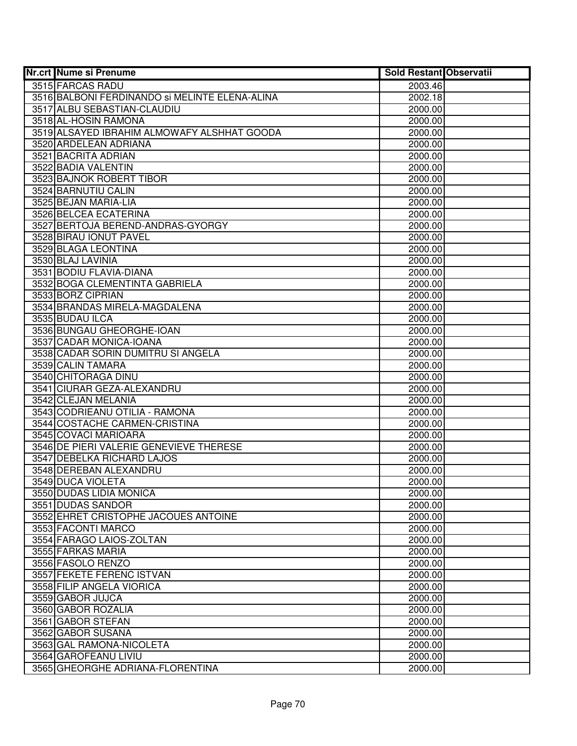| 3515 FARCAS RADU<br>2003.46<br>3516 BALBONI FERDINANDO SI MELINTE ELENA-ALINA<br>2002.18<br>3517 ALBU SEBASTIAN-CLAUDIU<br>2000.00<br>3518 AL-HOSIN RAMONA<br>2000.00<br>3519 ALSAYED IBRAHIM ALMOWAFY ALSHHAT GOODA<br>2000.00<br>3520 ARDELEAN ADRIANA<br>2000.00<br>3521 BACRITA ADRIAN<br>2000.00<br>3522 BADIA VALENTIN<br>2000.00<br>3523 BAJNOK ROBERT TIBOR<br>2000.00<br>3524 BARNUTIU CALIN<br>2000.00<br>3525 BEJAN MARIA-LIA<br>2000.00<br>3526 BELCEA ECATERINA<br>2000.00<br>3527 BERTOJA BEREND-ANDRAS-GYORGY<br>2000.00<br>3528 BIRAU IONUT PAVEL<br>2000.00<br>3529 BLAGA LEONTINA<br>2000.00<br>3530 BLAJ LAVINIA<br>2000.00<br>3531 BODIU FLAVIA-DIANA<br>2000.00<br>3532 BOGA CLEMENTINTA GABRIELA<br>2000.00<br>3533 BORZ CIPRIAN<br>2000.00<br>3534 BRANDAS MIRELA-MAGDALENA<br>2000.00<br>3535 BUDAU ILCA<br>2000.00<br>3536 BUNGAU GHEORGHE-IOAN<br>2000.00<br>3537 CADAR MONICA-IOANA<br>2000.00<br>3538 CADAR SORIN DUMITRU SI ANGELA<br>2000.00<br>3539 CALIN TAMARA<br>2000.00<br>3540 CHITORAGA DINU<br>2000.00<br>3541 CIURAR GEZA-ALEXANDRU<br>2000.00<br>3542 CLEJAN MELANIA<br>2000.00<br>3543 CODRIEANU OTILIA - RAMONA<br>2000.00<br>3544 COSTACHE CARMEN-CRISTINA<br>2000.00<br>3545 COVACI MARIOARA<br>2000.00<br>3546 DE PIERI VALERIE GENEVIEVE THERESE<br>2000.00<br>3547 DEBELKA RICHARD LAJOS<br>2000.00<br>3548 DEREBAN ALEXANDRU<br>2000.00<br>3549 DUCA VIOLETA<br>2000.00<br>3550 DUDAS LIDIA MONICA<br>2000.00<br>3551 DUDAS SANDOR<br>2000.00<br>3552 EHRET CRISTOPHE JACOUES ANTOINE<br>2000.00<br>3553 FACONTI MARCO<br>2000.00<br>3554 FARAGO LAIOS-ZOLTAN<br>2000.00<br>3555 FARKAS MARIA<br>2000.00<br>3556 FASOLO RENZO<br>2000.00<br>3557 FEKETE FERENC ISTVAN<br>2000.00<br>3558 FILIP ANGELA VIORICA<br>2000.00<br>3559 GABOR JUJCA<br>2000.00<br>3560 GABOR ROZALIA<br>2000.00<br>3561 GABOR STEFAN<br>2000.00<br>3562 GABOR SUSANA<br>2000.00<br>3563 GAL RAMONA-NICOLETA<br>2000.00<br>3564 GAROFEANU LIVIU<br>2000.00<br>3565 GHEORGHE ADRIANA-FLORENTINA<br>2000.00 | Nr.crt Nume si Prenume | <b>Sold Restant Observatii</b> |  |
|-----------------------------------------------------------------------------------------------------------------------------------------------------------------------------------------------------------------------------------------------------------------------------------------------------------------------------------------------------------------------------------------------------------------------------------------------------------------------------------------------------------------------------------------------------------------------------------------------------------------------------------------------------------------------------------------------------------------------------------------------------------------------------------------------------------------------------------------------------------------------------------------------------------------------------------------------------------------------------------------------------------------------------------------------------------------------------------------------------------------------------------------------------------------------------------------------------------------------------------------------------------------------------------------------------------------------------------------------------------------------------------------------------------------------------------------------------------------------------------------------------------------------------------------------------------------------------------------------------------------------------------------------------------------------------------------------------------------------------------------------------------------------------------------------------------------------------------------------------------------------------------------------------------------------------------------------------------------------------------------------------------------------------------|------------------------|--------------------------------|--|
|                                                                                                                                                                                                                                                                                                                                                                                                                                                                                                                                                                                                                                                                                                                                                                                                                                                                                                                                                                                                                                                                                                                                                                                                                                                                                                                                                                                                                                                                                                                                                                                                                                                                                                                                                                                                                                                                                                                                                                                                                                   |                        |                                |  |
|                                                                                                                                                                                                                                                                                                                                                                                                                                                                                                                                                                                                                                                                                                                                                                                                                                                                                                                                                                                                                                                                                                                                                                                                                                                                                                                                                                                                                                                                                                                                                                                                                                                                                                                                                                                                                                                                                                                                                                                                                                   |                        |                                |  |
|                                                                                                                                                                                                                                                                                                                                                                                                                                                                                                                                                                                                                                                                                                                                                                                                                                                                                                                                                                                                                                                                                                                                                                                                                                                                                                                                                                                                                                                                                                                                                                                                                                                                                                                                                                                                                                                                                                                                                                                                                                   |                        |                                |  |
|                                                                                                                                                                                                                                                                                                                                                                                                                                                                                                                                                                                                                                                                                                                                                                                                                                                                                                                                                                                                                                                                                                                                                                                                                                                                                                                                                                                                                                                                                                                                                                                                                                                                                                                                                                                                                                                                                                                                                                                                                                   |                        |                                |  |
|                                                                                                                                                                                                                                                                                                                                                                                                                                                                                                                                                                                                                                                                                                                                                                                                                                                                                                                                                                                                                                                                                                                                                                                                                                                                                                                                                                                                                                                                                                                                                                                                                                                                                                                                                                                                                                                                                                                                                                                                                                   |                        |                                |  |
|                                                                                                                                                                                                                                                                                                                                                                                                                                                                                                                                                                                                                                                                                                                                                                                                                                                                                                                                                                                                                                                                                                                                                                                                                                                                                                                                                                                                                                                                                                                                                                                                                                                                                                                                                                                                                                                                                                                                                                                                                                   |                        |                                |  |
|                                                                                                                                                                                                                                                                                                                                                                                                                                                                                                                                                                                                                                                                                                                                                                                                                                                                                                                                                                                                                                                                                                                                                                                                                                                                                                                                                                                                                                                                                                                                                                                                                                                                                                                                                                                                                                                                                                                                                                                                                                   |                        |                                |  |
|                                                                                                                                                                                                                                                                                                                                                                                                                                                                                                                                                                                                                                                                                                                                                                                                                                                                                                                                                                                                                                                                                                                                                                                                                                                                                                                                                                                                                                                                                                                                                                                                                                                                                                                                                                                                                                                                                                                                                                                                                                   |                        |                                |  |
|                                                                                                                                                                                                                                                                                                                                                                                                                                                                                                                                                                                                                                                                                                                                                                                                                                                                                                                                                                                                                                                                                                                                                                                                                                                                                                                                                                                                                                                                                                                                                                                                                                                                                                                                                                                                                                                                                                                                                                                                                                   |                        |                                |  |
|                                                                                                                                                                                                                                                                                                                                                                                                                                                                                                                                                                                                                                                                                                                                                                                                                                                                                                                                                                                                                                                                                                                                                                                                                                                                                                                                                                                                                                                                                                                                                                                                                                                                                                                                                                                                                                                                                                                                                                                                                                   |                        |                                |  |
|                                                                                                                                                                                                                                                                                                                                                                                                                                                                                                                                                                                                                                                                                                                                                                                                                                                                                                                                                                                                                                                                                                                                                                                                                                                                                                                                                                                                                                                                                                                                                                                                                                                                                                                                                                                                                                                                                                                                                                                                                                   |                        |                                |  |
|                                                                                                                                                                                                                                                                                                                                                                                                                                                                                                                                                                                                                                                                                                                                                                                                                                                                                                                                                                                                                                                                                                                                                                                                                                                                                                                                                                                                                                                                                                                                                                                                                                                                                                                                                                                                                                                                                                                                                                                                                                   |                        |                                |  |
|                                                                                                                                                                                                                                                                                                                                                                                                                                                                                                                                                                                                                                                                                                                                                                                                                                                                                                                                                                                                                                                                                                                                                                                                                                                                                                                                                                                                                                                                                                                                                                                                                                                                                                                                                                                                                                                                                                                                                                                                                                   |                        |                                |  |
|                                                                                                                                                                                                                                                                                                                                                                                                                                                                                                                                                                                                                                                                                                                                                                                                                                                                                                                                                                                                                                                                                                                                                                                                                                                                                                                                                                                                                                                                                                                                                                                                                                                                                                                                                                                                                                                                                                                                                                                                                                   |                        |                                |  |
|                                                                                                                                                                                                                                                                                                                                                                                                                                                                                                                                                                                                                                                                                                                                                                                                                                                                                                                                                                                                                                                                                                                                                                                                                                                                                                                                                                                                                                                                                                                                                                                                                                                                                                                                                                                                                                                                                                                                                                                                                                   |                        |                                |  |
|                                                                                                                                                                                                                                                                                                                                                                                                                                                                                                                                                                                                                                                                                                                                                                                                                                                                                                                                                                                                                                                                                                                                                                                                                                                                                                                                                                                                                                                                                                                                                                                                                                                                                                                                                                                                                                                                                                                                                                                                                                   |                        |                                |  |
|                                                                                                                                                                                                                                                                                                                                                                                                                                                                                                                                                                                                                                                                                                                                                                                                                                                                                                                                                                                                                                                                                                                                                                                                                                                                                                                                                                                                                                                                                                                                                                                                                                                                                                                                                                                                                                                                                                                                                                                                                                   |                        |                                |  |
|                                                                                                                                                                                                                                                                                                                                                                                                                                                                                                                                                                                                                                                                                                                                                                                                                                                                                                                                                                                                                                                                                                                                                                                                                                                                                                                                                                                                                                                                                                                                                                                                                                                                                                                                                                                                                                                                                                                                                                                                                                   |                        |                                |  |
|                                                                                                                                                                                                                                                                                                                                                                                                                                                                                                                                                                                                                                                                                                                                                                                                                                                                                                                                                                                                                                                                                                                                                                                                                                                                                                                                                                                                                                                                                                                                                                                                                                                                                                                                                                                                                                                                                                                                                                                                                                   |                        |                                |  |
|                                                                                                                                                                                                                                                                                                                                                                                                                                                                                                                                                                                                                                                                                                                                                                                                                                                                                                                                                                                                                                                                                                                                                                                                                                                                                                                                                                                                                                                                                                                                                                                                                                                                                                                                                                                                                                                                                                                                                                                                                                   |                        |                                |  |
|                                                                                                                                                                                                                                                                                                                                                                                                                                                                                                                                                                                                                                                                                                                                                                                                                                                                                                                                                                                                                                                                                                                                                                                                                                                                                                                                                                                                                                                                                                                                                                                                                                                                                                                                                                                                                                                                                                                                                                                                                                   |                        |                                |  |
|                                                                                                                                                                                                                                                                                                                                                                                                                                                                                                                                                                                                                                                                                                                                                                                                                                                                                                                                                                                                                                                                                                                                                                                                                                                                                                                                                                                                                                                                                                                                                                                                                                                                                                                                                                                                                                                                                                                                                                                                                                   |                        |                                |  |
|                                                                                                                                                                                                                                                                                                                                                                                                                                                                                                                                                                                                                                                                                                                                                                                                                                                                                                                                                                                                                                                                                                                                                                                                                                                                                                                                                                                                                                                                                                                                                                                                                                                                                                                                                                                                                                                                                                                                                                                                                                   |                        |                                |  |
|                                                                                                                                                                                                                                                                                                                                                                                                                                                                                                                                                                                                                                                                                                                                                                                                                                                                                                                                                                                                                                                                                                                                                                                                                                                                                                                                                                                                                                                                                                                                                                                                                                                                                                                                                                                                                                                                                                                                                                                                                                   |                        |                                |  |
|                                                                                                                                                                                                                                                                                                                                                                                                                                                                                                                                                                                                                                                                                                                                                                                                                                                                                                                                                                                                                                                                                                                                                                                                                                                                                                                                                                                                                                                                                                                                                                                                                                                                                                                                                                                                                                                                                                                                                                                                                                   |                        |                                |  |
|                                                                                                                                                                                                                                                                                                                                                                                                                                                                                                                                                                                                                                                                                                                                                                                                                                                                                                                                                                                                                                                                                                                                                                                                                                                                                                                                                                                                                                                                                                                                                                                                                                                                                                                                                                                                                                                                                                                                                                                                                                   |                        |                                |  |
|                                                                                                                                                                                                                                                                                                                                                                                                                                                                                                                                                                                                                                                                                                                                                                                                                                                                                                                                                                                                                                                                                                                                                                                                                                                                                                                                                                                                                                                                                                                                                                                                                                                                                                                                                                                                                                                                                                                                                                                                                                   |                        |                                |  |
|                                                                                                                                                                                                                                                                                                                                                                                                                                                                                                                                                                                                                                                                                                                                                                                                                                                                                                                                                                                                                                                                                                                                                                                                                                                                                                                                                                                                                                                                                                                                                                                                                                                                                                                                                                                                                                                                                                                                                                                                                                   |                        |                                |  |
|                                                                                                                                                                                                                                                                                                                                                                                                                                                                                                                                                                                                                                                                                                                                                                                                                                                                                                                                                                                                                                                                                                                                                                                                                                                                                                                                                                                                                                                                                                                                                                                                                                                                                                                                                                                                                                                                                                                                                                                                                                   |                        |                                |  |
|                                                                                                                                                                                                                                                                                                                                                                                                                                                                                                                                                                                                                                                                                                                                                                                                                                                                                                                                                                                                                                                                                                                                                                                                                                                                                                                                                                                                                                                                                                                                                                                                                                                                                                                                                                                                                                                                                                                                                                                                                                   |                        |                                |  |
|                                                                                                                                                                                                                                                                                                                                                                                                                                                                                                                                                                                                                                                                                                                                                                                                                                                                                                                                                                                                                                                                                                                                                                                                                                                                                                                                                                                                                                                                                                                                                                                                                                                                                                                                                                                                                                                                                                                                                                                                                                   |                        |                                |  |
|                                                                                                                                                                                                                                                                                                                                                                                                                                                                                                                                                                                                                                                                                                                                                                                                                                                                                                                                                                                                                                                                                                                                                                                                                                                                                                                                                                                                                                                                                                                                                                                                                                                                                                                                                                                                                                                                                                                                                                                                                                   |                        |                                |  |
|                                                                                                                                                                                                                                                                                                                                                                                                                                                                                                                                                                                                                                                                                                                                                                                                                                                                                                                                                                                                                                                                                                                                                                                                                                                                                                                                                                                                                                                                                                                                                                                                                                                                                                                                                                                                                                                                                                                                                                                                                                   |                        |                                |  |
|                                                                                                                                                                                                                                                                                                                                                                                                                                                                                                                                                                                                                                                                                                                                                                                                                                                                                                                                                                                                                                                                                                                                                                                                                                                                                                                                                                                                                                                                                                                                                                                                                                                                                                                                                                                                                                                                                                                                                                                                                                   |                        |                                |  |
|                                                                                                                                                                                                                                                                                                                                                                                                                                                                                                                                                                                                                                                                                                                                                                                                                                                                                                                                                                                                                                                                                                                                                                                                                                                                                                                                                                                                                                                                                                                                                                                                                                                                                                                                                                                                                                                                                                                                                                                                                                   |                        |                                |  |
|                                                                                                                                                                                                                                                                                                                                                                                                                                                                                                                                                                                                                                                                                                                                                                                                                                                                                                                                                                                                                                                                                                                                                                                                                                                                                                                                                                                                                                                                                                                                                                                                                                                                                                                                                                                                                                                                                                                                                                                                                                   |                        |                                |  |
|                                                                                                                                                                                                                                                                                                                                                                                                                                                                                                                                                                                                                                                                                                                                                                                                                                                                                                                                                                                                                                                                                                                                                                                                                                                                                                                                                                                                                                                                                                                                                                                                                                                                                                                                                                                                                                                                                                                                                                                                                                   |                        |                                |  |
|                                                                                                                                                                                                                                                                                                                                                                                                                                                                                                                                                                                                                                                                                                                                                                                                                                                                                                                                                                                                                                                                                                                                                                                                                                                                                                                                                                                                                                                                                                                                                                                                                                                                                                                                                                                                                                                                                                                                                                                                                                   |                        |                                |  |
|                                                                                                                                                                                                                                                                                                                                                                                                                                                                                                                                                                                                                                                                                                                                                                                                                                                                                                                                                                                                                                                                                                                                                                                                                                                                                                                                                                                                                                                                                                                                                                                                                                                                                                                                                                                                                                                                                                                                                                                                                                   |                        |                                |  |
|                                                                                                                                                                                                                                                                                                                                                                                                                                                                                                                                                                                                                                                                                                                                                                                                                                                                                                                                                                                                                                                                                                                                                                                                                                                                                                                                                                                                                                                                                                                                                                                                                                                                                                                                                                                                                                                                                                                                                                                                                                   |                        |                                |  |
|                                                                                                                                                                                                                                                                                                                                                                                                                                                                                                                                                                                                                                                                                                                                                                                                                                                                                                                                                                                                                                                                                                                                                                                                                                                                                                                                                                                                                                                                                                                                                                                                                                                                                                                                                                                                                                                                                                                                                                                                                                   |                        |                                |  |
|                                                                                                                                                                                                                                                                                                                                                                                                                                                                                                                                                                                                                                                                                                                                                                                                                                                                                                                                                                                                                                                                                                                                                                                                                                                                                                                                                                                                                                                                                                                                                                                                                                                                                                                                                                                                                                                                                                                                                                                                                                   |                        |                                |  |
|                                                                                                                                                                                                                                                                                                                                                                                                                                                                                                                                                                                                                                                                                                                                                                                                                                                                                                                                                                                                                                                                                                                                                                                                                                                                                                                                                                                                                                                                                                                                                                                                                                                                                                                                                                                                                                                                                                                                                                                                                                   |                        |                                |  |
|                                                                                                                                                                                                                                                                                                                                                                                                                                                                                                                                                                                                                                                                                                                                                                                                                                                                                                                                                                                                                                                                                                                                                                                                                                                                                                                                                                                                                                                                                                                                                                                                                                                                                                                                                                                                                                                                                                                                                                                                                                   |                        |                                |  |
|                                                                                                                                                                                                                                                                                                                                                                                                                                                                                                                                                                                                                                                                                                                                                                                                                                                                                                                                                                                                                                                                                                                                                                                                                                                                                                                                                                                                                                                                                                                                                                                                                                                                                                                                                                                                                                                                                                                                                                                                                                   |                        |                                |  |
|                                                                                                                                                                                                                                                                                                                                                                                                                                                                                                                                                                                                                                                                                                                                                                                                                                                                                                                                                                                                                                                                                                                                                                                                                                                                                                                                                                                                                                                                                                                                                                                                                                                                                                                                                                                                                                                                                                                                                                                                                                   |                        |                                |  |
|                                                                                                                                                                                                                                                                                                                                                                                                                                                                                                                                                                                                                                                                                                                                                                                                                                                                                                                                                                                                                                                                                                                                                                                                                                                                                                                                                                                                                                                                                                                                                                                                                                                                                                                                                                                                                                                                                                                                                                                                                                   |                        |                                |  |
|                                                                                                                                                                                                                                                                                                                                                                                                                                                                                                                                                                                                                                                                                                                                                                                                                                                                                                                                                                                                                                                                                                                                                                                                                                                                                                                                                                                                                                                                                                                                                                                                                                                                                                                                                                                                                                                                                                                                                                                                                                   |                        |                                |  |
|                                                                                                                                                                                                                                                                                                                                                                                                                                                                                                                                                                                                                                                                                                                                                                                                                                                                                                                                                                                                                                                                                                                                                                                                                                                                                                                                                                                                                                                                                                                                                                                                                                                                                                                                                                                                                                                                                                                                                                                                                                   |                        |                                |  |
|                                                                                                                                                                                                                                                                                                                                                                                                                                                                                                                                                                                                                                                                                                                                                                                                                                                                                                                                                                                                                                                                                                                                                                                                                                                                                                                                                                                                                                                                                                                                                                                                                                                                                                                                                                                                                                                                                                                                                                                                                                   |                        |                                |  |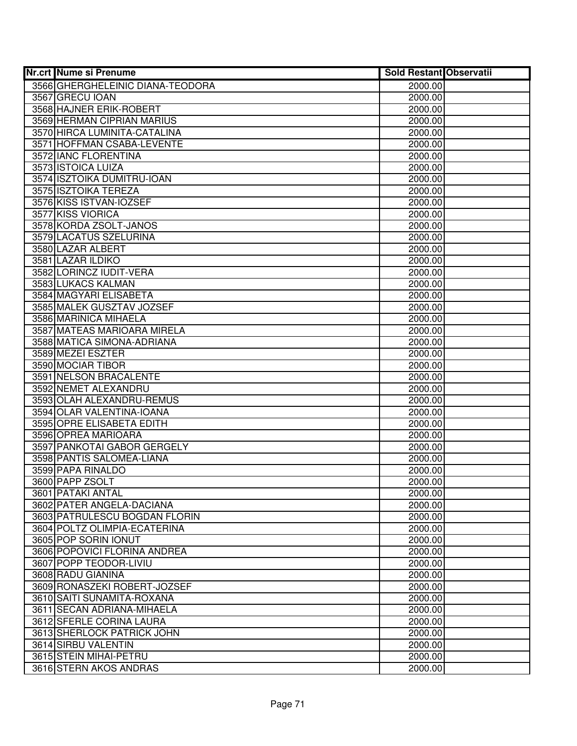| <b>Nr.crt Nume si Prenume</b>    | <b>Sold Restant Observatii</b> |  |
|----------------------------------|--------------------------------|--|
| 3566 GHERGHELEINIC DIANA-TEODORA | 2000.00                        |  |
| 3567 GRECU IOAN                  | 2000.00                        |  |
| 3568 HAJNER ERIK-ROBERT          | 2000.00                        |  |
| 3569 HERMAN CIPRIAN MARIUS       | 2000.00                        |  |
| 3570 HIRCA LUMINITA-CATALINA     | 2000.00                        |  |
| 3571 HOFFMAN CSABA-LEVENTE       | 2000.00                        |  |
| 3572 IANC FLORENTINA             | 2000.00                        |  |
| 3573 ISTOICA LUIZA               | 2000.00                        |  |
| 3574 ISZTOIKA DUMITRU-IOAN       | 2000.00                        |  |
| 3575 ISZTOIKA TEREZA             | 2000.00                        |  |
| 3576 KISS ISTVAN-IOZSEF          | 2000.00                        |  |
| 3577 KISS VIORICA                | 2000.00                        |  |
| 3578 KORDA ZSOLT-JANOS           | 2000.00                        |  |
| 3579 LACATUS SZELURINA           | 2000.00                        |  |
| 3580 LAZAR ALBERT                | 2000.00                        |  |
| 3581 LAZAR ILDIKO                | 2000.00                        |  |
| 3582 LORINCZ IUDIT-VERA          | 2000.00                        |  |
| 3583 LUKACS KALMAN               | 2000.00                        |  |
| 3584 MAGYARI ELISABETA           | 2000.00                        |  |
| 3585 MALEK GUSZTAV JOZSEF        | 2000.00                        |  |
| 3586 MARINICA MIHAELA            | 2000.00                        |  |
| 3587 MATEAS MARIOARA MIRELA      | 2000.00                        |  |
| 3588 MATICA SIMONA-ADRIANA       | 2000.00                        |  |
| 3589 MEZEI ESZTER                | 2000.00                        |  |
| 3590 MOCIAR TIBOR                | 2000.00                        |  |
| 3591 NELSON BRACALENTE           | 2000.00                        |  |
| 3592 NEMET ALEXANDRU             | 2000.00                        |  |
| 3593 OLAH ALEXANDRU-REMUS        | 2000.00                        |  |
| 3594 OLAR VALENTINA-IOANA        | 2000.00                        |  |
| 3595 OPRE ELISABETA EDITH        | 2000.00                        |  |
| 3596 OPREA MARIOARA              | 2000.00                        |  |
| 3597 PANKOTAI GABOR GERGELY      | 2000.00                        |  |
| 3598 PANTIS SALOMEA-LIANA        | 2000.00                        |  |
| 3599 PAPA RINALDO                | 2000.00                        |  |
| 3600 PAPP ZSOLT                  | 2000.00                        |  |
| 3601 PATAKI ANTAL                | 2000.00                        |  |
| 3602 PATER ANGELA-DACIANA        | 2000.00                        |  |
| 3603 PATRULESCU BOGDAN FLORIN    | 2000.00                        |  |
| 3604 POLTZ OLIMPIA-ECATERINA     | 2000.00                        |  |
| 3605 POP SORIN IONUT             | 2000.00                        |  |
| 3606 POPOVICI FLORINA ANDREA     | 2000.00                        |  |
| 3607 POPP TEODOR-LIVIU           | 2000.00                        |  |
| 3608 RADU GIANINA                | 2000.00                        |  |
| 3609 RONASZEKI ROBERT-JOZSEF     | 2000.00                        |  |
| 3610 SAITI SUNAMITA-ROXANA       | 2000.00                        |  |
| 3611 SECAN ADRIANA-MIHAELA       | 2000.00                        |  |
| 3612 SFERLE CORINA LAURA         | 2000.00                        |  |
| 3613 SHERLOCK PATRICK JOHN       | 2000.00                        |  |
| 3614 SIRBU VALENTIN              | 2000.00                        |  |
| 3615 STEIN MIHAI-PETRU           | 2000.00                        |  |
| 3616 STERN AKOS ANDRAS           | 2000.00                        |  |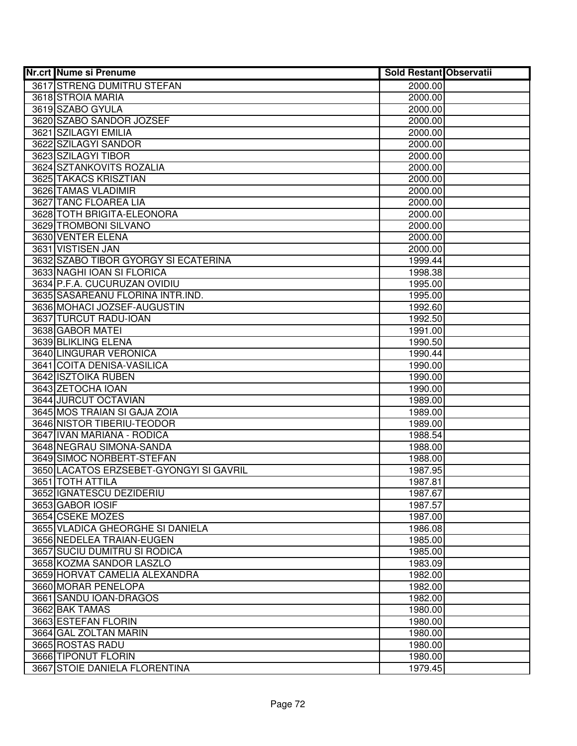| <b>Nr.crt Nume si Prenume</b>                | <b>Sold Restant Observatii</b> |  |
|----------------------------------------------|--------------------------------|--|
| 3617 STRENG DUMITRU STEFAN                   | 2000.00                        |  |
| 3618 STROIA MARIA                            | 2000.00                        |  |
| 3619 SZABO GYULA                             | 2000.00                        |  |
| 3620 SZABO SANDOR JOZSEF                     | 2000.00                        |  |
| 3621 SZILAGYI EMILIA                         | 2000.00                        |  |
| 3622 SZILAGYI SANDOR                         | 2000.00                        |  |
| 3623 SZILAGYI TIBOR                          | 2000.00                        |  |
| 3624 SZTANKOVITS ROZALIA                     | 2000.00                        |  |
| 3625 TAKACS KRISZTIAN                        | 2000.00                        |  |
| 3626 TAMAS VLADIMIR                          | 2000.00                        |  |
| 3627 TANC FLOAREA LIA                        | 2000.00                        |  |
| 3628 TOTH BRIGITA-ELEONORA                   | 2000.00                        |  |
| 3629 TROMBONI SILVANO                        | 2000.00                        |  |
| 3630 VENTER ELENA                            | 2000.00                        |  |
| 3631 VISTISEN JAN                            | 2000.00                        |  |
| 3632 SZABO TIBOR GYORGY SI ECATERINA         | 1999.44                        |  |
| 3633 NAGHI IOAN SI FLORICA                   | 1998.38                        |  |
| 3634 P.F.A. CUCURUZAN OVIDIU                 | 1995.00                        |  |
| 3635 SASAREANU FLORINA INTR.IND.             | 1995.00                        |  |
| 3636 MOHACI JOZSEF-AUGUSTIN                  | 1992.60                        |  |
| 3637 TURCUT RADU-IOAN                        | 1992.50                        |  |
| 3638 GABOR MATEI                             | 1991.00                        |  |
| 3639 BLIKLING ELENA                          | 1990.50                        |  |
| 3640 LINGURAR VERONICA                       | 1990.44                        |  |
| 3641 COITA DENISA-VASILICA                   | 1990.00                        |  |
| 3642 ISZTOIKA RUBEN                          | 1990.00                        |  |
| 3643 ZETOCHA IOAN                            | 1990.00                        |  |
| 3644 JURCUT OCTAVIAN                         | 1989.00                        |  |
| 3645 MOS TRAIAN SI GAJA ZOIA                 | 1989.00                        |  |
| 3646 NISTOR TIBERIU-TEODOR                   | 1989.00                        |  |
| 3647 IVAN MARIANA - RODICA                   | 1988.54                        |  |
| 3648 NEGRAU SIMONA-SANDA                     | 1988.00                        |  |
| 3649 SIMOC NORBERT-STEFAN                    | 1988.00                        |  |
| 3650 LACATOS ERZSEBET-GYONGYI SI GAVRIL      | 1987.95                        |  |
| 3651 TOTH ATTILA<br>3652 IGNATESCU DEZIDERIU | 1987.81                        |  |
| 3653 GABOR IOSIF                             | 1987.67<br>1987.57             |  |
| 3654 CSEKE MOZES                             | 1987.00                        |  |
| 3655 VLADICA GHEORGHE SI DANIELA             | 1986.08                        |  |
| 3656 NEDELEA TRAIAN-EUGEN                    | 1985.00                        |  |
| 3657 SUCIU DUMITRU SI RODICA                 | 1985.00                        |  |
| 3658 KOZMA SANDOR LASZLO                     | 1983.09                        |  |
| 3659 HORVAT CAMELIA ALEXANDRA                | 1982.00                        |  |
| 3660 MORAR PENELOPA                          | 1982.00                        |  |
| 3661 SANDU IOAN-DRAGOS                       | 1982.00                        |  |
| 3662 BAK TAMAS                               | 1980.00                        |  |
| 3663 ESTEFAN FLORIN                          | 1980.00                        |  |
| 3664 GAL ZOLTAN MARIN                        | 1980.00                        |  |
| 3665 ROSTAS RADU                             | 1980.00                        |  |
| 3666 TIPONUT FLORIN                          | 1980.00                        |  |
| 3667 STOIE DANIELA FLORENTINA                | 1979.45                        |  |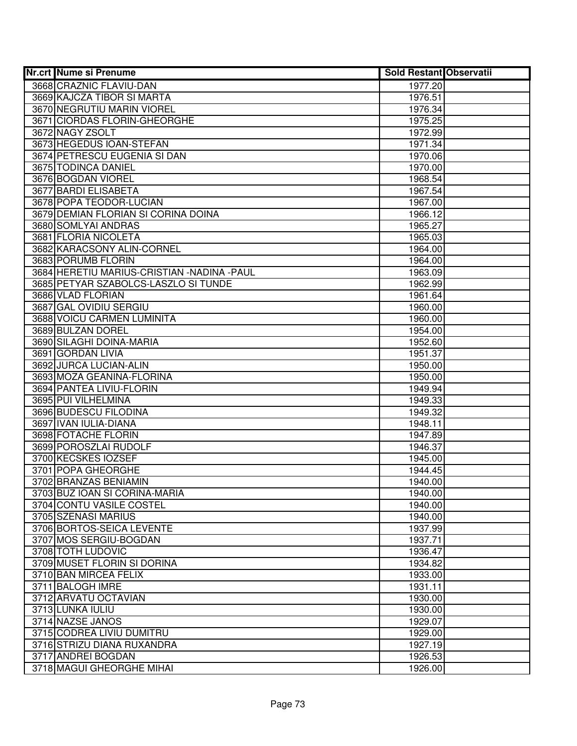| <b>Nr.crt Nume si Prenume</b>              | <b>Sold Restant Observatii</b> |  |
|--------------------------------------------|--------------------------------|--|
| 3668 CRAZNIC FLAVIU-DAN                    | 1977.20                        |  |
| 3669 KAJCZA TIBOR SI MARTA                 | 1976.51                        |  |
| 3670 NEGRUTIU MARIN VIOREL                 | 1976.34                        |  |
| 3671 CIORDAS FLORIN-GHEORGHE               | 1975.25                        |  |
| 3672 NAGY ZSOLT                            | 1972.99                        |  |
| 3673 HEGEDUS IOAN-STEFAN                   | 1971.34                        |  |
| 3674 PETRESCU EUGENIA SI DAN               | 1970.06                        |  |
| 3675 TODINCA DANIEL                        | 1970.00                        |  |
| 3676 BOGDAN VIOREL                         | 1968.54                        |  |
| 3677 BARDI ELISABETA                       | 1967.54                        |  |
| 3678 POPA TEODOR-LUCIAN                    | 1967.00                        |  |
| 3679 DEMIAN FLORIAN SI CORINA DOINA        | 1966.12                        |  |
| 3680 SOMLYAI ANDRAS                        | 1965.27                        |  |
| 3681 FLORIA NICOLETA                       | 1965.03                        |  |
| 3682 KARACSONY ALIN-CORNEL                 | 1964.00                        |  |
| 3683 PORUMB FLORIN                         | 1964.00                        |  |
| 3684 HERETIU MARIUS-CRISTIAN -NADINA -PAUL | 1963.09                        |  |
| 3685 PETYAR SZABOLCS-LASZLO SI TUNDE       | 1962.99                        |  |
| 3686 VLAD FLORIAN                          | 1961.64                        |  |
| 3687 GAL OVIDIU SERGIU                     | 1960.00                        |  |
| 3688 VOICU CARMEN LUMINITA                 | 1960.00                        |  |
| 3689 BULZAN DOREL                          | 1954.00                        |  |
| 3690 SILAGHI DOINA-MARIA                   | 1952.60                        |  |
| 3691 GORDAN LIVIA                          | 1951.37                        |  |
| 3692 JURCA LUCIAN-ALIN                     | 1950.00                        |  |
| 3693 MOZA GEANINA-FLORINA                  | 1950.00                        |  |
| 3694 PANTEA LIVIU-FLORIN                   | 1949.94                        |  |
| 3695 PUI VILHELMINA                        | 1949.33                        |  |
| 3696 BUDESCU FILODINA                      | 1949.32                        |  |
| 3697 IVAN IULIA-DIANA                      | 1948.11                        |  |
| 3698 FOTACHE FLORIN                        | 1947.89                        |  |
| 3699 POROSZLAI RUDOLF                      | 1946.37                        |  |
| 3700 KECSKES IOZSEF                        | 1945.00                        |  |
| 3701 POPA GHEORGHE                         | 1944.45                        |  |
| 3702 BRANZAS BENIAMIN                      | 1940.00                        |  |
| 3703 BUZ IOAN SI CORINA-MARIA              | 1940.00                        |  |
| 3704 CONTU VASILE COSTEL                   | 1940.00                        |  |
| 3705 SZENASI MARIUS                        | 1940.00                        |  |
| 3706 BORTOS-SEICA LEVENTE                  | 1937.99                        |  |
| 3707 MOS SERGIU-BOGDAN                     | 1937.71                        |  |
| 3708 TOTH LUDOVIC                          | 1936.47                        |  |
| 3709 MUSET FLORIN SI DORINA                | 1934.82                        |  |
| 3710 BAN MIRCEA FELIX                      | 1933.00                        |  |
| 3711 BALOGH IMRE                           | 1931.11                        |  |
| 3712 ARVATU OCTAVIAN                       | 1930.00                        |  |
| 3713 LUNKA IULIU                           | 1930.00                        |  |
| 3714 NAZSE JANOS                           | 1929.07                        |  |
| 3715 CODREA LIVIU DUMITRU                  | 1929.00                        |  |
| 3716 STRIZU DIANA RUXANDRA                 | 1927.19                        |  |
| 3717 ANDREI BOGDAN                         | 1926.53                        |  |
| 3718 MAGUI GHEORGHE MIHAI                  | 1926.00                        |  |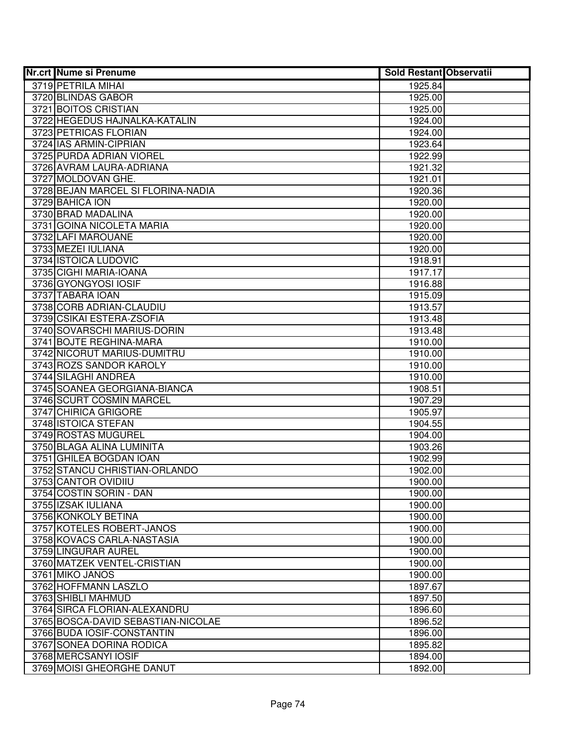| <b>Nr.crt Nume si Prenume</b>      | <b>Sold Restant Observatii</b> |  |
|------------------------------------|--------------------------------|--|
| 3719 PETRILA MIHAI                 | 1925.84                        |  |
| 3720 BLINDAS GABOR                 | 1925.00                        |  |
| 3721 BOITOS CRISTIAN               | 1925.00                        |  |
| 3722 HEGEDUS HAJNALKA-KATALIN      | 1924.00                        |  |
| 3723 PETRICAS FLORIAN              | 1924.00                        |  |
| 3724 IAS ARMIN-CIPRIAN             | 1923.64                        |  |
| 3725 PURDA ADRIAN VIOREL           | 1922.99                        |  |
| 3726 AVRAM LAURA-ADRIANA           | 1921.32                        |  |
| 3727 MOLDOVAN GHE.                 | 1921.01                        |  |
| 3728 BEJAN MARCEL SI FLORINA-NADIA | 1920.36                        |  |
| 3729 BAHICA ION                    | 1920.00                        |  |
| 3730 BRAD MADALINA                 | 1920.00                        |  |
| 3731 GOINA NICOLETA MARIA          | 1920.00                        |  |
| 3732 LAFI MAROUANE                 | 1920.00                        |  |
| 3733 MEZEI IULIANA                 | 1920.00                        |  |
| 3734 ISTOICA LUDOVIC               | 1918.91                        |  |
| 3735 CIGHI MARIA-IOANA             | 1917.17                        |  |
| 3736 GYONGYOSI IOSIF               | 1916.88                        |  |
| 3737 TABARA IOAN                   | 1915.09                        |  |
| 3738 CORB ADRIAN-CLAUDIU           | 1913.57                        |  |
| 3739 CSIKAI ESTERA-ZSOFIA          | 1913.48                        |  |
| 3740 SOVARSCHI MARIUS-DORIN        | 1913.48                        |  |
| 3741 BOJTE REGHINA-MARA            | 1910.00                        |  |
| 3742 NICORUT MARIUS-DUMITRU        | 1910.00                        |  |
| 3743 ROZS SANDOR KAROLY            | 1910.00                        |  |
| 3744 SILAGHI ANDREA                | 1910.00                        |  |
| 3745 SOANEA GEORGIANA-BIANCA       | 1908.51                        |  |
| 3746 SCURT COSMIN MARCEL           | 1907.29                        |  |
| 3747 CHIRICA GRIGORE               | 1905.97                        |  |
| 3748 ISTOICA STEFAN                | 1904.55                        |  |
| 3749 ROSTAS MUGUREL                | 1904.00                        |  |
| 3750 BLAGA ALINA LUMINITA          | 1903.26                        |  |
| 3751 GHILEA BOGDAN IOAN            | 1902.99                        |  |
| 3752 STANCU CHRISTIAN-ORLANDO      | 1902.00                        |  |
| 3753 CANTOR OVIDIIU                | 1900.00                        |  |
| 3754 COSTIN SORIN - DAN            | 1900.00                        |  |
| 3755 IZSAK IULIANA                 | 1900.00                        |  |
| 3756 KONKOLY BETINA                | 1900.00                        |  |
| 3757 KOTELES ROBERT-JANOS          | 1900.00                        |  |
| 3758 KOVACS CARLA-NASTASIA         | 1900.00                        |  |
| 3759 LINGURAR AUREL                | 1900.00                        |  |
| 3760 MATZEK VENTEL-CRISTIAN        | 1900.00                        |  |
| 3761 MIKO JANOS                    | 1900.00                        |  |
| 3762 HOFFMANN LASZLO               | 1897.67                        |  |
| 3763 SHIBLI MAHMUD                 | 1897.50                        |  |
| 3764 SIRCA FLORIAN-ALEXANDRU       | 1896.60                        |  |
| 3765 BOSCA-DAVID SEBASTIAN-NICOLAE | 1896.52                        |  |
| 3766 BUDA IOSIF-CONSTANTIN         | 1896.00                        |  |
| 3767 SONEA DORINA RODICA           | 1895.82                        |  |
| 3768 MERCSANYI IOSIF               | 1894.00                        |  |
| 3769 MOISI GHEORGHE DANUT          | 1892.00                        |  |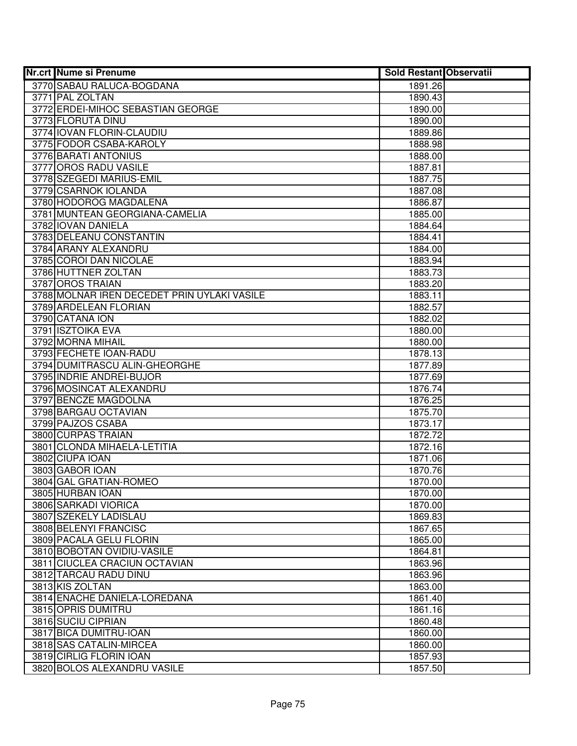| <b>Nr.crt Nume si Prenume</b>               | <b>Sold Restant Observatii</b> |  |
|---------------------------------------------|--------------------------------|--|
| 3770 SABAU RALUCA-BOGDANA                   | 1891.26                        |  |
| 3771 PAL ZOLTAN                             | 1890.43                        |  |
| 3772 ERDEI-MIHOC SEBASTIAN GEORGE           | 1890.00                        |  |
| 3773 FLORUTA DINU                           | 1890.00                        |  |
| 3774 IOVAN FLORIN-CLAUDIU                   | 1889.86                        |  |
| 3775 FODOR CSABA-KAROLY                     | 1888.98                        |  |
| 3776 BARATI ANTONIUS                        | 1888.00                        |  |
| 3777 OROS RADU VASILE                       | 1887.81                        |  |
| 3778 SZEGEDI MARIUS-EMIL                    | 1887.75                        |  |
| 3779 CSARNOK IOLANDA                        | 1887.08                        |  |
| 3780 HODOROG MAGDALENA                      | 1886.87                        |  |
| 3781 MUNTEAN GEORGIANA-CAMELIA              | 1885.00                        |  |
| 3782 IOVAN DANIELA                          | 1884.64                        |  |
| 3783 DELEANU CONSTANTIN                     | 1884.41                        |  |
| 3784 ARANY ALEXANDRU                        | 1884.00                        |  |
| 3785 COROI DAN NICOLAE                      | 1883.94                        |  |
| 3786 HUTTNER ZOLTAN                         | 1883.73                        |  |
| 3787 OROS TRAIAN                            | 1883.20                        |  |
| 3788 MOLNAR IREN DECEDET PRIN UYLAKI VASILE | 1883.11                        |  |
| 3789 ARDELEAN FLORIAN                       | 1882.57                        |  |
| 3790 CATANA ION                             | 1882.02                        |  |
| 3791 ISZTOIKA EVA                           | 1880.00                        |  |
| 3792 MORNA MIHAIL                           | 1880.00                        |  |
| 3793 FECHETE IOAN-RADU                      | 1878.13                        |  |
| 3794 DUMITRASCU ALIN-GHEORGHE               | 1877.89                        |  |
| 3795 INDRIE ANDREI-BUJOR                    | 1877.69                        |  |
| 3796 MOSINCAT ALEXANDRU                     | 1876.74                        |  |
| 3797 BENCZE MAGDOLNA                        | 1876.25                        |  |
| 3798 BARGAU OCTAVIAN                        | 1875.70                        |  |
| 3799 PAJZOS CSABA                           | 1873.17                        |  |
| 3800 CURPAS TRAIAN                          | 1872.72                        |  |
| 3801 CLONDA MIHAELA-LETITIA                 | 1872.16                        |  |
| 3802 CIUPA IOAN                             | 1871.06                        |  |
| 3803 GABOR IOAN                             | 1870.76                        |  |
| 3804 GAL GRATIAN-ROMEO                      | 1870.00                        |  |
| 3805 HURBAN IOAN                            | 1870.00                        |  |
| 3806 SARKADI VIORICA                        | 1870.00                        |  |
| 3807 SZEKELY LADISLAU                       | 1869.83                        |  |
| 3808 BELENYI FRANCISC                       | 1867.65                        |  |
| 3809 PACALA GELU FLORIN                     | 1865.00                        |  |
| 3810 BOBOTAN OVIDIU-VASILE                  | 1864.81                        |  |
| 3811 CIUCLEA CRACIUN OCTAVIAN               | 1863.96                        |  |
| 3812 TARCAU RADU DINU                       | 1863.96                        |  |
| 3813 KIS ZOLTAN                             | 1863.00                        |  |
| 3814 ENACHE DANIELA-LOREDANA                | 1861.40                        |  |
| 3815 OPRIS DUMITRU                          | 1861.16                        |  |
| 3816 SUCIU CIPRIAN                          | 1860.48                        |  |
| 3817 BICA DUMITRU-IOAN                      | 1860.00                        |  |
| 3818 SAS CATALIN-MIRCEA                     | 1860.00                        |  |
| 3819 CIRLIG FLORIN IOAN                     | 1857.93                        |  |
| 3820 BOLOS ALEXANDRU VASILE                 | 1857.50                        |  |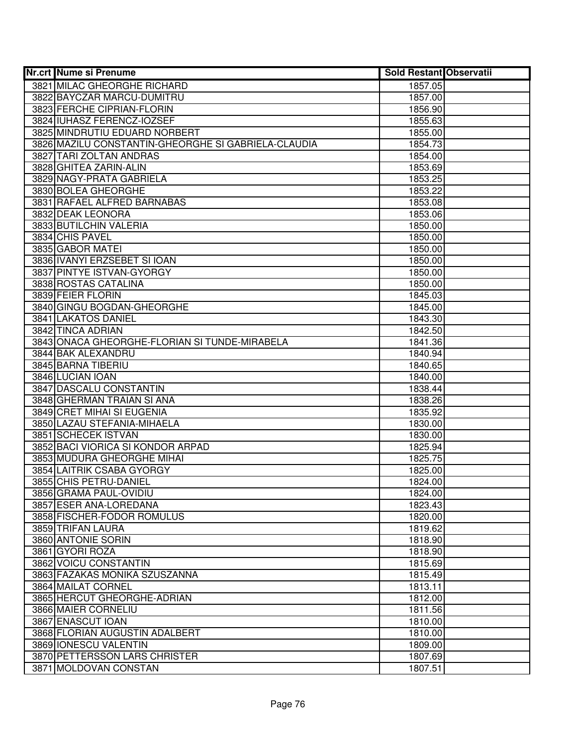|      | <b>Nr.crt Nume si Prenume</b>                       | <b>Sold Restant Observatii</b> |  |
|------|-----------------------------------------------------|--------------------------------|--|
|      | 3821 MILAC GHEORGHE RICHARD                         | 1857.05                        |  |
|      | 3822 BAYCZAR MARCU-DUMITRU                          | 1857.00                        |  |
|      | 3823 FERCHE CIPRIAN-FLORIN                          | 1856.90                        |  |
|      | 3824 IUHASZ FERENCZ-IOZSEF                          | 1855.63                        |  |
|      | 3825 MINDRUTIU EDUARD NORBERT                       | 1855.00                        |  |
|      | 3826 MAZILU CONSTANTIN-GHEORGHE SI GABRIELA-CLAUDIA | 1854.73                        |  |
|      | 3827 TARI ZOLTAN ANDRAS                             | 1854.00                        |  |
|      | 3828 GHITEA ZARIN-ALIN                              | 1853.69                        |  |
|      | 3829 NAGY-PRATA GABRIELA                            | 1853.25                        |  |
|      | 3830 BOLEA GHEORGHE                                 | 1853.22                        |  |
|      | 3831 RAFAEL ALFRED BARNABAS                         | 1853.08                        |  |
|      | 3832 DEAK LEONORA                                   | 1853.06                        |  |
|      | 3833 BUTILCHIN VALERIA                              | 1850.00                        |  |
|      | 3834 CHIS PAVEL                                     | 1850.00                        |  |
|      | 3835 GABOR MATEI                                    | 1850.00                        |  |
|      | 3836 IVANYI ERZSEBET SI IOAN                        | 1850.00                        |  |
|      | 3837 PINTYE ISTVAN-GYORGY                           | 1850.00                        |  |
|      | 3838 ROSTAS CATALINA                                | 1850.00                        |  |
|      | 3839 FEIER FLORIN                                   | 1845.03                        |  |
|      | 3840 GINGU BOGDAN-GHEORGHE                          | 1845.00                        |  |
|      | 3841 LAKATOS DANIEL                                 | 1843.30                        |  |
|      | 3842 TINCA ADRIAN                                   | 1842.50                        |  |
|      | 3843 ONACA GHEORGHE-FLORIAN SI TUNDE-MIRABELA       | 1841.36                        |  |
|      | 3844 BAK ALEXANDRU                                  | 1840.94                        |  |
|      | 3845 BARNA TIBERIU                                  | 1840.65                        |  |
|      | 3846 LUCIAN IOAN                                    | 1840.00                        |  |
|      | 3847 DASCALU CONSTANTIN                             | 1838.44                        |  |
|      | 3848 GHERMAN TRAIAN SI ANA                          | 1838.26                        |  |
|      | 3849 CRET MIHAI SI EUGENIA                          | 1835.92                        |  |
|      | 3850 LAZAU STEFANIA-MIHAELA                         | 1830.00                        |  |
|      | 3851 SCHECEK ISTVAN                                 | 1830.00                        |  |
|      | 3852 BACI VIORICA SI KONDOR ARPAD                   | 1825.94                        |  |
|      | 3853 MUDURA GHEORGHE MIHAI                          | 1825.75                        |  |
|      | 3854 LAITRIK CSABA GYORGY                           | 1825.00                        |  |
|      | 3855 CHIS PETRU-DANIEL                              | 1824.00                        |  |
|      | 3856 GRAMA PAUL-OVIDIU                              | 1824.00                        |  |
|      | 3857 ESER ANA-LOREDANA                              | 1823.43                        |  |
|      | 3858 FISCHER-FODOR ROMULUS                          | 1820.00                        |  |
|      | 3859 TRIFAN LAURA                                   | 1819.62                        |  |
|      | 3860 ANTONIE SORIN                                  | 1818.90                        |  |
|      | 3861 GYORI ROZA                                     | 1818.90                        |  |
|      | 3862 VOICU CONSTANTIN                               | 1815.69                        |  |
|      | 3863 FAZAKAS MONIKA SZUSZANNA                       | 1815.49                        |  |
|      | 3864 MAILAT CORNEL                                  | 1813.11                        |  |
|      | 3865 HERCUT GHEORGHE-ADRIAN                         | 1812.00                        |  |
|      | 3866 MAIER CORNELIU                                 | 1811.56                        |  |
|      | 3867 ENASCUT IOAN                                   | 1810.00                        |  |
|      | 3868 FLORIAN AUGUSTIN ADALBERT                      | 1810.00                        |  |
|      | 3869 IONESCU VALENTIN                               | 1809.00                        |  |
|      | 3870 PETTERSSON LARS CHRISTER                       | 1807.69                        |  |
| 3871 | <b>MOLDOVAN CONSTAN</b>                             | 1807.51                        |  |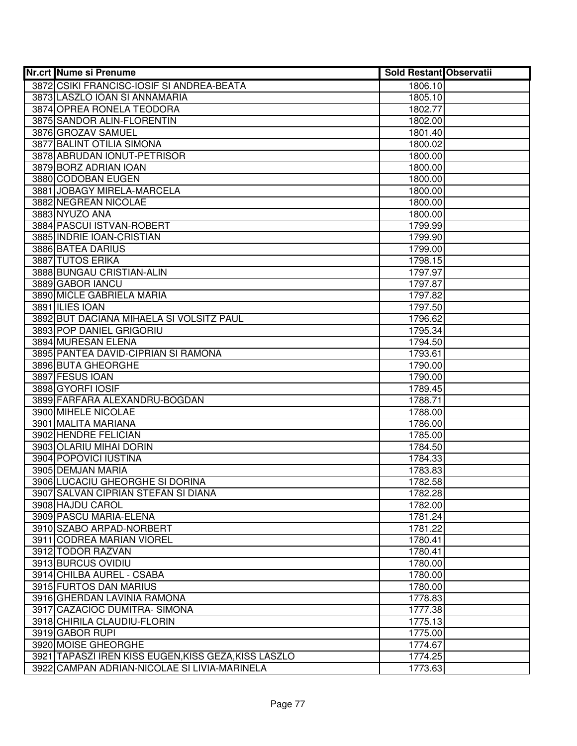| <b>Nr.crt Nume si Prenume</b>                        | <b>Sold Restant Observatii</b> |  |
|------------------------------------------------------|--------------------------------|--|
| 3872 CSIKI FRANCISC-IOSIF SI ANDREA-BEATA            | 1806.10                        |  |
| 3873 LASZLO JOAN SI ANNAMARIA                        | 1805.10                        |  |
| 3874 OPREA RONELA TEODORA                            | 1802.77                        |  |
| 3875 SANDOR ALIN-FLORENTIN                           | 1802.00                        |  |
| 3876 GROZAV SAMUEL                                   | 1801.40                        |  |
| 3877 BALINT OTILIA SIMONA                            | 1800.02                        |  |
| 3878 ABRUDAN IONUT-PETRISOR                          | 1800.00                        |  |
| 3879 BORZ ADRIAN IOAN                                | 1800.00                        |  |
| 3880 CODOBAN EUGEN                                   | 1800.00                        |  |
| 3881 JOBAGY MIRELA-MARCELA                           | 1800.00                        |  |
| 3882 NEGREAN NICOLAE                                 | 1800.00                        |  |
| 3883 NYUZO ANA                                       | 1800.00                        |  |
| 3884 PASCUI ISTVAN-ROBERT                            | 1799.99                        |  |
| 3885 INDRIE IOAN-CRISTIAN                            | 1799.90                        |  |
| 3886 BATEA DARIUS                                    | 1799.00                        |  |
| 3887 TUTOS ERIKA                                     | 1798.15                        |  |
| 3888 BUNGAU CRISTIAN-ALIN                            | 1797.97                        |  |
| 3889 GABOR IANCU                                     | 1797.87                        |  |
| 3890 MICLE GABRIELA MARIA                            | 1797.82                        |  |
| 3891 ILIES IOAN                                      | 1797.50                        |  |
| 3892 BUT DACIANA MIHAELA SI VOLSITZ PAUL             | 1796.62                        |  |
| 3893 POP DANIEL GRIGORIU                             | 1795.34                        |  |
| 3894 MURESAN ELENA                                   | 1794.50                        |  |
| 3895 PANTEA DAVID-CIPRIAN SI RAMONA                  | 1793.61                        |  |
| 3896 BUTA GHEORGHE                                   | 1790.00                        |  |
| 3897 FESUS IOAN                                      | 1790.00                        |  |
| 3898 GYORFI IOSIF                                    | 1789.45                        |  |
| 3899 FARFARA ALEXANDRU-BOGDAN                        | 1788.71                        |  |
| 3900 MIHELE NICOLAE                                  | 1788.00                        |  |
| 3901 MALITA MARIANA                                  | 1786.00                        |  |
| 3902 HENDRE FELICIAN                                 | 1785.00                        |  |
| 3903 OLARIU MIHAI DORIN                              | 1784.50                        |  |
| 3904 POPOVICI IUSTINA                                | 1784.33                        |  |
| 3905 DEMJAN MARIA                                    | 1783.83                        |  |
| 3906 LUCACIU GHEORGHE SI DORINA                      | 1782.58                        |  |
| 3907 SALVAN CIPRIAN STEFAN SI DIANA                  | 1782.28                        |  |
| 3908 HAJDU CAROL                                     | 1782.00                        |  |
| 3909 PASCU MARIA-ELENA                               | 1781.24                        |  |
| 3910 SZABO ARPAD-NORBERT                             | 1781.22                        |  |
| 3911 CODREA MARIAN VIOREL                            | 1780.41                        |  |
| 3912 TODOR RAZVAN                                    | 1780.41                        |  |
| 3913 BURCUS OVIDIU                                   | 1780.00                        |  |
| 3914 CHILBA AUREL - CSABA                            | 1780.00                        |  |
| 3915 FURTOS DAN MARIUS                               | 1780.00                        |  |
| 3916 GHERDAN LAVINIA RAMONA                          | 1778.83                        |  |
| 3917 CAZACIOC DUMITRA-SIMONA                         | 1777.38                        |  |
| 3918 CHIRILA CLAUDIU-FLORIN                          | 1775.13                        |  |
| 3919 GABOR RUPI                                      | 1775.00                        |  |
| 3920 MOISE GHEORGHE                                  | 1774.67                        |  |
| 3921 TAPASZI IREN KISS EUGEN, KISS GEZA, KISS LASZLO | 1774.25                        |  |
| 3922 CAMPAN ADRIAN-NICOLAE SI LIVIA-MARINELA         | 1773.63                        |  |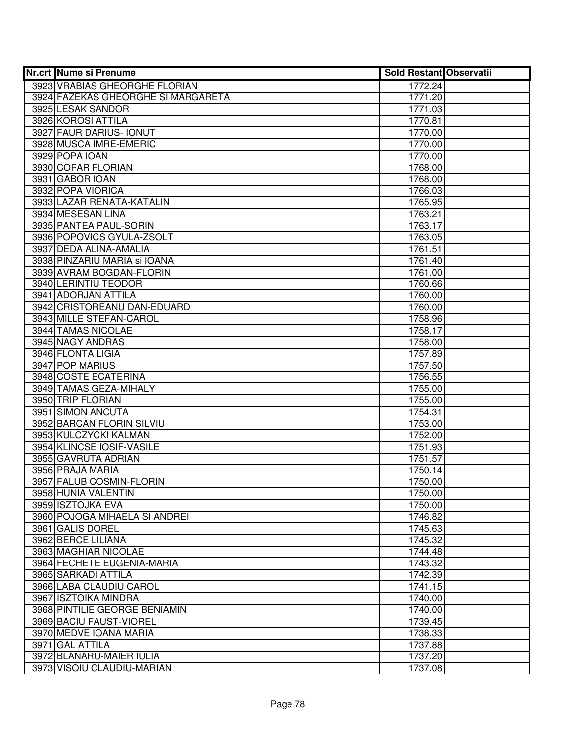| <b>Nr.crt Nume si Prenume</b>      | <b>Sold Restant Observatii</b> |  |
|------------------------------------|--------------------------------|--|
| 3923 VRABIAS GHEORGHE FLORIAN      | 1772.24                        |  |
| 3924 FAZEKAS GHEORGHE SI MARGARETA | 1771.20                        |  |
| 3925 LESAK SANDOR                  | 1771.03                        |  |
| 3926 KOROSI ATTILA                 | 1770.81                        |  |
| 3927 FAUR DARIUS- IONUT            | 1770.00                        |  |
| 3928 MUSCA IMRE-EMERIC             | 1770.00                        |  |
| 3929 POPA IOAN                     | 1770.00                        |  |
| 3930 COFAR FLORIAN                 | 1768.00                        |  |
| 3931 GABOR IOAN                    | 1768.00                        |  |
| 3932 POPA VIORICA                  | 1766.03                        |  |
| 3933 LAZAR RENATA-KATALIN          | 1765.95                        |  |
| 3934 MESESAN LINA                  | 1763.21                        |  |
| 3935 PANTEA PAUL-SORIN             | 1763.17                        |  |
| 3936 POPOVICS GYULA-ZSOLT          | 1763.05                        |  |
| 3937 DEDA ALINA-AMALIA             | 1761.51                        |  |
| 3938 PINZARIU MARIA și IOANA       | 1761.40                        |  |
| 3939 AVRAM BOGDAN-FLORIN           | 1761.00                        |  |
| 3940 LERINTIU TEODOR               | 1760.66                        |  |
| 3941 ADORJAN ATTILA                | 1760.00                        |  |
| 3942 CRISTOREANU DAN-EDUARD        | 1760.00                        |  |
| 3943 MILLE STEFAN-CAROL            | 1758.96                        |  |
| 3944 TAMAS NICOLAE                 | 1758.17                        |  |
| 3945 NAGY ANDRAS                   | 1758.00                        |  |
| 3946 FLONTA LIGIA                  | 1757.89                        |  |
| 3947 POP MARIUS                    | 1757.50                        |  |
| 3948 COSTE ECATERINA               | 1756.55                        |  |
| 3949 TAMAS GEZA-MIHALY             | 1755.00                        |  |
| 3950 TRIP FLORIAN                  | 1755.00                        |  |
| 3951 SIMON ANCUTA                  | 1754.31                        |  |
| 3952 BARCAN FLORIN SILVIU          | 1753.00                        |  |
| 3953 KULCZYCKI KALMAN              | 1752.00                        |  |
| 3954 KLINCSE IOSIF-VASILE          | 1751.93                        |  |
| 3955 GAVRUTA ADRIAN                | 1751.57                        |  |
| 3956 PRAJA MARIA                   | 1750.14                        |  |
| 3957 FALUB COSMIN-FLORIN           | 1750.00                        |  |
| 3958 HUNIA VALENTIN                | 1750.00                        |  |
| 3959 ISZTOJKA EVA                  | 1750.00                        |  |
| 3960 POJOGA MIHAELA SI ANDREI      | 1746.82                        |  |
| 3961 GALIS DOREL                   | 1745.63                        |  |
| 3962 BERCE LILIANA                 | 1745.32                        |  |
| 3963 MAGHIAR NICOLAE               | 1744.48                        |  |
| 3964 FECHETE EUGENIA-MARIA         | 1743.32                        |  |
| 3965 SARKADI ATTILA                | 1742.39                        |  |
| 3966 LABA CLAUDIU CAROL            | 1741.15                        |  |
| 3967 ISZTOIKA MINDRA               | 1740.00                        |  |
| 3968 PINTILIE GEORGE BENIAMIN      | 1740.00                        |  |
| 3969 BACIU FAUST-VIOREL            | 1739.45                        |  |
| 3970 MEDVE IOANA MARIA             | 1738.33                        |  |
| 3971 GAL ATTILA                    | 1737.88                        |  |
| 3972 BLANARU-MAIER IULIA           | 1737.20                        |  |
| 3973 VISOIU CLAUDIU-MARIAN         | 1737.08                        |  |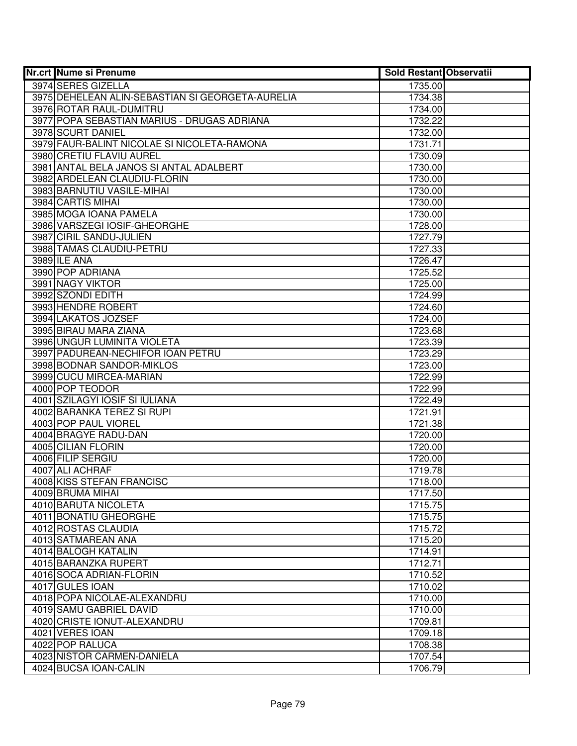| <b>Nr.crt Nume si Prenume</b>                    | <b>Sold Restant Observatii</b> |  |
|--------------------------------------------------|--------------------------------|--|
| 3974 SERES GIZELLA                               | 1735.00                        |  |
| 3975 DEHELEAN ALIN-SEBASTIAN SI GEORGETA-AURELIA | 1734.38                        |  |
| 3976 ROTAR RAUL-DUMITRU                          | 1734.00                        |  |
| 3977 POPA SEBASTIAN MARIUS - DRUGAS ADRIANA      | 1732.22                        |  |
| 3978 SCURT DANIEL                                | 1732.00                        |  |
| 3979 FAUR-BALINT NICOLAE SI NICOLETA-RAMONA      | 1731.71                        |  |
| 3980 CRETIU FLAVIU AUREL                         | 1730.09                        |  |
| 3981 ANTAL BELA JANOS SI ANTAL ADALBERT          | 1730.00                        |  |
| 3982 ARDELEAN CLAUDIU-FLORIN                     | 1730.00                        |  |
| 3983 BARNUTIU VASILE-MIHAI                       | 1730.00                        |  |
| 3984 CARTIS MIHAI                                | 1730.00                        |  |
| 3985 MOGA IOANA PAMELA                           | 1730.00                        |  |
| 3986 VARSZEGI IOSIF-GHEORGHE                     | 1728.00                        |  |
| 3987 CIRIL SANDU-JULIEN                          | 1727.79                        |  |
| 3988 TAMAS CLAUDIU-PETRU                         | 1727.33                        |  |
| 3989 ILE ANA                                     | 1726.47                        |  |
| 3990 POP ADRIANA                                 | 1725.52                        |  |
| 3991 NAGY VIKTOR                                 | 1725.00                        |  |
| 3992 SZONDI EDITH                                | 1724.99                        |  |
| 3993 HENDRE ROBERT                               | 1724.60                        |  |
| 3994 LAKATOS JOZSEF                              | 1724.00                        |  |
| 3995 BIRAU MARA ZIANA                            | 1723.68                        |  |
| 3996 UNGUR LUMINITA VIOLETA                      | 1723.39                        |  |
| 3997 PADUREAN-NECHIFOR IOAN PETRU                | 1723.29                        |  |
| 3998 BODNAR SANDOR-MIKLOS                        | 1723.00                        |  |
| 3999 CUCU MIRCEA-MARIAN                          | 1722.99                        |  |
| 4000 POP TEODOR                                  | 1722.99                        |  |
| 4001 SZILAGYI IOSIF SI IULIANA                   | 1722.49                        |  |
| 4002 BARANKA TEREZ SI RUPI                       | 1721.91                        |  |
| 4003 POP PAUL VIOREL                             | 1721.38                        |  |
| 4004 BRAGYE RADU-DAN                             | 1720.00                        |  |
| 4005 CILIAN FLORIN                               | 1720.00                        |  |
| 4006 FILIP SERGIU                                | 1720.00                        |  |
| 4007 ALI ACHRAF                                  | 1719.78                        |  |
| 4008 KISS STEFAN FRANCISC                        | 1718.00                        |  |
| 4009 BRUMA MIHAI                                 | 1717.50                        |  |
| 4010 BARUTA NICOLETA                             | 1715.75                        |  |
| 4011 BONATIU GHEORGHE                            | 1715.75                        |  |
| 4012 ROSTAS CLAUDIA                              | 1715.72                        |  |
| 4013 SATMAREAN ANA                               | 1715.20                        |  |
| 4014 BALOGH KATALIN                              | 1714.91                        |  |
| 4015 BARANZKA RUPERT                             | 1712.71                        |  |
| 4016 SOCA ADRIAN-FLORIN                          | 1710.52                        |  |
| 4017 GULES IOAN                                  | 1710.02                        |  |
| 4018 POPA NICOLAE-ALEXANDRU                      | 1710.00                        |  |
| 4019 SAMU GABRIEL DAVID                          | 1710.00                        |  |
| 4020 CRISTE IONUT-ALEXANDRU                      | 1709.81                        |  |
| 4021 VERES IOAN                                  | 1709.18                        |  |
| 4022 POP RALUCA                                  | 1708.38                        |  |
| 4023 NISTOR CARMEN-DANIELA                       | 1707.54                        |  |
| 4024 BUCSA IOAN-CALIN                            | 1706.79                        |  |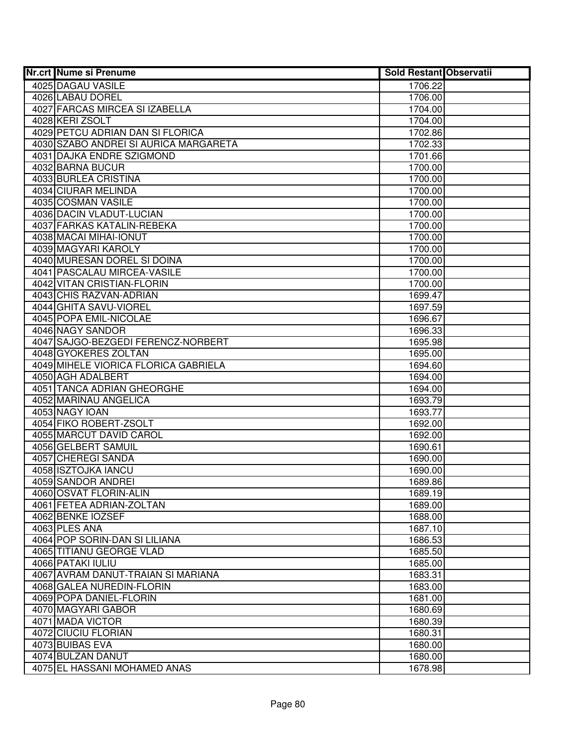| <b>Nr.crt Nume si Prenume</b>             | <b>Sold Restant Observatii</b> |  |
|-------------------------------------------|--------------------------------|--|
| 4025 DAGAU VASILE                         | 1706.22                        |  |
| 4026 LABAU DOREL                          | 1706.00                        |  |
| 4027 FARCAS MIRCEA SI IZABELLA            | 1704.00                        |  |
| 4028 KERI ZSOLT                           | 1704.00                        |  |
| 4029 PETCU ADRIAN DAN SI FLORICA          | 1702.86                        |  |
| 4030 SZABO ANDREI SI AURICA MARGARETA     | 1702.33                        |  |
| 4031 DAJKA ENDRE SZIGMOND                 | 1701.66                        |  |
| 4032 BARNA BUCUR                          | 1700.00                        |  |
| 4033 BURLEA CRISTINA                      | 1700.00                        |  |
| 4034 CIURAR MELINDA                       | 1700.00                        |  |
| 4035 COSMAN VASILE                        | 1700.00                        |  |
| 4036 DACIN VLADUT-LUCIAN                  | 1700.00                        |  |
| 4037 FARKAS KATALIN-REBEKA                | 1700.00                        |  |
| 4038 MACAI MIHAI-IONUT                    | 1700.00                        |  |
| 4039 MAGYARI KAROLY                       | 1700.00                        |  |
| 4040 MURESAN DOREL SI DOINA               | 1700.00                        |  |
| 4041 PASCALAU MIRCEA-VASILE               | 1700.00                        |  |
| 4042 VITAN CRISTIAN-FLORIN                | 1700.00                        |  |
| 4043 CHIS RAZVAN-ADRIAN                   | 1699.47                        |  |
| 4044 GHITA SAVU-VIOREL                    | 1697.59                        |  |
| 4045 POPA EMIL-NICOLAE                    | 1696.67                        |  |
| 4046 NAGY SANDOR                          | 1696.33                        |  |
| 4047 SAJGO-BEZGEDI FERENCZ-NORBERT        | 1695.98                        |  |
| 4048 GYOKERES ZOLTAN                      | 1695.00                        |  |
| 4049 MIHELE VIORICA FLORICA GABRIELA      | 1694.60                        |  |
| 4050 AGH ADALBERT                         | 1694.00                        |  |
| 4051 TANCA ADRIAN GHEORGHE                | 1694.00                        |  |
| 4052 MARINAU ANGELICA                     | 1693.79                        |  |
| 4053 NAGY IOAN                            | 1693.77                        |  |
| 4054 FIKO ROBERT-ZSOLT                    | 1692.00                        |  |
| 4055 MARCUT DAVID CAROL                   | 1692.00                        |  |
| 4056 GELBERT SAMUIL                       | 1690.61                        |  |
| 4057 CHEREGI SANDA                        | 1690.00                        |  |
| 4058 ISZTOJKA IANCU<br>4059 SANDOR ANDREI | 1690.00                        |  |
| 4060 OSVAT FLORIN-ALIN                    | 1689.86<br>1689.19             |  |
| 4061 FETEA ADRIAN-ZOLTAN                  | 1689.00                        |  |
| 4062 BENKE IOZSEF                         | 1688.00                        |  |
| 4063 PLES ANA                             | 1687.10                        |  |
| 4064 POP SORIN-DAN SI LILIANA             | 1686.53                        |  |
| 4065 TITIANU GEORGE VLAD                  | 1685.50                        |  |
| 4066 PATAKI IULIU                         | 1685.00                        |  |
| 4067 AVRAM DANUT-TRAIAN SI MARIANA        | 1683.31                        |  |
| 4068 GALEA NUREDIN-FLORIN                 | 1683.00                        |  |
| 4069 POPA DANIEL-FLORIN                   | 1681.00                        |  |
| 4070 MAGYARI GABOR                        | 1680.69                        |  |
| 4071 MADA VICTOR                          | 1680.39                        |  |
| 4072 CIUCIU FLORIAN                       | 1680.31                        |  |
| 4073 BUIBAS EVA                           | 1680.00                        |  |
| 4074 BULZAN DANUT                         | 1680.00                        |  |
| 4075 EL HASSANI MOHAMED ANAS              | 1678.98                        |  |
|                                           |                                |  |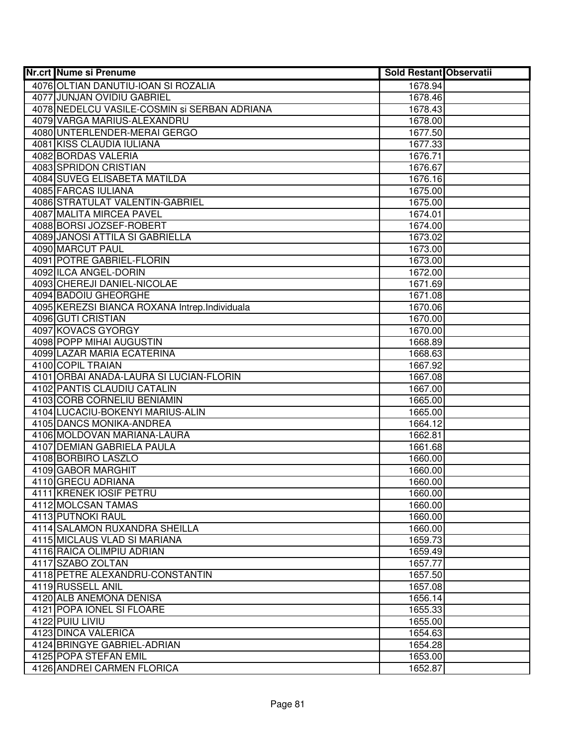| <b>Nr.crt Nume si Prenume</b>                  | <b>Sold Restant Observatii</b> |  |
|------------------------------------------------|--------------------------------|--|
| 4076 OLTIAN DANUTIU-IOAN SI ROZALIA            | 1678.94                        |  |
| 4077 JUNJAN OVIDIU GABRIEL                     | 1678.46                        |  |
| 4078 NEDELCU VASILE-COSMIN si SERBAN ADRIANA   | 1678.43                        |  |
| 4079 VARGA MARIUS-ALEXANDRU                    | 1678.00                        |  |
| 4080 UNTERLENDER-MERAI GERGO                   | 1677.50                        |  |
| 4081 KISS CLAUDIA IULIANA                      | 1677.33                        |  |
| 4082 BORDAS VALERIA                            | 1676.71                        |  |
| 4083 SPRIDON CRISTIAN                          | 1676.67                        |  |
| 4084 SUVEG ELISABETA MATILDA                   | 1676.16                        |  |
| 4085 FARCAS IULIANA                            | 1675.00                        |  |
| 4086 STRATULAT VALENTIN-GABRIEL                | 1675.00                        |  |
| 4087 MALITA MIRCEA PAVEL                       | 1674.01                        |  |
| 4088 BORSI JOZSEF-ROBERT                       | 1674.00                        |  |
| 4089 JANOSI ATTILA SI GABRIELLA                | 1673.02                        |  |
| 4090 MARCUT PAUL                               | 1673.00                        |  |
| 4091 POTRE GABRIEL-FLORIN                      | 1673.00                        |  |
| 4092 ILCA ANGEL-DORIN                          | 1672.00                        |  |
| 4093 CHEREJI DANIEL-NICOLAE                    | 1671.69                        |  |
| 4094 BADOIU GHEORGHE                           | 1671.08                        |  |
| 4095 KEREZSI BIANCA ROXANA Intrep. Individuala | 1670.06                        |  |
| 4096 GUTI CRISTIAN                             | 1670.00                        |  |
| 4097 KOVACS GYORGY                             | 1670.00                        |  |
| 4098 POPP MIHAI AUGUSTIN                       | 1668.89                        |  |
| 4099 LAZAR MARIA ECATERINA                     | 1668.63                        |  |
| 4100 COPIL TRAIAN                              | 1667.92                        |  |
| 4101 ORBAI ANADA-LAURA SI LUCIAN-FLORIN        | 1667.08                        |  |
| 4102 PANTIS CLAUDIU CATALIN                    | 1667.00                        |  |
| 4103 CORB CORNELIU BENIAMIN                    | 1665.00                        |  |
| 4104 LUCACIU-BOKENYI MARIUS-ALIN               | 1665.00                        |  |
| 4105 DANCS MONIKA-ANDREA                       | 1664.12                        |  |
| 4106 MOLDOVAN MARIANA-LAURA                    | 1662.81                        |  |
| 4107 DEMIAN GABRIELA PAULA                     | 1661.68                        |  |
| 4108 BORBIRO LASZLO                            | 1660.00                        |  |
| 4109 GABOR MARGHIT                             | 1660.00                        |  |
| 4110 GRECU ADRIANA                             | 1660.00                        |  |
| 4111 KRENEK IOSIF PETRU                        | 1660.00                        |  |
| 4112 MOLCSAN TAMAS                             | 1660.00                        |  |
| <b>4113 PUTNOKI RAUL</b>                       | 1660.00                        |  |
| 4114 SALAMON RUXANDRA SHEILLA                  | 1660.00                        |  |
| 4115 MICLAUS VLAD SI MARIANA                   | 1659.73                        |  |
| 4116 RAICA OLIMPIU ADRIAN                      | 1659.49                        |  |
| 4117 SZABO ZOLTAN                              | 1657.77                        |  |
| 4118 PETRE ALEXANDRU-CONSTANTIN                | 1657.50                        |  |
| 4119 RUSSELL ANIL                              | 1657.08                        |  |
| 4120 ALB ANEMONA DENISA                        | 1656.14                        |  |
| 4121 POPA IONEL SI FLOARE                      | 1655.33                        |  |
| 4122 PUIU LIVIU                                | 1655.00                        |  |
| 4123 DINCA VALERICA                            | 1654.63                        |  |
| 4124 BRINGYE GABRIEL-ADRIAN                    | 1654.28                        |  |
| 4125 POPA STEFAN EMIL                          | 1653.00                        |  |
| 4126 ANDREI CARMEN FLORICA                     | 1652.87                        |  |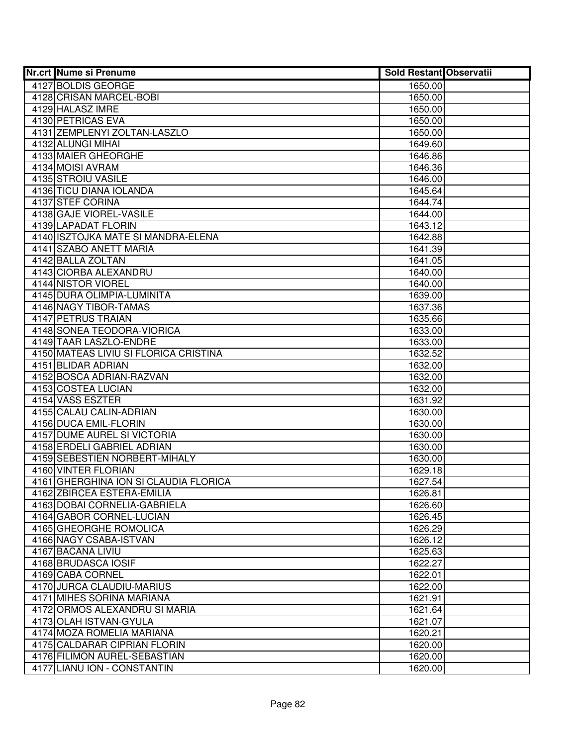| <b>Nr.crt Nume si Prenume</b>                             | <b>Sold Restant Observatii</b> |  |
|-----------------------------------------------------------|--------------------------------|--|
| 4127 BOLDIS GEORGE                                        | 1650.00                        |  |
| 4128 CRISAN MARCEL-BOBI                                   | 1650.00                        |  |
| 4129 HALASZ IMRE                                          | 1650.00                        |  |
| 4130 PETRICAS EVA                                         | 1650.00                        |  |
| 4131 ZEMPLENYI ZOLTAN-LASZLO                              | 1650.00                        |  |
| 4132 ALUNGI MIHAI                                         | 1649.60                        |  |
| 4133 MAIER GHEORGHE                                       | 1646.86                        |  |
| 4134 MOISI AVRAM                                          | 1646.36                        |  |
| 4135 STROIU VASILE                                        | 1646.00                        |  |
| 4136 TICU DIANA IOLANDA                                   | 1645.64                        |  |
| 4137 STEF CORINA                                          | 1644.74                        |  |
| 4138 GAJE VIOREL-VASILE                                   | 1644.00                        |  |
| 4139 LAPADAT FLORIN                                       | 1643.12                        |  |
| 4140 ISZTOJKA MATE SI MANDRA-ELENA                        | 1642.88                        |  |
| 4141 SZABO ANETT MARIA                                    | 1641.39                        |  |
| 4142 BALLA ZOLTAN                                         | 1641.05                        |  |
| 4143 CIORBA ALEXANDRU                                     | 1640.00                        |  |
| 4144 NISTOR VIOREL                                        | 1640.00                        |  |
| 4145 DURA OLIMPIA-LUMINITA                                | 1639.00                        |  |
| 4146 NAGY TIBOR-TAMAS                                     | 1637.36                        |  |
| 4147 PETRUS TRAIAN                                        | 1635.66                        |  |
| 4148 SONEA TEODORA-VIORICA                                | 1633.00                        |  |
| 4149 TAAR LASZLO-ENDRE                                    | 1633.00                        |  |
| 4150 MATEAS LIVIU SI FLORICA CRISTINA                     | 1632.52                        |  |
| 4151 BLIDAR ADRIAN                                        | 1632.00                        |  |
| 4152 BOSCA ADRIAN-RAZVAN                                  | 1632.00                        |  |
| 4153 COSTEA LUCIAN                                        | 1632.00                        |  |
| 4154 VASS ESZTER                                          | 1631.92                        |  |
| 4155 CALAU CALIN-ADRIAN                                   | 1630.00                        |  |
| 4156 DUCA EMIL-FLORIN                                     | 1630.00                        |  |
| 4157 DUME AUREL SI VICTORIA                               | 1630.00                        |  |
| 4158 ERDELI GABRIEL ADRIAN                                | 1630.00                        |  |
| 4159 SEBESTIEN NORBERT-MIHALY                             | 1630.00                        |  |
| 4160 VINTER FLORIAN                                       | 1629.18                        |  |
| 4161 GHERGHINA ION SI CLAUDIA FLORICA                     | 1627.54                        |  |
| 4162 ZBIRCEA ESTERA-EMILIA                                | 1626.81                        |  |
| 4163 DOBAI CORNELIA-GABRIELA                              | 1626.60                        |  |
| 4164 GABOR CORNEL-LUCIAN<br>4165 GHEORGHE ROMOLICA        | 1626.45                        |  |
| 4166 NAGY CSABA-ISTVAN                                    | 1626.29                        |  |
|                                                           | 1626.12                        |  |
| 4167 BACANA LIVIU<br>4168 BRUDASCA IOSIF                  | 1625.63                        |  |
|                                                           | 1622.27                        |  |
| 4169 CABA CORNEL                                          | 1622.01                        |  |
| 4170 JURCA CLAUDIU-MARIUS<br>4171 MIHES SORINA MARIANA    | 1622.00                        |  |
| 4172 ORMOS ALEXANDRU SI MARIA                             | 1621.91<br>1621.64             |  |
| 4173 OLAH ISTVAN-GYULA                                    |                                |  |
|                                                           | 1621.07                        |  |
| 4174 MOZA ROMELIA MARIANA<br>4175 CALDARAR CIPRIAN FLORIN | 1620.21<br>1620.00             |  |
| 4176 FILIMON AUREL-SEBASTIAN                              | 1620.00                        |  |
| 4177 LIANU ION - CONSTANTIN                               | 1620.00                        |  |
|                                                           |                                |  |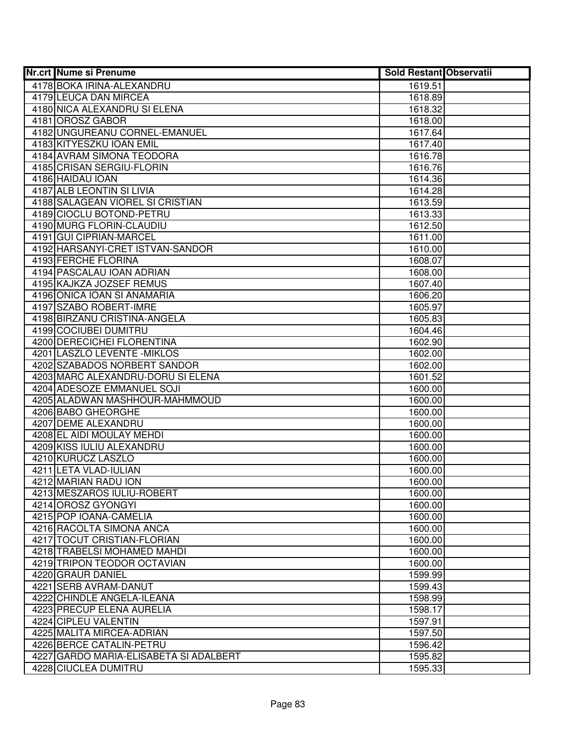| <b>Nr.crt Nume si Prenume</b>                      | <b>Sold Restant Observatii</b> |  |
|----------------------------------------------------|--------------------------------|--|
| 4178 BOKA IRINA-ALEXANDRU                          | 1619.51                        |  |
| 4179 LEUCA DAN MIRCEA                              | 1618.89                        |  |
| 4180 NICA ALEXANDRU SI ELENA                       | 1618.32                        |  |
| 4181 OROSZ GABOR                                   | 1618.00                        |  |
| 4182 UNGUREANU CORNEL-EMANUEL                      | 1617.64                        |  |
| 4183 KITYESZKU IOAN EMIL                           | 1617.40                        |  |
| 4184 AVRAM SIMONA TEODORA                          | 1616.78                        |  |
| 4185 CRISAN SERGIU-FLORIN                          | 1616.76                        |  |
| 4186 HAIDAU IOAN                                   | 1614.36                        |  |
| 4187 ALB LEONTIN SI LIVIA                          | 1614.28                        |  |
| 4188 SALAGEAN VIOREL SI CRISTIAN                   | 1613.59                        |  |
| 4189 CIOCLU BOTOND-PETRU                           | 1613.33                        |  |
| 4190 MURG FLORIN-CLAUDIU                           | 1612.50                        |  |
| 4191 GUI CIPRIAN-MARCEL                            | 1611.00                        |  |
| 4192 HARSANYI-CRET ISTVAN-SANDOR                   | 1610.00                        |  |
| 4193 FERCHE FLORINA                                | 1608.07                        |  |
| 4194 PASCALAU IOAN ADRIAN                          | 1608.00                        |  |
| 4195 KAJKZA JOZSEF REMUS                           | 1607.40                        |  |
| 4196 ONICA IOAN SI ANAMARIA                        | 1606.20                        |  |
| 4197 SZABO ROBERT-IMRE                             | 1605.97                        |  |
| 4198 BIRZANU CRISTINA-ANGELA                       | 1605.83                        |  |
| 4199 COCIUBEI DUMITRU                              | 1604.46                        |  |
| 4200 DERECICHEI FLORENTINA                         | 1602.90                        |  |
| 4201 LASZLO LEVENTE - MIKLOS                       | 1602.00                        |  |
| 4202 SZABADOS NORBERT SANDOR                       | 1602.00                        |  |
| 4203 MARC ALEXANDRU-DORU SI ELENA                  | 1601.52                        |  |
| 4204 ADESOZE EMMANUEL SOJI                         | 1600.00                        |  |
| 4205 ALADWAN MASHHOUR-MAHMMOUD                     | 1600.00                        |  |
| 4206 BABO GHEORGHE                                 | 1600.00                        |  |
| 4207 DEME ALEXANDRU                                | 1600.00                        |  |
| 4208 EL AIDI MOULAY MEHDI                          | 1600.00                        |  |
| 4209 KISS IULIU ALEXANDRU                          | 1600.00                        |  |
| 4210 KURUCZ LASZLO                                 | 1600.00                        |  |
| 4211 LETA VLAD-IULIAN                              | 1600.00                        |  |
| 4212 MARIAN RADU ION<br>4213 MESZAROS IULIU-ROBERT | 1600.00<br>1600.00             |  |
|                                                    |                                |  |
| 4214 OROSZ GYONGYI<br>4215 POP IOANA-CAMELIA       | 1600.00<br>1600.00             |  |
| 4216 RACOLTA SIMONA ANCA                           | 1600.00                        |  |
| 4217 TOCUT CRISTIAN-FLORIAN                        | 1600.00                        |  |
| 4218 TRABELSI MOHAMED MAHDI                        | 1600.00                        |  |
| 4219 TRIPON TEODOR OCTAVIAN                        | 1600.00                        |  |
| 4220 GRAUR DANIEL                                  | 1599.99                        |  |
| 4221 SERB AVRAM-DANUT                              | 1599.43                        |  |
| 4222 CHINDLE ANGELA-ILEANA                         | 1598.99                        |  |
| 4223 PRECUP ELENA AURELIA                          | 1598.17                        |  |
| 4224 CIPLEU VALENTIN                               | 1597.91                        |  |
| 4225 MALITA MIRCEA-ADRIAN                          | 1597.50                        |  |
| 4226 BERCE CATALIN-PETRU                           | 1596.42                        |  |
| 4227 GARDO MARIA-ELISABETA SI ADALBERT             | 1595.82                        |  |
| 4228 CIUCLEA DUMITRU                               | 1595.33                        |  |
|                                                    |                                |  |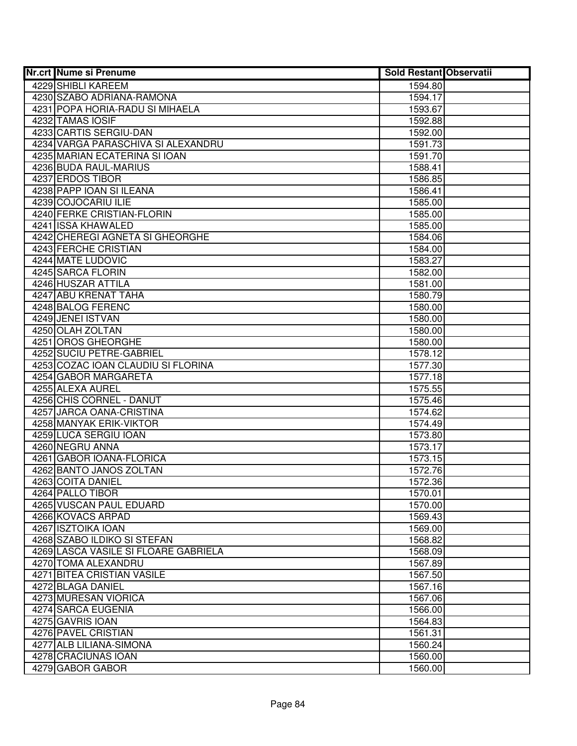| <b>Nr.crt Nume si Prenume</b>        | <b>Sold Restant Observatii</b> |  |
|--------------------------------------|--------------------------------|--|
| 4229 SHIBLI KAREEM                   | 1594.80                        |  |
| 4230 SZABO ADRIANA-RAMONA            | 1594.17                        |  |
| 4231 POPA HORIA-RADU SI MIHAELA      | 1593.67                        |  |
| 4232 TAMAS IOSIF                     | 1592.88                        |  |
| 4233 CARTIS SERGIU-DAN               | 1592.00                        |  |
| 4234 VARGA PARASCHIVA SI ALEXANDRU   | 1591.73                        |  |
| 4235 MARIAN ECATERINA SI IOAN        | 1591.70                        |  |
| 4236 BUDA RAUL-MARIUS                | 1588.41                        |  |
| 4237 ERDOS TIBOR                     | 1586.85                        |  |
| 4238 PAPP IOAN SI ILEANA             | 1586.41                        |  |
| 4239 COJOCARIU ILIE                  | 1585.00                        |  |
| 4240 FERKE CRISTIAN-FLORIN           | 1585.00                        |  |
| 4241 ISSA KHAWALED                   | 1585.00                        |  |
| 4242 CHEREGI AGNETA SI GHEORGHE      | 1584.06                        |  |
| 4243 FERCHE CRISTIAN                 | 1584.00                        |  |
| 4244 MATE LUDOVIC                    | 1583.27                        |  |
| 4245 SARCA FLORIN                    | 1582.00                        |  |
| 4246 HUSZAR ATTILA                   | 1581.00                        |  |
| 4247 ABU KRENAT TAHA                 | 1580.79                        |  |
| 4248 BALOG FERENC                    | 1580.00                        |  |
| 4249 JENEI ISTVAN                    | 1580.00                        |  |
| 4250 OLAH ZOLTAN                     | 1580.00                        |  |
| 4251 OROS GHEORGHE                   | 1580.00                        |  |
| 4252 SUCIU PETRE-GABRIEL             | 1578.12                        |  |
| 4253 COZAC IOAN CLAUDIU SI FLORINA   | 1577.30                        |  |
| 4254 GABOR MARGARETA                 | 1577.18                        |  |
| 4255 ALEXA AUREL                     | 1575.55                        |  |
| 4256 CHIS CORNEL - DANUT             | 1575.46                        |  |
| 4257 JARCA OANA-CRISTINA             | 1574.62                        |  |
| 4258 MANYAK ERIK-VIKTOR              | 1574.49                        |  |
| 4259 LUCA SERGIU IOAN                | 1573.80                        |  |
| 4260 NEGRU ANNA                      | 1573.17                        |  |
| 4261 GABOR IOANA-FLORICA             | 1573.15                        |  |
| 4262 BANTO JANOS ZOLTAN              | 1572.76                        |  |
| 4263 COITA DANIEL                    | 1572.36                        |  |
| 4264 PALLO TIBOR                     | 1570.01                        |  |
| 4265 VUSCAN PAUL EDUARD              | 1570.00                        |  |
| 4266 KOVACS ARPAD                    | 1569.43                        |  |
| 4267 ISZTOIKA IOAN                   | 1569.00                        |  |
| 4268 SZABO ILDIKO SI STEFAN          | 1568.82                        |  |
| 4269 LASCA VASILE SI FLOARE GABRIELA | 1568.09                        |  |
| 4270 TOMA ALEXANDRU                  | 1567.89                        |  |
| <b>4271 BITEA CRISTIAN VASILE</b>    | 1567.50                        |  |
| 4272 BLAGA DANIEL                    | 1567.16                        |  |
| 4273 MURESAN VIORICA                 | 1567.06                        |  |
| 4274 SARCA EUGENIA                   | 1566.00                        |  |
| 4275 GAVRIS IOAN                     | 1564.83                        |  |
| 4276 PAVEL CRISTIAN                  | 1561.31                        |  |
| 4277 ALB LILIANA-SIMONA              | 1560.24                        |  |
| 4278 CRACIUNAS IOAN                  | 1560.00                        |  |
| 4279 GABOR GABOR                     | 1560.00                        |  |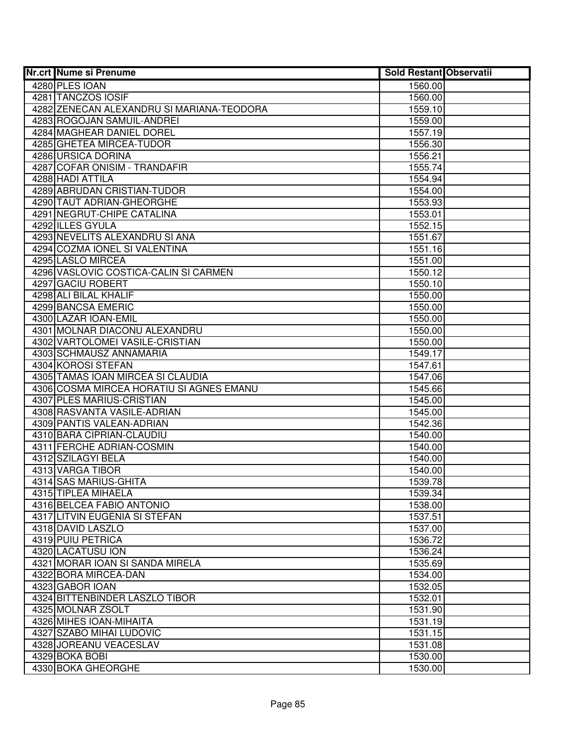| <b>Nr.crt Nume si Prenume</b>             | <b>Sold Restant Observatii</b> |  |
|-------------------------------------------|--------------------------------|--|
| 4280 PLES IOAN                            | 1560.00                        |  |
| 4281 TANCZOS IOSIF                        | 1560.00                        |  |
| 4282 ZENECAN ALEXANDRU SI MARIANA-TEODORA | 1559.10                        |  |
| 4283 ROGOJAN SAMUIL-ANDREI                | 1559.00                        |  |
| 4284 MAGHEAR DANIEL DOREL                 | 1557.19                        |  |
| 4285 GHETEA MIRCEA-TUDOR                  | 1556.30                        |  |
| 4286 URSICA DORINA                        | 1556.21                        |  |
| 4287 COFAR ONISIM - TRANDAFIR             | 1555.74                        |  |
| 4288 HADI ATTILA                          | 1554.94                        |  |
| 4289 ABRUDAN CRISTIAN-TUDOR               | 1554.00                        |  |
| 4290 TAUT ADRIAN-GHEORGHE                 | 1553.93                        |  |
| 4291 NEGRUT-CHIPE CATALINA                | 1553.01                        |  |
| 4292 ILLES GYULA                          | 1552.15                        |  |
| 4293 NEVELITS ALEXANDRU SI ANA            | 1551.67                        |  |
| 4294 COZMA IONEL SI VALENTINA             | 1551.16                        |  |
| 4295 LASLO MIRCEA                         | 1551.00                        |  |
| 4296 VASLOVIC COSTICA-CALIN SI CARMEN     | 1550.12                        |  |
| 4297 GACIU ROBERT                         | 1550.10                        |  |
| 4298 ALI BILAL KHALIF                     | 1550.00                        |  |
| 4299 BANCSA EMERIC                        | 1550.00                        |  |
| 4300 LAZAR IOAN-EMIL                      | 1550.00                        |  |
| 4301 MOLNAR DIACONU ALEXANDRU             | 1550.00                        |  |
| 4302 VARTOLOMEI VASILE-CRISTIAN           | 1550.00                        |  |
| 4303 SCHMAUSZ ANNAMARIA                   | 1549.17                        |  |
| 4304 KOROSI STEFAN                        | 1547.61                        |  |
| 4305 TAMAS IOAN MIRCEA SI CLAUDIA         | 1547.06                        |  |
| 4306 COSMA MIRCEA HORATIU SI AGNES EMANU  | 1545.66                        |  |
| 4307 PLES MARIUS-CRISTIAN                 | 1545.00                        |  |
| 4308 RASVANTA VASILE-ADRIAN               | 1545.00                        |  |
| 4309 PANTIS VALEAN-ADRIAN                 | 1542.36                        |  |
| 4310 BARA CIPRIAN-CLAUDIU                 | 1540.00                        |  |
| 4311 FERCHE ADRIAN-COSMIN                 | 1540.00                        |  |
| 4312 SZILAGYI BELA                        | 1540.00                        |  |
| 4313 VARGA TIBOR                          | 1540.00                        |  |
| 4314 SAS MARIUS-GHITA                     | 1539.78                        |  |
| 4315 TIPLEA MIHAELA                       | 1539.34                        |  |
| 4316 BELCEA FABIO ANTONIO                 | 1538.00                        |  |
| 4317 LITVIN EUGENIA SI STEFAN             | 1537.51                        |  |
| 4318 DAVID LASZLO                         | 1537.00                        |  |
| 4319 PUIU PETRICA                         | 1536.72                        |  |
| 4320 LACATUSU ION                         | 1536.24                        |  |
| 4321 MORAR IOAN SI SANDA MIRELA           | 1535.69                        |  |
| 4322 BORA MIRCEA-DAN                      | 1534.00                        |  |
| 4323 GABOR IOAN                           | 1532.05                        |  |
| 4324 BITTENBINDER LASZLO TIBOR            | 1532.01                        |  |
| 4325 MOLNAR ZSOLT                         | 1531.90                        |  |
| 4326 MIHES IOAN-MIHAITA                   | 1531.19                        |  |
| 4327 SZABO MIHAI LUDOVIC                  | 1531.15                        |  |
| 4328 JOREANU VEACESLAV                    | 1531.08                        |  |
| 4329 BOKA BOBI                            | 1530.00                        |  |
| 4330 BOKA GHEORGHE                        | 1530.00                        |  |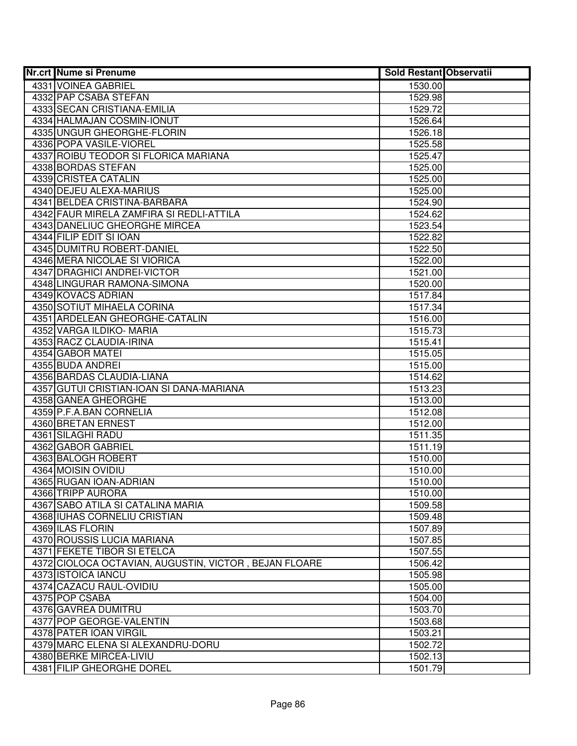| <b>Nr.crt Nume si Prenume</b>                         | <b>Sold Restant Observatii</b> |  |
|-------------------------------------------------------|--------------------------------|--|
| 4331 VOINEA GABRIEL                                   | 1530.00                        |  |
| 4332 PAP CSABA STEFAN                                 | 1529.98                        |  |
| 4333 SECAN CRISTIANA-EMILIA                           | 1529.72                        |  |
| 4334 HALMAJAN COSMIN-IONUT                            | 1526.64                        |  |
| 4335 UNGUR GHEORGHE-FLORIN                            | 1526.18                        |  |
| 4336 POPA VASILE-VIOREL                               | 1525.58                        |  |
| 4337 ROIBU TEODOR SI FLORICA MARIANA                  | 1525.47                        |  |
| 4338 BORDAS STEFAN                                    | 1525.00                        |  |
| 4339 CRISTEA CATALIN                                  | 1525.00                        |  |
| 4340 DEJEU ALEXA-MARIUS                               | 1525.00                        |  |
| 4341 BELDEA CRISTINA-BARBARA                          | 1524.90                        |  |
| 4342 FAUR MIRELA ZAMFIRA SI REDLI-ATTILA              | 1524.62                        |  |
| 4343 DANELIUC GHEORGHE MIRCEA                         | 1523.54                        |  |
| 4344 FILIP EDIT SI IOAN                               | 1522.82                        |  |
| 4345 DUMITRU ROBERT-DANIEL                            | 1522.50                        |  |
| 4346 MERA NICOLAE SI VIORICA                          | 1522.00                        |  |
| 4347 DRAGHICI ANDREI-VICTOR                           | 1521.00                        |  |
| 4348 LINGURAR RAMONA-SIMONA                           | 1520.00                        |  |
| 4349 KOVACS ADRIAN                                    | 1517.84                        |  |
| <b>4350 SOTIUT MIHAELA CORINA</b>                     | 1517.34                        |  |
| 4351 ARDELEAN GHEORGHE-CATALIN                        | 1516.00                        |  |
| 4352 VARGA ILDIKO- MARIA                              | 1515.73                        |  |
| 4353 RACZ CLAUDIA-IRINA                               | 1515.41                        |  |
| 4354 GABOR MATEI                                      | 1515.05                        |  |
| 4355 BUDA ANDREI                                      | 1515.00                        |  |
| 4356 BARDAS CLAUDIA-LIANA                             | 1514.62                        |  |
| 4357 GUTUI CRISTIAN-IOAN SI DANA-MARIANA              | 1513.23                        |  |
| 4358 GANEA GHEORGHE                                   | 1513.00                        |  |
| 4359 P.F.A.BAN CORNELIA                               | 1512.08                        |  |
| 4360 BRETAN ERNEST                                    | 1512.00                        |  |
| 4361 SILAGHI RADU                                     | 1511.35                        |  |
| 4362 GABOR GABRIEL                                    | 1511.19                        |  |
| 4363 BALOGH ROBERT                                    | 1510.00                        |  |
| 4364 MOISIN OVIDIU                                    | 1510.00                        |  |
| 4365 RUGAN IOAN-ADRIAN                                | 1510.00                        |  |
| 4366 TRIPP AURORA                                     | 1510.00                        |  |
| 4367 SABO ATILA SI CATALINA MARIA                     | 1509.58                        |  |
| 4368 IUHAS CORNELIU CRISTIAN                          | 1509.48                        |  |
| 4369 ILAS FLORIN                                      | 1507.89                        |  |
| 4370 ROUSSIS LUCIA MARIANA                            | 1507.85                        |  |
| 4371 FEKETE TIBOR SI ETELCA                           | 1507.55                        |  |
| 4372 CIOLOCA OCTAVIAN, AUGUSTIN, VICTOR, BEJAN FLOARE | 1506.42                        |  |
| 4373 ISTOICA IANCU                                    | 1505.98                        |  |
| 4374 CAZACU RAUL-OVIDIU                               | 1505.00                        |  |
| 4375 POP CSABA                                        | 1504.00                        |  |
| 4376 GAVREA DUMITRU                                   | 1503.70                        |  |
| 4377 POP GEORGE-VALENTIN                              | 1503.68                        |  |
| 4378 PATER IOAN VIRGIL                                | 1503.21                        |  |
| 4379 MARC ELENA SI ALEXANDRU-DORU                     | 1502.72                        |  |
| 4380 BERKE MIRCEA-LIVIU                               | 1502.13                        |  |
| 4381 FILIP GHEORGHE DOREL                             | 1501.79                        |  |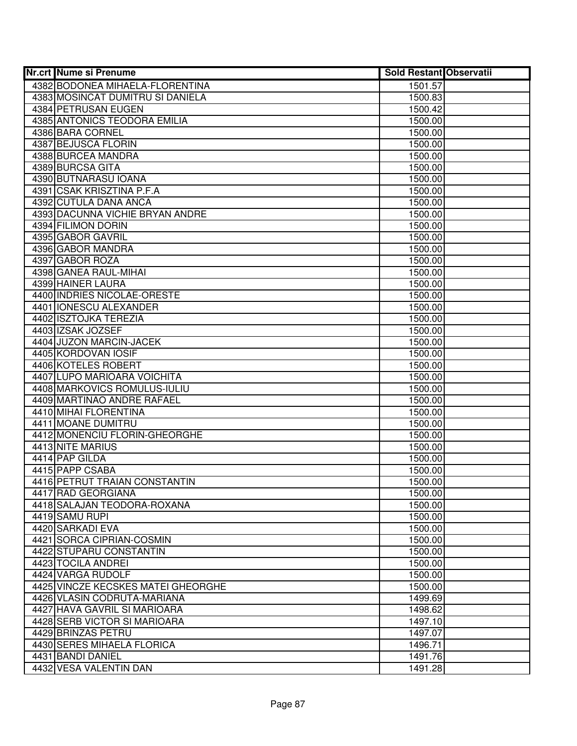| <b>Nr.crt Nume si Prenume</b>      | <b>Sold Restant Observatii</b> |  |
|------------------------------------|--------------------------------|--|
| 4382 BODONEA MIHAELA-FLORENTINA    | 1501.57                        |  |
| 4383 MOSINCAT DUMITRU SI DANIELA   | 1500.83                        |  |
| 4384 PETRUSAN EUGEN                | 1500.42                        |  |
| 4385 ANTONICS TEODORA EMILIA       | 1500.00                        |  |
| 4386 BARA CORNEL                   | 1500.00                        |  |
| 4387 BEJUSCA FLORIN                | 1500.00                        |  |
| 4388 BURCEA MANDRA                 | 1500.00                        |  |
| 4389 BURCSA GITA                   | 1500.00                        |  |
| 4390 BUTNARASU IOANA               | 1500.00                        |  |
| 4391 CSAK KRISZTINA P.F.A          | 1500.00                        |  |
| 4392 CUTULA DANA ANCA              | 1500.00                        |  |
| 4393 DACUNNA VICHIE BRYAN ANDRE    | 1500.00                        |  |
| 4394 FILIMON DORIN                 | 1500.00                        |  |
| 4395 GABOR GAVRIL                  | 1500.00                        |  |
| 4396 GABOR MANDRA                  | 1500.00                        |  |
| 4397 GABOR ROZA                    | 1500.00                        |  |
| 4398 GANEA RAUL-MIHAI              | 1500.00                        |  |
| 4399 HAINER LAURA                  | 1500.00                        |  |
| 4400 INDRIES NICOLAE-ORESTE        | 1500.00                        |  |
| 4401 IONESCU ALEXANDER             | 1500.00                        |  |
| 4402 ISZTOJKA TEREZIA              | 1500.00                        |  |
| 4403 IZSAK JOZSEF                  | 1500.00                        |  |
| 4404 JUZON MARCIN-JACEK            | 1500.00                        |  |
| 4405 KORDOVAN IOSIF                | 1500.00                        |  |
| 4406 KOTELES ROBERT                | 1500.00                        |  |
| 4407 LUPO MARIOARA VOICHITA        | 1500.00                        |  |
| 4408 MARKOVICS ROMULUS-IULIU       | 1500.00                        |  |
| 4409 MARTINAO ANDRE RAFAEL         | 1500.00                        |  |
| 4410 MIHAI FLORENTINA              | 1500.00                        |  |
| 4411 MOANE DUMITRU                 | 1500.00                        |  |
| 4412 MONENCIU FLORIN-GHEORGHE      | 1500.00                        |  |
| 4413 NITE MARIUS                   | 1500.00                        |  |
| 4414 PAP GILDA                     | 1500.00                        |  |
| 4415 PAPP CSABA                    | 1500.00                        |  |
| 4416 PETRUT TRAIAN CONSTANTIN      | 1500.00                        |  |
| 4417 RAD GEORGIANA                 | 1500.00                        |  |
| 4418 SALAJAN TEODORA-ROXANA        | 1500.00                        |  |
| 4419 SAMU RUPI                     | 1500.00                        |  |
| 4420 SARKADI EVA                   | 1500.00                        |  |
| 4421 SORCA CIPRIAN-COSMIN          | 1500.00                        |  |
| 4422 STUPARU CONSTANTIN            | 1500.00                        |  |
| 4423 TOCILA ANDREI                 | 1500.00                        |  |
| 4424 VARGA RUDOLF                  | 1500.00                        |  |
| 4425 VINCZE KECSKES MATEI GHEORGHE | 1500.00                        |  |
| 4426 VLASIN CODRUTA-MARIANA        | 1499.69                        |  |
| 4427 HAVA GAVRIL SI MARIOARA       | 1498.62                        |  |
| 4428 SERB VICTOR SI MARIOARA       | 1497.10                        |  |
| 4429 BRINZAS PETRU                 | 1497.07                        |  |
| 4430 SERES MIHAELA FLORICA         | 1496.71                        |  |
| 4431 BANDI DANIEL                  | 1491.76                        |  |
| 4432 VESA VALENTIN DAN             | 1491.28                        |  |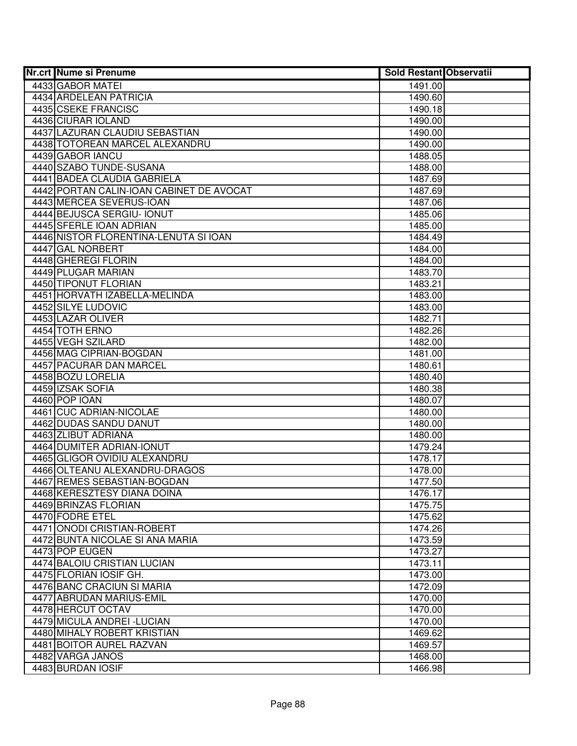| <b>Nr.crt Nume si Prenume</b>            | <b>Sold Restant Observatii</b> |  |
|------------------------------------------|--------------------------------|--|
| 4433 GABOR MATEI                         | 1491.00                        |  |
| 4434 ARDELEAN PATRICIA                   | 1490.60                        |  |
| 4435 CSEKE FRANCISC                      | 1490.18                        |  |
| 4436 CIURAR IOLAND                       | 1490.00                        |  |
| 4437 LAZURAN CLAUDIU SEBASTIAN           | 1490.00                        |  |
| 4438 TOTOREAN MARCEL ALEXANDRU           | 1490.00                        |  |
| 4439 GABOR IANCU                         | 1488.05                        |  |
| 4440 SZABO TUNDE-SUSANA                  | 1488.00                        |  |
| 4441 BADEA CLAUDIA GABRIELA              | 1487.69                        |  |
| 4442 PORTAN CALIN-IOAN CABINET DE AVOCAT | 1487.69                        |  |
| 4443 MERCEA SEVERUS-IOAN                 | 1487.06                        |  |
| 4444 BEJUSCA SERGIU- IONUT               | 1485.06                        |  |
| 4445 SFERLE IOAN ADRIAN                  | 1485.00                        |  |
| 4446 NISTOR FLORENTINA-LENUTA SI IOAN    | 1484.49                        |  |
| 4447 GAL NORBERT                         | 1484.00                        |  |
| 4448 GHEREGI FLORIN                      | 1484.00                        |  |
| 4449 PLUGAR MARIAN                       | 1483.70                        |  |
| 4450 TIPONUT FLORIAN                     | 1483.21                        |  |
| 4451 HORVATH IZABELLA-MELINDA            | 1483.00                        |  |
| 4452 SILYE LUDOVIC                       | 1483.00                        |  |
| 4453 LAZAR OLIVER                        | 1482.71                        |  |
| 4454 TOTH ERNO                           | 1482.26                        |  |
| 4455 VEGH SZILARD                        | 1482.00                        |  |
| 4456 MAG CIPRIAN-BOGDAN                  | 1481.00                        |  |
| 4457 PACURAR DAN MARCEL                  | 1480.61                        |  |
| 4458 BOZU LORELIA                        | 1480.40                        |  |
| 4459 IZSAK SOFIA<br>4460 POP IOAN        | 1480.38                        |  |
| 4461 CUC ADRIAN-NICOLAE                  | 1480.07<br>1480.00             |  |
| 4462 DUDAS SANDU DANUT                   | 1480.00                        |  |
| 4463 ZLIBUT ADRIANA                      | 1480.00                        |  |
| 4464 DUMITER ADRIAN-IONUT                | 1479.24                        |  |
| 4465 GLIGOR OVIDIU ALEXANDRU             | 1478.17                        |  |
| 4466 OLTEANU ALEXANDRU-DRAGOS            | 1478.00                        |  |
| 4467 REMES SEBASTIAN-BOGDAN              | 1477.50                        |  |
| 4468 KERESZTESY DIANA DOINA              | 1476.17                        |  |
| 4469 BRINZAS FLORIAN                     | 1475.75                        |  |
| 4470 FODRE ETEL                          | 1475.62                        |  |
| 4471 ONODI CRISTIAN-ROBERT               | 1474.26                        |  |
| 4472 BUNTA NICOLAE SI ANA MARIA          | 1473.59                        |  |
| 4473 POP EUGEN                           | 1473.27                        |  |
| 4474 BALOIU CRISTIAN LUCIAN              | 1473.11                        |  |
| 4475 FLORIAN JOSIF GH.                   | 1473.00                        |  |
| 4476 BANC CRACIUN SI MARIA               | 1472.09                        |  |
| 4477 ABRUDAN MARIUS-EMIL                 | 1470.00                        |  |
| 4478 HERCUT OCTAV                        | 1470.00                        |  |
| 4479 MICULA ANDREI - LUCIAN              | 1470.00                        |  |
| 4480 MIHALY ROBERT KRISTIAN              | 1469.62                        |  |
| 4481 BOITOR AUREL RAZVAN                 | 1469.57                        |  |
| 4482 VARGA JANOS                         | 1468.00                        |  |
| 4483 BURDAN IOSIF                        | 1466.98                        |  |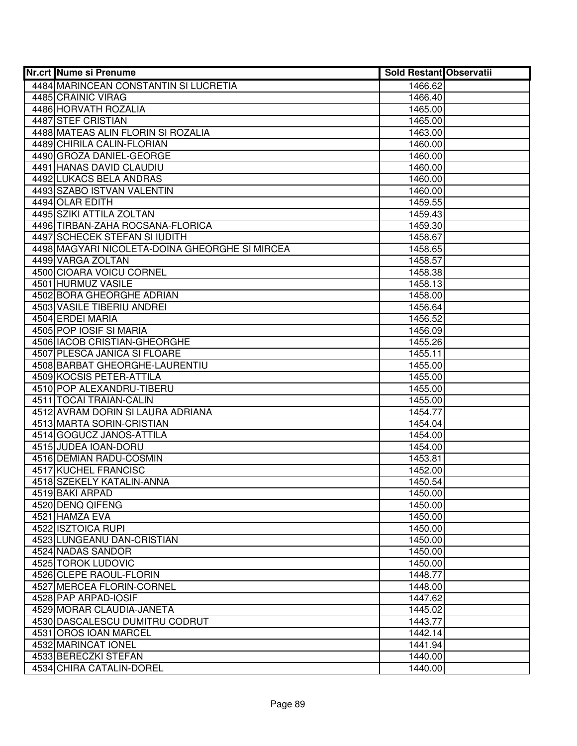| <b>Nr.crt Nume si Prenume</b>                  | <b>Sold Restant Observatii</b> |  |
|------------------------------------------------|--------------------------------|--|
| 4484 MARINCEAN CONSTANTIN SI LUCRETIA          | 1466.62                        |  |
| 4485 CRAINIC VIRAG                             | 1466.40                        |  |
| 4486 HORVATH ROZALIA                           | 1465.00                        |  |
| 4487 STEF CRISTIAN                             | 1465.00                        |  |
| 4488 MATEAS ALIN FLORIN SI ROZALIA             | 1463.00                        |  |
| 4489 CHIRILA CALIN-FLORIAN                     | 1460.00                        |  |
| 4490 GROZA DANIEL-GEORGE                       | 1460.00                        |  |
| 4491 HANAS DAVID CLAUDIU                       | 1460.00                        |  |
| 4492 LUKACS BELA ANDRAS                        | 1460.00                        |  |
| 4493 SZABO ISTVAN VALENTIN                     | 1460.00                        |  |
| 4494 OLAR EDITH                                | 1459.55                        |  |
| 4495 SZIKI ATTILA ZOLTAN                       | 1459.43                        |  |
| 4496 TIRBAN-ZAHA ROCSANA-FLORICA               | 1459.30                        |  |
| 4497 SCHECEK STEFAN SI IUDITH                  | 1458.67                        |  |
| 4498 MAGYARI NICOLETA-DOINA GHEORGHE SI MIRCEA | 1458.65                        |  |
| 4499 VARGA ZOLTAN                              | 1458.57                        |  |
| 4500 CIOARA VOICU CORNEL                       | 1458.38                        |  |
| 4501 HURMUZ VASILE                             | 1458.13                        |  |
| 4502 BORA GHEORGHE ADRIAN                      | 1458.00                        |  |
| 4503 VASILE TIBERIU ANDREI                     | 1456.64                        |  |
| 4504 ERDEI MARIA                               | 1456.52                        |  |
| 4505 POP IOSIF SI MARIA                        | 1456.09                        |  |
| 4506 IACOB CRISTIAN-GHEORGHE                   | 1455.26                        |  |
| 4507 PLESCA JANICA SI FLOARE                   | 1455.11                        |  |
| 4508 BARBAT GHEORGHE-LAURENTIU                 | 1455.00                        |  |
| 4509 KOCSIS PETER-ATTILA                       | 1455.00                        |  |
| 4510 POP ALEXANDRU-TIBERU                      | 1455.00                        |  |
| 4511 TOCAI TRAIAN-CALIN                        | 1455.00                        |  |
| 4512 AVRAM DORIN SI LAURA ADRIANA              | 1454.77                        |  |
| 4513 MARTA SORIN-CRISTIAN                      | 1454.04                        |  |
| 4514 GOGUCZ JANOS-ATTILA                       | 1454.00                        |  |
| 4515 JUDEA IOAN-DORU                           | 1454.00                        |  |
| 4516 DEMIAN RADU-COSMIN                        | 1453.81                        |  |
| 4517 KUCHEL FRANCISC                           | 1452.00                        |  |
| 4518 SZEKELY KATALIN-ANNA                      | 1450.54                        |  |
| 4519 BAKI ARPAD                                | 1450.00                        |  |
| 4520 DENQ QIFENG                               | 1450.00                        |  |
| 4521 HAMZA EVA                                 | 1450.00                        |  |
| 4522 ISZTOICA RUPI                             | 1450.00                        |  |
| 4523 LUNGEANU DAN-CRISTIAN                     | 1450.00                        |  |
| 4524 NADAS SANDOR                              | 1450.00                        |  |
| 4525 TOROK LUDOVIC                             | 1450.00                        |  |
| 4526 CLEPE RAOUL-FLORIN                        | 1448.77                        |  |
| 4527 MERCEA FLORIN-CORNEL                      | 1448.00                        |  |
| 4528 PAP ARPAD-IOSIF                           | 1447.62                        |  |
| 4529 MORAR CLAUDIA-JANETA                      | 1445.02                        |  |
| 4530 DASCALESCU DUMITRU CODRUT                 | 1443.77                        |  |
| 4531 OROS IOAN MARCEL                          | 1442.14                        |  |
| 4532 MARINCAT IONEL                            | 1441.94                        |  |
| 4533 BERECZKI STEFAN                           | 1440.00                        |  |
| 4534 CHIRA CATALIN-DOREL                       | 1440.00                        |  |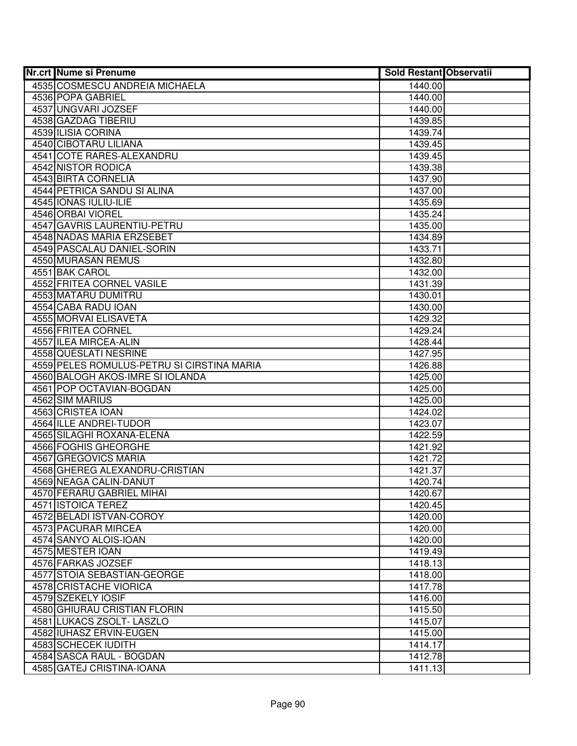| <b>Nr.crt Nume si Prenume</b>              | <b>Sold Restant Observatii</b> |  |
|--------------------------------------------|--------------------------------|--|
| 4535 COSMESCU ANDREIA MICHAELA             | 1440.00                        |  |
| 4536 POPA GABRIEL                          | 1440.00                        |  |
| 4537 UNGVARI JOZSEF                        | 1440.00                        |  |
| 4538 GAZDAG TIBERIU                        | 1439.85                        |  |
| 4539 ILISIA CORINA                         | 1439.74                        |  |
| 4540 CIBOTARU LILIANA                      | 1439.45                        |  |
| 4541 COTE RARES-ALEXANDRU                  | 1439.45                        |  |
| 4542 NISTOR RODICA                         | 1439.38                        |  |
| 4543 BIRTA CORNELIA                        | 1437.90                        |  |
| 4544 PETRICA SANDU SI ALINA                | 1437.00                        |  |
| 4545 IONAS IULIU-ILIE                      | 1435.69                        |  |
| 4546 ORBAI VIOREL                          | 1435.24                        |  |
| 4547 GAVRIS LAURENTIU-PETRU                | 1435.00                        |  |
| 4548 NADAS MARIA ERZSEBET                  | 1434.89                        |  |
| 4549 PASCALAU DANIEL-SORIN                 | 1433.71                        |  |
| 4550 MURASAN REMUS                         | 1432.80                        |  |
| 4551 BAK CAROL                             | 1432.00                        |  |
| 4552 FRITEA CORNEL VASILE                  | 1431.39                        |  |
| 4553 MATARU DUMITRU                        | 1430.01                        |  |
| 4554 CABA RADU IOAN                        | 1430.00                        |  |
| 4555 MORVAI ELISAVETA                      | 1429.32                        |  |
| 4556 FRITEA CORNEL                         | 1429.24                        |  |
| 4557 ILEA MIRCEA-ALIN                      | 1428.44                        |  |
| 4558 QUESLATI NESRINE                      | 1427.95                        |  |
| 4559 PELES ROMULUS-PETRU SI CIRSTINA MARIA | 1426.88                        |  |
| 4560 BALOGH AKOS-IMRE SI IOLANDA           | 1425.00                        |  |
| 4561 POP OCTAVIAN-BOGDAN                   | 1425.00                        |  |
| 4562 SIM MARIUS                            | 1425.00                        |  |
| 4563 CRISTEA IOAN                          | 1424.02                        |  |
| 4564 ILLE ANDREI-TUDOR                     | 1423.07                        |  |
| 4565 SILAGHI ROXANA-ELENA                  | 1422.59                        |  |
| 4566 FOGHIS GHEORGHE                       | 1421.92                        |  |
| 4567 GREGOVICS MARIA                       | 1421.72                        |  |
| 4568 GHEREG ALEXANDRU-CRISTIAN             | 1421.37                        |  |
| 4569 NEAGA CALIN-DANUT                     | 1420.74                        |  |
| 4570 FERARU GABRIEL MIHAI                  | 1420.67                        |  |
| 4571 ISTOICA TEREZ                         | 1420.45                        |  |
| 4572 BELADI ISTVAN-COROY                   | 1420.00                        |  |
| 4573 PACURAR MIRCEA                        | 1420.00                        |  |
| 4574 SANYO ALOIS-IOAN                      | 1420.00                        |  |
| 4575 MESTER IOAN                           | 1419.49                        |  |
| 4576 FARKAS JOZSEF                         | 1418.13                        |  |
| 4577 STOIA SEBASTIAN-GEORGE                | 1418.00                        |  |
| 4578 CRISTACHE VIORICA                     | 1417.78                        |  |
| 4579 SZEKELY IOSIF                         | 1416.00                        |  |
| 4580 GHIURAU CRISTIAN FLORIN               | 1415.50                        |  |
| 4581 LUKACS ZSOLT- LASZLO                  | 1415.07                        |  |
| 4582 IUHASZ ERVIN-EUGEN                    | 1415.00                        |  |
| 4583 SCHECEK IUDITH                        | 1414.17                        |  |
| 4584 SASCA RAUL - BOGDAN                   | 1412.78                        |  |
| 4585 GATEJ CRISTINA-IOANA                  | 1411.13                        |  |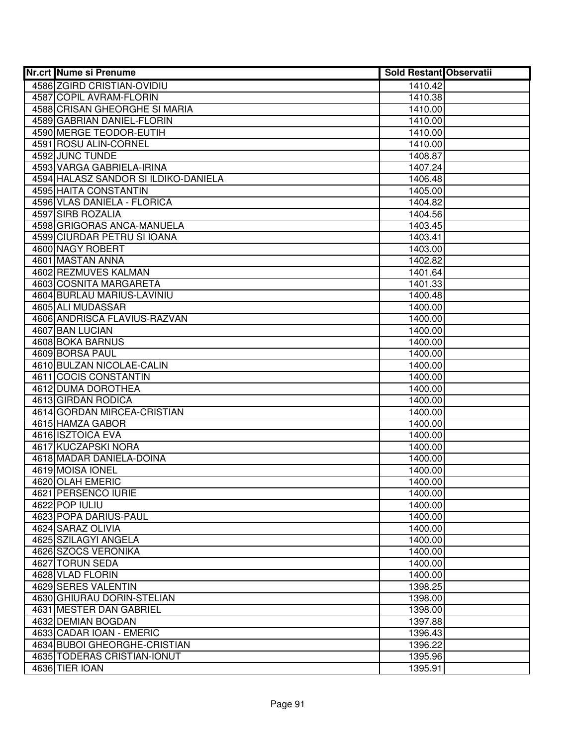| <b>Nr.crt Nume si Prenume</b>           | <b>Sold Restant Observatii</b> |  |
|-----------------------------------------|--------------------------------|--|
| 4586 ZGIRD CRISTIAN-OVIDIU              | 1410.42                        |  |
| 4587 COPIL AVRAM-FLORIN                 | 1410.38                        |  |
| 4588 CRISAN GHEORGHE SI MARIA           | 1410.00                        |  |
| 4589 GABRIAN DANIEL-FLORIN              | 1410.00                        |  |
| 4590 MERGE TEODOR-EUTIH                 | 1410.00                        |  |
| 4591 ROSU ALIN-CORNEL                   | 1410.00                        |  |
| 4592 JUNC TUNDE                         | 1408.87                        |  |
| 4593 VARGA GABRIELA-IRINA               | 1407.24                        |  |
| 4594 HALASZ SANDOR SI ILDIKO-DANIELA    | 1406.48                        |  |
| 4595 HAITA CONSTANTIN                   | 1405.00                        |  |
| 4596 VLAS DANIELA - FLORICA             | 1404.82                        |  |
| 4597 SIRB ROZALIA                       | 1404.56                        |  |
| 4598 GRIGORAS ANCA-MANUELA              | 1403.45                        |  |
| 4599 CIURDAR PETRU SI IOANA             | 1403.41                        |  |
| 4600 NAGY ROBERT                        | 1403.00                        |  |
| 4601 MASTAN ANNA                        | 1402.82                        |  |
| 4602 REZMUVES KALMAN                    | 1401.64                        |  |
| 4603 COSNITA MARGARETA                  | 1401.33                        |  |
| 4604 BURLAU MARIUS-LAVINIU              | 1400.48                        |  |
| 4605 ALI MUDASSAR                       | 1400.00                        |  |
| 4606 ANDRISCA FLAVIUS-RAZVAN            | 1400.00                        |  |
| 4607 BAN LUCIAN                         | 1400.00                        |  |
| 4608 BOKA BARNUS                        | 1400.00                        |  |
| 4609 BORSA PAUL                         | 1400.00                        |  |
| 4610 BULZAN NICOLAE-CALIN               | 1400.00                        |  |
| 4611 COCIS CONSTANTIN                   | 1400.00                        |  |
| 4612 DUMA DOROTHEA                      | 1400.00                        |  |
| 4613 GIRDAN RODICA                      | 1400.00                        |  |
| 4614 GORDAN MIRCEA-CRISTIAN             | 1400.00                        |  |
| 4615 HAMZA GABOR                        | 1400.00                        |  |
| 4616 ISZTOICA EVA                       | 1400.00                        |  |
| 4617 KUCZAPSKI NORA                     | 1400.00                        |  |
| 4618 MADAR DANIELA-DOINA                | 1400.00                        |  |
| 4619 MOISA IONEL                        | 1400.00                        |  |
| 4620 OLAH EMERIC<br>4621 PERSENCO IURIE | 1400.00                        |  |
| 4622 POP IULIU                          | 1400.00<br>1400.00             |  |
| 4623 POPA DARIUS-PAUL                   | 1400.00                        |  |
| 4624 SARAZ OLIVIA                       | 1400.00                        |  |
| 4625 SZILAGYI ANGELA                    | 1400.00                        |  |
| 4626 SZOCS VERONIKA                     | 1400.00                        |  |
| 4627 TORUN SEDA                         | 1400.00                        |  |
| 4628 VLAD FLORIN                        | 1400.00                        |  |
| 4629 SERES VALENTIN                     | 1398.25                        |  |
| 4630 GHIURAU DORIN-STELIAN              | 1398.00                        |  |
| 4631 MESTER DAN GABRIEL                 | 1398.00                        |  |
| 4632 DEMIAN BOGDAN                      | 1397.88                        |  |
| 4633 CADAR IOAN - EMERIC                | 1396.43                        |  |
| 4634 BUBOI GHEORGHE-CRISTIAN            | 1396.22                        |  |
| 4635 TODERAS CRISTIAN-IONUT             | 1395.96                        |  |
| 4636 TIER IOAN                          | 1395.91                        |  |
|                                         |                                |  |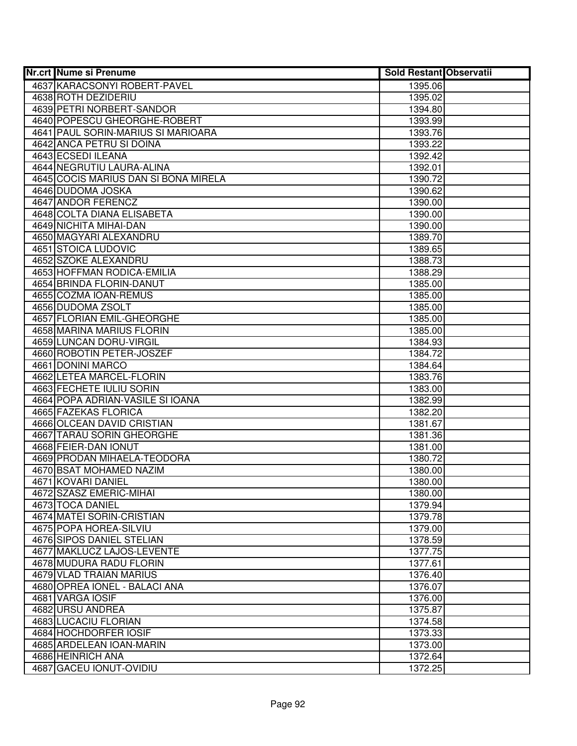| <b>Nr.crt Nume si Prenume</b>                 | <b>Sold Restant Observatii</b> |  |
|-----------------------------------------------|--------------------------------|--|
| 4637 KARACSONYI ROBERT-PAVEL                  | 1395.06                        |  |
| 4638 ROTH DEZIDERIU                           | 1395.02                        |  |
| 4639 PETRI NORBERT-SANDOR                     | 1394.80                        |  |
| 4640 POPESCU GHEORGHE-ROBERT                  | 1393.99                        |  |
| 4641 PAUL SORIN-MARIUS SI MARIOARA            | 1393.76                        |  |
| 4642 ANCA PETRU SI DOINA                      | 1393.22                        |  |
| 4643 ECSEDI ILEANA                            | 1392.42                        |  |
| 4644 NEGRUTIU LAURA-ALINA                     | 1392.01                        |  |
| 4645 COCIS MARIUS DAN SI BONA MIRELA          | 1390.72                        |  |
| 4646 DUDOMA JOSKA                             | 1390.62                        |  |
| 4647 ANDOR FERENCZ                            | 1390.00                        |  |
| 4648 COLTA DIANA ELISABETA                    | 1390.00                        |  |
| 4649 NICHITA MIHAI-DAN                        | 1390.00                        |  |
| 4650 MAGYARI ALEXANDRU                        | 1389.70                        |  |
| 4651 STOICA LUDOVIC                           | 1389.65                        |  |
| 4652 SZOKE ALEXANDRU                          | 1388.73                        |  |
| 4653 HOFFMAN RODICA-EMILIA                    | 1388.29                        |  |
| 4654 BRINDA FLORIN-DANUT                      | 1385.00                        |  |
| 4655 COZMA IOAN-REMUS                         | 1385.00                        |  |
| 4656 DUDOMA ZSOLT                             | 1385.00                        |  |
| 4657 FLORIAN EMIL-GHEORGHE                    | 1385.00                        |  |
| 4658 MARINA MARIUS FLORIN                     | 1385.00                        |  |
| 4659 LUNCAN DORU-VIRGIL                       | 1384.93                        |  |
| 4660 ROBOTIN PETER-JOSZEF                     | 1384.72                        |  |
| 4661 DONINI MARCO                             | 1384.64                        |  |
| 4662 LETEA MARCEL-FLORIN                      | 1383.76                        |  |
| 4663 FECHETE IULIU SORIN                      | 1383.00                        |  |
| 4664 POPA ADRIAN-VASILE SI IOANA              | 1382.99                        |  |
| 4665 FAZEKAS FLORICA                          | 1382.20                        |  |
| 4666 OLCEAN DAVID CRISTIAN                    | 1381.67                        |  |
| 4667 TARAU SORIN GHEORGHE                     | 1381.36                        |  |
| 4668 FEIER-DAN IONUT                          | 1381.00                        |  |
| 4669 PRODAN MIHAELA-TEODORA                   | 1380.72                        |  |
| 4670 BSAT MOHAMED NAZIM                       | 1380.00                        |  |
| 4671 KOVARI DANIEL                            | 1380.00                        |  |
| 4672 SZASZ EMERIC-MIHAI                       | 1380.00                        |  |
| 4673 TOCA DANIEL<br>4674 MATEI SORIN-CRISTIAN | 1379.94<br>1379.78             |  |
| 4675 POPA HOREA-SILVIU                        | 1379.00                        |  |
| 4676 SIPOS DANIEL STELIAN                     | 1378.59                        |  |
| 4677 MAKLUCZ LAJOS-LEVENTE                    | 1377.75                        |  |
| 4678 MUDURA RADU FLORIN                       | 1377.61                        |  |
| 4679 VLAD TRAIAN MARIUS                       | 1376.40                        |  |
| 4680 OPREA IONEL - BALACI ANA                 | 1376.07                        |  |
| 4681 VARGA IOSIF                              | 1376.00                        |  |
| 4682 URSU ANDREA                              | 1375.87                        |  |
| 4683 LUCACIU FLORIAN                          | 1374.58                        |  |
| 4684 HOCHDORFER IOSIF                         | 1373.33                        |  |
| 4685 ARDELEAN IOAN-MARIN                      | 1373.00                        |  |
| 4686 HEINRICH ANA                             | 1372.64                        |  |
| 4687 GACEU IONUT-OVIDIU                       | 1372.25                        |  |
|                                               |                                |  |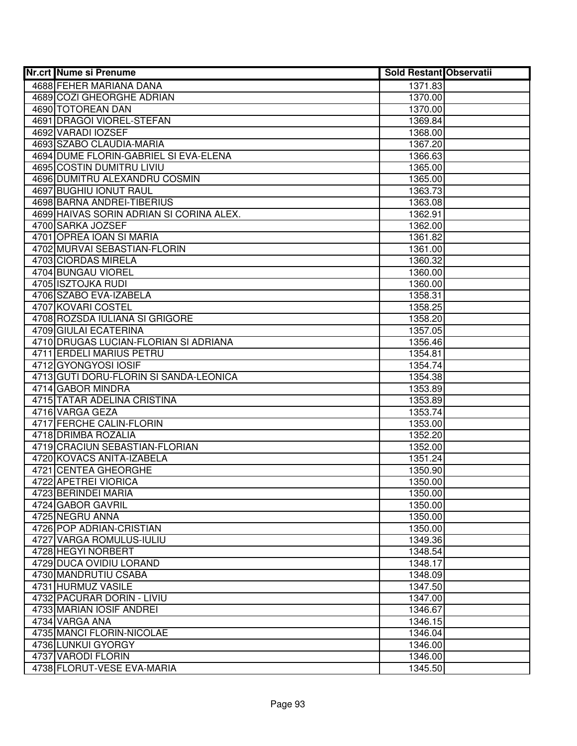| <b>Nr.crt Nume si Prenume</b>               | <b>Sold Restant Observatii</b> |  |
|---------------------------------------------|--------------------------------|--|
| 4688 FEHER MARIANA DANA                     | 1371.83                        |  |
| 4689 COZI GHEORGHE ADRIAN                   | 1370.00                        |  |
| 4690 TOTOREAN DAN                           | 1370.00                        |  |
| 4691 DRAGOI VIOREL-STEFAN                   | 1369.84                        |  |
| 4692 VARADI IOZSEF                          | 1368.00                        |  |
| 4693 SZABO CLAUDIA-MARIA                    | 1367.20                        |  |
| 4694 DUME FLORIN-GABRIEL SI EVA-ELENA       | 1366.63                        |  |
| 4695 COSTIN DUMITRU LIVIU                   | 1365.00                        |  |
| 4696 DUMITRU ALEXANDRU COSMIN               | 1365.00                        |  |
| <b>4697 BUGHIU IONUT RAUL</b>               | 1363.73                        |  |
| 4698 BARNA ANDREI-TIBERIUS                  | 1363.08                        |  |
| 4699 HAIVAS SORIN ADRIAN SI CORINA ALEX.    | 1362.91                        |  |
| 4700 SARKA JOZSEF                           | 1362.00                        |  |
| 4701 OPREA IOAN SI MARIA                    | 1361.82                        |  |
| 4702 MURVAI SEBASTIAN-FLORIN                | 1361.00                        |  |
| 4703 CIORDAS MIRELA                         | 1360.32                        |  |
| 4704 BUNGAU VIOREL                          | 1360.00                        |  |
| 4705 ISZTOJKA RUDI                          | 1360.00                        |  |
| 4706 SZABO EVA-IZABELA                      | 1358.31                        |  |
| 4707 KOVARI COSTEL                          | 1358.25                        |  |
| 4708 ROZSDA IULIANA SI GRIGORE              | 1358.20                        |  |
| 4709 GIULAI ECATERINA                       | 1357.05                        |  |
| 4710 DRUGAS LUCIAN-FLORIAN SI ADRIANA       | 1356.46                        |  |
| 4711 ERDELI MARIUS PETRU                    | 1354.81                        |  |
| 4712 GYONGYOSI IOSIF                        | 1354.74                        |  |
| 4713 GUTI DORU-FLORIN SI SANDA-LEONICA      | 1354.38                        |  |
| 4714 GABOR MINDRA                           | 1353.89                        |  |
| 4715 TATAR ADELINA CRISTINA                 | 1353.89                        |  |
| 4716 VARGA GEZA                             | 1353.74                        |  |
| 4717 FERCHE CALIN-FLORIN                    | 1353.00                        |  |
| 4718 DRIMBA ROZALIA                         | 1352.20                        |  |
| 4719 CRACIUN SEBASTIAN-FLORIAN              | 1352.00                        |  |
| 4720 KOVACS ANITA-IZABELA                   | 1351.24                        |  |
| 4721 CENTEA GHEORGHE                        | 1350.90                        |  |
| 4722 APETREI VIORICA<br>4723 BERINDEI MARIA | 1350.00<br>1350.00             |  |
| 4724 GABOR GAVRIL                           | 1350.00                        |  |
| 4725 NEGRU ANNA                             | 1350.00                        |  |
| 4726 POP ADRIAN-CRISTIAN                    | 1350.00                        |  |
| 4727 VARGA ROMULUS-IULIU                    | 1349.36                        |  |
| 4728 HEGYI NORBERT                          | 1348.54                        |  |
| 4729 DUCA OVIDIU LORAND                     | 1348.17                        |  |
| 4730 MANDRUTIU CSABA                        | 1348.09                        |  |
| 4731 HURMUZ VASILE                          | 1347.50                        |  |
| 4732 PACURAR DORIN - LIVIU                  | 1347.00                        |  |
| 4733 MARIAN IOSIF ANDREI                    | 1346.67                        |  |
| 4734 VARGA ANA                              | 1346.15                        |  |
| 4735 MANCI FLORIN-NICOLAE                   | 1346.04                        |  |
| 4736 LUNKUI GYORGY                          | 1346.00                        |  |
| 4737 VARODI FLORIN                          | 1346.00                        |  |
| 4738 FLORUT-VESE EVA-MARIA                  | 1345.50                        |  |
|                                             |                                |  |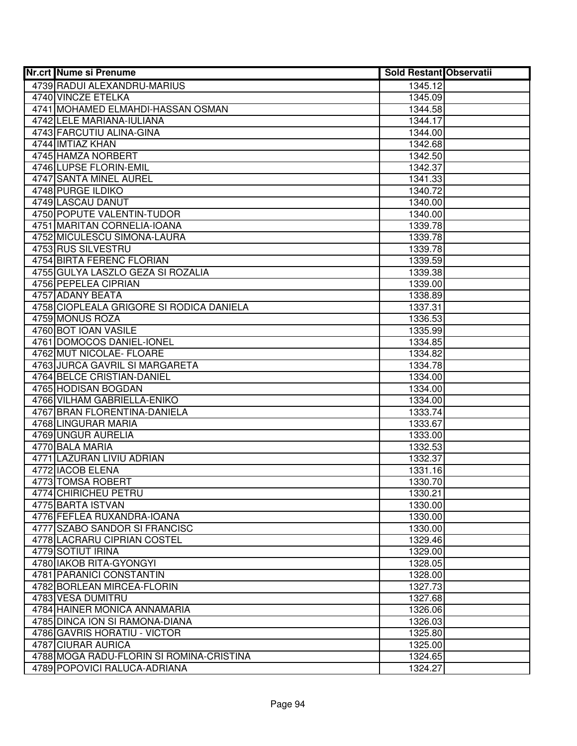| 4739 RADUI ALEXANDRU-MARIUS<br>1345.12<br>4740 VINCZE ETELKA<br>1345.09<br>4741 MOHAMED ELMAHDI-HASSAN OSMAN<br>1344.58<br>4742 LELE MARIANA-IULIANA<br>1344.17<br>4743 FARCUTIU ALINA-GINA<br>1344.00<br>4744 IMTIAZ KHAN<br>1342.68<br>4745 HAMZA NORBERT<br>1342.50<br>4746 LUPSE FLORIN-EMIL<br>1342.37<br>4747 SANTA MINEL AUREL<br>1341.33<br>4748 PURGE ILDIKO<br>1340.72<br>4749 LASCAU DANUT<br>1340.00<br>4750 POPUTE VALENTIN-TUDOR<br>1340.00<br>4751 MARITAN CORNELIA-IOANA<br>1339.78<br>4752 MICULESCU SIMONA-LAURA<br>1339.78<br>4753 RUS SILVESTRU<br>1339.78<br>4754 BIRTA FERENC FLORIAN<br>1339.59<br>4755 GULYA LASZLO GEZA SI ROZALIA<br>1339.38<br>4756 PEPELEA CIPRIAN<br>1339.00<br>4757 ADANY BEATA<br>1338.89<br>4758 CIOPLEALA GRIGORE SI RODICA DANIELA<br>1337.31<br>4759 MONUS ROZA<br>1336.53<br>4760 BOT IOAN VASILE<br>1335.99<br>4761 DOMOCOS DANIEL-IONEL<br>1334.85<br>4762 MUT NICOLAE- FLOARE<br>1334.82<br>4763 JURCA GAVRIL SI MARGARETA<br>1334.78<br>4764 BELCE CRISTIAN-DANIEL<br>1334.00<br>4765 HODISAN BOGDAN<br>1334.00<br>4766 VILHAM GABRIELLA-ENIKO<br>1334.00<br>4767 BRAN FLORENTINA-DANIELA<br>1333.74<br>4768 LINGURAR MARIA<br>1333.67<br>4769 UNGUR AURELIA<br>1333.00<br>4770 BALA MARIA<br>1332.53<br>4771 LAZURAN LIVIU ADRIAN<br>1332.37<br>4772 IACOB ELENA<br>1331.16<br>4773 TOMSA ROBERT<br>1330.70<br>4774 CHIRICHEU PETRU<br>1330.21<br>4775 BARTA ISTVAN<br>1330.00<br>4776 FEFLEA RUXANDRA-IOANA<br>1330.00<br>4777 SZABO SANDOR SI FRANCISC<br>1330.00<br>4778 LACRARU CIPRIAN COSTEL<br>1329.46 |
|------------------------------------------------------------------------------------------------------------------------------------------------------------------------------------------------------------------------------------------------------------------------------------------------------------------------------------------------------------------------------------------------------------------------------------------------------------------------------------------------------------------------------------------------------------------------------------------------------------------------------------------------------------------------------------------------------------------------------------------------------------------------------------------------------------------------------------------------------------------------------------------------------------------------------------------------------------------------------------------------------------------------------------------------------------------------------------------------------------------------------------------------------------------------------------------------------------------------------------------------------------------------------------------------------------------------------------------------------------------------------------------------------------------------------------------------------------------------------------------------------------------------------------------------------------------------|
|                                                                                                                                                                                                                                                                                                                                                                                                                                                                                                                                                                                                                                                                                                                                                                                                                                                                                                                                                                                                                                                                                                                                                                                                                                                                                                                                                                                                                                                                                                                                                                        |
|                                                                                                                                                                                                                                                                                                                                                                                                                                                                                                                                                                                                                                                                                                                                                                                                                                                                                                                                                                                                                                                                                                                                                                                                                                                                                                                                                                                                                                                                                                                                                                        |
|                                                                                                                                                                                                                                                                                                                                                                                                                                                                                                                                                                                                                                                                                                                                                                                                                                                                                                                                                                                                                                                                                                                                                                                                                                                                                                                                                                                                                                                                                                                                                                        |
|                                                                                                                                                                                                                                                                                                                                                                                                                                                                                                                                                                                                                                                                                                                                                                                                                                                                                                                                                                                                                                                                                                                                                                                                                                                                                                                                                                                                                                                                                                                                                                        |
|                                                                                                                                                                                                                                                                                                                                                                                                                                                                                                                                                                                                                                                                                                                                                                                                                                                                                                                                                                                                                                                                                                                                                                                                                                                                                                                                                                                                                                                                                                                                                                        |
|                                                                                                                                                                                                                                                                                                                                                                                                                                                                                                                                                                                                                                                                                                                                                                                                                                                                                                                                                                                                                                                                                                                                                                                                                                                                                                                                                                                                                                                                                                                                                                        |
|                                                                                                                                                                                                                                                                                                                                                                                                                                                                                                                                                                                                                                                                                                                                                                                                                                                                                                                                                                                                                                                                                                                                                                                                                                                                                                                                                                                                                                                                                                                                                                        |
|                                                                                                                                                                                                                                                                                                                                                                                                                                                                                                                                                                                                                                                                                                                                                                                                                                                                                                                                                                                                                                                                                                                                                                                                                                                                                                                                                                                                                                                                                                                                                                        |
|                                                                                                                                                                                                                                                                                                                                                                                                                                                                                                                                                                                                                                                                                                                                                                                                                                                                                                                                                                                                                                                                                                                                                                                                                                                                                                                                                                                                                                                                                                                                                                        |
|                                                                                                                                                                                                                                                                                                                                                                                                                                                                                                                                                                                                                                                                                                                                                                                                                                                                                                                                                                                                                                                                                                                                                                                                                                                                                                                                                                                                                                                                                                                                                                        |
|                                                                                                                                                                                                                                                                                                                                                                                                                                                                                                                                                                                                                                                                                                                                                                                                                                                                                                                                                                                                                                                                                                                                                                                                                                                                                                                                                                                                                                                                                                                                                                        |
|                                                                                                                                                                                                                                                                                                                                                                                                                                                                                                                                                                                                                                                                                                                                                                                                                                                                                                                                                                                                                                                                                                                                                                                                                                                                                                                                                                                                                                                                                                                                                                        |
|                                                                                                                                                                                                                                                                                                                                                                                                                                                                                                                                                                                                                                                                                                                                                                                                                                                                                                                                                                                                                                                                                                                                                                                                                                                                                                                                                                                                                                                                                                                                                                        |
|                                                                                                                                                                                                                                                                                                                                                                                                                                                                                                                                                                                                                                                                                                                                                                                                                                                                                                                                                                                                                                                                                                                                                                                                                                                                                                                                                                                                                                                                                                                                                                        |
|                                                                                                                                                                                                                                                                                                                                                                                                                                                                                                                                                                                                                                                                                                                                                                                                                                                                                                                                                                                                                                                                                                                                                                                                                                                                                                                                                                                                                                                                                                                                                                        |
|                                                                                                                                                                                                                                                                                                                                                                                                                                                                                                                                                                                                                                                                                                                                                                                                                                                                                                                                                                                                                                                                                                                                                                                                                                                                                                                                                                                                                                                                                                                                                                        |
|                                                                                                                                                                                                                                                                                                                                                                                                                                                                                                                                                                                                                                                                                                                                                                                                                                                                                                                                                                                                                                                                                                                                                                                                                                                                                                                                                                                                                                                                                                                                                                        |
|                                                                                                                                                                                                                                                                                                                                                                                                                                                                                                                                                                                                                                                                                                                                                                                                                                                                                                                                                                                                                                                                                                                                                                                                                                                                                                                                                                                                                                                                                                                                                                        |
|                                                                                                                                                                                                                                                                                                                                                                                                                                                                                                                                                                                                                                                                                                                                                                                                                                                                                                                                                                                                                                                                                                                                                                                                                                                                                                                                                                                                                                                                                                                                                                        |
|                                                                                                                                                                                                                                                                                                                                                                                                                                                                                                                                                                                                                                                                                                                                                                                                                                                                                                                                                                                                                                                                                                                                                                                                                                                                                                                                                                                                                                                                                                                                                                        |
|                                                                                                                                                                                                                                                                                                                                                                                                                                                                                                                                                                                                                                                                                                                                                                                                                                                                                                                                                                                                                                                                                                                                                                                                                                                                                                                                                                                                                                                                                                                                                                        |
|                                                                                                                                                                                                                                                                                                                                                                                                                                                                                                                                                                                                                                                                                                                                                                                                                                                                                                                                                                                                                                                                                                                                                                                                                                                                                                                                                                                                                                                                                                                                                                        |
|                                                                                                                                                                                                                                                                                                                                                                                                                                                                                                                                                                                                                                                                                                                                                                                                                                                                                                                                                                                                                                                                                                                                                                                                                                                                                                                                                                                                                                                                                                                                                                        |
|                                                                                                                                                                                                                                                                                                                                                                                                                                                                                                                                                                                                                                                                                                                                                                                                                                                                                                                                                                                                                                                                                                                                                                                                                                                                                                                                                                                                                                                                                                                                                                        |
|                                                                                                                                                                                                                                                                                                                                                                                                                                                                                                                                                                                                                                                                                                                                                                                                                                                                                                                                                                                                                                                                                                                                                                                                                                                                                                                                                                                                                                                                                                                                                                        |
|                                                                                                                                                                                                                                                                                                                                                                                                                                                                                                                                                                                                                                                                                                                                                                                                                                                                                                                                                                                                                                                                                                                                                                                                                                                                                                                                                                                                                                                                                                                                                                        |
|                                                                                                                                                                                                                                                                                                                                                                                                                                                                                                                                                                                                                                                                                                                                                                                                                                                                                                                                                                                                                                                                                                                                                                                                                                                                                                                                                                                                                                                                                                                                                                        |
|                                                                                                                                                                                                                                                                                                                                                                                                                                                                                                                                                                                                                                                                                                                                                                                                                                                                                                                                                                                                                                                                                                                                                                                                                                                                                                                                                                                                                                                                                                                                                                        |
|                                                                                                                                                                                                                                                                                                                                                                                                                                                                                                                                                                                                                                                                                                                                                                                                                                                                                                                                                                                                                                                                                                                                                                                                                                                                                                                                                                                                                                                                                                                                                                        |
|                                                                                                                                                                                                                                                                                                                                                                                                                                                                                                                                                                                                                                                                                                                                                                                                                                                                                                                                                                                                                                                                                                                                                                                                                                                                                                                                                                                                                                                                                                                                                                        |
|                                                                                                                                                                                                                                                                                                                                                                                                                                                                                                                                                                                                                                                                                                                                                                                                                                                                                                                                                                                                                                                                                                                                                                                                                                                                                                                                                                                                                                                                                                                                                                        |
|                                                                                                                                                                                                                                                                                                                                                                                                                                                                                                                                                                                                                                                                                                                                                                                                                                                                                                                                                                                                                                                                                                                                                                                                                                                                                                                                                                                                                                                                                                                                                                        |
|                                                                                                                                                                                                                                                                                                                                                                                                                                                                                                                                                                                                                                                                                                                                                                                                                                                                                                                                                                                                                                                                                                                                                                                                                                                                                                                                                                                                                                                                                                                                                                        |
|                                                                                                                                                                                                                                                                                                                                                                                                                                                                                                                                                                                                                                                                                                                                                                                                                                                                                                                                                                                                                                                                                                                                                                                                                                                                                                                                                                                                                                                                                                                                                                        |
|                                                                                                                                                                                                                                                                                                                                                                                                                                                                                                                                                                                                                                                                                                                                                                                                                                                                                                                                                                                                                                                                                                                                                                                                                                                                                                                                                                                                                                                                                                                                                                        |
|                                                                                                                                                                                                                                                                                                                                                                                                                                                                                                                                                                                                                                                                                                                                                                                                                                                                                                                                                                                                                                                                                                                                                                                                                                                                                                                                                                                                                                                                                                                                                                        |
|                                                                                                                                                                                                                                                                                                                                                                                                                                                                                                                                                                                                                                                                                                                                                                                                                                                                                                                                                                                                                                                                                                                                                                                                                                                                                                                                                                                                                                                                                                                                                                        |
|                                                                                                                                                                                                                                                                                                                                                                                                                                                                                                                                                                                                                                                                                                                                                                                                                                                                                                                                                                                                                                                                                                                                                                                                                                                                                                                                                                                                                                                                                                                                                                        |
|                                                                                                                                                                                                                                                                                                                                                                                                                                                                                                                                                                                                                                                                                                                                                                                                                                                                                                                                                                                                                                                                                                                                                                                                                                                                                                                                                                                                                                                                                                                                                                        |
| 4779 SOTIUT IRINA<br>1329.00                                                                                                                                                                                                                                                                                                                                                                                                                                                                                                                                                                                                                                                                                                                                                                                                                                                                                                                                                                                                                                                                                                                                                                                                                                                                                                                                                                                                                                                                                                                                           |
| 4780 IAKOB RITA-GYONGYI<br>1328.05                                                                                                                                                                                                                                                                                                                                                                                                                                                                                                                                                                                                                                                                                                                                                                                                                                                                                                                                                                                                                                                                                                                                                                                                                                                                                                                                                                                                                                                                                                                                     |
| 4781 PARANICI CONSTANTIN<br>1328.00                                                                                                                                                                                                                                                                                                                                                                                                                                                                                                                                                                                                                                                                                                                                                                                                                                                                                                                                                                                                                                                                                                                                                                                                                                                                                                                                                                                                                                                                                                                                    |
| 4782 BORLEAN MIRCEA-FLORIN<br>1327.73                                                                                                                                                                                                                                                                                                                                                                                                                                                                                                                                                                                                                                                                                                                                                                                                                                                                                                                                                                                                                                                                                                                                                                                                                                                                                                                                                                                                                                                                                                                                  |
| 4783 VESA DUMITRU<br>1327.68                                                                                                                                                                                                                                                                                                                                                                                                                                                                                                                                                                                                                                                                                                                                                                                                                                                                                                                                                                                                                                                                                                                                                                                                                                                                                                                                                                                                                                                                                                                                           |
| 4784 HAINER MONICA ANNAMARIA<br>1326.06                                                                                                                                                                                                                                                                                                                                                                                                                                                                                                                                                                                                                                                                                                                                                                                                                                                                                                                                                                                                                                                                                                                                                                                                                                                                                                                                                                                                                                                                                                                                |
| 4785 DINCA ION SI RAMONA-DIANA<br>1326.03                                                                                                                                                                                                                                                                                                                                                                                                                                                                                                                                                                                                                                                                                                                                                                                                                                                                                                                                                                                                                                                                                                                                                                                                                                                                                                                                                                                                                                                                                                                              |
| 4786 GAVRIS HORATIU - VICTOR<br>1325.80                                                                                                                                                                                                                                                                                                                                                                                                                                                                                                                                                                                                                                                                                                                                                                                                                                                                                                                                                                                                                                                                                                                                                                                                                                                                                                                                                                                                                                                                                                                                |
| 4787 CIURAR AURICA<br>1325.00                                                                                                                                                                                                                                                                                                                                                                                                                                                                                                                                                                                                                                                                                                                                                                                                                                                                                                                                                                                                                                                                                                                                                                                                                                                                                                                                                                                                                                                                                                                                          |
| 4788 MOGA RADU-FLORIN SI ROMINA-CRISTINA<br>1324.65                                                                                                                                                                                                                                                                                                                                                                                                                                                                                                                                                                                                                                                                                                                                                                                                                                                                                                                                                                                                                                                                                                                                                                                                                                                                                                                                                                                                                                                                                                                    |
| 4789 POPOVICI RALUCA-ADRIANA<br>1324.27                                                                                                                                                                                                                                                                                                                                                                                                                                                                                                                                                                                                                                                                                                                                                                                                                                                                                                                                                                                                                                                                                                                                                                                                                                                                                                                                                                                                                                                                                                                                |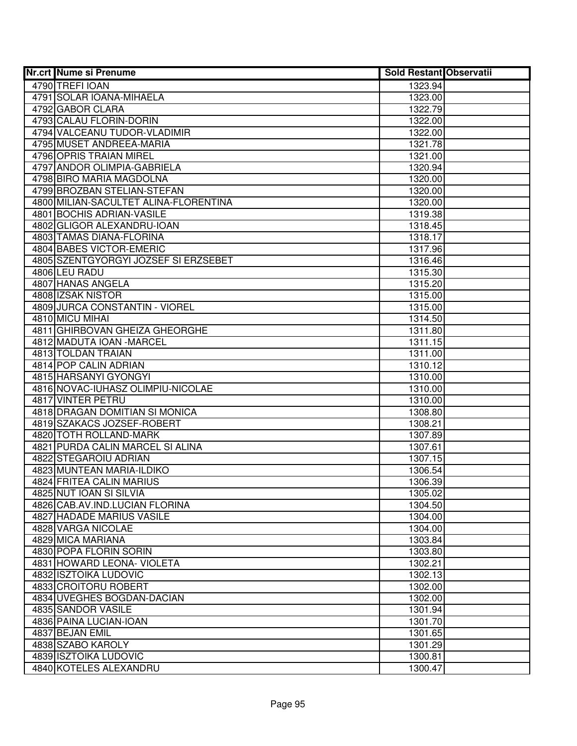| <b>Nr.crt Nume si Prenume</b>         | <b>Sold Restant Observatii</b> |  |
|---------------------------------------|--------------------------------|--|
| 4790 TREFI IOAN                       | 1323.94                        |  |
| 4791 SOLAR IOANA-MIHAELA              | 1323.00                        |  |
| 4792 GABOR CLARA                      | 1322.79                        |  |
| 4793 CALAU FLORIN-DORIN               | 1322.00                        |  |
| 4794 VALCEANU TUDOR-VLADIMIR          | 1322.00                        |  |
| 4795 MUSET ANDREEA-MARIA              | 1321.78                        |  |
| 4796 OPRIS TRAIAN MIREL               | 1321.00                        |  |
| 4797 ANDOR OLIMPIA-GABRIELA           | 1320.94                        |  |
| 4798 BIRO MARIA MAGDOLNA              | 1320.00                        |  |
| 4799 BROZBAN STELIAN-STEFAN           | 1320.00                        |  |
| 4800 MILIAN-SACULTET ALINA-FLORENTINA | 1320.00                        |  |
| 4801 BOCHIS ADRIAN-VASILE             | 1319.38                        |  |
| 4802 GLIGOR ALEXANDRU-IOAN            | 1318.45                        |  |
| 4803 TAMAS DIANA-FLORINA              | 1318.17                        |  |
| 4804 BABES VICTOR-EMERIC              | 1317.96                        |  |
| 4805 SZENTGYORGYI JOZSEF SI ERZSEBET  | 1316.46                        |  |
| 4806 LEU RADU                         | 1315.30                        |  |
| 4807 HANAS ANGELA                     | 1315.20                        |  |
| 4808 IZSAK NISTOR                     | 1315.00                        |  |
| 4809 JURCA CONSTANTIN - VIOREL        | 1315.00                        |  |
| 4810 MICU MIHAI                       | 1314.50                        |  |
| 4811 GHIRBOVAN GHEIZA GHEORGHE        | 1311.80                        |  |
| 4812 MADUTA IOAN - MARCEL             | 1311.15                        |  |
| 4813 TOLDAN TRAIAN                    | 1311.00                        |  |
| 4814 POP CALIN ADRIAN                 | 1310.12                        |  |
| 4815 HARSANYI GYONGYI                 | 1310.00                        |  |
| 4816 NOVAC-IUHASZ OLIMPIU-NICOLAE     | 1310.00                        |  |
| 4817 VINTER PETRU                     | 1310.00                        |  |
| 4818 DRAGAN DOMITIAN SI MONICA        | 1308.80                        |  |
| 4819 SZAKACS JOZSEF-ROBERT            | 1308.21                        |  |
| 4820 TOTH ROLLAND-MARK                | 1307.89                        |  |
| 4821 PURDA CALIN MARCEL SI ALINA      | 1307.61                        |  |
| 4822 STEGAROIU ADRIAN                 | 1307.15                        |  |
| 4823 MUNTEAN MARIA-ILDIKO             | 1306.54                        |  |
| 4824 FRITEA CALIN MARIUS              | 1306.39                        |  |
| 4825 NUT IOAN SI SILVIA               | 1305.02                        |  |
| 4826 CAB.AV.IND.LUCIAN FLORINA        | 1304.50                        |  |
| <b>4827 HADADE MARIUS VASILE</b>      | 1304.00                        |  |
| 4828 VARGA NICOLAE                    | 1304.00                        |  |
| 4829 MICA MARIANA                     | 1303.84                        |  |
| 4830 POPA FLORIN SORIN                | 1303.80                        |  |
| 4831 HOWARD LEONA- VIOLETA            | 1302.21                        |  |
| 4832 ISZTOIKA LUDOVIC                 | 1302.13                        |  |
| 4833 CROITORU ROBERT                  | 1302.00                        |  |
| 4834 UVEGHES BOGDAN-DACIAN            | 1302.00                        |  |
| 4835 SANDOR VASILE                    | 1301.94                        |  |
| 4836 PAINA LUCIAN-IOAN                | 1301.70                        |  |
| 4837 BEJAN EMIL                       | 1301.65                        |  |
| 4838 SZABO KAROLY                     | 1301.29                        |  |
| 4839 ISZTOIKA LUDOVIC                 | 1300.81                        |  |
| 4840 KOTELES ALEXANDRU                | 1300.47                        |  |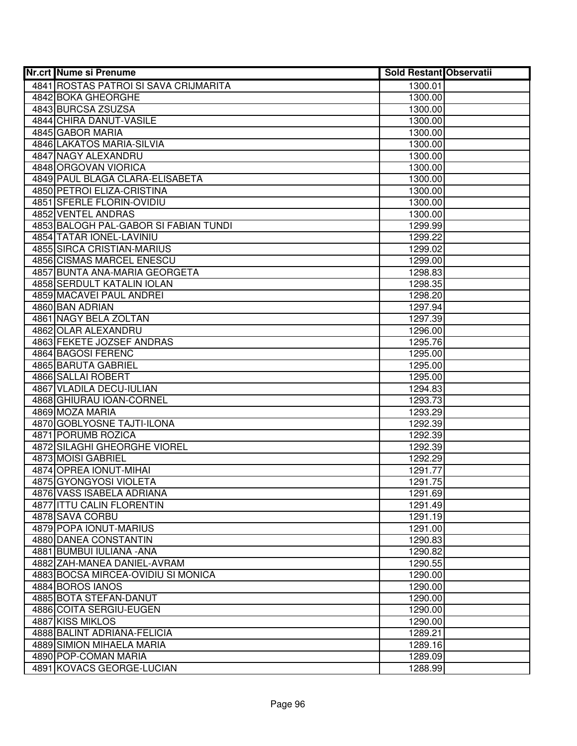| <b>Nr.crt Nume si Prenume</b>         | <b>Sold Restant Observatii</b> |  |
|---------------------------------------|--------------------------------|--|
| 4841 ROSTAS PATROI SI SAVA CRIJMARITA | 1300.01                        |  |
| 4842 BOKA GHEORGHE                    | 1300.00                        |  |
| 4843 BURCSA ZSUZSA                    | 1300.00                        |  |
| 4844 CHIRA DANUT-VASILE               | 1300.00                        |  |
| 4845 GABOR MARIA                      | 1300.00                        |  |
| 4846 LAKATOS MARIA-SILVIA             | 1300.00                        |  |
| 4847 NAGY ALEXANDRU                   | 1300.00                        |  |
| 4848 ORGOVAN VIORICA                  | 1300.00                        |  |
| 4849 PAUL BLAGA CLARA-ELISABETA       | 1300.00                        |  |
| 4850 PETROI ELIZA-CRISTINA            | 1300.00                        |  |
| 4851 SFERLE FLORIN-OVIDIU             | 1300.00                        |  |
| 4852 VENTEL ANDRAS                    | 1300.00                        |  |
| 4853 BALOGH PAL-GABOR SI FABIAN TUNDI | 1299.99                        |  |
| 4854 TATAR IONEL-LAVINIU              | 1299.22                        |  |
| 4855 SIRCA CRISTIAN-MARIUS            | 1299.02                        |  |
| 4856 CISMAS MARCEL ENESCU             | 1299.00                        |  |
| 4857 BUNTA ANA-MARIA GEORGETA         | 1298.83                        |  |
| 4858 SERDULT KATALIN IOLAN            | 1298.35                        |  |
| 4859 MACAVEI PAUL ANDREI              | 1298.20                        |  |
| 4860 BAN ADRIAN                       | 1297.94                        |  |
| 4861 NAGY BELA ZOLTAN                 | 1297.39                        |  |
| 4862 OLAR ALEXANDRU                   | 1296.00                        |  |
| 4863 FEKETE JOZSEF ANDRAS             | 1295.76                        |  |
| 4864 BAGOSI FERENC                    | 1295.00                        |  |
| 4865 BARUTA GABRIEL                   | 1295.00                        |  |
| 4866 SALLAI ROBERT                    | 1295.00                        |  |
| 4867 VLADILA DECU-IULIAN              | 1294.83                        |  |
| 4868 GHIURAU IOAN-CORNEL              | 1293.73                        |  |
| 4869 MOZA MARIA                       | 1293.29                        |  |
| 4870 GOBLYOSNE TAJTI-ILONA            | 1292.39                        |  |
| 4871 PORUMB ROZICA                    | 1292.39                        |  |
| 4872 SILAGHI GHEORGHE VIOREL          | 1292.39                        |  |
| 4873 MOISI GABRIEL                    | 1292.29                        |  |
| 4874 OPREA IONUT-MIHAI                | 1291.77                        |  |
| 4875 GYONGYOSI VIOLETA                | 1291.75                        |  |
| 4876 VASS ISABELA ADRIANA             | 1291.69                        |  |
| 4877 ITTU CALIN FLORENTIN             | 1291.49                        |  |
| 4878 SAVA CORBU                       | 1291.19                        |  |
| 4879 POPA IONUT-MARIUS                | 1291.00                        |  |
| 4880 DANEA CONSTANTIN                 | 1290.83                        |  |
| 4881 BUMBUI IULIANA - ANA             | 1290.82                        |  |
| 4882 ZAH-MANEA DANIEL-AVRAM           | 1290.55                        |  |
| 4883 BOCSA MIRCEA-OVIDIU SI MONICA    | 1290.00                        |  |
| 4884 BOROS IANOS                      | 1290.00                        |  |
| 4885 BOTA STEFAN-DANUT                | 1290.00                        |  |
| 4886 COITA SERGIU-EUGEN               | 1290.00                        |  |
| 4887 KISS MIKLOS                      | 1290.00                        |  |
| 4888 BALINT ADRIANA-FELICIA           | 1289.21                        |  |
| 4889 SIMION MIHAELA MARIA             | 1289.16                        |  |
| 4890 POP-COMAN MARIA                  | 1289.09                        |  |
| 4891 KOVACS GEORGE-LUCIAN             | 1288.99                        |  |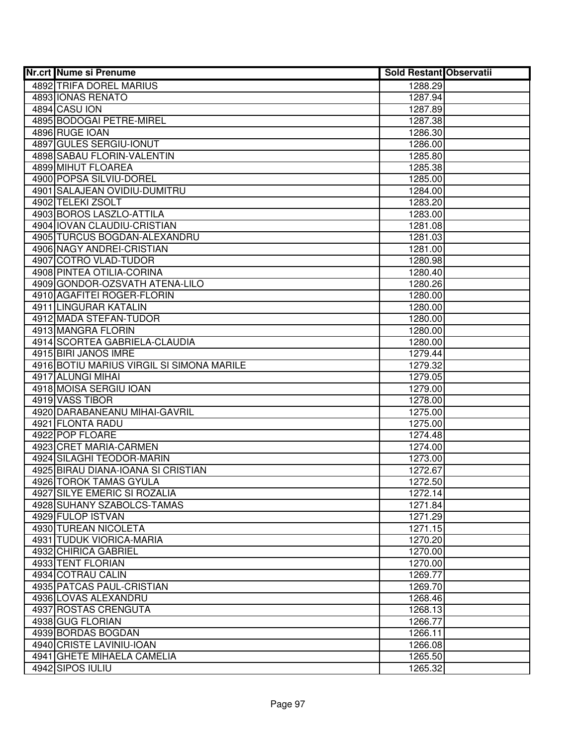| <b>Nr.crt Nume si Prenume</b>             | <b>Sold Restant Observatii</b> |  |
|-------------------------------------------|--------------------------------|--|
| 4892 TRIFA DOREL MARIUS                   | 1288.29                        |  |
| 4893 IONAS RENATO                         | 1287.94                        |  |
| 4894 CASU ION                             | 1287.89                        |  |
| 4895 BODOGAI PETRE-MIREL                  | 1287.38                        |  |
| 4896 RUGE IOAN                            | 1286.30                        |  |
| 4897 GULES SERGIU-IONUT                   | 1286.00                        |  |
| 4898 SABAU FLORIN-VALENTIN                | 1285.80                        |  |
| 4899 MIHUT FLOAREA                        | 1285.38                        |  |
| 4900 POPSA SILVIU-DOREL                   | 1285.00                        |  |
| 4901 SALAJEAN OVIDIU-DUMITRU              | 1284.00                        |  |
| 4902 TELEKI ZSOLT                         | 1283.20                        |  |
| 4903 BOROS LASZLO-ATTILA                  | 1283.00                        |  |
| 4904 IOVAN CLAUDIU-CRISTIAN               | 1281.08                        |  |
| 4905 TURCUS BOGDAN-ALEXANDRU              | 1281.03                        |  |
| 4906 NAGY ANDREI-CRISTIAN                 | 1281.00                        |  |
| 4907 COTRO VLAD-TUDOR                     | 1280.98                        |  |
| 4908 PINTEA OTILIA-CORINA                 | 1280.40                        |  |
| 4909 GONDOR-OZSVATH ATENA-LILO            | 1280.26                        |  |
| 4910 AGAFITEI ROGER-FLORIN                | 1280.00                        |  |
| 4911 LINGURAR KATALIN                     | 1280.00                        |  |
| 4912 MADA STEFAN-TUDOR                    | 1280.00                        |  |
| 4913 MANGRA FLORIN                        | 1280.00                        |  |
| 4914 SCORTEA GABRIELA-CLAUDIA             | 1280.00                        |  |
| 4915 BIRI JANOS IMRE                      | 1279.44                        |  |
| 4916 BOTIU MARIUS VIRGIL SI SIMONA MARILE | 1279.32                        |  |
| 4917 ALUNGI MIHAI                         | 1279.05                        |  |
| 4918 MOISA SERGIU IOAN                    | 1279.00                        |  |
| 4919 VASS TIBOR                           | 1278.00                        |  |
| 4920 DARABANEANU MIHAI-GAVRIL             | 1275.00                        |  |
| 4921 FLONTA RADU                          | 1275.00                        |  |
| 4922 POP FLOARE                           | 1274.48                        |  |
| 4923 CRET MARIA-CARMEN                    | 1274.00                        |  |
| 4924 SILAGHI TEODOR-MARIN                 | 1273.00                        |  |
| 4925 BIRAU DIANA-IOANA SI CRISTIAN        | 1272.67                        |  |
| 4926 TOROK TAMAS GYULA                    | 1272.50                        |  |
| 4927 SILYE EMERIC SI ROZALIA              | 1272.14                        |  |
| 4928 SUHANY SZABOLCS-TAMAS                | 1271.84                        |  |
| 4929 FULOP ISTVAN                         | 1271.29                        |  |
| 4930 TUREAN NICOLETA                      | 1271.15                        |  |
| 4931 TUDUK VIORICA-MARIA                  | 1270.20                        |  |
| 4932 CHIRICA GABRIEL                      | 1270.00                        |  |
| 4933 TENT FLORIAN                         | 1270.00                        |  |
| 4934 COTRAU CALIN                         | 1269.77                        |  |
| 4935 PATCAS PAUL-CRISTIAN                 | 1269.70                        |  |
| 4936 LOVAS ALEXANDRU                      | 1268.46                        |  |
| 4937 ROSTAS CRENGUTA                      | 1268.13                        |  |
| 4938 GUG FLORIAN                          | 1266.77                        |  |
| 4939 BORDAS BOGDAN                        | 1266.11                        |  |
| 4940 CRISTE LAVINIU-IOAN                  | 1266.08                        |  |
| 4941 GHETE MIHAELA CAMELIA                | 1265.50                        |  |
| 4942 SIPOS IULIU                          | 1265.32                        |  |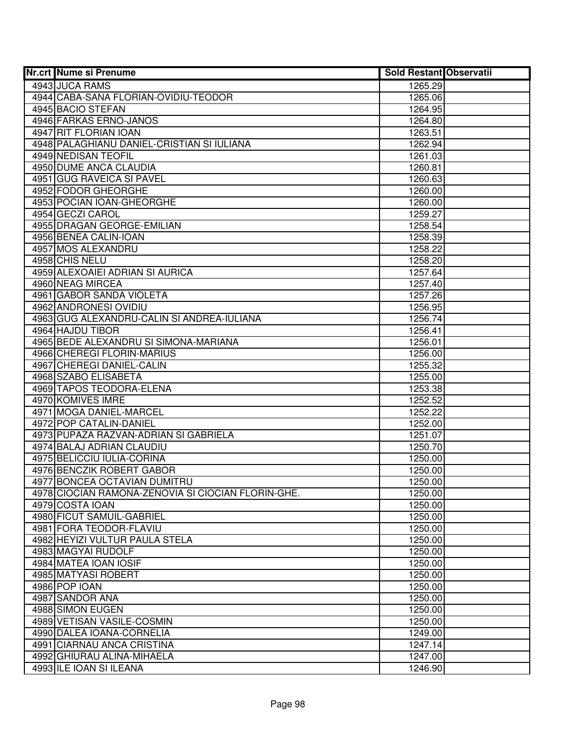| <b>Nr.crt Nume si Prenume</b>                      | <b>Sold Restant Observatii</b> |  |
|----------------------------------------------------|--------------------------------|--|
| 4943 JUCA RAMS                                     | 1265.29                        |  |
| 4944 CABA-SANA FLORIAN-OVIDIU-TEODOR               | 1265.06                        |  |
| 4945 BACIO STEFAN                                  | 1264.95                        |  |
| 4946 FARKAS ERNO-JANOS                             | 1264.80                        |  |
| 4947 RIT FLORIAN IOAN                              | 1263.51                        |  |
| 4948 PALAGHIANU DANIEL-CRISTIAN SI IULIANA         | 1262.94                        |  |
| 4949 NEDISAN TEOFIL                                | 1261.03                        |  |
| <b>4950 DUME ANCA CLAUDIA</b>                      | 1260.81                        |  |
| 4951 GUG RAVEICA SI PAVEL                          | 1260.63                        |  |
| 4952 FODOR GHEORGHE                                | 1260.00                        |  |
| 4953 POCIAN IOAN-GHEORGHE                          | 1260.00                        |  |
| 4954 GECZI CAROL                                   | 1259.27                        |  |
| 4955 DRAGAN GEORGE-EMILIAN                         | 1258.54                        |  |
| 4956 BENEA CALIN-IOAN                              | 1258.39                        |  |
| 4957 MOS ALEXANDRU                                 | 1258.22                        |  |
| 4958 CHIS NELU                                     | 1258.20                        |  |
| 4959 ALEXOAIEI ADRIAN SI AURICA                    | 1257.64                        |  |
| 4960 NEAG MIRCEA                                   | 1257.40                        |  |
| 4961 GABOR SANDA VIOLETA                           | 1257.26                        |  |
| 4962 ANDRONESI OVIDIU                              | 1256.95                        |  |
| 4963 GUG ALEXANDRU-CALIN SI ANDREA-IULIANA         | 1256.74                        |  |
| 4964 HAJDU TIBOR                                   | 1256.41                        |  |
| 4965 BEDE ALEXANDRU SI SIMONA-MARIANA              | 1256.01                        |  |
| 4966 CHEREGI FLORIN-MARIUS                         | 1256.00                        |  |
| 4967 CHEREGI DANIEL-CALIN                          | 1255.32                        |  |
| 4968 SZABO ELISABETA                               | 1255.00                        |  |
| 4969 TAPOS TEODORA-ELENA                           | 1253.38                        |  |
| 4970 KOMIVES IMRE                                  | 1252.52                        |  |
| 4971 MOGA DANIEL-MARCEL                            | 1252.22                        |  |
| 4972 POP CATALIN-DANIEL                            | 1252.00                        |  |
| 4973 PUPAZA RAZVAN-ADRIAN SI GABRIELA              | 1251.07                        |  |
| 4974 BALAJ ADRIAN CLAUDIU                          | 1250.70                        |  |
| 4975 BELICCIU IULIA-CORINA                         | 1250.00                        |  |
| 4976 BENCZIK ROBERT GABOR                          | 1250.00                        |  |
| 4977 BONCEA OCTAVIAN DUMITRU                       | 1250.00                        |  |
| 4978 CIOCIAN RAMONA-ZENOVIA SI CIOCIAN FLORIN-GHE. | 1250.00                        |  |
| 4979 COSTA IOAN                                    | 1250.00                        |  |
| 4980 FICUT SAMUIL-GABRIEL                          | 1250.00                        |  |
| 4981 FORA TEODOR-FLAVIU                            | 1250.00                        |  |
| 4982 HEYIZI VULTUR PAULA STELA                     | 1250.00                        |  |
| 4983 MAGYAI RUDOLF                                 | 1250.00                        |  |
| 4984 MATEA IOAN IOSIF                              | 1250.00                        |  |
| 4985 MATYASI ROBERT                                | 1250.00                        |  |
| 4986 POP IOAN                                      | 1250.00                        |  |
| 4987 SANDOR ANA                                    | 1250.00                        |  |
| 4988 SIMON EUGEN                                   | 1250.00                        |  |
| 4989 VETISAN VASILE-COSMIN                         | 1250.00                        |  |
| 4990 DALEA IOANA-CORNELIA                          | 1249.00                        |  |
| 4991 CIARNAU ANCA CRISTINA                         | 1247.14                        |  |
| 4992 GHIURAU ALINA-MIHAELA                         | 1247.00                        |  |
| 4993 ILE IOAN SI ILEANA                            | 1246.90                        |  |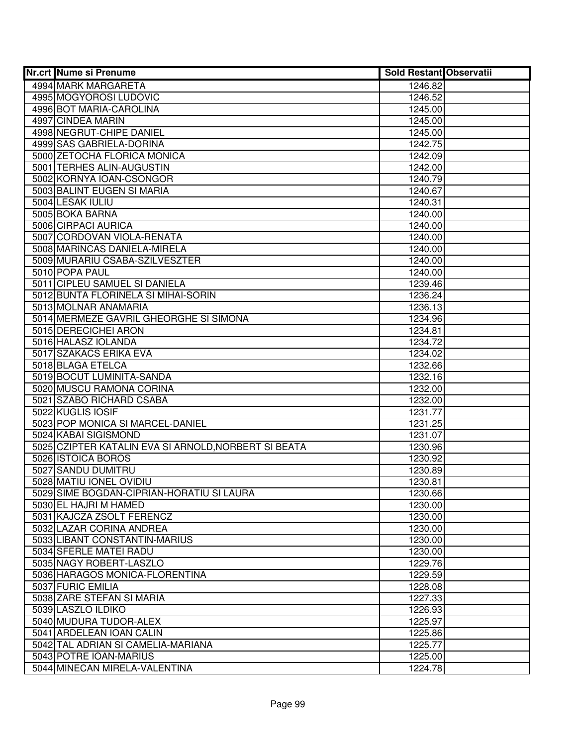| <b>Nr.crt Nume si Prenume</b>                         | <b>Sold Restant Observatii</b> |  |
|-------------------------------------------------------|--------------------------------|--|
| 4994 MARK MARGARETA                                   | 1246.82                        |  |
| 4995 MOGYOROSI LUDOVIC                                | 1246.52                        |  |
| 4996 BOT MARIA-CAROLINA                               | 1245.00                        |  |
| 4997 CINDEA MARIN                                     | 1245.00                        |  |
| 4998 NEGRUT-CHIPE DANIEL                              | 1245.00                        |  |
| 4999 SAS GABRIELA-DORINA                              | 1242.75                        |  |
| 5000 ZETOCHA FLORICA MONICA                           | 1242.09                        |  |
| 5001 TERHES ALIN-AUGUSTIN                             | 1242.00                        |  |
| 5002 KORNYA IOAN-CSONGOR                              | 1240.79                        |  |
| 5003 BALINT EUGEN SI MARIA                            | 1240.67                        |  |
| 5004 LESAK IULIU                                      | 1240.31                        |  |
| 5005 BOKA BARNA                                       | 1240.00                        |  |
| 5006 CIRPACI AURICA                                   | 1240.00                        |  |
| 5007 CORDOVAN VIOLA-RENATA                            | 1240.00                        |  |
| 5008 MARINCAS DANIELA-MIRELA                          | 1240.00                        |  |
| 5009 MURARIU CSABA-SZILVESZTER                        | 1240.00                        |  |
| 5010 POPA PAUL                                        | 1240.00                        |  |
| 5011 CIPLEU SAMUEL SI DANIELA                         | 1239.46                        |  |
| 5012 BUNTA FLORINELA SI MIHAI-SORIN                   | 1236.24                        |  |
| 5013 MOLNAR ANAMARIA                                  | 1236.13                        |  |
| 5014 MERMEZE GAVRIL GHEORGHE SI SIMONA                | 1234.96                        |  |
| 5015 DERECICHEI ARON                                  | 1234.81                        |  |
| 5016 HALASZ IOLANDA                                   | 1234.72                        |  |
| 5017 SZAKACS ERIKA EVA                                | 1234.02                        |  |
| 5018 BLAGA ETELCA                                     | 1232.66                        |  |
| 5019 BOCUT LUMINITA-SANDA                             | 1232.16                        |  |
| 5020 MUSCU RAMONA CORINA                              | 1232.00                        |  |
| 5021 SZABO RICHARD CSABA                              | 1232.00                        |  |
| 5022 KUGLIS IOSIF                                     | 1231.77                        |  |
| 5023 POP MONICA SI MARCEL-DANIEL                      | 1231.25                        |  |
| 5024 KABAI SIGISMOND                                  | 1231.07                        |  |
| 5025 CZIPTER KATALIN EVA SI ARNOLD, NORBERT SI BEATA  | 1230.96                        |  |
| 5026 ISTOICA BOROS                                    | 1230.92                        |  |
| 5027 SANDU DUMITRU                                    | 1230.89                        |  |
| 5028 MATIU IONEL OVIDIU                               | 1230.81                        |  |
| 5029 SIME BOGDAN-CIPRIAN-HORATIU SI LAURA             | 1230.66                        |  |
| 5030 EL HAJRI M HAMED                                 | 1230.00                        |  |
| 5031 KAJCZA ZSOLT FERENCZ<br>5032 LAZAR CORINA ANDREA | 1230.00                        |  |
| 5033 LIBANT CONSTANTIN-MARIUS                         | 1230.00                        |  |
| 5034 SFERLE MATEI RADU                                | 1230.00                        |  |
| 5035 NAGY ROBERT-LASZLO                               | 1230.00                        |  |
| 5036 HARAGOS MONICA-FLORENTINA                        | 1229.76<br>1229.59             |  |
| 5037 FURIC EMILIA                                     |                                |  |
| 5038 ZARE STEFAN SI MARIA                             | 1228.08<br>1227.33             |  |
| 5039 LASZLO ILDIKO                                    | 1226.93                        |  |
| 5040 MUDURA TUDOR-ALEX                                | 1225.97                        |  |
| 5041 ARDELEAN IOAN CALIN                              | 1225.86                        |  |
| 5042 TAL ADRIAN SI CAMELIA-MARIANA                    | 1225.77                        |  |
| 5043 POTRE IOAN-MARIUS                                | 1225.00                        |  |
| 5044 MINECAN MIRELA-VALENTINA                         | 1224.78                        |  |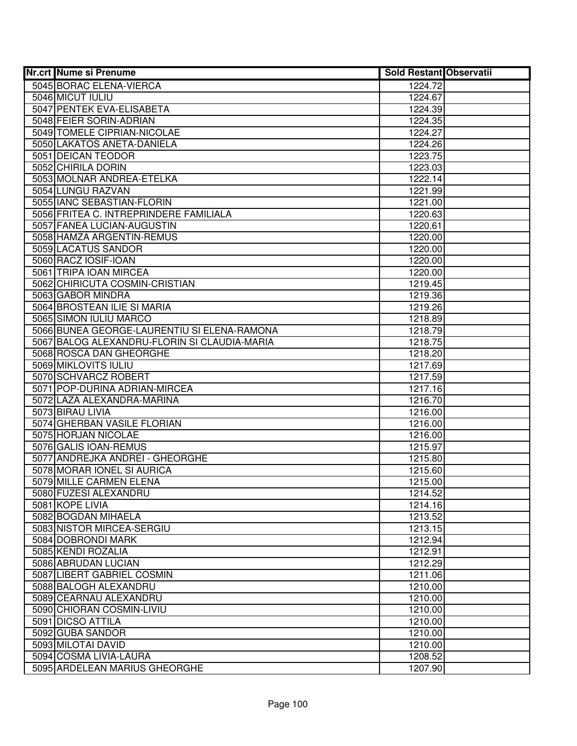| <b>Nr.crt Nume si Prenume</b>                | <b>Sold Restant Observatii</b> |  |
|----------------------------------------------|--------------------------------|--|
| 5045 BORAC ELENA-VIERCA                      | 1224.72                        |  |
| 5046 MICUT IULIU                             | 1224.67                        |  |
| 5047 PENTEK EVA-ELISABETA                    | 1224.39                        |  |
| 5048 FEIER SORIN-ADRIAN                      | 1224.35                        |  |
| 5049 TOMELE CIPRIAN-NICOLAE                  | 1224.27                        |  |
| 5050 LAKATOS ANETA-DANIELA                   | 1224.26                        |  |
| 5051 DEICAN TEODOR                           | 1223.75                        |  |
| 5052 CHIRILA DORIN                           | 1223.03                        |  |
| 5053 MOLNAR ANDREA-ETELKA                    | 1222.14                        |  |
| 5054 LUNGU RAZVAN                            | 1221.99                        |  |
| 5055 IANC SEBASTIAN-FLORIN                   | 1221.00                        |  |
| 5056 FRITEA C. INTREPRINDERE FAMILIALA       | 1220.63                        |  |
| 5057 FANEA LUCIAN-AUGUSTIN                   | 1220.61                        |  |
| 5058 HAMZA ARGENTIN-REMUS                    | 1220.00                        |  |
| 5059 LACATUS SANDOR                          | 1220.00                        |  |
| 5060 RACZ IOSIF-IOAN                         | 1220.00                        |  |
| 5061 TRIPA IOAN MIRCEA                       | 1220.00                        |  |
| 5062 CHIRICUTA COSMIN-CRISTIAN               | 1219.45                        |  |
| 5063 GABOR MINDRA                            | 1219.36                        |  |
| 5064 BROSTEAN ILIE SI MARIA                  | 1219.26                        |  |
| 5065 SIMON IULIU MARCO                       | 1218.89                        |  |
| 5066 BUNEA GEORGE-LAURENTIU SI ELENA-RAMONA  | 1218.79                        |  |
| 5067 BALOG ALEXANDRU-FLORIN SI CLAUDIA-MARIA | 1218.75                        |  |
| 5068 ROSCA DAN GHEORGHE                      | 1218.20                        |  |
| 5069 MIKLOVITS IULIU                         | 1217.69                        |  |
| 5070 SCHVARCZ ROBERT                         | 1217.59                        |  |
| 5071 POP-DURINA ADRIAN-MIRCEA                | 1217.16                        |  |
| 5072 LAZA ALEXANDRA-MARINA                   | 1216.70                        |  |
| 5073 BIRAU LIVIA                             | 1216.00                        |  |
| 5074 GHERBAN VASILE FLORIAN                  | 1216.00                        |  |
| 5075 HORJAN NICOLAE                          | 1216.00                        |  |
| 5076 GALIS IOAN-REMUS                        | 1215.97                        |  |
| 5077 ANDREJKA ANDREI - GHEORGHE              | 1215.80                        |  |
| 5078 MORAR IONEL SI AURICA                   | 1215.60                        |  |
| 5079 MILLE CARMEN ELENA                      | 1215.00                        |  |
| 5080 FUZESI ALEXANDRU                        | 1214.52                        |  |
| 5081 KOPE LIVIA                              | 1214.16                        |  |
| 5082 BOGDAN MIHAELA                          | 1213.52                        |  |
| 5083 NISTOR MIRCEA-SERGIU                    | 1213.15                        |  |
| 5084 DOBRONDI MARK                           | 1212.94                        |  |
| 5085 KENDI ROZALIA                           | 1212.91                        |  |
| 5086 ABRUDAN LUCIAN                          | 1212.29                        |  |
| 5087 LIBERT GABRIEL COSMIN                   | 1211.06                        |  |
| 5088 BALOGH ALEXANDRU                        | 1210.00                        |  |
| 5089 CEARNAU ALEXANDRU                       | 1210.00                        |  |
| 5090 CHIORAN COSMIN-LIVIU                    | 1210.00                        |  |
| 5091 DICSO ATTILA                            | 1210.00                        |  |
| 5092 GUBA SANDOR                             | 1210.00                        |  |
| 5093 MILOTAI DAVID                           | 1210.00                        |  |
| 5094 COSMA LIVIA-LAURA                       | 1208.52                        |  |
| 5095 ARDELEAN MARIUS GHEORGHE                | 1207.90                        |  |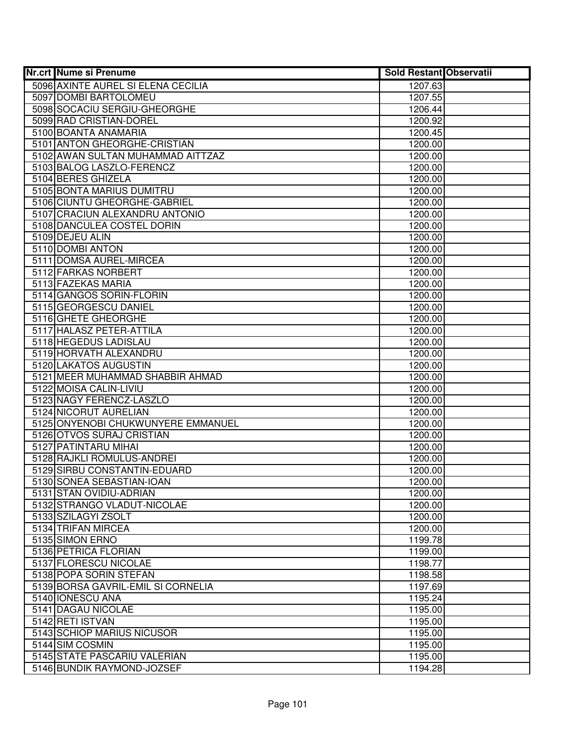| <b>Nr.crt Nume si Prenume</b>      | <b>Sold Restant Observatii</b> |  |
|------------------------------------|--------------------------------|--|
| 5096 AXINTE AUREL SI ELENA CECILIA | 1207.63                        |  |
| 5097 DOMBI BARTOLOMEU              | 1207.55                        |  |
| 5098 SOCACIU SERGIU-GHEORGHE       | 1206.44                        |  |
| 5099 RAD CRISTIAN-DOREL            | 1200.92                        |  |
| 5100 BOANTA ANAMARIA               | 1200.45                        |  |
| 5101 ANTON GHEORGHE-CRISTIAN       | 1200.00                        |  |
| 5102 AWAN SULTAN MUHAMMAD AITTZAZ  | 1200.00                        |  |
| 5103 BALOG LASZLO-FERENCZ          | 1200.00                        |  |
| 5104 BERES GHIZELA                 | 1200.00                        |  |
| 5105 BONTA MARIUS DUMITRU          | 1200.00                        |  |
| 5106 CIUNTU GHEORGHE-GABRIEL       | 1200.00                        |  |
| 5107 CRACIUN ALEXANDRU ANTONIO     | 1200.00                        |  |
| 5108 DANCULEA COSTEL DORIN         | 1200.00                        |  |
| 5109 DEJEU ALIN                    | 1200.00                        |  |
| 5110 DOMBI ANTON                   | 1200.00                        |  |
| 5111 DOMSA AUREL-MIRCEA            | 1200.00                        |  |
| 5112 FARKAS NORBERT                | 1200.00                        |  |
| 5113 FAZEKAS MARIA                 | 1200.00                        |  |
| 5114 GANGOS SORIN-FLORIN           | 1200.00                        |  |
| 5115 GEORGESCU DANIEL              | 1200.00                        |  |
| 5116 GHETE GHEORGHE                | 1200.00                        |  |
| 5117 HALASZ PETER-ATTILA           | 1200.00                        |  |
| 5118 HEGEDUS LADISLAU              | 1200.00                        |  |
| 5119 HORVATH ALEXANDRU             | 1200.00                        |  |
| 5120 LAKATOS AUGUSTIN              | 1200.00                        |  |
| 5121 MEER MUHAMMAD SHABBIR AHMAD   | 1200.00                        |  |
| 5122 MOISA CALIN-LIVIU             | 1200.00                        |  |
| 5123 NAGY FERENCZ-LASZLO           | 1200.00                        |  |
| 5124 NICORUT AURELIAN              | 1200.00                        |  |
| 5125 ONYENOBI CHUKWUNYERE EMMANUEL | 1200.00                        |  |
| 5126 OTVOS SURAJ CRISTIAN          | 1200.00                        |  |
| 5127 PATINTARU MIHAI               | 1200.00                        |  |
| 5128 RAJKLI ROMULUS-ANDREI         | 1200.00                        |  |
| 5129 SIRBU CONSTANTIN-EDUARD       | 1200.00                        |  |
| 5130 SONEA SEBASTIAN-IOAN          | 1200.00                        |  |
| 5131 STAN OVIDIU-ADRIAN            | 1200.00                        |  |
| 5132 STRANGO VLADUT-NICOLAE        | 1200.00                        |  |
| 5133 SZILAGYI ZSOLT                | 1200.00                        |  |
| 5134 TRIFAN MIRCEA                 | 1200.00                        |  |
| 5135 SIMON ERNO                    | 1199.78                        |  |
| 5136 PETRICA FLORIAN               | 1199.00                        |  |
| 5137 FLORESCU NICOLAE              | 1198.77                        |  |
| 5138 POPA SORIN STEFAN             | 1198.58                        |  |
| 5139 BORSA GAVRIL-EMIL SI CORNELIA | 1197.69                        |  |
| 5140 IONESCU ANA                   | 1195.24                        |  |
| 5141 DAGAU NICOLAE                 | 1195.00                        |  |
| 5142 RETI ISTVAN                   | 1195.00                        |  |
| 5143 SCHIOP MARIUS NICUSOR         | 1195.00                        |  |
| 5144 SIM COSMIN                    | 1195.00                        |  |
| 5145 STATE PASCARIU VALERIAN       | 1195.00                        |  |
| 5146 BUNDIK RAYMOND-JOZSEF         | 1194.28                        |  |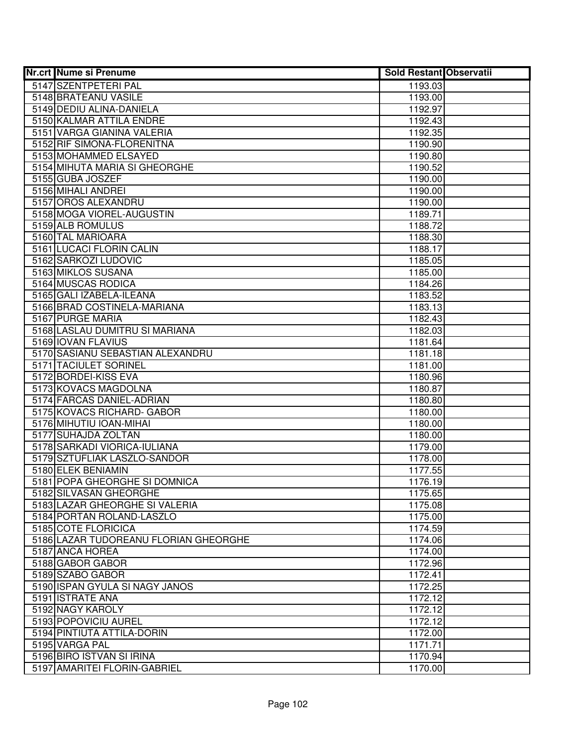| 5147 SZENTPETERI PAL<br>1193.03<br>5148 BRATEANU VASILE<br>1193.00<br>5149 DEDIU ALINA-DANIELA<br>1192.97<br>5150 KALMAR ATTILA ENDRE<br>1192.43<br>5151 VARGA GIANINA VALERIA<br>1192.35<br>5152 RIF SIMONA-FLORENITNA<br>1190.90<br>5153 MOHAMMED ELSAYED<br>1190.80<br>5154 MIHUTA MARIA SI GHEORGHE<br>1190.52<br>5155 GUBA JOSZEF<br>1190.00<br>5156 MIHALI ANDREI<br>1190.00<br>5157 OROS ALEXANDRU<br>1190.00<br>5158 MOGA VIOREL-AUGUSTIN<br>1189.71<br>5159 ALB ROMULUS<br>1188.72<br>5160 TAL MARIOARA<br>1188.30<br>5161 LUCACI FLORIN CALIN<br>1188.17<br>5162 SARKOZI LUDOVIC<br>1185.05<br>5163 MIKLOS SUSANA<br>1185.00<br>5164 MUSCAS RODICA<br>1184.26<br>5165 GALI IZABELA-ILEANA<br>1183.52<br>5166 BRAD COSTINELA-MARIANA<br>1183.13<br>5167 PURGE MARIA<br>1182.43<br>5168 LASLAU DUMITRU SI MARIANA<br>1182.03<br>5169 IOVAN FLAVIUS<br>1181.64<br>5170 SASIANU SEBASTIAN ALEXANDRU<br>1181.18<br>5171 TACIULET SORINEL<br>1181.00<br>5172 BORDEI-KISS EVA<br>1180.96<br>5173 KOVACS MAGDOLNA<br>1180.87<br>5174 FARCAS DANIEL-ADRIAN<br>1180.80<br>5175 KOVACS RICHARD- GABOR<br>1180.00<br>5176 MIHUTIU IOAN-MIHAI<br>1180.00<br>5177 SUHAJDA ZOLTAN<br>1180.00<br>5178 SARKADI VIORICA-IULIANA<br>1179.00<br>5179 SZTUFLIAK LASZLO-SANDOR<br>1178.00<br>5180 ELEK BENIAMIN<br>1177.55<br>5181 POPA GHEORGHE SI DOMNICA<br>1176.19<br>5182 SILVASAN GHEORGHE<br>1175.65<br>5183 LAZAR GHEORGHE SI VALERIA<br>1175.08<br>5184 PORTAN ROLAND-LASZLO<br>1175.00<br>5185 COTE FLORICICA<br>1174.59<br>5186 LAZAR TUDOREANU FLORIAN GHEORGHE<br>1174.06<br>5187 ANCA HOREA<br>1174.00<br>5188 GABOR GABOR<br>1172.96<br>5189 SZABO GABOR<br>1172.41<br>5190 ISPAN GYULA SI NAGY JANOS<br>1172.25<br>5191 ISTRATE ANA<br>1172.12<br>5192 NAGY KAROLY<br>1172.12<br>5193 POPOVICIU AUREL<br>1172.12<br>5194 PINTIUTA ATTILA-DORIN<br>1172.00<br>5195 VARGA PAL<br>1171.71<br>5196 BIRO ISTVAN SI IRINA<br>1170.94<br>5197 AMARITEI FLORIN-GABRIEL<br>1170.00 | <b>Nr.crt Nume si Prenume</b> | <b>Sold Restant Observatii</b> |  |
|-------------------------------------------------------------------------------------------------------------------------------------------------------------------------------------------------------------------------------------------------------------------------------------------------------------------------------------------------------------------------------------------------------------------------------------------------------------------------------------------------------------------------------------------------------------------------------------------------------------------------------------------------------------------------------------------------------------------------------------------------------------------------------------------------------------------------------------------------------------------------------------------------------------------------------------------------------------------------------------------------------------------------------------------------------------------------------------------------------------------------------------------------------------------------------------------------------------------------------------------------------------------------------------------------------------------------------------------------------------------------------------------------------------------------------------------------------------------------------------------------------------------------------------------------------------------------------------------------------------------------------------------------------------------------------------------------------------------------------------------------------------------------------------------------------------------------------------------------------------------------------------------------------------------------------------------------------------------------------|-------------------------------|--------------------------------|--|
|                                                                                                                                                                                                                                                                                                                                                                                                                                                                                                                                                                                                                                                                                                                                                                                                                                                                                                                                                                                                                                                                                                                                                                                                                                                                                                                                                                                                                                                                                                                                                                                                                                                                                                                                                                                                                                                                                                                                                                               |                               |                                |  |
|                                                                                                                                                                                                                                                                                                                                                                                                                                                                                                                                                                                                                                                                                                                                                                                                                                                                                                                                                                                                                                                                                                                                                                                                                                                                                                                                                                                                                                                                                                                                                                                                                                                                                                                                                                                                                                                                                                                                                                               |                               |                                |  |
|                                                                                                                                                                                                                                                                                                                                                                                                                                                                                                                                                                                                                                                                                                                                                                                                                                                                                                                                                                                                                                                                                                                                                                                                                                                                                                                                                                                                                                                                                                                                                                                                                                                                                                                                                                                                                                                                                                                                                                               |                               |                                |  |
|                                                                                                                                                                                                                                                                                                                                                                                                                                                                                                                                                                                                                                                                                                                                                                                                                                                                                                                                                                                                                                                                                                                                                                                                                                                                                                                                                                                                                                                                                                                                                                                                                                                                                                                                                                                                                                                                                                                                                                               |                               |                                |  |
|                                                                                                                                                                                                                                                                                                                                                                                                                                                                                                                                                                                                                                                                                                                                                                                                                                                                                                                                                                                                                                                                                                                                                                                                                                                                                                                                                                                                                                                                                                                                                                                                                                                                                                                                                                                                                                                                                                                                                                               |                               |                                |  |
|                                                                                                                                                                                                                                                                                                                                                                                                                                                                                                                                                                                                                                                                                                                                                                                                                                                                                                                                                                                                                                                                                                                                                                                                                                                                                                                                                                                                                                                                                                                                                                                                                                                                                                                                                                                                                                                                                                                                                                               |                               |                                |  |
|                                                                                                                                                                                                                                                                                                                                                                                                                                                                                                                                                                                                                                                                                                                                                                                                                                                                                                                                                                                                                                                                                                                                                                                                                                                                                                                                                                                                                                                                                                                                                                                                                                                                                                                                                                                                                                                                                                                                                                               |                               |                                |  |
|                                                                                                                                                                                                                                                                                                                                                                                                                                                                                                                                                                                                                                                                                                                                                                                                                                                                                                                                                                                                                                                                                                                                                                                                                                                                                                                                                                                                                                                                                                                                                                                                                                                                                                                                                                                                                                                                                                                                                                               |                               |                                |  |
|                                                                                                                                                                                                                                                                                                                                                                                                                                                                                                                                                                                                                                                                                                                                                                                                                                                                                                                                                                                                                                                                                                                                                                                                                                                                                                                                                                                                                                                                                                                                                                                                                                                                                                                                                                                                                                                                                                                                                                               |                               |                                |  |
|                                                                                                                                                                                                                                                                                                                                                                                                                                                                                                                                                                                                                                                                                                                                                                                                                                                                                                                                                                                                                                                                                                                                                                                                                                                                                                                                                                                                                                                                                                                                                                                                                                                                                                                                                                                                                                                                                                                                                                               |                               |                                |  |
|                                                                                                                                                                                                                                                                                                                                                                                                                                                                                                                                                                                                                                                                                                                                                                                                                                                                                                                                                                                                                                                                                                                                                                                                                                                                                                                                                                                                                                                                                                                                                                                                                                                                                                                                                                                                                                                                                                                                                                               |                               |                                |  |
|                                                                                                                                                                                                                                                                                                                                                                                                                                                                                                                                                                                                                                                                                                                                                                                                                                                                                                                                                                                                                                                                                                                                                                                                                                                                                                                                                                                                                                                                                                                                                                                                                                                                                                                                                                                                                                                                                                                                                                               |                               |                                |  |
|                                                                                                                                                                                                                                                                                                                                                                                                                                                                                                                                                                                                                                                                                                                                                                                                                                                                                                                                                                                                                                                                                                                                                                                                                                                                                                                                                                                                                                                                                                                                                                                                                                                                                                                                                                                                                                                                                                                                                                               |                               |                                |  |
|                                                                                                                                                                                                                                                                                                                                                                                                                                                                                                                                                                                                                                                                                                                                                                                                                                                                                                                                                                                                                                                                                                                                                                                                                                                                                                                                                                                                                                                                                                                                                                                                                                                                                                                                                                                                                                                                                                                                                                               |                               |                                |  |
|                                                                                                                                                                                                                                                                                                                                                                                                                                                                                                                                                                                                                                                                                                                                                                                                                                                                                                                                                                                                                                                                                                                                                                                                                                                                                                                                                                                                                                                                                                                                                                                                                                                                                                                                                                                                                                                                                                                                                                               |                               |                                |  |
|                                                                                                                                                                                                                                                                                                                                                                                                                                                                                                                                                                                                                                                                                                                                                                                                                                                                                                                                                                                                                                                                                                                                                                                                                                                                                                                                                                                                                                                                                                                                                                                                                                                                                                                                                                                                                                                                                                                                                                               |                               |                                |  |
|                                                                                                                                                                                                                                                                                                                                                                                                                                                                                                                                                                                                                                                                                                                                                                                                                                                                                                                                                                                                                                                                                                                                                                                                                                                                                                                                                                                                                                                                                                                                                                                                                                                                                                                                                                                                                                                                                                                                                                               |                               |                                |  |
|                                                                                                                                                                                                                                                                                                                                                                                                                                                                                                                                                                                                                                                                                                                                                                                                                                                                                                                                                                                                                                                                                                                                                                                                                                                                                                                                                                                                                                                                                                                                                                                                                                                                                                                                                                                                                                                                                                                                                                               |                               |                                |  |
|                                                                                                                                                                                                                                                                                                                                                                                                                                                                                                                                                                                                                                                                                                                                                                                                                                                                                                                                                                                                                                                                                                                                                                                                                                                                                                                                                                                                                                                                                                                                                                                                                                                                                                                                                                                                                                                                                                                                                                               |                               |                                |  |
|                                                                                                                                                                                                                                                                                                                                                                                                                                                                                                                                                                                                                                                                                                                                                                                                                                                                                                                                                                                                                                                                                                                                                                                                                                                                                                                                                                                                                                                                                                                                                                                                                                                                                                                                                                                                                                                                                                                                                                               |                               |                                |  |
|                                                                                                                                                                                                                                                                                                                                                                                                                                                                                                                                                                                                                                                                                                                                                                                                                                                                                                                                                                                                                                                                                                                                                                                                                                                                                                                                                                                                                                                                                                                                                                                                                                                                                                                                                                                                                                                                                                                                                                               |                               |                                |  |
|                                                                                                                                                                                                                                                                                                                                                                                                                                                                                                                                                                                                                                                                                                                                                                                                                                                                                                                                                                                                                                                                                                                                                                                                                                                                                                                                                                                                                                                                                                                                                                                                                                                                                                                                                                                                                                                                                                                                                                               |                               |                                |  |
|                                                                                                                                                                                                                                                                                                                                                                                                                                                                                                                                                                                                                                                                                                                                                                                                                                                                                                                                                                                                                                                                                                                                                                                                                                                                                                                                                                                                                                                                                                                                                                                                                                                                                                                                                                                                                                                                                                                                                                               |                               |                                |  |
|                                                                                                                                                                                                                                                                                                                                                                                                                                                                                                                                                                                                                                                                                                                                                                                                                                                                                                                                                                                                                                                                                                                                                                                                                                                                                                                                                                                                                                                                                                                                                                                                                                                                                                                                                                                                                                                                                                                                                                               |                               |                                |  |
|                                                                                                                                                                                                                                                                                                                                                                                                                                                                                                                                                                                                                                                                                                                                                                                                                                                                                                                                                                                                                                                                                                                                                                                                                                                                                                                                                                                                                                                                                                                                                                                                                                                                                                                                                                                                                                                                                                                                                                               |                               |                                |  |
|                                                                                                                                                                                                                                                                                                                                                                                                                                                                                                                                                                                                                                                                                                                                                                                                                                                                                                                                                                                                                                                                                                                                                                                                                                                                                                                                                                                                                                                                                                                                                                                                                                                                                                                                                                                                                                                                                                                                                                               |                               |                                |  |
|                                                                                                                                                                                                                                                                                                                                                                                                                                                                                                                                                                                                                                                                                                                                                                                                                                                                                                                                                                                                                                                                                                                                                                                                                                                                                                                                                                                                                                                                                                                                                                                                                                                                                                                                                                                                                                                                                                                                                                               |                               |                                |  |
|                                                                                                                                                                                                                                                                                                                                                                                                                                                                                                                                                                                                                                                                                                                                                                                                                                                                                                                                                                                                                                                                                                                                                                                                                                                                                                                                                                                                                                                                                                                                                                                                                                                                                                                                                                                                                                                                                                                                                                               |                               |                                |  |
|                                                                                                                                                                                                                                                                                                                                                                                                                                                                                                                                                                                                                                                                                                                                                                                                                                                                                                                                                                                                                                                                                                                                                                                                                                                                                                                                                                                                                                                                                                                                                                                                                                                                                                                                                                                                                                                                                                                                                                               |                               |                                |  |
|                                                                                                                                                                                                                                                                                                                                                                                                                                                                                                                                                                                                                                                                                                                                                                                                                                                                                                                                                                                                                                                                                                                                                                                                                                                                                                                                                                                                                                                                                                                                                                                                                                                                                                                                                                                                                                                                                                                                                                               |                               |                                |  |
|                                                                                                                                                                                                                                                                                                                                                                                                                                                                                                                                                                                                                                                                                                                                                                                                                                                                                                                                                                                                                                                                                                                                                                                                                                                                                                                                                                                                                                                                                                                                                                                                                                                                                                                                                                                                                                                                                                                                                                               |                               |                                |  |
|                                                                                                                                                                                                                                                                                                                                                                                                                                                                                                                                                                                                                                                                                                                                                                                                                                                                                                                                                                                                                                                                                                                                                                                                                                                                                                                                                                                                                                                                                                                                                                                                                                                                                                                                                                                                                                                                                                                                                                               |                               |                                |  |
|                                                                                                                                                                                                                                                                                                                                                                                                                                                                                                                                                                                                                                                                                                                                                                                                                                                                                                                                                                                                                                                                                                                                                                                                                                                                                                                                                                                                                                                                                                                                                                                                                                                                                                                                                                                                                                                                                                                                                                               |                               |                                |  |
|                                                                                                                                                                                                                                                                                                                                                                                                                                                                                                                                                                                                                                                                                                                                                                                                                                                                                                                                                                                                                                                                                                                                                                                                                                                                                                                                                                                                                                                                                                                                                                                                                                                                                                                                                                                                                                                                                                                                                                               |                               |                                |  |
|                                                                                                                                                                                                                                                                                                                                                                                                                                                                                                                                                                                                                                                                                                                                                                                                                                                                                                                                                                                                                                                                                                                                                                                                                                                                                                                                                                                                                                                                                                                                                                                                                                                                                                                                                                                                                                                                                                                                                                               |                               |                                |  |
|                                                                                                                                                                                                                                                                                                                                                                                                                                                                                                                                                                                                                                                                                                                                                                                                                                                                                                                                                                                                                                                                                                                                                                                                                                                                                                                                                                                                                                                                                                                                                                                                                                                                                                                                                                                                                                                                                                                                                                               |                               |                                |  |
|                                                                                                                                                                                                                                                                                                                                                                                                                                                                                                                                                                                                                                                                                                                                                                                                                                                                                                                                                                                                                                                                                                                                                                                                                                                                                                                                                                                                                                                                                                                                                                                                                                                                                                                                                                                                                                                                                                                                                                               |                               |                                |  |
|                                                                                                                                                                                                                                                                                                                                                                                                                                                                                                                                                                                                                                                                                                                                                                                                                                                                                                                                                                                                                                                                                                                                                                                                                                                                                                                                                                                                                                                                                                                                                                                                                                                                                                                                                                                                                                                                                                                                                                               |                               |                                |  |
|                                                                                                                                                                                                                                                                                                                                                                                                                                                                                                                                                                                                                                                                                                                                                                                                                                                                                                                                                                                                                                                                                                                                                                                                                                                                                                                                                                                                                                                                                                                                                                                                                                                                                                                                                                                                                                                                                                                                                                               |                               |                                |  |
|                                                                                                                                                                                                                                                                                                                                                                                                                                                                                                                                                                                                                                                                                                                                                                                                                                                                                                                                                                                                                                                                                                                                                                                                                                                                                                                                                                                                                                                                                                                                                                                                                                                                                                                                                                                                                                                                                                                                                                               |                               |                                |  |
|                                                                                                                                                                                                                                                                                                                                                                                                                                                                                                                                                                                                                                                                                                                                                                                                                                                                                                                                                                                                                                                                                                                                                                                                                                                                                                                                                                                                                                                                                                                                                                                                                                                                                                                                                                                                                                                                                                                                                                               |                               |                                |  |
|                                                                                                                                                                                                                                                                                                                                                                                                                                                                                                                                                                                                                                                                                                                                                                                                                                                                                                                                                                                                                                                                                                                                                                                                                                                                                                                                                                                                                                                                                                                                                                                                                                                                                                                                                                                                                                                                                                                                                                               |                               |                                |  |
|                                                                                                                                                                                                                                                                                                                                                                                                                                                                                                                                                                                                                                                                                                                                                                                                                                                                                                                                                                                                                                                                                                                                                                                                                                                                                                                                                                                                                                                                                                                                                                                                                                                                                                                                                                                                                                                                                                                                                                               |                               |                                |  |
|                                                                                                                                                                                                                                                                                                                                                                                                                                                                                                                                                                                                                                                                                                                                                                                                                                                                                                                                                                                                                                                                                                                                                                                                                                                                                                                                                                                                                                                                                                                                                                                                                                                                                                                                                                                                                                                                                                                                                                               |                               |                                |  |
|                                                                                                                                                                                                                                                                                                                                                                                                                                                                                                                                                                                                                                                                                                                                                                                                                                                                                                                                                                                                                                                                                                                                                                                                                                                                                                                                                                                                                                                                                                                                                                                                                                                                                                                                                                                                                                                                                                                                                                               |                               |                                |  |
|                                                                                                                                                                                                                                                                                                                                                                                                                                                                                                                                                                                                                                                                                                                                                                                                                                                                                                                                                                                                                                                                                                                                                                                                                                                                                                                                                                                                                                                                                                                                                                                                                                                                                                                                                                                                                                                                                                                                                                               |                               |                                |  |
|                                                                                                                                                                                                                                                                                                                                                                                                                                                                                                                                                                                                                                                                                                                                                                                                                                                                                                                                                                                                                                                                                                                                                                                                                                                                                                                                                                                                                                                                                                                                                                                                                                                                                                                                                                                                                                                                                                                                                                               |                               |                                |  |
|                                                                                                                                                                                                                                                                                                                                                                                                                                                                                                                                                                                                                                                                                                                                                                                                                                                                                                                                                                                                                                                                                                                                                                                                                                                                                                                                                                                                                                                                                                                                                                                                                                                                                                                                                                                                                                                                                                                                                                               |                               |                                |  |
|                                                                                                                                                                                                                                                                                                                                                                                                                                                                                                                                                                                                                                                                                                                                                                                                                                                                                                                                                                                                                                                                                                                                                                                                                                                                                                                                                                                                                                                                                                                                                                                                                                                                                                                                                                                                                                                                                                                                                                               |                               |                                |  |
|                                                                                                                                                                                                                                                                                                                                                                                                                                                                                                                                                                                                                                                                                                                                                                                                                                                                                                                                                                                                                                                                                                                                                                                                                                                                                                                                                                                                                                                                                                                                                                                                                                                                                                                                                                                                                                                                                                                                                                               |                               |                                |  |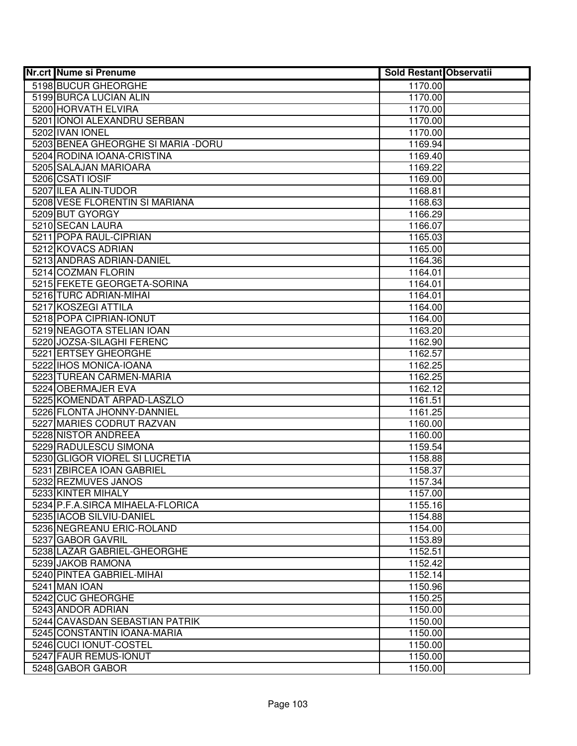| <b>Nr.crt Nume si Prenume</b>                  | <b>Sold Restant Observatii</b> |  |
|------------------------------------------------|--------------------------------|--|
| 5198 BUCUR GHEORGHE                            | 1170.00                        |  |
| 5199 BURCA LUCIAN ALIN                         | 1170.00                        |  |
| 5200 HORVATH ELVIRA                            | 1170.00                        |  |
| 5201 IONOI ALEXANDRU SERBAN                    | 1170.00                        |  |
| 5202 IVAN IONEL                                | 1170.00                        |  |
| 5203 BENEA GHEORGHE SI MARIA - DORU            | 1169.94                        |  |
| 5204 RODINA IOANA-CRISTINA                     | 1169.40                        |  |
| 5205 SALAJAN MARIOARA                          | 1169.22                        |  |
| 5206 CSATI IOSIF                               | 1169.00                        |  |
| 5207 ILEA ALIN-TUDOR                           | 1168.81                        |  |
| 5208 VESE FLORENTIN SI MARIANA                 | 1168.63                        |  |
| 5209 BUT GYORGY                                | 1166.29                        |  |
| 5210 SECAN LAURA                               | 1166.07                        |  |
| 5211 POPA RAUL-CIPRIAN                         | 1165.03                        |  |
| 5212 KOVACS ADRIAN                             | 1165.00                        |  |
| 5213 ANDRAS ADRIAN-DANIEL                      | 1164.36                        |  |
| 5214 COZMAN FLORIN                             | 1164.01                        |  |
| 5215 FEKETE GEORGETA-SORINA                    | 1164.01                        |  |
| 5216 TURC ADRIAN-MIHAI                         | 1164.01                        |  |
| 5217 KOSZEGI ATTILA                            | 1164.00                        |  |
| 5218 POPA CIPRIAN-IONUT                        | 1164.00                        |  |
| 5219 NEAGOTA STELIAN IOAN                      | 1163.20                        |  |
| 5220 JOZSA-SILAGHI FERENC                      | 1162.90                        |  |
| 5221 ERTSEY GHEORGHE                           | 1162.57                        |  |
| 5222 IHOS MONICA-IOANA                         | 1162.25                        |  |
| 5223 TUREAN CARMEN-MARIA<br>5224 OBERMAJER EVA | 1162.25                        |  |
| 5225 KOMENDAT ARPAD-LASZLO                     | 1162.12                        |  |
| 5226 FLONTA JHONNY-DANNIEL                     | 1161.51<br>1161.25             |  |
| 5227 MARIES CODRUT RAZVAN                      | 1160.00                        |  |
| 5228 NISTOR ANDREEA                            | 1160.00                        |  |
| 5229 RADULESCU SIMONA                          | 1159.54                        |  |
| 5230 GLIGOR VIOREL SI LUCRETIA                 | 1158.88                        |  |
| 5231 ZBIRCEA IOAN GABRIEL                      | 1158.37                        |  |
| 5232 REZMUVES JANOS                            | 1157.34                        |  |
| 5233 KINTER MIHALY                             | 1157.00                        |  |
| 5234 P.F.A.SIRCA MIHAELA-FLORICA               | 1155.16                        |  |
| 5235 IACOB SILVIU-DANIEL                       | 1154.88                        |  |
| 5236 NEGREANU ERIC-ROLAND                      | 1154.00                        |  |
| 5237 GABOR GAVRIL                              | 1153.89                        |  |
| 5238 LAZAR GABRIEL-GHEORGHE                    | 1152.51                        |  |
| 5239 JAKOB RAMONA                              | 1152.42                        |  |
| 5240 PINTEA GABRIEL-MIHAI                      | 1152.14                        |  |
| 5241 MAN IOAN                                  | 1150.96                        |  |
| 5242 CUC GHEORGHE                              | 1150.25                        |  |
| 5243 ANDOR ADRIAN                              | 1150.00                        |  |
| 5244 CAVASDAN SEBASTIAN PATRIK                 | 1150.00                        |  |
| 5245 CONSTANTIN IOANA-MARIA                    | 1150.00                        |  |
| 5246 CUCI IONUT-COSTEL                         | 1150.00                        |  |
| 5247 FAUR REMUS-IONUT                          | 1150.00                        |  |
| 5248 GABOR GABOR                               | 1150.00                        |  |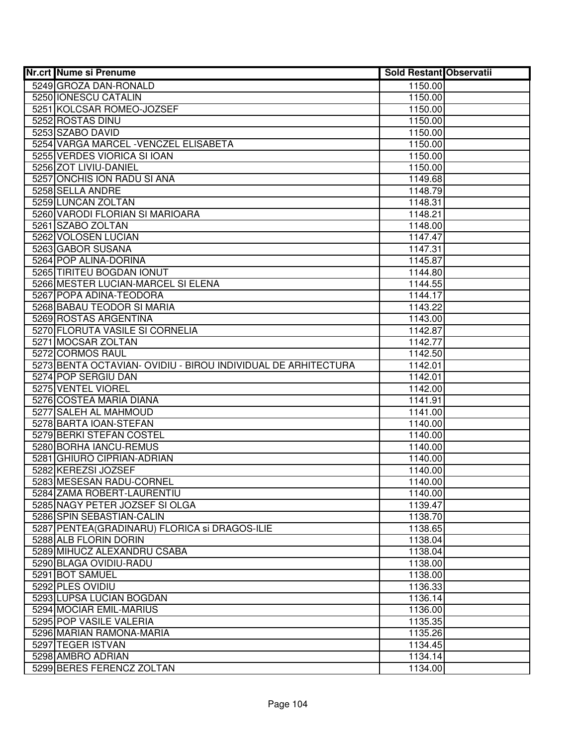| <b>Nr.crt Nume si Prenume</b>                                 | <b>Sold Restant Observatii</b> |  |
|---------------------------------------------------------------|--------------------------------|--|
| 5249 GROZA DAN-RONALD                                         | 1150.00                        |  |
| 5250 IONESCU CATALIN                                          | 1150.00                        |  |
| 5251 KOLCSAR ROMEO-JOZSEF                                     | 1150.00                        |  |
| 5252 ROSTAS DINU                                              | 1150.00                        |  |
| 5253 SZABO DAVID                                              | 1150.00                        |  |
| 5254 VARGA MARCEL - VENCZEL ELISABETA                         | 1150.00                        |  |
| 5255 VERDES VIORICA SI IOAN                                   | 1150.00                        |  |
| 5256 ZOT LIVIU-DANIEL                                         | 1150.00                        |  |
| 5257 ONCHIS ION RADU SI ANA                                   | 1149.68                        |  |
| 5258 SELLA ANDRE                                              | 1148.79                        |  |
| 5259 LUNCAN ZOLTAN                                            | 1148.31                        |  |
| 5260 VARODI FLORIAN SI MARIOARA                               | 1148.21                        |  |
| 5261 SZABO ZOLTAN                                             | 1148.00                        |  |
| 5262 VOLOSEN LUCIAN                                           | 1147.47                        |  |
| 5263 GABOR SUSANA                                             | 1147.31                        |  |
| 5264 POP ALINA-DORINA                                         | 1145.87                        |  |
| 5265 TIRITEU BOGDAN IONUT                                     | 1144.80                        |  |
| 5266 MESTER LUCIAN-MARCEL SI ELENA                            | 1144.55                        |  |
| 5267 POPA ADINA-TEODORA                                       | 1144.17                        |  |
| 5268 BABAU TEODOR SI MARIA                                    | 1143.22                        |  |
| 5269 ROSTAS ARGENTINA                                         | 1143.00                        |  |
| 5270 FLORUTA VASILE SI CORNELIA                               | 1142.87                        |  |
| 5271 MOCSAR ZOLTAN                                            | 1142.77                        |  |
| 5272 CORMOS RAUL                                              | 1142.50                        |  |
| 5273 BENTA OCTAVIAN- OVIDIU - BIROU INDIVIDUAL DE ARHITECTURA | 1142.01                        |  |
| 5274 POP SERGIU DAN                                           | 1142.01                        |  |
| 5275 VENTEL VIOREL                                            | 1142.00                        |  |
| 5276 COSTEA MARIA DIANA                                       | 1141.91                        |  |
| 5277 SALEH AL MAHMOUD                                         | 1141.00                        |  |
| 5278 BARTA IOAN-STEFAN                                        | 1140.00                        |  |
| 5279 BERKI STEFAN COSTEL                                      | 1140.00                        |  |
| 5280 BORHA IANCU-REMUS                                        | 1140.00                        |  |
| 5281 GHIURO CIPRIAN-ADRIAN                                    | 1140.00                        |  |
| 5282 KEREZSI JOZSEF                                           | 1140.00                        |  |
| 5283 MESESAN RADU-CORNEL                                      | 1140.00                        |  |
| 5284 ZAMA ROBERT-LAURENTIU                                    | 1140.00                        |  |
| 5285 NAGY PETER JOZSEF SI OLGA<br>5286 SPIN SEBASTIAN-CALIN   | 1139.47                        |  |
| 5287 PENTEA (GRADINARU) FLORICA si DRAGOS-ILIE                | 1138.70                        |  |
| 5288 ALB FLORIN DORIN                                         | 1138.65<br>1138.04             |  |
| 5289 MIHUCZ ALEXANDRU CSABA                                   | 1138.04                        |  |
| 5290 BLAGA OVIDIU-RADU                                        | 1138.00                        |  |
| 5291 BOT SAMUEL                                               | 1138.00                        |  |
| 5292 PLES OVIDIU                                              | 1136.33                        |  |
| 5293 LUPSA LUCIAN BOGDAN                                      | 1136.14                        |  |
| 5294 MOCIAR EMIL-MARIUS                                       | 1136.00                        |  |
| 5295 POP VASILE VALERIA                                       | 1135.35                        |  |
| 5296 MARIAN RAMONA-MARIA                                      | 1135.26                        |  |
| 5297 TEGER ISTVAN                                             | 1134.45                        |  |
| 5298 AMBRO ADRIAN                                             | 1134.14                        |  |
| 5299 BERES FERENCZ ZOLTAN                                     | 1134.00                        |  |
|                                                               |                                |  |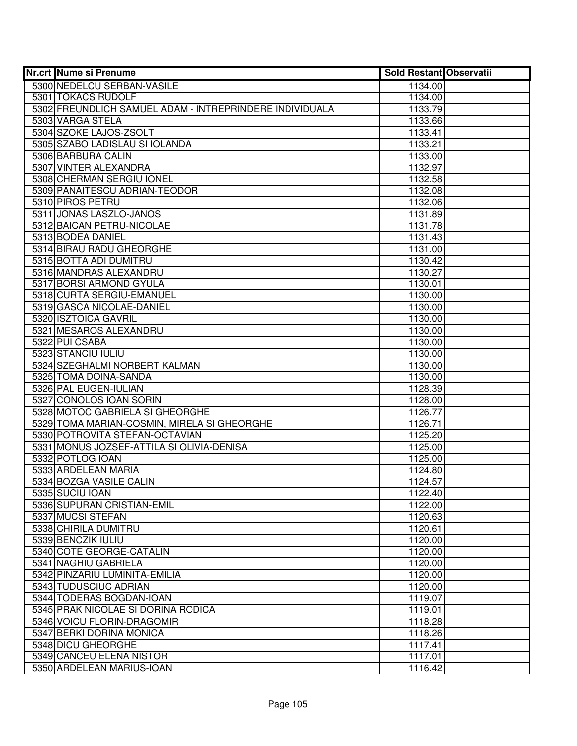| Nr.crt Nume si Prenume                                  | <b>Sold Restant Observatii</b> |  |
|---------------------------------------------------------|--------------------------------|--|
| 5300 NEDELCU SERBAN-VASILE                              | 1134.00                        |  |
| 5301 TOKACS RUDOLF                                      | 1134.00                        |  |
| 5302 FREUNDLICH SAMUEL ADAM - INTREPRINDERE INDIVIDUALA | 1133.79                        |  |
| 5303 VARGA STELA                                        | 1133.66                        |  |
| 5304 SZOKE LAJOS-ZSOLT                                  | 1133.41                        |  |
| 5305 SZABO LADISLAU SI IOLANDA                          | 1133.21                        |  |
| 5306 BARBURA CALIN                                      | 1133.00                        |  |
| 5307 VINTER ALEXANDRA                                   | 1132.97                        |  |
| 5308 CHERMAN SERGIU IONEL                               | 1132.58                        |  |
| 5309 PANAITESCU ADRIAN-TEODOR                           | 1132.08                        |  |
| 5310 PIROS PETRU                                        | 1132.06                        |  |
| 5311 JONAS LASZLO-JANOS                                 | 1131.89                        |  |
| 5312 BAICAN PETRU-NICOLAE                               | 1131.78                        |  |
| 5313 BODEA DANIEL                                       | 1131.43                        |  |
| 5314 BIRAU RADU GHEORGHE                                | 1131.00                        |  |
| 5315 BOTTA ADI DUMITRU                                  | 1130.42                        |  |
| 5316 MANDRAS ALEXANDRU                                  | 1130.27                        |  |
| 5317 BORSI ARMOND GYULA                                 | 1130.01                        |  |
| 5318 CURTA SERGIU-EMANUEL                               | 1130.00                        |  |
| 5319 GASCA NICOLAE-DANIEL                               | 1130.00                        |  |
| 5320 ISZTOICA GAVRIL                                    | 1130.00                        |  |
| 5321 MESAROS ALEXANDRU                                  | 1130.00                        |  |
| 5322 PUI CSABA                                          | 1130.00                        |  |
| 5323 STANCIU IULIU                                      | 1130.00                        |  |
| 5324 SZEGHALMI NORBERT KALMAN                           | 1130.00                        |  |
| 5325 TOMA DOINA-SANDA                                   | 1130.00                        |  |
| 5326 PAL EUGEN-IULIAN                                   | 1128.39                        |  |
| 5327 CONOLOS IOAN SORIN                                 | 1128.00                        |  |
| 5328 MOTOC GABRIELA SI GHEORGHE                         | 1126.77                        |  |
| 5329 TOMA MARIAN-COSMIN, MIRELA SI GHEORGHE             | 1126.71                        |  |
| 5330 POTROVITA STEFAN-OCTAVIAN                          | 1125.20                        |  |
| 5331 MONUS JOZSEF-ATTILA SI OLIVIA-DENISA               | 1125.00                        |  |
| 5332 POTLOG IOAN                                        | 1125.00                        |  |
| 5333 ARDELEAN MARIA                                     | 1124.80                        |  |
| 5334 BOZGA VASILE CALIN                                 | 1124.57                        |  |
| 5335 SUCIU IOAN                                         | 1122.40                        |  |
| 5336 SUPURAN CRISTIAN-EMIL                              | 1122.00                        |  |
| 5337 MUCSI STEFAN                                       | 1120.63                        |  |
| 5338 CHIRILA DUMITRU                                    | 1120.61                        |  |
| 5339 BENCZIK IULIU                                      | 1120.00                        |  |
| 5340 COTE GEORGE-CATALIN                                | 1120.00                        |  |
| 5341 NAGHIU GABRIELA                                    | 1120.00                        |  |
| 5342 PINZARIU LUMINITA-EMILIA                           | 1120.00                        |  |
| 5343 TUDUSCIUC ADRIAN                                   | 1120.00                        |  |
| 5344 TODERAS BOGDAN-IOAN                                | 1119.07                        |  |
| 5345 PRAK NICOLAE SI DORINA RODICA                      | 1119.01                        |  |
| 5346 VOICU FLORIN-DRAGOMIR                              | 1118.28                        |  |
| 5347 BERKI DORINA MONICA                                | 1118.26                        |  |
| 5348 DICU GHEORGHE                                      | 1117.41                        |  |
| 5349 CANCEU ELENA NISTOR                                | 1117.01                        |  |
| 5350 ARDELEAN MARIUS-IOAN                               | 1116.42                        |  |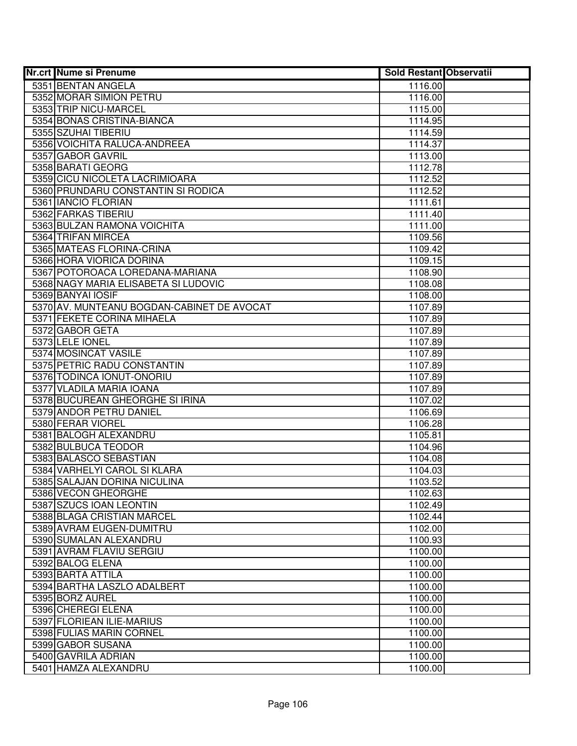| <b>Nr.crt Nume si Prenume</b>                          | <b>Sold Restant Observatii</b> |  |
|--------------------------------------------------------|--------------------------------|--|
| 5351 BENTAN ANGELA                                     | 1116.00                        |  |
| 5352 MORAR SIMION PETRU                                | 1116.00                        |  |
| 5353 TRIP NICU-MARCEL                                  | 1115.00                        |  |
| 5354 BONAS CRISTINA-BIANCA                             | 1114.95                        |  |
| 5355 SZUHAI TIBERIU                                    | 1114.59                        |  |
| 5356 VOICHITA RALUCA-ANDREEA                           | 1114.37                        |  |
| 5357 GABOR GAVRIL                                      | 1113.00                        |  |
| 5358 BARATI GEORG                                      | 1112.78                        |  |
| 5359 CICU NICOLETA LACRIMIOARA                         | 1112.52                        |  |
| 5360 PRUNDARU CONSTANTIN SI RODICA                     | 1112.52                        |  |
| 5361 IANCIO FLORIAN                                    | 1111.61                        |  |
| 5362 FARKAS TIBERIU                                    | 1111.40                        |  |
| 5363 BULZAN RAMONA VOICHITA                            | 1111.00                        |  |
| 5364 TRIFAN MIRCEA                                     | 1109.56                        |  |
| 5365 MATEAS FLORINA-CRINA                              | 1109.42                        |  |
| 5366 HORA VIORICA DORINA                               | 1109.15                        |  |
| 5367 POTOROACA LOREDANA-MARIANA                        | 1108.90                        |  |
| 5368 NAGY MARIA ELISABETA SI LUDOVIC                   | 1108.08                        |  |
| 5369 BANYAI IOSIF                                      | 1108.00                        |  |
| 5370 AV. MUNTEANU BOGDAN-CABINET DE AVOCAT             | 1107.89                        |  |
| 5371 FEKETE CORINA MIHAELA                             | 1107.89                        |  |
| 5372 GABOR GETA                                        | 1107.89                        |  |
| 5373 LELE IONEL                                        | 1107.89                        |  |
| 5374 MOSINCAT VASILE                                   | 1107.89                        |  |
| 5375 PETRIC RADU CONSTANTIN                            | 1107.89                        |  |
| 5376 TODINCA IONUT-ONORIU                              | 1107.89                        |  |
| 5377 VLADILA MARIA IOANA                               | 1107.89                        |  |
| 5378 BUCUREAN GHEORGHE SI IRINA                        | 1107.02                        |  |
| 5379 ANDOR PETRU DANIEL                                | 1106.69                        |  |
| 5380 FERAR VIOREL                                      | 1106.28                        |  |
| 5381 BALOGH ALEXANDRU                                  | 1105.81                        |  |
| 5382 BULBUCA TEODOR                                    | 1104.96                        |  |
| 5383 BALASCO SEBASTIAN                                 | 1104.08                        |  |
| 5384 VARHELYI CAROL SI KLARA                           | 1104.03                        |  |
| 5385 SALAJAN DORINA NICULINA                           | 1103.52                        |  |
| 5386 VECON GHEORGHE                                    | 1102.63                        |  |
| 5387 SZUCS IOAN LEONTIN                                | 1102.49                        |  |
| 5388 BLAGA CRISTIAN MARCEL<br>5389 AVRAM EUGEN-DUMITRU | 1102.44                        |  |
| 5390 SUMALAN ALEXANDRU                                 | 1102.00                        |  |
| 5391 AVRAM FLAVIU SERGIU                               | 1100.93                        |  |
| 5392 BALOG ELENA                                       | 1100.00<br>1100.00             |  |
| 5393 BARTA ATTILA                                      | 1100.00                        |  |
| 5394 BARTHA LASZLO ADALBERT                            | 1100.00                        |  |
| 5395 BORZ AUREL                                        | 1100.00                        |  |
| 5396 CHEREGI ELENA                                     | 1100.00                        |  |
| 5397 FLORIEAN ILIE-MARIUS                              | 1100.00                        |  |
| 5398 FULIAS MARIN CORNEL                               | 1100.00                        |  |
| 5399 GABOR SUSANA                                      | 1100.00                        |  |
| 5400 GAVRILA ADRIAN                                    | 1100.00                        |  |
| 5401 HAMZA ALEXANDRU                                   | 1100.00                        |  |
|                                                        |                                |  |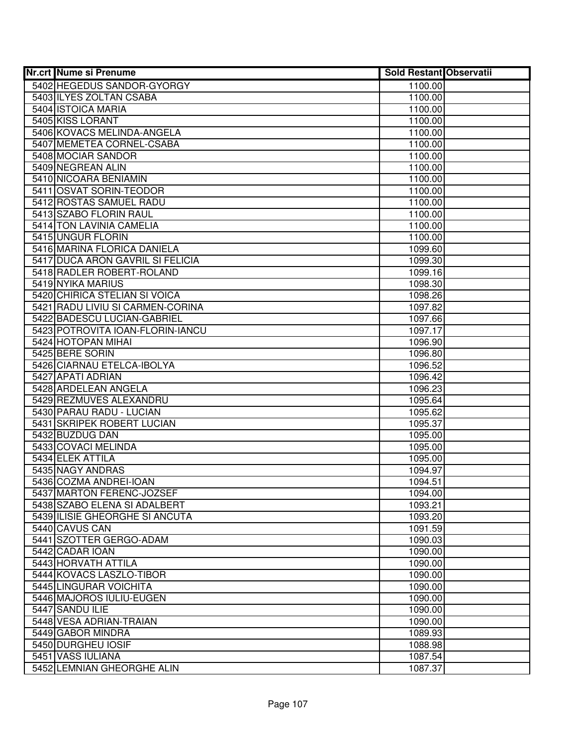| <b>Nr.crt Nume si Prenume</b>                             | <b>Sold Restant Observatii</b> |  |
|-----------------------------------------------------------|--------------------------------|--|
| 5402 HEGEDUS SANDOR-GYORGY                                | 1100.00                        |  |
| 5403 ILYES ZOLTAN CSABA                                   | 1100.00                        |  |
| 5404 ISTOICA MARIA                                        | 1100.00                        |  |
| 5405 KISS LORANT                                          | 1100.00                        |  |
| 5406 KOVACS MELINDA-ANGELA                                | 1100.00                        |  |
| 5407 MEMETEA CORNEL-CSABA                                 | 1100.00                        |  |
| 5408 MOCIAR SANDOR                                        | 1100.00                        |  |
| 5409 NEGREAN ALIN                                         | 1100.00                        |  |
| 5410 NICOARA BENIAMIN                                     | 1100.00                        |  |
| 5411 OSVAT SORIN-TEODOR                                   | 1100.00                        |  |
| 5412 ROSTAS SAMUEL RADU                                   | 1100.00                        |  |
| 5413 SZABO FLORIN RAUL                                    | 1100.00                        |  |
| 5414 TON LAVINIA CAMELIA                                  | 1100.00                        |  |
| 5415 UNGUR FLORIN                                         | 1100.00                        |  |
| 5416 MARINA FLORICA DANIELA                               | 1099.60                        |  |
| 5417 DUCA ARON GAVRIL SI FELICIA                          | 1099.30                        |  |
| 5418 RADLER ROBERT-ROLAND                                 | 1099.16                        |  |
| 5419 NYIKA MARIUS                                         | 1098.30                        |  |
| 5420 CHIRICA STELIAN SI VOICA                             | 1098.26                        |  |
| 5421 RADU LIVIU SI CARMEN-CORINA                          | 1097.82                        |  |
| 5422 BADESCU LUCIAN-GABRIEL                               | 1097.66                        |  |
| 5423 POTROVITA IOAN-FLORIN-IANCU                          | 1097.17                        |  |
| 5424 HOTOPAN MIHAI                                        | 1096.90                        |  |
| 5425 BERE SORIN                                           | 1096.80                        |  |
| 5426 CIARNAU ETELCA-IBOLYA                                | 1096.52                        |  |
| 5427 APATI ADRIAN                                         | 1096.42                        |  |
| 5428 ARDELEAN ANGELA                                      | 1096.23                        |  |
| 5429 REZMUVES ALEXANDRU                                   | 1095.64                        |  |
| 5430 PARAU RADU - LUCIAN                                  | 1095.62                        |  |
| 5431 SKRIPEK ROBERT LUCIAN                                | 1095.37                        |  |
| 5432 BUZDUG DAN                                           | 1095.00                        |  |
| 5433 COVACI MELINDA                                       | 1095.00                        |  |
| 5434 ELEK ATTILA                                          | 1095.00                        |  |
| 5435 NAGY ANDRAS                                          | 1094.97                        |  |
| 5436 COZMA ANDREI-IOAN                                    | 1094.51                        |  |
| 5437 MARTON FERENC-JOZSEF<br>5438 SZABO ELENA SI ADALBERT | 1094.00                        |  |
| 5439 ILISIE GHEORGHE SI ANCUTA                            | 1093.21<br>1093.20             |  |
| 5440 CAVUS CAN                                            | 1091.59                        |  |
| 5441 SZOTTER GERGO-ADAM                                   | 1090.03                        |  |
| 5442 CADAR IOAN                                           | 1090.00                        |  |
| 5443 HORVATH ATTILA                                       | 1090.00                        |  |
| 5444 KOVACS LASZLO-TIBOR                                  | 1090.00                        |  |
| 5445 LINGURAR VOICHITA                                    | 1090.00                        |  |
| 5446 MAJOROS IULIU-EUGEN                                  | 1090.00                        |  |
| 5447 SANDU ILIE                                           | 1090.00                        |  |
| 5448 VESA ADRIAN-TRAIAN                                   | 1090.00                        |  |
| 5449 GABOR MINDRA                                         | 1089.93                        |  |
| 5450 DURGHEU IOSIF                                        | 1088.98                        |  |
| 5451 VASS IULIANA                                         | 1087.54                        |  |
| 5452 LEMNIAN GHEORGHE ALIN                                | 1087.37                        |  |
|                                                           |                                |  |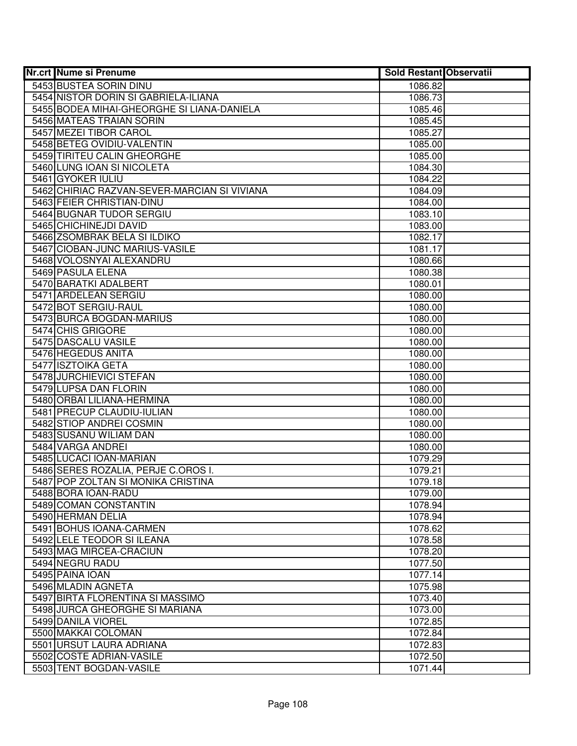| <b>Nr.crt Nume si Prenume</b>                | <b>Sold Restant Observatii</b> |  |
|----------------------------------------------|--------------------------------|--|
| 5453 BUSTEA SORIN DINU                       | 1086.82                        |  |
| 5454 NISTOR DORIN SI GABRIELA-ILIANA         | 1086.73                        |  |
| 5455 BODEA MIHAI-GHEORGHE SI LIANA-DANIELA   | 1085.46                        |  |
| 5456 MATEAS TRAIAN SORIN                     | 1085.45                        |  |
| 5457 MEZEI TIBOR CAROL                       | 1085.27                        |  |
| 5458 BETEG OVIDIU-VALENTIN                   | 1085.00                        |  |
| 5459 TIRITEU CALIN GHEORGHE                  | 1085.00                        |  |
| 5460 LUNG IOAN SI NICOLETA                   | 1084.30                        |  |
| 5461 GYOKER IULIU                            | 1084.22                        |  |
| 5462 CHIRIAC RAZVAN-SEVER-MARCIAN SI VIVIANA | 1084.09                        |  |
| 5463 FEIER CHRISTIAN-DINU                    | 1084.00                        |  |
| 5464 BUGNAR TUDOR SERGIU                     | 1083.10                        |  |
| 5465 CHICHINEJDI DAVID                       | 1083.00                        |  |
| 5466 ZSOMBRAK BELA SI ILDIKO                 | 1082.17                        |  |
| 5467 CIOBAN-JUNC MARIUS-VASILE               | 1081.17                        |  |
| 5468 VOLOSNYAI ALEXANDRU                     | 1080.66                        |  |
| 5469 PASULA ELENA                            | 1080.38                        |  |
| 5470 BARATKI ADALBERT                        | 1080.01                        |  |
| 5471 ARDELEAN SERGIU                         | 1080.00                        |  |
| 5472 BOT SERGIU-RAUL                         | 1080.00                        |  |
| 5473 BURCA BOGDAN-MARIUS                     | 1080.00                        |  |
| 5474 CHIS GRIGORE                            | 1080.00                        |  |
| 5475 DASCALU VASILE                          | 1080.00                        |  |
| 5476 HEGEDUS ANITA                           | 1080.00                        |  |
| 5477 ISZTOIKA GETA                           | 1080.00                        |  |
| 5478 JURCHIEVICI STEFAN                      | 1080.00                        |  |
| 5479 LUPSA DAN FLORIN                        | 1080.00                        |  |
| 5480 ORBAI LILIANA-HERMINA                   | 1080.00                        |  |
| 5481 PRECUP CLAUDIU-IULIAN                   | 1080.00                        |  |
| 5482 STIOP ANDREI COSMIN                     | 1080.00                        |  |
| 5483 SUSANU WILIAM DAN                       | 1080.00                        |  |
| 5484 VARGA ANDREI                            | 1080.00                        |  |
| 5485 LUCACI IOAN-MARIAN                      | 1079.29                        |  |
| 5486 SERES ROZALIA, PERJE C.OROS I.          | 1079.21                        |  |
| 5487 POP ZOLTAN SI MONIKA CRISTINA           | 1079.18                        |  |
| 5488 BORA IOAN-RADU                          | 1079.00                        |  |
| 5489 COMAN CONSTANTIN<br>5490 HERMAN DELIA   | 1078.94<br>1078.94             |  |
| 5491 BOHUS IOANA-CARMEN                      | 1078.62                        |  |
| 5492 LELE TEODOR SI ILEANA                   | 1078.58                        |  |
| 5493 MAG MIRCEA-CRACIUN                      | 1078.20                        |  |
| 5494 NEGRU RADU                              | 1077.50                        |  |
| 5495 PAINA IOAN                              | 1077.14                        |  |
| 5496 MLADIN AGNETA                           | 1075.98                        |  |
| 5497 BIRTA FLORENTINA SI MASSIMO             | 1073.40                        |  |
| 5498 JURCA GHEORGHE SI MARIANA               | 1073.00                        |  |
| 5499 DANILA VIOREL                           | 1072.85                        |  |
| 5500 MAKKAI COLOMAN                          | 1072.84                        |  |
| 5501 URSUT LAURA ADRIANA                     | 1072.83                        |  |
| 5502 COSTE ADRIAN-VASILE                     | 1072.50                        |  |
| 5503 TENT BOGDAN-VASILE                      | 1071.44                        |  |
|                                              |                                |  |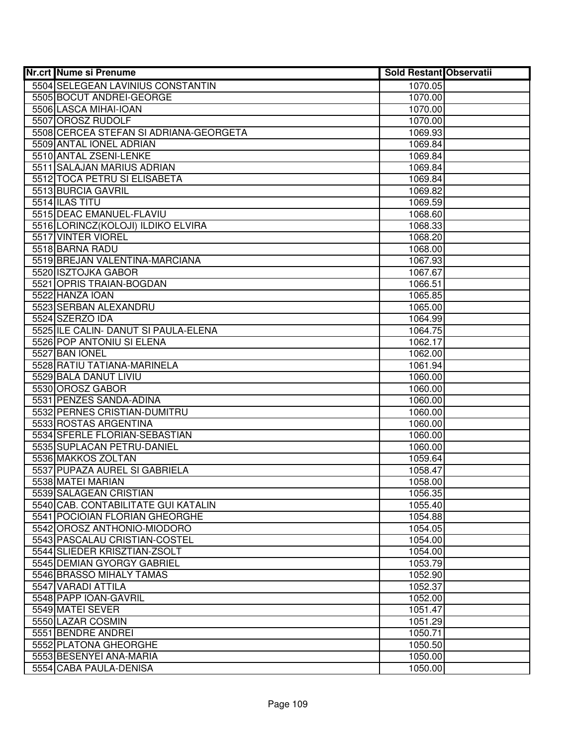| <b>Nr.crt Nume si Prenume</b>                                 | <b>Sold Restant Observatii</b> |  |
|---------------------------------------------------------------|--------------------------------|--|
| 5504 SELEGEAN LAVINIUS CONSTANTIN                             | 1070.05                        |  |
| 5505 BOCUT ANDREI-GEORGE                                      | 1070.00                        |  |
| 5506 LASCA MIHAI-IOAN                                         | 1070.00                        |  |
| 5507 OROSZ RUDOLF                                             | 1070.00                        |  |
| 5508 CERCEA STEFAN SI ADRIANA-GEORGETA                        | 1069.93                        |  |
| 5509 ANTAL IONEL ADRIAN                                       | 1069.84                        |  |
| 5510 ANTAL ZSENI-LENKE                                        | 1069.84                        |  |
| 5511 SALAJAN MARIUS ADRIAN                                    | 1069.84                        |  |
| 5512 TOCA PETRU SI ELISABETA                                  | 1069.84                        |  |
| 5513 BURCIA GAVRIL                                            | 1069.82                        |  |
| 5514 ILAS TITU                                                | 1069.59                        |  |
| 5515 DEAC EMANUEL-FLAVIU                                      | 1068.60                        |  |
| 5516 LORINCZ(KOLOJI) ILDIKO ELVIRA                            | 1068.33                        |  |
| 5517 VINTER VIOREL                                            | 1068.20                        |  |
| 5518 BARNA RADU                                               | 1068.00                        |  |
| 5519 BREJAN VALENTINA-MARCIANA                                | 1067.93                        |  |
| 5520 ISZTOJKA GABOR                                           | 1067.67                        |  |
| 5521 OPRIS TRAIAN-BOGDAN                                      | 1066.51                        |  |
| 5522 HANZA IOAN                                               | 1065.85                        |  |
| 5523 SERBAN ALEXANDRU                                         | 1065.00                        |  |
| 5524 SZERZO IDA                                               | 1064.99                        |  |
| 5525 ILE CALIN- DANUT SI PAULA-ELENA                          | 1064.75                        |  |
| 5526 POP ANTONIU SI ELENA                                     | 1062.17                        |  |
| 5527 BAN IONEL                                                | 1062.00                        |  |
| 5528 RATIU TATIANA-MARINELA                                   | 1061.94                        |  |
| 5529 BALA DANUT LIVIU                                         | 1060.00                        |  |
| 5530 OROSZ GABOR                                              | 1060.00                        |  |
| 5531 PENZES SANDA-ADINA                                       | 1060.00                        |  |
| 5532 PERNES CRISTIAN-DUMITRU                                  | 1060.00                        |  |
| 5533 ROSTAS ARGENTINA                                         | 1060.00                        |  |
| 5534 SFERLE FLORIAN-SEBASTIAN                                 | 1060.00                        |  |
| 5535 SUPLACAN PETRU-DANIEL                                    | 1060.00                        |  |
| 5536 MAKKOS ZOLTAN                                            | 1059.64                        |  |
| 5537 PUPAZA AUREL SI GABRIELA                                 | 1058.47                        |  |
| 5538 MATEI MARIAN                                             | 1058.00                        |  |
| 5539 SALAGEAN CRISTIAN<br>5540 CAB. CONTABILITATE GUI KATALIN | 1056.35                        |  |
| 5541 POCIOIAN FLORIAN GHEORGHE                                | 1055.40<br>1054.88             |  |
| 5542 OROSZ ANTHONIO-MIODORO                                   | 1054.05                        |  |
| 5543 PASCALAU CRISTIAN-COSTEL                                 | 1054.00                        |  |
| 5544 SLIEDER KRISZTIAN-ZSOLT                                  | 1054.00                        |  |
| 5545 DEMIAN GYORGY GABRIEL                                    | 1053.79                        |  |
| 5546 BRASSO MIHALY TAMAS                                      | 1052.90                        |  |
| 5547 VARADI ATTILA                                            | 1052.37                        |  |
| 5548 PAPP IOAN-GAVRIL                                         | 1052.00                        |  |
| 5549 MATEI SEVER                                              | 1051.47                        |  |
| 5550 LAZAR COSMIN                                             | 1051.29                        |  |
| 5551 BENDRE ANDREI                                            | 1050.71                        |  |
| 5552 PLATONA GHEORGHE                                         | 1050.50                        |  |
| 5553 BESENYEI ANA-MARIA                                       | 1050.00                        |  |
| 5554 CABA PAULA-DENISA                                        | 1050.00                        |  |
|                                                               |                                |  |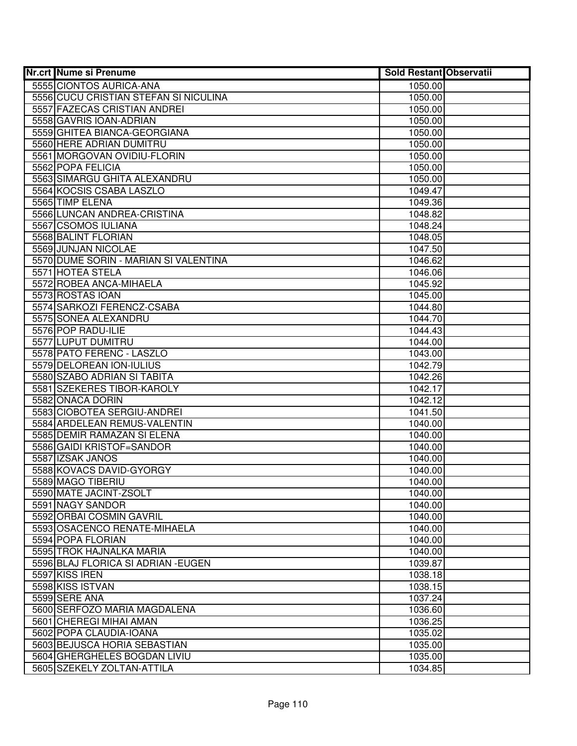| <b>Nr.crt Nume si Prenume</b>                     | <b>Sold Restant Observatii</b> |  |
|---------------------------------------------------|--------------------------------|--|
| 5555 CIONTOS AURICA-ANA                           | 1050.00                        |  |
| 5556 CUCU CRISTIAN STEFAN SI NICULINA             | 1050.00                        |  |
| 5557 FAZECAS CRISTIAN ANDREI                      | 1050.00                        |  |
| 5558 GAVRIS IOAN-ADRIAN                           | 1050.00                        |  |
| 5559 GHITEA BIANCA-GEORGIANA                      | 1050.00                        |  |
| 5560 HERE ADRIAN DUMITRU                          | 1050.00                        |  |
| 5561 MORGOVAN OVIDIU-FLORIN                       | 1050.00                        |  |
| 5562 POPA FELICIA                                 | 1050.00                        |  |
| 5563 SIMARGU GHITA ALEXANDRU                      | 1050.00                        |  |
| 5564 KOCSIS CSABA LASZLO                          | 1049.47                        |  |
| 5565 TIMP ELENA                                   | 1049.36                        |  |
| 5566 LUNCAN ANDREA-CRISTINA                       | 1048.82                        |  |
| 5567 CSOMOS IULIANA                               | 1048.24                        |  |
| 5568 BALINT FLORIAN                               | 1048.05                        |  |
| 5569 JUNJAN NICOLAE                               | 1047.50                        |  |
| 5570 DUME SORIN - MARIAN SI VALENTINA             | 1046.62                        |  |
| 5571 HOTEA STELA                                  | 1046.06                        |  |
| 5572 ROBEA ANCA-MIHAELA                           | 1045.92                        |  |
| 5573 ROSTAS IOAN                                  | 1045.00                        |  |
| 5574 SARKOZI FERENCZ-CSABA                        | 1044.80                        |  |
| 5575 SONEA ALEXANDRU                              | 1044.70                        |  |
| 5576 POP RADU-ILIE                                | 1044.43                        |  |
| 5577 LUPUT DUMITRU                                | 1044.00                        |  |
| 5578 PATO FERENC - LASZLO                         | 1043.00                        |  |
| 5579 DELOREAN ION-IULIUS                          | 1042.79                        |  |
| 5580 SZABO ADRIAN SI TABITA                       | 1042.26                        |  |
| 5581 SZEKERES TIBOR-KAROLY                        | 1042.17                        |  |
| 5582 ONACA DORIN                                  | 1042.12                        |  |
| 5583 CIOBOTEA SERGIU-ANDREI                       | 1041.50                        |  |
| 5584 ARDELEAN REMUS-VALENTIN                      | 1040.00                        |  |
| 5585 DEMIR RAMAZAN SI ELENA                       | 1040.00                        |  |
| 5586 GAIDI KRISTOF=SANDOR                         | 1040.00                        |  |
| 5587 IZSAK JANOS                                  | 1040.00                        |  |
| 5588 KOVACS DAVID-GYORGY                          | 1040.00                        |  |
| 5589 MAGO TIBERIU                                 | 1040.00                        |  |
| 5590 MATE JACINT-ZSOLT                            | 1040.00                        |  |
| 5591 NAGY SANDOR                                  | 1040.00                        |  |
| 5592 ORBAI COSMIN GAVRIL                          | 1040.00                        |  |
| 5593 OSACENCO RENATE-MIHAELA<br>5594 POPA FLORIAN | 1040.00<br>1040.00             |  |
| 5595 TROK HAJNALKA MARIA                          |                                |  |
| 5596 BLAJ FLORICA SI ADRIAN - EUGEN               | 1040.00<br>1039.87             |  |
| 5597 KISS IREN                                    | 1038.18                        |  |
| 5598 KISS ISTVAN                                  | 1038.15                        |  |
| 5599 SERE ANA                                     | 1037.24                        |  |
| 5600 SERFOZO MARIA MAGDALENA                      | 1036.60                        |  |
| 5601 CHEREGI MIHAI AMAN                           | 1036.25                        |  |
| 5602 POPA CLAUDIA-IOANA                           | 1035.02                        |  |
| 5603 BEJUSCA HORIA SEBASTIAN                      | 1035.00                        |  |
| 5604 GHERGHELES BOGDAN LIVIU                      | 1035.00                        |  |
| 5605 SZEKELY ZOLTAN-ATTILA                        | 1034.85                        |  |
|                                                   |                                |  |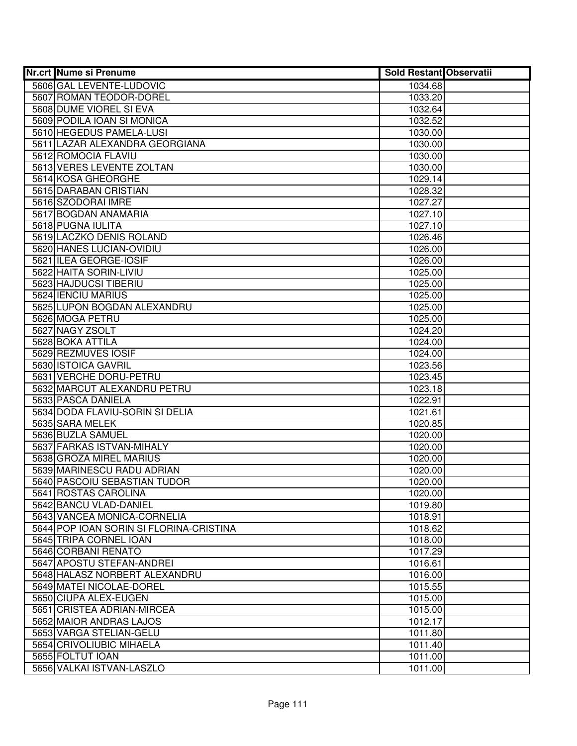| <b>Nr.crt Nume si Prenume</b>                                          | <b>Sold Restant Observatii</b> |  |
|------------------------------------------------------------------------|--------------------------------|--|
| 5606 GAL LEVENTE-LUDOVIC                                               | 1034.68                        |  |
| 5607 ROMAN TEODOR-DOREL                                                | 1033.20                        |  |
| 5608 DUME VIOREL SI EVA                                                | 1032.64                        |  |
| 5609 PODILA IOAN SI MONICA                                             | 1032.52                        |  |
| 5610 HEGEDUS PAMELA-LUSI                                               | 1030.00                        |  |
| 5611 LAZAR ALEXANDRA GEORGIANA                                         | 1030.00                        |  |
| 5612 ROMOCIA FLAVIU                                                    | 1030.00                        |  |
| 5613 VERES LEVENTE ZOLTAN                                              | 1030.00                        |  |
| 5614 KOSA GHEORGHE                                                     | 1029.14                        |  |
| 5615 DARABAN CRISTIAN                                                  | 1028.32                        |  |
| 5616 SZODORAI IMRE                                                     | 1027.27                        |  |
| 5617 BOGDAN ANAMARIA                                                   | 1027.10                        |  |
| 5618 PUGNA IULITA                                                      | 1027.10                        |  |
| 5619 LACZKO DENIS ROLAND                                               | 1026.46                        |  |
| 5620 HANES LUCIAN-OVIDIU                                               | 1026.00                        |  |
| 5621 ILEA GEORGE-IOSIF                                                 | 1026.00                        |  |
| 5622 HAITA SORIN-LIVIU                                                 | 1025.00                        |  |
| 5623 HAJDUCSI TIBERIU                                                  | 1025.00                        |  |
| 5624 IENCIU MARIUS                                                     | 1025.00                        |  |
| 5625 LUPON BOGDAN ALEXANDRU                                            | 1025.00                        |  |
| 5626 MOGA PETRU                                                        | 1025.00                        |  |
| 5627 NAGY ZSOLT                                                        | 1024.20                        |  |
| 5628 BOKA ATTILA                                                       | 1024.00                        |  |
| 5629 REZMUVES IOSIF                                                    | 1024.00                        |  |
| 5630 ISTOICA GAVRIL                                                    | 1023.56                        |  |
| 5631 VERCHE DORU-PETRU                                                 | 1023.45                        |  |
| 5632 MARCUT ALEXANDRU PETRU                                            | 1023.18                        |  |
| 5633 PASCA DANIELA                                                     | 1022.91                        |  |
| 5634 DODA FLAVIU-SORIN SI DELIA                                        | 1021.61                        |  |
| 5635 SARA MELEK                                                        | 1020.85                        |  |
| 5636 BUZLA SAMUEL                                                      | 1020.00                        |  |
| 5637 FARKAS ISTVAN-MIHALY                                              | 1020.00                        |  |
| 5638 GROZA MIREL MARIUS                                                | 1020.00                        |  |
| 5639 MARINESCU RADU ADRIAN                                             | 1020.00                        |  |
| 5640 PASCOIU SEBASTIAN TUDOR                                           | 1020.00                        |  |
| 5641 ROSTAS CAROLINA                                                   | 1020.00                        |  |
| 5642 BANCU VLAD-DANIEL                                                 | 1019.80                        |  |
| 5643 VANCEA MONICA-CORNELIA<br>5644 POP IOAN SORIN SI FLORINA-CRISTINA | 1018.91                        |  |
| 5645 TRIPA CORNEL IOAN                                                 | 1018.62<br>1018.00             |  |
| 5646 CORBANI RENATO                                                    | 1017.29                        |  |
| 5647 APOSTU STEFAN-ANDREI                                              |                                |  |
| 5648 HALASZ NORBERT ALEXANDRU                                          | 1016.61<br>1016.00             |  |
| 5649 MATEI NICOLAE-DOREL                                               | 1015.55                        |  |
| 5650 CIUPA ALEX-EUGEN                                                  | 1015.00                        |  |
| 5651 CRISTEA ADRIAN-MIRCEA                                             | 1015.00                        |  |
| 5652 MAIOR ANDRAS LAJOS                                                | 1012.17                        |  |
| 5653 VARGA STELIAN-GELU                                                | 1011.80                        |  |
| 5654 CRIVOLIUBIC MIHAELA                                               | 1011.40                        |  |
| 5655 FOLTUT IOAN                                                       | 1011.00                        |  |
| 5656 VALKAI ISTVAN-LASZLO                                              | 1011.00                        |  |
|                                                                        |                                |  |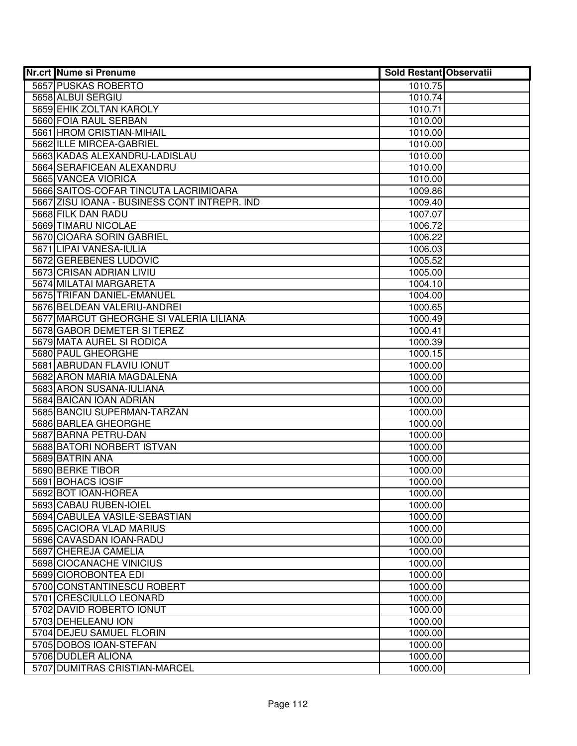| <b>Nr.crt Nume si Prenume</b>                | <b>Sold Restant Observatii</b> |  |
|----------------------------------------------|--------------------------------|--|
| 5657 PUSKAS ROBERTO                          | 1010.75                        |  |
| 5658 ALBUI SERGIU                            | 1010.74                        |  |
| 5659 EHIK ZOLTAN KAROLY                      | 1010.71                        |  |
| 5660 FOIA RAUL SERBAN                        | 1010.00                        |  |
| 5661 HROM CRISTIAN-MIHAIL                    | 1010.00                        |  |
| 5662 ILLE MIRCEA-GABRIEL                     | 1010.00                        |  |
| 5663 KADAS ALEXANDRU-LADISLAU                | 1010.00                        |  |
| 5664 SERAFICEAN ALEXANDRU                    | 1010.00                        |  |
| 5665 VANCEA VIORICA                          | 1010.00                        |  |
| 5666 SAITOS-COFAR TINCUTA LACRIMIOARA        | 1009.86                        |  |
| 5667 ZISU IOANA - BUSINESS CONT INTREPR. IND | 1009.40                        |  |
| 5668 FILK DAN RADU                           | 1007.07                        |  |
| 5669 TIMARU NICOLAE                          | 1006.72                        |  |
| 5670 CIOARA SORIN GABRIEL                    | 1006.22                        |  |
| 5671 LIPAI VANESA-IULIA                      | 1006.03                        |  |
| 5672 GEREBENES LUDOVIC                       | 1005.52                        |  |
| 5673 CRISAN ADRIAN LIVIU                     | 1005.00                        |  |
| 5674 MILATAI MARGARETA                       | 1004.10                        |  |
| 5675 TRIFAN DANIEL-EMANUEL                   | 1004.00                        |  |
| 5676 BELDEAN VALERIU-ANDREI                  | 1000.65                        |  |
| 5677 MARCUT GHEORGHE SI VALERIA LILIANA      | 1000.49                        |  |
| 5678 GABOR DEMETER SI TEREZ                  | 1000.41                        |  |
| 5679 MATA AUREL SI RODICA                    | 1000.39                        |  |
| 5680 PAUL GHEORGHE                           | 1000.15                        |  |
| 5681 ABRUDAN FLAVIU IONUT                    | 1000.00                        |  |
| 5682 ARON MARIA MAGDALENA                    | 1000.00                        |  |
| 5683 ARON SUSANA-IULIANA                     | 1000.00                        |  |
| 5684 BAICAN IOAN ADRIAN                      | 1000.00                        |  |
| 5685 BANCIU SUPERMAN-TARZAN                  | 1000.00                        |  |
| 5686 BARLEA GHEORGHE                         | 1000.00                        |  |
| 5687 BARNA PETRU-DAN                         | 1000.00                        |  |
| 5688 BATORI NORBERT ISTVAN                   | 1000.00                        |  |
| 5689 BATRIN ANA                              | 1000.00                        |  |
| 5690 BERKE TIBOR                             | 1000.00                        |  |
| 5691 BOHACS IOSIF                            | 1000.00                        |  |
| 5692 BOT IOAN-HOREA                          | 1000.00                        |  |
| 5693 CABAU RUBEN-IOIEL                       | 1000.00                        |  |
| 5694 CABULEA VASILE-SEBASTIAN                | 1000.00                        |  |
| 5695 CACIORA VLAD MARIUS                     | 1000.00                        |  |
| 5696 CAVASDAN IOAN-RADU                      | 1000.00                        |  |
| 5697 CHEREJA CAMELIA                         | 1000.00                        |  |
| 5698 CIOCANACHE VINICIUS                     | 1000.00                        |  |
| 5699 CIOROBONTEA EDI                         | 1000.00                        |  |
| 5700 CONSTANTINESCU ROBERT                   | 1000.00                        |  |
| 5701 CRESCIULLO LEONARD                      | 1000.00                        |  |
| 5702 DAVID ROBERTO IONUT                     | 1000.00                        |  |
| 5703 DEHELEANU ION                           | 1000.00                        |  |
| 5704 DEJEU SAMUEL FLORIN                     | 1000.00                        |  |
| 5705 DOBOS IOAN-STEFAN                       | 1000.00                        |  |
| 5706 DUDLER ALIONA                           | 1000.00                        |  |
| 5707 DUMITRAS CRISTIAN-MARCEL                | 1000.00                        |  |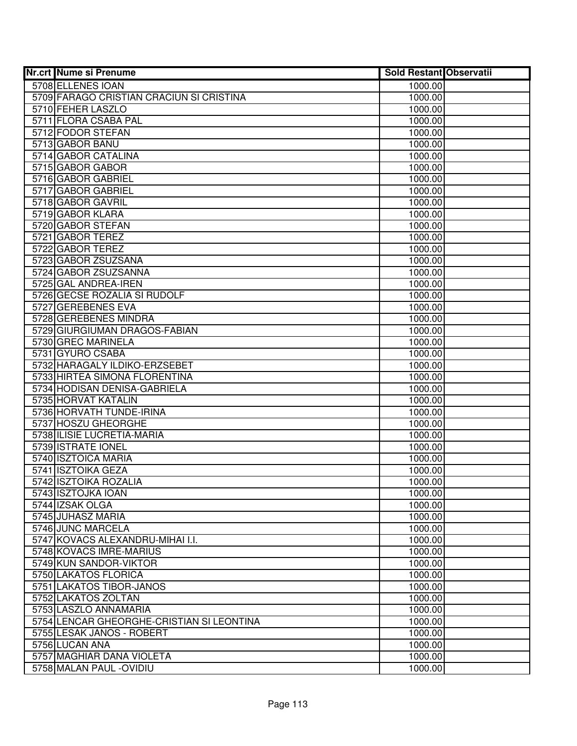| <b>Nr.crt Nume si Prenume</b>               | <b>Sold Restant Observatii</b> |  |
|---------------------------------------------|--------------------------------|--|
| 5708 ELLENES IOAN                           | 1000.00                        |  |
| 5709 FARAGO CRISTIAN CRACIUN SI CRISTINA    | 1000.00                        |  |
| 5710 FEHER LASZLO                           | 1000.00                        |  |
| 5711 FLORA CSABA PAL                        | 1000.00                        |  |
| 5712 FODOR STEFAN                           | 1000.00                        |  |
| 5713 GABOR BANU                             | 1000.00                        |  |
| 5714 GABOR CATALINA                         | 1000.00                        |  |
| 5715 GABOR GABOR                            | 1000.00                        |  |
| 5716 GABOR GABRIEL                          | 1000.00                        |  |
| 5717 GABOR GABRIEL                          | 1000.00                        |  |
| 5718 GABOR GAVRIL                           | 1000.00                        |  |
| 5719 GABOR KLARA                            | 1000.00                        |  |
| 5720 GABOR STEFAN                           | 1000.00                        |  |
| 5721 GABOR TEREZ                            | 1000.00                        |  |
| 5722 GABOR TEREZ                            | 1000.00                        |  |
| 5723 GABOR ZSUZSANA                         | 1000.00                        |  |
| 5724 GABOR ZSUZSANNA                        | 1000.00                        |  |
| 5725 GAL ANDREA-IREN                        | 1000.00                        |  |
| 5726 GECSE ROZALIA SI RUDOLF                | 1000.00                        |  |
| 5727 GEREBENES EVA                          | 1000.00                        |  |
| 5728 GEREBENES MINDRA                       | 1000.00                        |  |
| 5729 GIURGIUMAN DRAGOS-FABIAN               | 1000.00                        |  |
| 5730 GREC MARINELA                          | 1000.00                        |  |
| 5731 GYURO CSABA                            | 1000.00                        |  |
| 5732 HARAGALY ILDIKO-ERZSEBET               | 1000.00                        |  |
| 5733 HIRTEA SIMONA FLORENTINA               | 1000.00                        |  |
| 5734 HODISAN DENISA-GABRIELA                | 1000.00                        |  |
| 5735 HORVAT KATALIN                         | 1000.00                        |  |
| 5736 HORVATH TUNDE-IRINA                    | 1000.00                        |  |
| 5737 HOSZU GHEORGHE                         | 1000.00                        |  |
| 5738 ILISIE LUCRETIA-MARIA                  | 1000.00                        |  |
| 5739 ISTRATE IONEL                          | 1000.00                        |  |
| 5740 ISZTOICA MARIA                         | 1000.00                        |  |
| 5741 ISZTOIKA GEZA<br>5742 ISZTOIKA ROZALIA | 1000.00                        |  |
| 5743 ISZTOJKA IOAN                          | 1000.00<br>1000.00             |  |
| 5744 IZSAK OLGA                             | 1000.00                        |  |
| 5745 JUHASZ MARIA                           | 1000.00                        |  |
| 5746 JUNC MARCELA                           | 1000.00                        |  |
| 5747 KOVACS ALEXANDRU-MIHAI I.I.            | 1000.00                        |  |
| 5748 KOVACS IMRE-MARIUS                     | 1000.00                        |  |
| 5749 KUN SANDOR-VIKTOR                      | 1000.00                        |  |
| 5750 LAKATOS FLORICA                        | 1000.00                        |  |
| 5751 LAKATOS TIBOR-JANOS                    | 1000.00                        |  |
| 5752 LAKATOS ZOLTAN                         | 1000.00                        |  |
| 5753 LASZLO ANNAMARIA                       | 1000.00                        |  |
| 5754 LENCAR GHEORGHE-CRISTIAN SI LEONTINA   | 1000.00                        |  |
| 5755 LESAK JANOS - ROBERT                   | 1000.00                        |  |
| 5756 LUCAN ANA                              | 1000.00                        |  |
| 5757 MAGHIAR DANA VIOLETA                   | 1000.00                        |  |
| 5758 MALAN PAUL - OVIDIU                    | 1000.00                        |  |
|                                             |                                |  |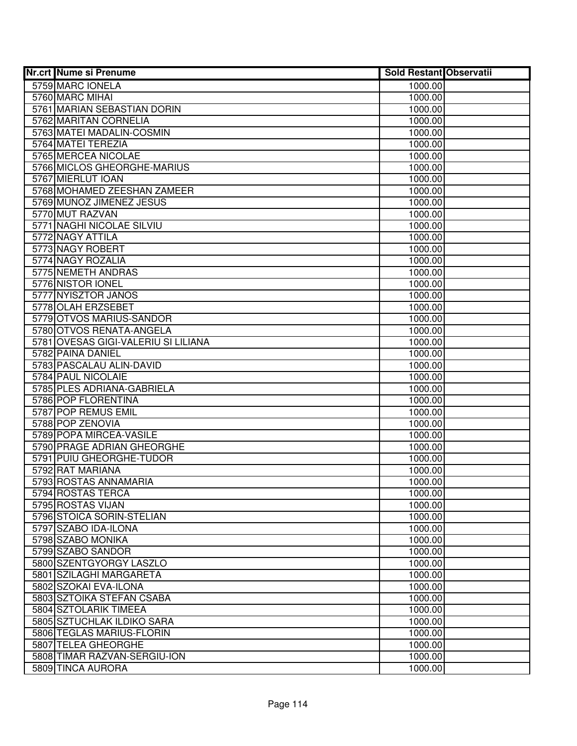| <b>Nr.crt Nume si Prenume</b>       | <b>Sold Restant Observatii</b> |  |
|-------------------------------------|--------------------------------|--|
| 5759 MARC IONELA                    | 1000.00                        |  |
| 5760 MARC MIHAI                     | 1000.00                        |  |
| 5761 MARIAN SEBASTIAN DORIN         | 1000.00                        |  |
| 5762 MARITAN CORNELIA               | 1000.00                        |  |
| 5763 MATEI MADALIN-COSMIN           | 1000.00                        |  |
| 5764 MATEI TEREZIA                  | 1000.00                        |  |
| 5765 MERCEA NICOLAE                 | 1000.00                        |  |
| 5766 MICLOS GHEORGHE-MARIUS         | 1000.00                        |  |
| 5767 MIERLUT IOAN                   | 1000.00                        |  |
| 5768 MOHAMED ZEESHAN ZAMEER         | 1000.00                        |  |
| 5769 MUNOZ JIMENEZ JESUS            | 1000.00                        |  |
| 5770 MUT RAZVAN                     | 1000.00                        |  |
| 5771 NAGHI NICOLAE SILVIU           | 1000.00                        |  |
| 5772 NAGY ATTILA                    | 1000.00                        |  |
| 5773 NAGY ROBERT                    | 1000.00                        |  |
| 5774 NAGY ROZALIA                   | 1000.00                        |  |
| 5775 NEMETH ANDRAS                  | 1000.00                        |  |
| 5776 NISTOR IONEL                   | 1000.00                        |  |
| 5777 NYISZTOR JANOS                 | 1000.00                        |  |
| 5778 OLAH ERZSEBET                  | 1000.00                        |  |
| 5779 OTVOS MARIUS-SANDOR            | 1000.00                        |  |
| 5780 OTVOS RENATA-ANGELA            | 1000.00                        |  |
| 5781 OVESAS GIGI-VALERIU SI LILIANA | 1000.00                        |  |
| 5782 PAINA DANIEL                   | 1000.00                        |  |
| 5783 PASCALAU ALIN-DAVID            | 1000.00                        |  |
| 5784 PAUL NICOLAIE                  | 1000.00                        |  |
| 5785 PLES ADRIANA-GABRIELA          | 1000.00                        |  |
| 5786 POP FLORENTINA                 | 1000.00                        |  |
| 5787 POP REMUS EMIL                 | 1000.00                        |  |
| 5788 POP ZENOVIA                    | 1000.00                        |  |
| 5789 POPA MIRCEA-VASILE             | 1000.00                        |  |
| 5790 PRAGE ADRIAN GHEORGHE          | 1000.00                        |  |
| 5791 PUIU GHEORGHE-TUDOR            | 1000.00                        |  |
| 5792 RAT MARIANA                    | 1000.00                        |  |
| 5793 ROSTAS ANNAMARIA               | 1000.00                        |  |
| 5794 ROSTAS TERCA                   | 1000.00                        |  |
| 5795 ROSTAS VIJAN                   | 1000.00                        |  |
| 5796 STOICA SORIN-STELIAN           | 1000.00                        |  |
| 5797 SZABO IDA-ILONA                | 1000.00                        |  |
| 5798 SZABO MONIKA                   | 1000.00                        |  |
| 5799 SZABO SANDOR                   | 1000.00                        |  |
| 5800 SZENTGYORGY LASZLO             | 1000.00                        |  |
| 5801 SZILAGHI MARGARETA             | 1000.00                        |  |
| 5802 SZOKAI EVA-ILONA               | 1000.00                        |  |
| 5803 SZTOIKA STEFAN CSABA           | 1000.00                        |  |
| 5804 SZTOLARIK TIMEEA               | 1000.00                        |  |
| 5805 SZTUCHLAK ILDIKO SARA          | 1000.00                        |  |
| 5806 TEGLAS MARIUS-FLORIN           | 1000.00                        |  |
| 5807 TELEA GHEORGHE                 | 1000.00                        |  |
| 5808 TIMAR RAZVAN-SERGIU-ION        | 1000.00                        |  |
| 5809 TINCA AURORA                   | 1000.00                        |  |